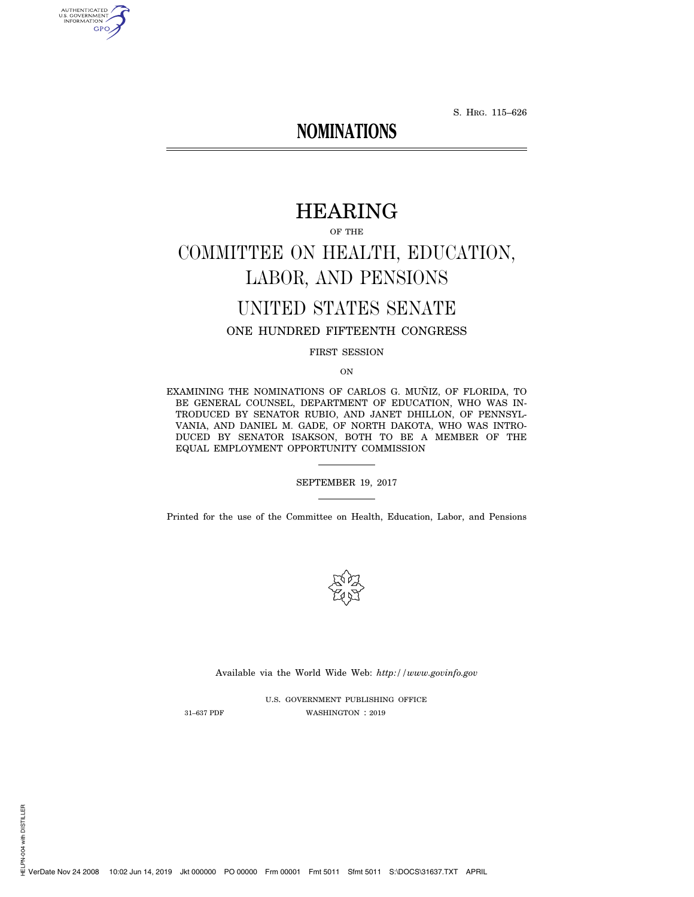S. HRG. 115–626

# **NOMINATIONS**

# HEARING

OF THE

# COMMITTEE ON HEALTH, EDUCATION, LABOR, AND PENSIONS

# UNITED STATES SENATE

# ONE HUNDRED FIFTEENTH CONGRESS

FIRST SESSION

ON

EXAMINING THE NOMINATIONS OF CARLOS G. MUÑIZ, OF FLORIDA, TO BE GENERAL COUNSEL, DEPARTMENT OF EDUCATION, WHO WAS IN-TRODUCED BY SENATOR RUBIO, AND JANET DHILLON, OF PENNSYL-VANIA, AND DANIEL M. GADE, OF NORTH DAKOTA, WHO WAS INTRO-DUCED BY SENATOR ISAKSON, BOTH TO BE A MEMBER OF THE EQUAL EMPLOYMENT OPPORTUNITY COMMISSION

### SEPTEMBER 19, 2017

Printed for the use of the Committee on Health, Education, Labor, and Pensions



Available via the World Wide Web: *http://www.govinfo.gov* 

U.S. GOVERNMENT PUBLISHING OFFICE 31–637 PDF WASHINGTON : 2019

HELPN-004 with DISTILLER

AUTHENTICATED<br>U.S. GOVERNMENT<br>INFORMATION **GPO**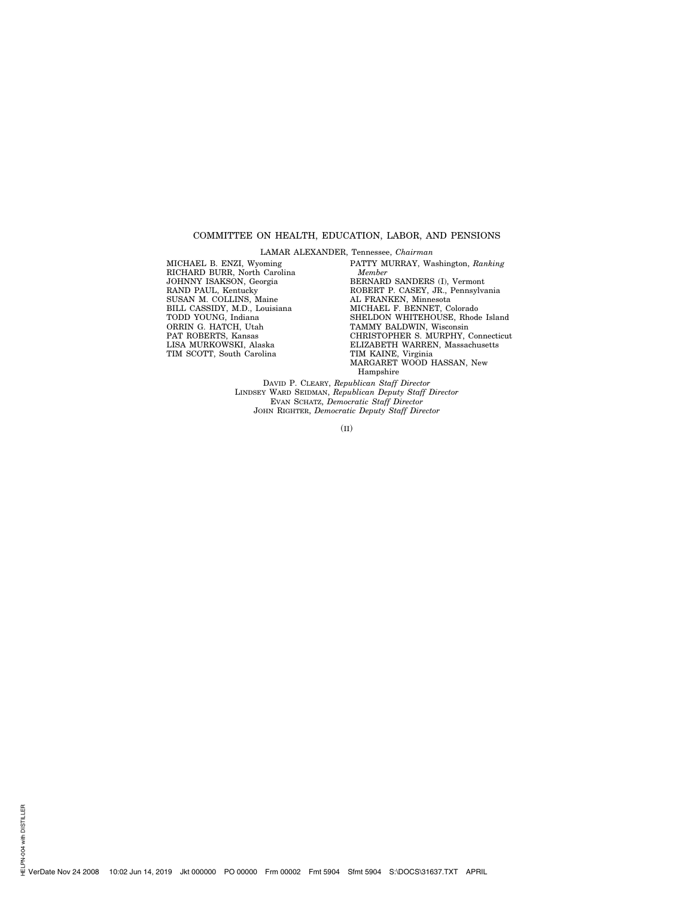#### COMMITTEE ON HEALTH, EDUCATION, LABOR, AND PENSIONS

LAMAR ALEXANDER, Tennessee, *Chairman* 

MICHAEL B. ENZI, Wyoming RICHARD BURR, North Carolina JOHNNY ISAKSON, Georgia RAND PAUL, Kentucky SUSAN M. COLLINS, Maine BILL CASSIDY, M.D., Louisiana TODD YOUNG, Indiana ORRIN G. HATCH, Utah PAT ROBERTS, Kansas LISA MURKOWSKI, Alaska TIM SCOTT, South Carolina

PATTY MURRAY, Washington, *Ranking Member*  BERNARD SANDERS (I), Vermont ROBERT P. CASEY, JR., Pennsylvania AL FRANKEN, Minnesota MICHAEL F. BENNET, Colorado SHELDON WHITEHOUSE, Rhode Island TAMMY BALDWIN, Wisconsin CHRISTOPHER S. MURPHY, Connecticut ELIZABETH WARREN, Massachusetts TIM KAINE, Virginia MARGARET WOOD HASSAN, New Hampshire

DAVID P. CLEARY, *Republican Staff Director*  LINDSEY WARD SEIDMAN, *Republican Deputy Staff Director*  EVAN SCHATZ, *Democratic Staff Director*  JOHN RIGHTER, *Democratic Deputy Staff Director* 

(II)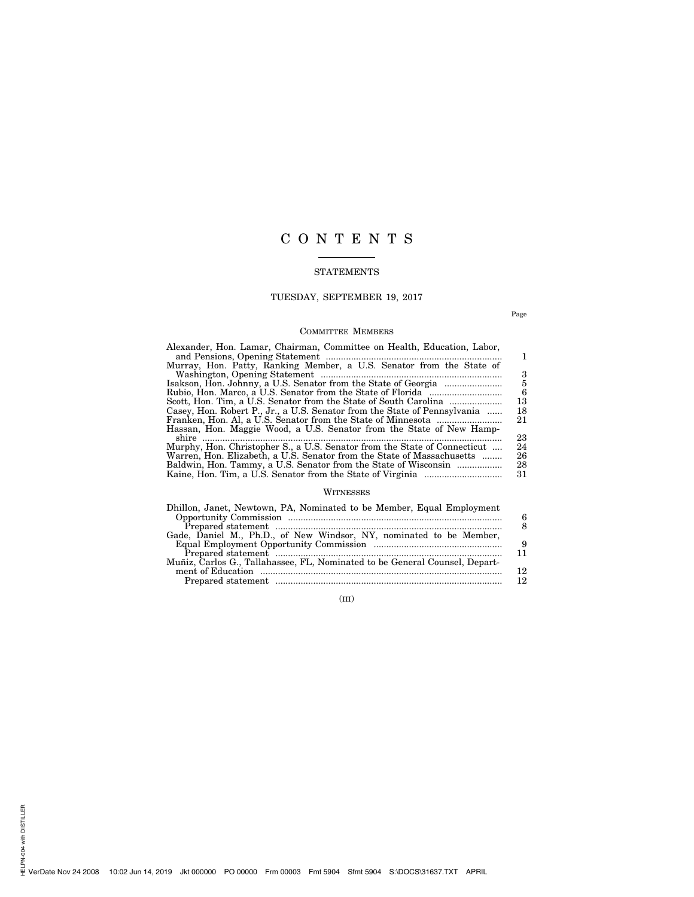# C O N T E N T S

# STATEMENTS

# TUESDAY, SEPTEMBER 19, 2017

Page

# COMMITTEE MEMBERS

| Alexander, Hon. Lamar, Chairman, Committee on Health, Education, Labor,   |    |
|---------------------------------------------------------------------------|----|
| Murray, Hon. Patty, Ranking Member, a U.S. Senator from the State of      |    |
|                                                                           | 3  |
|                                                                           | 5  |
|                                                                           | 6  |
|                                                                           | 13 |
| Casey, Hon. Robert P., Jr., a U.S. Senator from the State of Pennsylvania | 18 |
|                                                                           | 21 |
| Hassan, Hon. Maggie Wood, a U.S. Senator from the State of New Hamp-      |    |
|                                                                           | 23 |
| Murphy, Hon. Christopher S., a U.S. Senator from the State of Connecticut | 24 |
| Warren, Hon. Elizabeth, a U.S. Senator from the State of Massachusetts    | 26 |
| Baldwin, Hon. Tammy, a U.S. Senator from the State of Wisconsin           | 28 |
|                                                                           | 31 |

# WITNESSES

| 9  |
|----|
|    |
|    |
| 12 |
| 12 |
|    |

(III)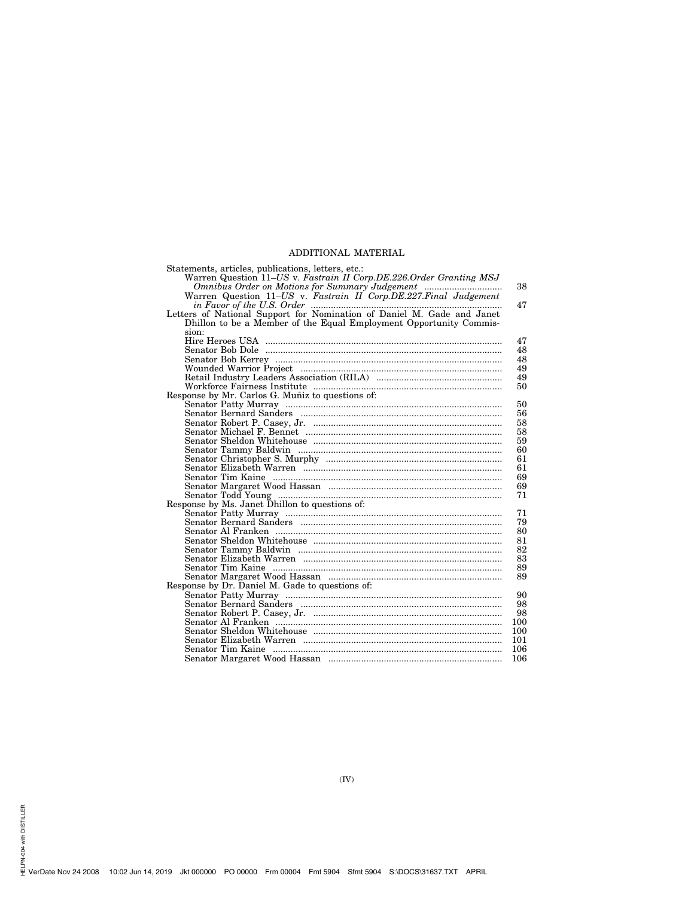# ADDITIONAL MATERIAL

| Statements, articles, publications, letters, etc.:                                                                   |     |
|----------------------------------------------------------------------------------------------------------------------|-----|
| Warren Question 11–US v. Fastrain II Corp. DE. 226. Order Granting MSJ                                               |     |
|                                                                                                                      | 38  |
|                                                                                                                      |     |
|                                                                                                                      | 47  |
| in Favor of the U.S. Order manufactured in Favor of the U.S. Order manufactured in Favor of Daniel M. Gade and Janet |     |
| Dhillon to be a Member of the Equal Employment Opportunity Commis-                                                   |     |
| sion:                                                                                                                |     |
|                                                                                                                      | 47  |
|                                                                                                                      | 48  |
|                                                                                                                      | 48  |
|                                                                                                                      | 49  |
|                                                                                                                      | 49  |
|                                                                                                                      | 50  |
| Response by Mr. Carlos G. Muñiz to questions of:                                                                     |     |
|                                                                                                                      | 50  |
|                                                                                                                      | 56  |
|                                                                                                                      | 58  |
|                                                                                                                      | 58  |
|                                                                                                                      | 59  |
|                                                                                                                      | 60  |
|                                                                                                                      | 61  |
|                                                                                                                      | 61  |
|                                                                                                                      | 69  |
|                                                                                                                      |     |
|                                                                                                                      | 69  |
|                                                                                                                      | 71  |
| Response by Ms. Janet Dhillon to questions of:                                                                       |     |
|                                                                                                                      | 71  |
|                                                                                                                      | 79  |
|                                                                                                                      | 80  |
|                                                                                                                      | 81  |
|                                                                                                                      | 82  |
|                                                                                                                      | 83  |
|                                                                                                                      | 89  |
|                                                                                                                      | 89  |
| Response by Dr. Daniel M. Gade to questions of:                                                                      |     |
|                                                                                                                      | 90  |
|                                                                                                                      | 98  |
|                                                                                                                      | 98  |
|                                                                                                                      | 100 |
|                                                                                                                      | 100 |
|                                                                                                                      | 101 |
|                                                                                                                      | 106 |
|                                                                                                                      | 106 |
|                                                                                                                      |     |

H<br>VerDate Nov 24 2008 10:02 Jun 14, 2019 Jkt 000000 PO 00000 Frm 00004 Fmt 5904 Sfmt 5904 S:\DOCS\31637.TXT APRIL<br>"WerDate Nov 24 2008 10:02 Jun 14, 2019 Jkt 000000 PO 00000 Frm 00004 Fmt 5904 Sfmt 5904 S:\DOCS\31637.TXT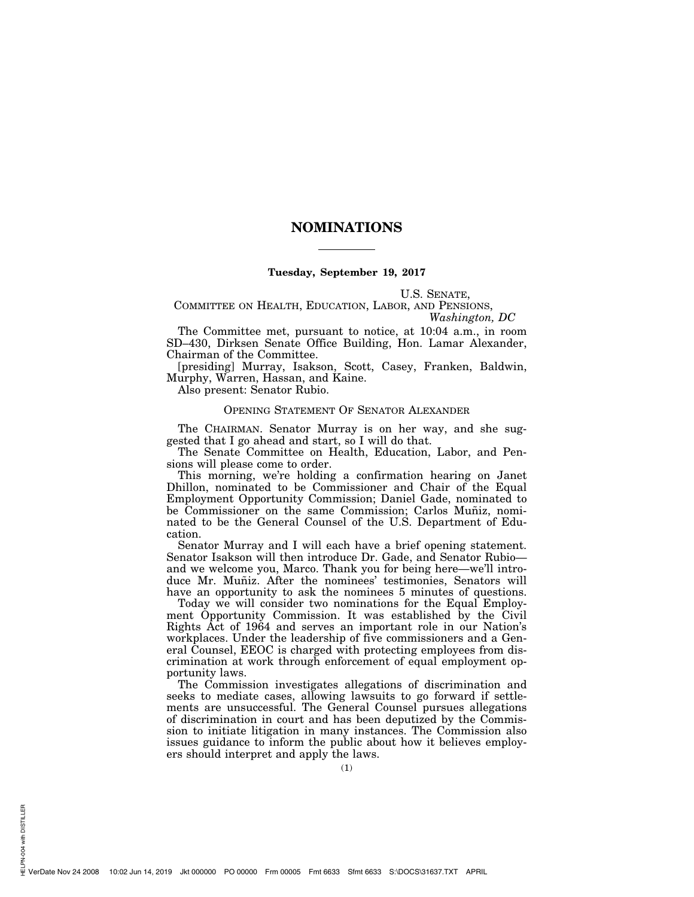# **NOMINATIONS**

#### **Tuesday, September 19, 2017**

U.S. SENATE,

### COMMITTEE ON HEALTH, EDUCATION, LABOR, AND PENSIONS, *Washington, DC*

The Committee met, pursuant to notice, at 10:04 a.m., in room SD–430, Dirksen Senate Office Building, Hon. Lamar Alexander, Chairman of the Committee.

[presiding] Murray, Isakson, Scott, Casey, Franken, Baldwin, Murphy, Warren, Hassan, and Kaine.

Also present: Senator Rubio.

# OPENING STATEMENT OF SENATOR ALEXANDER

The CHAIRMAN. Senator Murray is on her way, and she suggested that I go ahead and start, so I will do that.

The Senate Committee on Health, Education, Labor, and Pensions will please come to order.

This morning, we're holding a confirmation hearing on Janet Dhillon, nominated to be Commissioner and Chair of the Equal Employment Opportunity Commission; Daniel Gade, nominated to be Commissioner on the same Commission; Carlos Muñiz, nominated to be the General Counsel of the U.S. Department of Education.

Senator Murray and I will each have a brief opening statement. Senator Isakson will then introduce Dr. Gade, and Senator Rubio and we welcome you, Marco. Thank you for being here—we'll introduce Mr. Muñiz. After the nominees' testimonies, Senators will have an opportunity to ask the nominees 5 minutes of questions.

Today we will consider two nominations for the Equal Employment Opportunity Commission. It was established by the Civil Rights Act of 1964 and serves an important role in our Nation's workplaces. Under the leadership of five commissioners and a General Counsel, EEOC is charged with protecting employees from discrimination at work through enforcement of equal employment opportunity laws.

The Commission investigates allegations of discrimination and seeks to mediate cases, allowing lawsuits to go forward if settlements are unsuccessful. The General Counsel pursues allegations of discrimination in court and has been deputized by the Commission to initiate litigation in many instances. The Commission also issues guidance to inform the public about how it believes employers should interpret and apply the laws.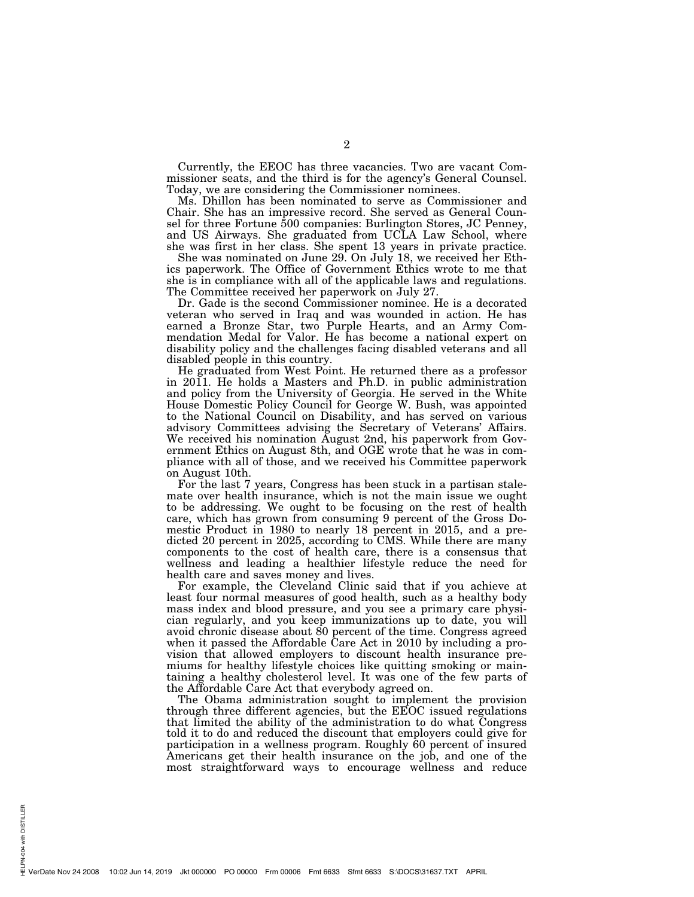Currently, the EEOC has three vacancies. Two are vacant Commissioner seats, and the third is for the agency's General Counsel. Today, we are considering the Commissioner nominees.

Ms. Dhillon has been nominated to serve as Commissioner and Chair. She has an impressive record. She served as General Counsel for three Fortune 500 companies: Burlington Stores, JC Penney, and US Airways. She graduated from UCLA Law School, where she was first in her class. She spent 13 years in private practice.

She was nominated on June 29. On July 18, we received her Ethics paperwork. The Office of Government Ethics wrote to me that she is in compliance with all of the applicable laws and regulations. The Committee received her paperwork on July 27.

Dr. Gade is the second Commissioner nominee. He is a decorated veteran who served in Iraq and was wounded in action. He has earned a Bronze Star, two Purple Hearts, and an Army Commendation Medal for Valor. He has become a national expert on disability policy and the challenges facing disabled veterans and all disabled people in this country.

He graduated from West Point. He returned there as a professor in 2011. He holds a Masters and Ph.D. in public administration and policy from the University of Georgia. He served in the White House Domestic Policy Council for George W. Bush, was appointed to the National Council on Disability, and has served on various advisory Committees advising the Secretary of Veterans' Affairs. We received his nomination August 2nd, his paperwork from Government Ethics on August 8th, and OGE wrote that he was in compliance with all of those, and we received his Committee paperwork on August 10th.

For the last 7 years, Congress has been stuck in a partisan stalemate over health insurance, which is not the main issue we ought to be addressing. We ought to be focusing on the rest of health care, which has grown from consuming 9 percent of the Gross Domestic Product in 1980 to nearly 18 percent in 2015, and a predicted 20 percent in 2025, according to CMS. While there are many components to the cost of health care, there is a consensus that wellness and leading a healthier lifestyle reduce the need for health care and saves money and lives.

For example, the Cleveland Clinic said that if you achieve at least four normal measures of good health, such as a healthy body mass index and blood pressure, and you see a primary care physician regularly, and you keep immunizations up to date, you will avoid chronic disease about 80 percent of the time. Congress agreed when it passed the Affordable Care Act in 2010 by including a provision that allowed employers to discount health insurance premiums for healthy lifestyle choices like quitting smoking or maintaining a healthy cholesterol level. It was one of the few parts of the Affordable Care Act that everybody agreed on.

The Obama administration sought to implement the provision through three different agencies, but the EEOC issued regulations that limited the ability of the administration to do what Congress told it to do and reduced the discount that employers could give for participation in a wellness program. Roughly 60 percent of insured Americans get their health insurance on the job, and one of the most straightforward ways to encourage wellness and reduce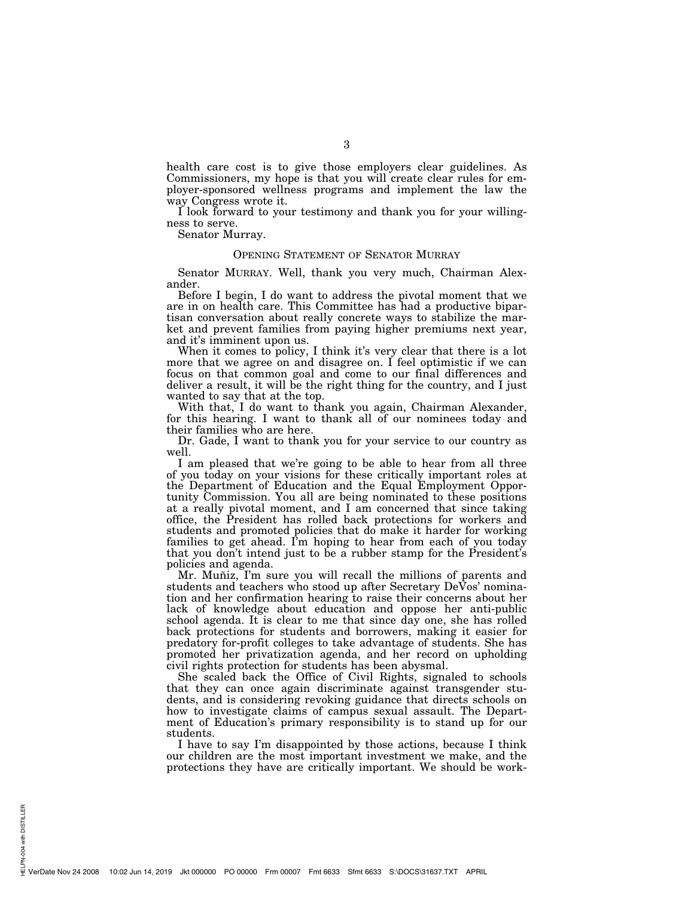health care cost is to give those employers clear guidelines. As Commissioners, my hope is that you will create clear rules for employer-sponsored wellness programs and implement the law the way Congress wrote it.

I look forward to your testimony and thank you for your willingness to serve.

Senator Murray.

#### OPENING STATEMENT OF SENATOR MURRAY

Senator MURRAY. Well, thank you very much, Chairman Alexander.

Before I begin, I do want to address the pivotal moment that we are in on health care. This Committee has had a productive bipartisan conversation about really concrete ways to stabilize the market and prevent families from paying higher premiums next year, and it's imminent upon us.

When it comes to policy, I think it's very clear that there is a lot more that we agree on and disagree on. I feel optimistic if we can focus on that common goal and come to our final differences and deliver a result, it will be the right thing for the country, and I just wanted to say that at the top.

With that, I do want to thank you again, Chairman Alexander, for this hearing. I want to thank all of our nominees today and their families who are here.

Dr. Gade, I want to thank you for your service to our country as well.

I am pleased that we're going to be able to hear from all three of you today on your visions for these critically important roles at the Department of Education and the Equal Employment Opportunity Commission. You all are being nominated to these positions at a really pivotal moment, and I am concerned that since taking office, the President has rolled back protections for workers and students and promoted policies that do make it harder for working families to get ahead. I'm hoping to hear from each of you today that you don't intend just to be a rubber stamp for the President's policies and agenda.

Mr. Muñiz, I'm sure you will recall the millions of parents and students and teachers who stood up after Secretary DeVos' nomination and her confirmation hearing to raise their concerns about her lack of knowledge about education and oppose her anti-public school agenda. It is clear to me that since day one, she has rolled back protections for students and borrowers, making it easier for predatory for-profit colleges to take advantage of students. She has promoted her privatization agenda, and her record on upholding civil rights protection for students has been abysmal.

She scaled back the Office of Civil Rights, signaled to schools that they can once again discriminate against transgender students, and is considering revoking guidance that directs schools on how to investigate claims of campus sexual assault. The Department of Education's primary responsibility is to stand up for our students.

I have to say I'm disappointed by those actions, because I think our children are the most important investment we make, and the protections they have are critically important. We should be work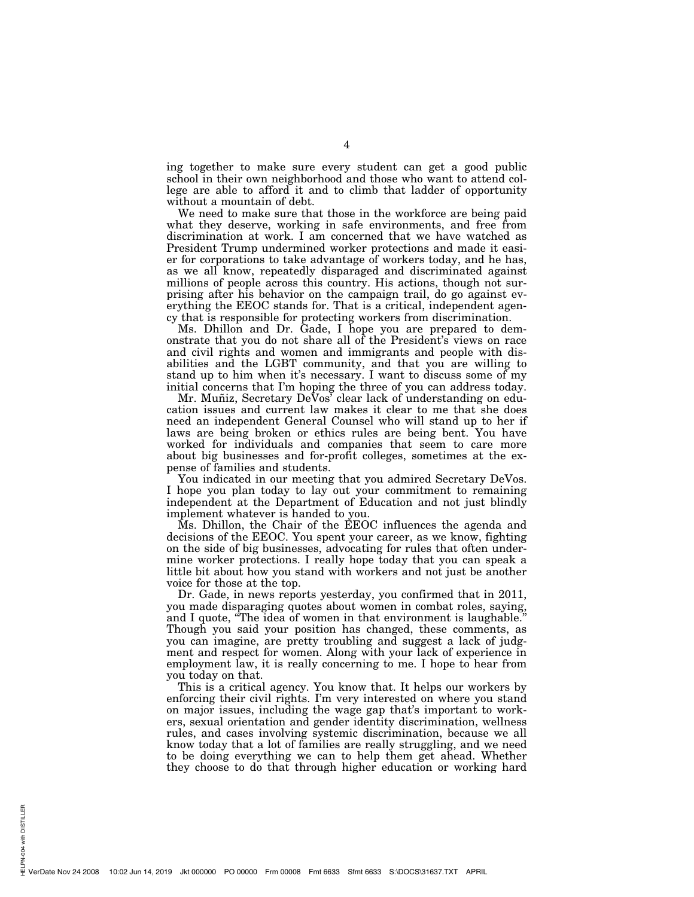ing together to make sure every student can get a good public school in their own neighborhood and those who want to attend college are able to afford it and to climb that ladder of opportunity without a mountain of debt.

We need to make sure that those in the workforce are being paid what they deserve, working in safe environments, and free from discrimination at work. I am concerned that we have watched as President Trump undermined worker protections and made it easier for corporations to take advantage of workers today, and he has, as we all know, repeatedly disparaged and discriminated against millions of people across this country. His actions, though not surprising after his behavior on the campaign trail, do go against everything the EEOC stands for. That is a critical, independent agency that is responsible for protecting workers from discrimination.

Ms. Dhillon and Dr. Gade, I hope you are prepared to demonstrate that you do not share all of the President's views on race and civil rights and women and immigrants and people with disabilities and the LGBT community, and that you are willing to stand up to him when it's necessary. I want to discuss some of my initial concerns that I'm hoping the three of you can address today.

Mr. Muñiz, Secretary DeVos<sup>7</sup> clear lack of understanding on education issues and current law makes it clear to me that she does need an independent General Counsel who will stand up to her if laws are being broken or ethics rules are being bent. You have worked for individuals and companies that seem to care more about big businesses and for-profit colleges, sometimes at the expense of families and students.

You indicated in our meeting that you admired Secretary DeVos. I hope you plan today to lay out your commitment to remaining independent at the Department of Education and not just blindly implement whatever is handed to you.

Ms. Dhillon, the Chair of the EEOC influences the agenda and decisions of the EEOC. You spent your career, as we know, fighting on the side of big businesses, advocating for rules that often undermine worker protections. I really hope today that you can speak a little bit about how you stand with workers and not just be another voice for those at the top.

Dr. Gade, in news reports yesterday, you confirmed that in 2011, you made disparaging quotes about women in combat roles, saying, and I quote, ''The idea of women in that environment is laughable.'' Though you said your position has changed, these comments, as you can imagine, are pretty troubling and suggest a lack of judgment and respect for women. Along with your lack of experience in employment law, it is really concerning to me. I hope to hear from you today on that.

This is a critical agency. You know that. It helps our workers by enforcing their civil rights. I'm very interested on where you stand on major issues, including the wage gap that's important to workers, sexual orientation and gender identity discrimination, wellness rules, and cases involving systemic discrimination, because we all know today that a lot of families are really struggling, and we need to be doing everything we can to help them get ahead. Whether they choose to do that through higher education or working hard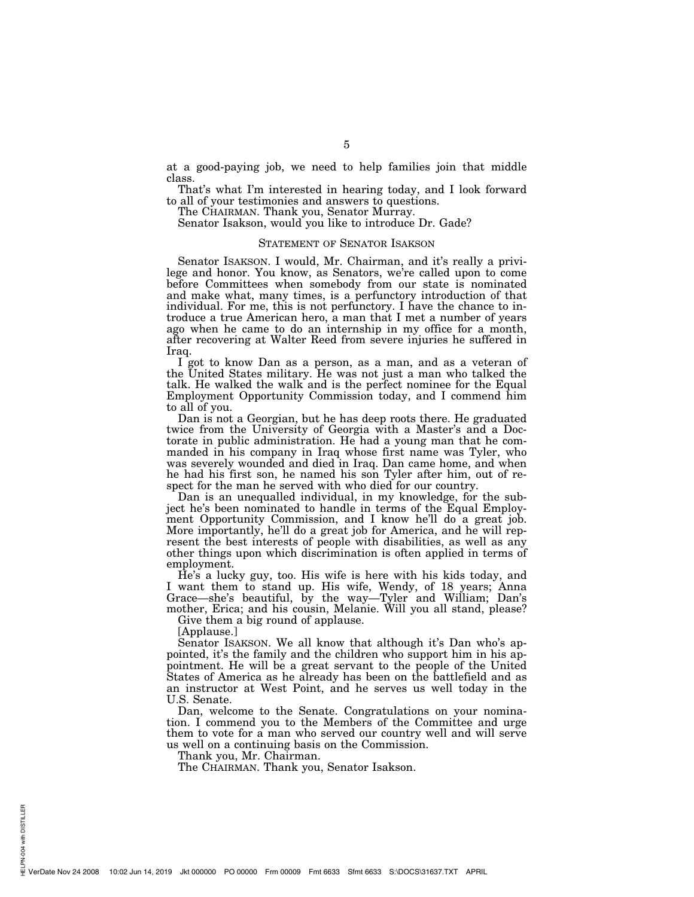at a good-paying job, we need to help families join that middle class.

That's what I'm interested in hearing today, and I look forward to all of your testimonies and answers to questions.

The CHAIRMAN. Thank you, Senator Murray.

Senator Isakson, would you like to introduce Dr. Gade?

#### STATEMENT OF SENATOR ISAKSON

Senator ISAKSON. I would, Mr. Chairman, and it's really a privilege and honor. You know, as Senators, we're called upon to come before Committees when somebody from our state is nominated and make what, many times, is a perfunctory introduction of that individual. For me, this is not perfunctory. I have the chance to introduce a true American hero, a man that I met a number of years ago when he came to do an internship in my office for a month, after recovering at Walter Reed from severe injuries he suffered in Iraq.

I got to know Dan as a person, as a man, and as a veteran of the United States military. He was not just a man who talked the talk. He walked the walk and is the perfect nominee for the Equal Employment Opportunity Commission today, and I commend him to all of you.

Dan is not a Georgian, but he has deep roots there. He graduated twice from the University of Georgia with a Master's and a Doctorate in public administration. He had a young man that he commanded in his company in Iraq whose first name was Tyler, who was severely wounded and died in Iraq. Dan came home, and when he had his first son, he named his son Tyler after him, out of respect for the man he served with who died for our country.

Dan is an unequalled individual, in my knowledge, for the subject he's been nominated to handle in terms of the Equal Employment Opportunity Commission, and I know he'll do a great job. More importantly, he'll do a great job for America, and he will represent the best interests of people with disabilities, as well as any other things upon which discrimination is often applied in terms of employment.

He's a lucky guy, too. His wife is here with his kids today, and I want them to stand up. His wife, Wendy, of 18 years; Anna Grace—she's beautiful, by the way—Tyler and William; Dan's mother, Erica; and his cousin, Melanie. Will you all stand, please?

Give them a big round of applause.

[Applause.]

Senator ISAKSON. We all know that although it's Dan who's appointed, it's the family and the children who support him in his appointment. He will be a great servant to the people of the United States of America as he already has been on the battlefield and as an instructor at West Point, and he serves us well today in the U.S. Senate.

Dan, welcome to the Senate. Congratulations on your nomination. I commend you to the Members of the Committee and urge them to vote for a man who served our country well and will serve us well on a continuing basis on the Commission.

Thank you, Mr. Chairman.

The CHAIRMAN. Thank you, Senator Isakson.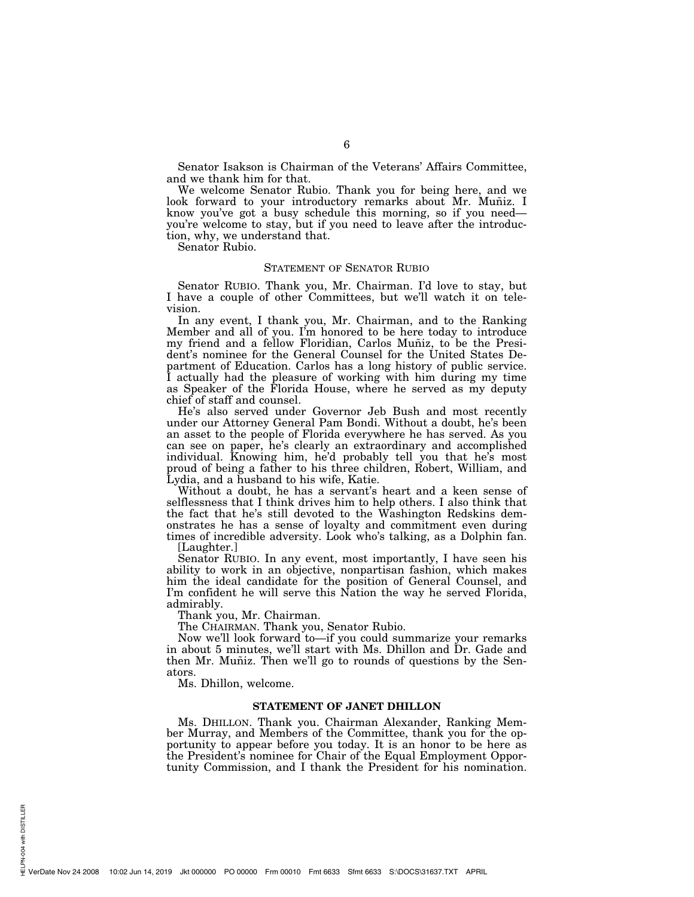Senator Isakson is Chairman of the Veterans' Affairs Committee, and we thank him for that.

We welcome Senator Rubio. Thank you for being here, and we look forward to your introductory remarks about Mr. Muñiz. I know you've got a busy schedule this morning, so if you need you're welcome to stay, but if you need to leave after the introduction, why, we understand that.

Senator Rubio.

#### STATEMENT OF SENATOR RUBIO

Senator RUBIO. Thank you, Mr. Chairman. I'd love to stay, but I have a couple of other Committees, but we'll watch it on television.

In any event, I thank you, Mr. Chairman, and to the Ranking Member and all of you. I'm honored to be here today to introduce my friend and a fellow Floridian, Carlos Muñiz, to be the President's nominee for the General Counsel for the United States Department of Education. Carlos has a long history of public service. I actually had the pleasure of working with him during my time as Speaker of the Florida House, where he served as my deputy chief of staff and counsel.

He's also served under Governor Jeb Bush and most recently under our Attorney General Pam Bondi. Without a doubt, he's been an asset to the people of Florida everywhere he has served. As you can see on paper, he's clearly an extraordinary and accomplished individual. Knowing him, he'd probably tell you that he's most proud of being a father to his three children, Robert, William, and Lydia, and a husband to his wife, Katie.

Without a doubt, he has a servant's heart and a keen sense of selflessness that I think drives him to help others. I also think that the fact that he's still devoted to the Washington Redskins demonstrates he has a sense of loyalty and commitment even during times of incredible adversity. Look who's talking, as a Dolphin fan. [Laughter.]

Senator RUBIO. In any event, most importantly, I have seen his ability to work in an objective, nonpartisan fashion, which makes him the ideal candidate for the position of General Counsel, and I'm confident he will serve this Nation the way he served Florida, admirably.

Thank you, Mr. Chairman.

The CHAIRMAN. Thank you, Senator Rubio.

Now we'll look forward to—if you could summarize your remarks in about 5 minutes, we'll start with Ms. Dhillon and Dr. Gade and then Mr. Muñiz. Then we'll go to rounds of questions by the Senators.

Ms. Dhillon, welcome.

#### **STATEMENT OF JANET DHILLON**

Ms. DHILLON. Thank you. Chairman Alexander, Ranking Member Murray, and Members of the Committee, thank you for the opportunity to appear before you today. It is an honor to be here as the President's nominee for Chair of the Equal Employment Opportunity Commission, and I thank the President for his nomination.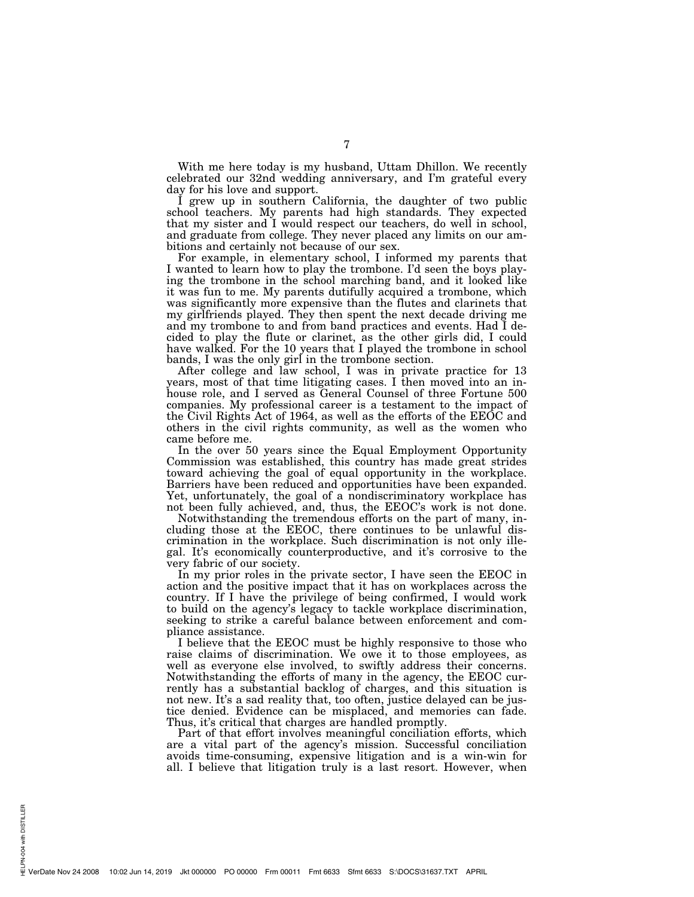With me here today is my husband, Uttam Dhillon. We recently celebrated our 32nd wedding anniversary, and I'm grateful every day for his love and support.

I grew up in southern California, the daughter of two public school teachers. My parents had high standards. They expected that my sister and I would respect our teachers, do well in school, and graduate from college. They never placed any limits on our ambitions and certainly not because of our sex.

For example, in elementary school, I informed my parents that I wanted to learn how to play the trombone. I'd seen the boys playing the trombone in the school marching band, and it looked like it was fun to me. My parents dutifully acquired a trombone, which was significantly more expensive than the flutes and clarinets that my girlfriends played. They then spent the next decade driving me and my trombone to and from band practices and events. Had I decided to play the flute or clarinet, as the other girls did, I could have walked. For the 10 years that I played the trombone in school bands, I was the only girl in the trombone section.

After college and law school, I was in private practice for 13 years, most of that time litigating cases. I then moved into an inhouse role, and I served as General Counsel of three Fortune 500 companies. My professional career is a testament to the impact of the Civil Rights Act of 1964, as well as the efforts of the EEOC and others in the civil rights community, as well as the women who came before me.

In the over 50 years since the Equal Employment Opportunity Commission was established, this country has made great strides toward achieving the goal of equal opportunity in the workplace. Barriers have been reduced and opportunities have been expanded. Yet, unfortunately, the goal of a nondiscriminatory workplace has not been fully achieved, and, thus, the EEOC's work is not done.

Notwithstanding the tremendous efforts on the part of many, including those at the EEOC, there continues to be unlawful discrimination in the workplace. Such discrimination is not only illegal. It's economically counterproductive, and it's corrosive to the very fabric of our society.

In my prior roles in the private sector, I have seen the EEOC in action and the positive impact that it has on workplaces across the country. If I have the privilege of being confirmed, I would work to build on the agency's legacy to tackle workplace discrimination, seeking to strike a careful balance between enforcement and compliance assistance.

I believe that the EEOC must be highly responsive to those who raise claims of discrimination. We owe it to those employees, as well as everyone else involved, to swiftly address their concerns. Notwithstanding the efforts of many in the agency, the EEOC currently has a substantial backlog of charges, and this situation is not new. It's a sad reality that, too often, justice delayed can be justice denied. Evidence can be misplaced, and memories can fade. Thus, it's critical that charges are handled promptly.

Part of that effort involves meaningful conciliation efforts, which are a vital part of the agency's mission. Successful conciliation avoids time-consuming, expensive litigation and is a win-win for all. I believe that litigation truly is a last resort. However, when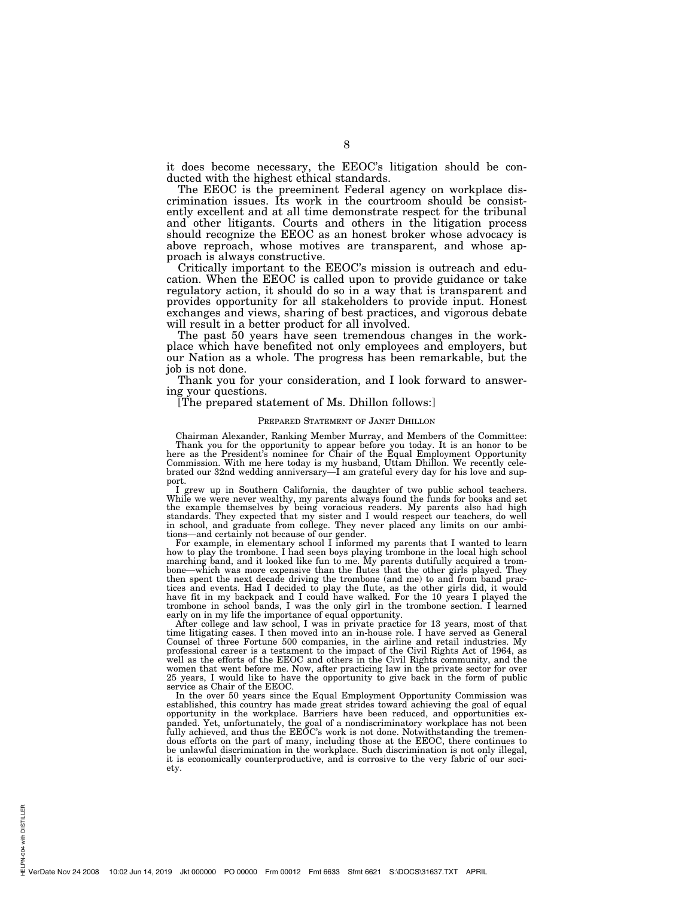it does become necessary, the EEOC's litigation should be conducted with the highest ethical standards.

The EEOC is the preeminent Federal agency on workplace discrimination issues. Its work in the courtroom should be consistently excellent and at all time demonstrate respect for the tribunal and other litigants. Courts and others in the litigation process should recognize the EEOC as an honest broker whose advocacy is above reproach, whose motives are transparent, and whose approach is always constructive.

Critically important to the EEOC's mission is outreach and education. When the EEOC is called upon to provide guidance or take regulatory action, it should do so in a way that is transparent and provides opportunity for all stakeholders to provide input. Honest exchanges and views, sharing of best practices, and vigorous debate will result in a better product for all involved.

The past 50 years have seen tremendous changes in the workplace which have benefited not only employees and employers, but our Nation as a whole. The progress has been remarkable, but the job is not done.

Thank you for your consideration, and I look forward to answering your questions.

#### [The prepared statement of Ms. Dhillon follows:]

#### PREPARED STATEMENT OF JANET DHILLON

Chairman Alexander, Ranking Member Murray, and Members of the Committee: Thank you for the opportunity to appear before you today. It is an honor to be here as the President's nominee for Chair of the Equal Employment Opportunity Commission. With me here today is my husband, Uttam Dhillon. We recently celebrated our 32nd wedding anniversary—I am grateful every day for his love and support.

I grew up in Southern California, the daughter of two public school teachers. While we were never wealthy, my parents always found the funds for books and set the example themselves by being voracious readers. My parents also had high standards. They expected that my sister and I would respect our teachers, do well in school, and graduate from college. They never placed any limits on our ambi-

tions—and certainly not because of our gender. For example, in elementary school I informed my parents that I wanted to learn how to play the trombone. I had seen boys playing trombone in the local high school marching band, and it looked like fun to me. My parents dutifully acquired a trombone—which was more expensive than the flutes that the other girls played. They then spent the next decade driving the trombone (and me) to and from band practices and events. Had I decided to play the flute, as the other girls did, it would have fit in my backpack and I could have walked. For the 10 years I played the trombone in school bands, I was the only girl in the trombone section. I learned early on in my life the importance of equal opportunity.

After college and law school, I was in private practice for 13 years, most of that time litigating cases. I then moved into an in-house role. I have served as General Counsel of three Fortune 500 companies, in the airline and retail industries. My professional career is a testament to the impact of the Civil Rights Act of 1964, as well as the efforts of the EEOC and others in the Civil Rights community, and the women that went before me. Now, after practicing law in the private sector for over 25 years, I would like to have the opportunity to give back in the form of public service as Chair of the EEOC.

In the over 50 years since the Equal Employment Opportunity Commission was established, this country has made great strides toward achieving the goal of equal opportunity in the workplace. Barriers have been reduced, and opportunities expanded. Yet, unfortunately, the goal of a nondiscriminatory workplace has not been fully achieved, and thus the EEOC's work is not done. Notwithstanding the tremendous efforts on the part of many, including those at the EEOC, there continues to be unlawful discrimination in the workplace. Such discrimination is not only illegal, it is economically counterproductive, and is corrosive to the very fabric of our society.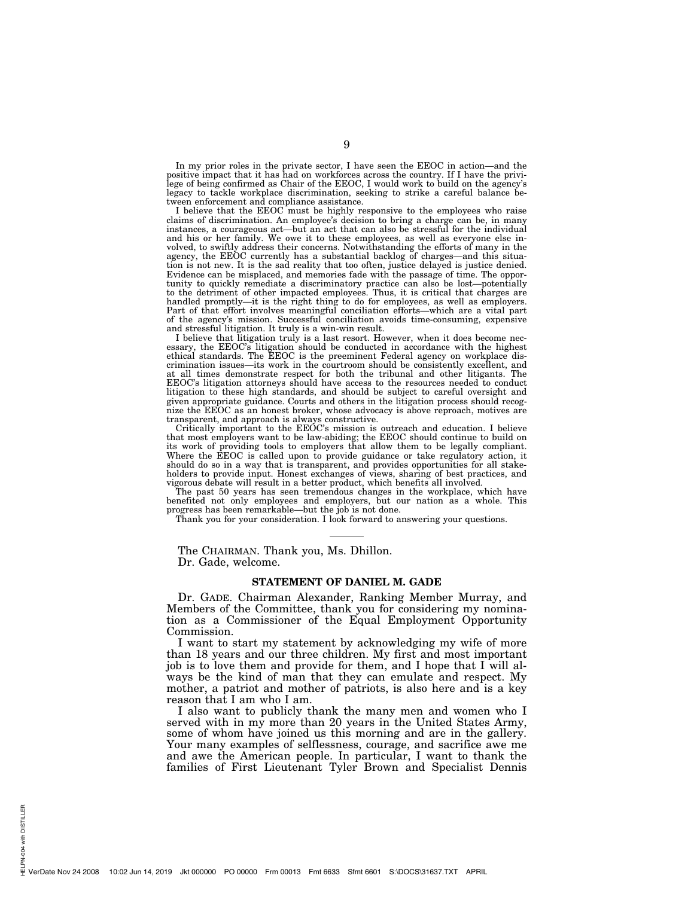In my prior roles in the private sector, I have seen the EEOC in action—and the positive impact that it has had on workforces across the country. If I have the privilege of being confirmed as Chair of the EEOC, I would work to build on the agency's legacy to tackle workplace discrimination, seeking to strike a careful balance between enforcement and compliance assistance.

I believe that the EEOC must be highly responsive to the employees who raise claims of discrimination. An employee's decision to bring a charge can be, in many instances, a courageous act—but an act that can also be stressful for the individual and his or her family. We owe it to these employees, as well as everyone else involved, to swiftly address their concerns. Notwithstanding the efforts of many in the agency, the EEOC currently has a substantial backlog of charges—and this situation is not new. It is the sad reality that too often, justice delayed is justice denied. Evidence can be misplaced, and memories fade with the passage of time. The opportunity to quickly remediate a discriminatory practice can also be lost—potentially to the detriment of other impacted employees. Thus, it is critical that charges are handled promptly—it is the right thing to do for employees, as well as employers. Part of that effort involves meaningful conciliation efforts—which are a vital part of the agency's mission. Successful conciliation avoids time-consuming, expensive and stressful litigation. It truly is a win-win result.

I believe that litigation truly is a last resort. However, when it does become necessary, the EEOC's litigation should be conducted in accordance with the highest ethical standards. The EEOC is the preeminent Federal agency on workplace discrimination issues—its work in the courtroom should be consistently excellent, and at all times demonstrate respect for both the tribunal and other litigants. The EEOC's litigation attorneys should have access to the resources needed to conduct litigation to these high standards, and should be subject to careful oversight and given appropriate guidance. Courts and others in the litigation process should recognize the EEOC as an honest broker, whose advocacy is above reproach, motives are transparent, and approach is always constructive.

Critically important to the EEOC's mission is outreach and education. I believe that most employers want to be law-abiding; the EEOC should continue to build on its work of providing tools to employers that allow them to be legally compliant. Where the EEOC is called upon to provide guidance or take regulatory action, it should do so in a way that is transparent, and provides opportunities for all stakeholders to provide input. Honest exchanges of views, sharing of best practices, and vigorous debate will result in a better product, which benefits all involved.

The past 50 years has seen tremendous changes in the workplace, which have benefited not only employees and employers, but our nation as a whole. This progress has been remarkable—but the job is not done.

Thank you for your consideration. I look forward to answering your questions.

The CHAIRMAN. Thank you, Ms. Dhillon. Dr. Gade, welcome.

#### **STATEMENT OF DANIEL M. GADE**

Dr. GADE. Chairman Alexander, Ranking Member Murray, and Members of the Committee, thank you for considering my nomination as a Commissioner of the Equal Employment Opportunity Commission.

I want to start my statement by acknowledging my wife of more than 18 years and our three children. My first and most important job is to love them and provide for them, and I hope that I will always be the kind of man that they can emulate and respect. My mother, a patriot and mother of patriots, is also here and is a key reason that I am who I am.

I also want to publicly thank the many men and women who I served with in my more than 20 years in the United States Army, some of whom have joined us this morning and are in the gallery. Your many examples of selflessness, courage, and sacrifice awe me and awe the American people. In particular, I want to thank the families of First Lieutenant Tyler Brown and Specialist Dennis

PN-004 with DISTILLER HELPN-004 with DISTILLER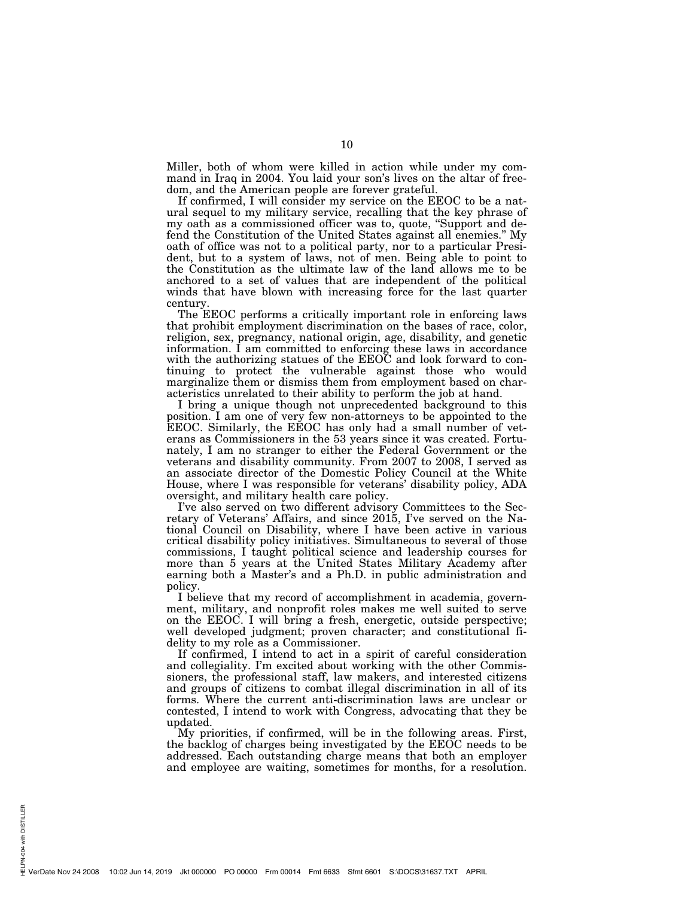Miller, both of whom were killed in action while under my command in Iraq in 2004. You laid your son's lives on the altar of freedom, and the American people are forever grateful.

If confirmed, I will consider my service on the EEOC to be a natural sequel to my military service, recalling that the key phrase of my oath as a commissioned officer was to, quote, "Support and defend the Constitution of the United States against all enemies.'' My oath of office was not to a political party, nor to a particular President, but to a system of laws, not of men. Being able to point to the Constitution as the ultimate law of the land allows me to be anchored to a set of values that are independent of the political winds that have blown with increasing force for the last quarter century.

The EEOC performs a critically important role in enforcing laws that prohibit employment discrimination on the bases of race, color, religion, sex, pregnancy, national origin, age, disability, and genetic information. I am committed to enforcing these laws in accordance with the authorizing statues of the EEOC and look forward to continuing to protect the vulnerable against those who would marginalize them or dismiss them from employment based on characteristics unrelated to their ability to perform the job at hand.

I bring a unique though not unprecedented background to this position. I am one of very few non-attorneys to be appointed to the EEOC. Similarly, the EEOC has only had a small number of veterans as Commissioners in the 53 years since it was created. Fortunately, I am no stranger to either the Federal Government or the veterans and disability community. From 2007 to 2008, I served as an associate director of the Domestic Policy Council at the White House, where I was responsible for veterans' disability policy, ADA oversight, and military health care policy.

I've also served on two different advisory Committees to the Secretary of Veterans' Affairs, and since 2015, I've served on the National Council on Disability, where I have been active in various critical disability policy initiatives. Simultaneous to several of those commissions, I taught political science and leadership courses for more than 5 years at the United States Military Academy after earning both a Master's and a Ph.D. in public administration and policy.

I believe that my record of accomplishment in academia, government, military, and nonprofit roles makes me well suited to serve on the EEOC. I will bring a fresh, energetic, outside perspective; well developed judgment; proven character; and constitutional fidelity to my role as a Commissioner.

If confirmed, I intend to act in a spirit of careful consideration and collegiality. I'm excited about working with the other Commissioners, the professional staff, law makers, and interested citizens and groups of citizens to combat illegal discrimination in all of its forms. Where the current anti-discrimination laws are unclear or contested, I intend to work with Congress, advocating that they be updated.

My priorities, if confirmed, will be in the following areas. First, the backlog of charges being investigated by the EEOC needs to be addressed. Each outstanding charge means that both an employer and employee are waiting, sometimes for months, for a resolution.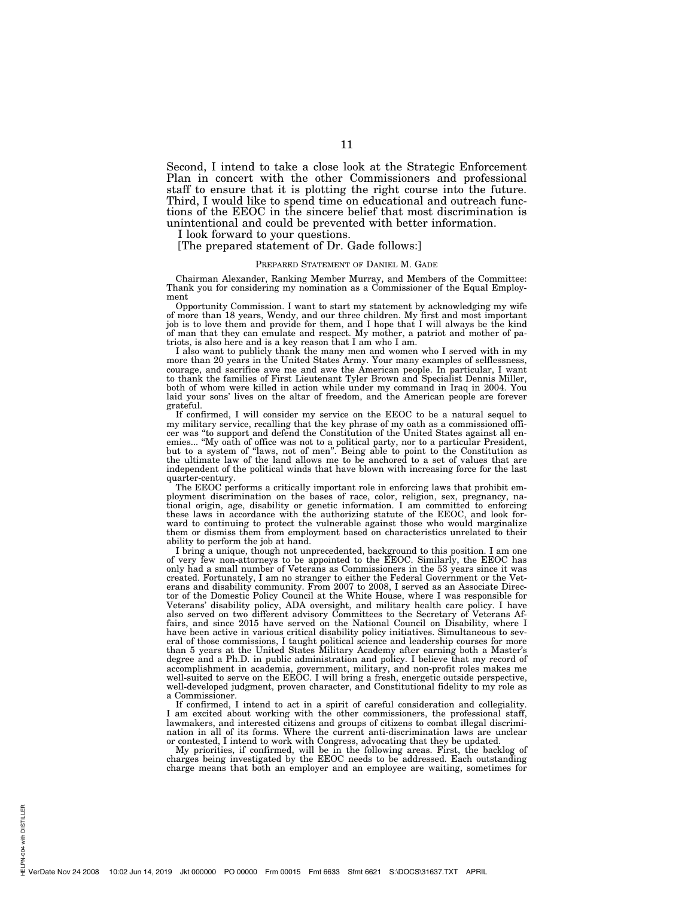Second, I intend to take a close look at the Strategic Enforcement Plan in concert with the other Commissioners and professional staff to ensure that it is plotting the right course into the future. Third, I would like to spend time on educational and outreach functions of the EEOC in the sincere belief that most discrimination is unintentional and could be prevented with better information.

I look forward to your questions.

[The prepared statement of Dr. Gade follows:]

#### PREPARED STATEMENT OF DANIEL M. GADE

Chairman Alexander, Ranking Member Murray, and Members of the Committee: Thank you for considering my nomination as a Commissioner of the Equal Employment

Opportunity Commission. I want to start my statement by acknowledging my wife of more than 18 years, Wendy, and our three children. My first and most important job is to love them and provide for them, and I hope that I will always be the kind of man that they can emulate and respect. My mother, a patriot and mother of patriots, is also here and is a key reason that I am who I am.

I also want to publicly thank the many men and women who I served with in my more than 20 years in the United States Army. Your many examples of selflessness, courage, and sacrifice awe me and awe the American people. In particular, I want to thank the families of First Lieutenant Tyler Brown and Specialist Dennis Miller, both of whom were killed in action while under my command in Iraq in 2004. You laid your sons' lives on the altar of freedom, and the American people are forever grateful.

If confirmed, I will consider my service on the EEOC to be a natural sequel to my military service, recalling that the key phrase of my oath as a commissioned officer was ''to support and defend the Constitution of the United States against all enemies... ''My oath of office was not to a political party, nor to a particular President, but to a system of ''laws, not of men''. Being able to point to the Constitution as the ultimate law of the land allows me to be anchored to a set of values that are independent of the political winds that have blown with increasing force for the last quarter-century.

The EEOC performs a critically important role in enforcing laws that prohibit employment discrimination on the bases of race, color, religion, sex, pregnancy, national origin, age, disability or genetic information. I am committed to enforcing these laws in accordance with the authorizing statute of the EEOC, and look forward to continuing to protect the vulnerable against those who would marginalize them or dismiss them from employment based on characteristics unrelated to their ability to perform the job at hand.

I bring a unique, though not unprecedented, background to this position. I am one of very few non-attorneys to be appointed to the EEOC. Similarly, the EEOC has only had a small number of Veterans as Commissioners in the 53 years since it was created. Fortunately, I am no stranger to either the Federal Government or the Veterans and disability community. From 2007 to 2008, I served as an Associate Director of the Domestic Policy Council at the White House, where I was responsible for Veterans' disability policy, ADA oversight, and military health care policy. I have also served on two different advisory Committees to the Secretary of Veterans Affairs, and since 2015 have served on the National Council on Disability, where I have been active in various critical disability policy initiatives. Simultaneous to several of those commissions, I taught political science and leadership courses for more than 5 years at the United States Military Academy after earning both a Master's degree and a Ph.D. in public administration and policy. I believe that my record of accomplishment in academia, government, military, and non-profit roles makes me well-suited to serve on the EEOC. I will bring a fresh, energetic outside perspective, well-developed judgment, proven character, and Constitutional fidelity to my role as a Commissioner.

If confirmed, I intend to act in a spirit of careful consideration and collegiality. I am excited about working with the other commissioners, the professional staff, lawmakers, and interested citizens and groups of citizens to combat illegal discrimination in all of its forms. Where the current anti-discrimination laws are unclear or contested, I intend to work with Congress, advocating that they be updated.

My priorities, if confirmed, will be in the following areas. First, the backlog of charges being investigated by the EEOC needs to be addressed. Each outstanding charge means that both an employer and an employee are waiting, sometimes for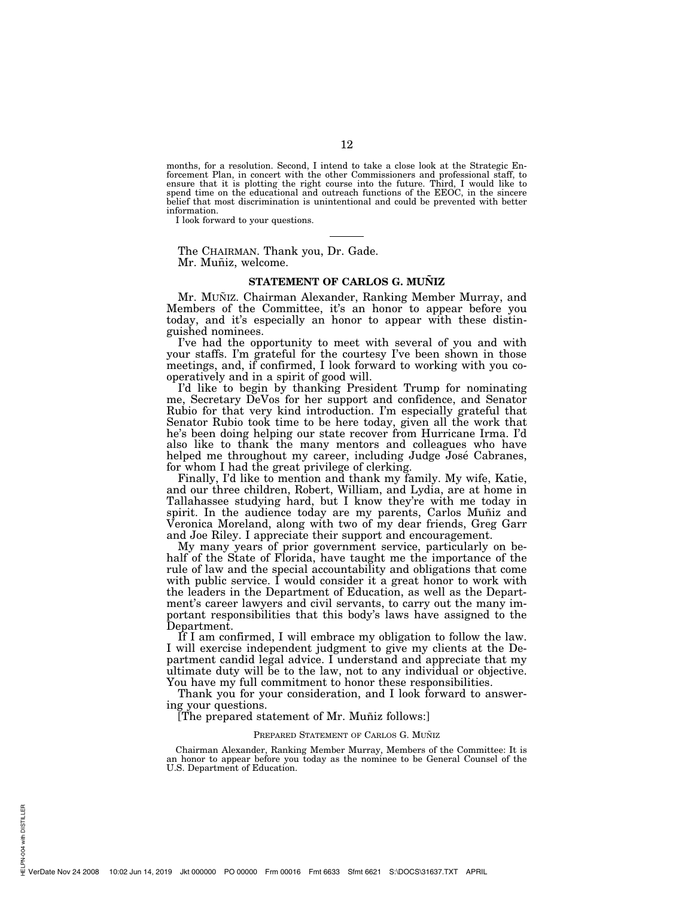months, for a resolution. Second, I intend to take a close look at the Strategic Enforcement Plan, in concert with the other Commissioners and professional staff, to ensure that it is plotting the right course into the future. Third, I would like to spend time on the educational and outreach functions of the EEOC, in the sincere belief that most discrimination is unintentional and could be prevented with better information.

I look forward to your questions.

The CHAIRMAN. Thank you, Dr. Gade. Mr. Muñiz, welcome.

#### **STATEMENT OF CARLOS G. MUNIZ**

Mr. MUÑIZ. Chairman Alexander, Ranking Member Murray, and Members of the Committee, it's an honor to appear before you today, and it's especially an honor to appear with these distinguished nominees.

I've had the opportunity to meet with several of you and with your staffs. I'm grateful for the courtesy I've been shown in those meetings, and, if confirmed, I look forward to working with you cooperatively and in a spirit of good will.

I'd like to begin by thanking President Trump for nominating me, Secretary DeVos for her support and confidence, and Senator Rubio for that very kind introduction. I'm especially grateful that Senator Rubio took time to be here today, given all the work that he's been doing helping our state recover from Hurricane Irma. I'd also like to thank the many mentors and colleagues who have helped me throughout my career, including Judge José Cabranes, for whom I had the great privilege of clerking.

Finally, I'd like to mention and thank my family. My wife, Katie, and our three children, Robert, William, and Lydia, are at home in Tallahassee studying hard, but I know they're with me today in spirit. In the audience today are my parents, Carlos Muñiz and Veronica Moreland, along with two of my dear friends, Greg Garr and Joe Riley. I appreciate their support and encouragement.

My many years of prior government service, particularly on behalf of the State of Florida, have taught me the importance of the rule of law and the special accountability and obligations that come with public service. I would consider it a great honor to work with the leaders in the Department of Education, as well as the Department's career lawyers and civil servants, to carry out the many important responsibilities that this body's laws have assigned to the Department.

If I am confirmed, I will embrace my obligation to follow the law. I will exercise independent judgment to give my clients at the Department candid legal advice. I understand and appreciate that my ultimate duty will be to the law, not to any individual or objective. You have my full commitment to honor these responsibilities.

Thank you for your consideration, and I look forward to answering your questions.

#### [The prepared statement of Mr. Muñiz follows:]

#### PREPARED STATEMENT OF CARLOS G. MUÑIZ

Chairman Alexander, Ranking Member Murray, Members of the Committee: It is an honor to appear before you today as the nominee to be General Counsel of the U.S. Department of Education.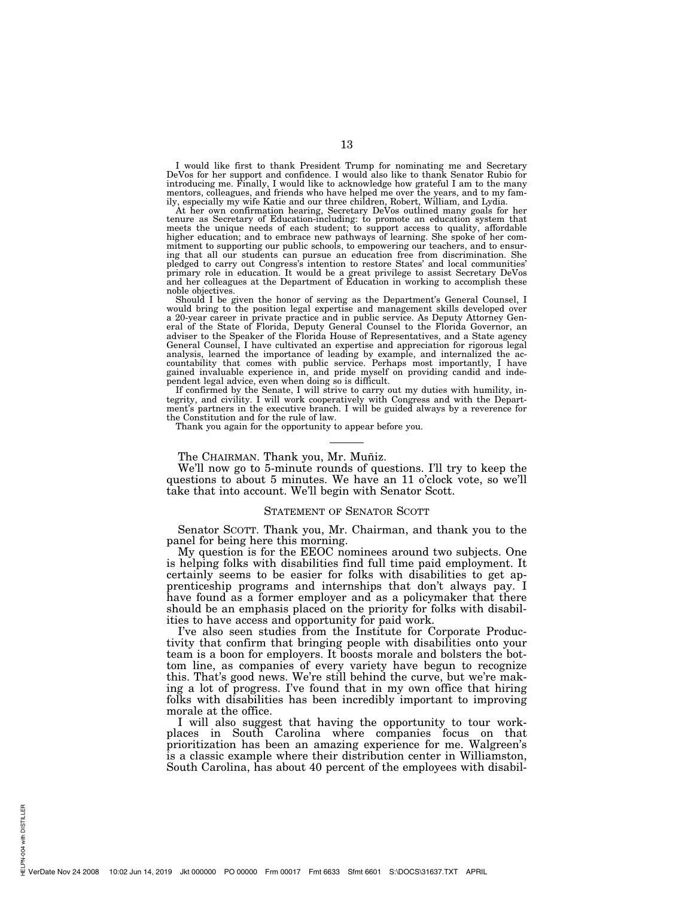I would like first to thank President Trump for nominating me and Secretary DeVos for her support and confidence. I would also like to thank Senator Rubio for introducing me. Finally, I would like to acknowledge how grateful I am to the many mentors, colleagues, and friends who have helped me over the years, and to my fam-

ily, especially my wife Katie and our three children, Robert, William, and Lydia.<br>At her own confirmation hearing, Secretary DeVos outlined many goals for her<br>tenure as Secretary of Education-including: to promote an educa meets the unique needs of each student; to support access to quality, affordable higher education; and to embrace new pathways of learning. She spoke of her com-mitment to supporting our public schools, to empowering our teachers, and to ensuring that all our students can pursue an education free from discrimination. She pledged to carry out Congress's intention to restore States' and local communities' primary role in education. It would be a great privilege to assist Secretary DeVos and her colleagues at the Department of Education in working to accomplish these noble objectives.

Should I be given the honor of serving as the Department's General Counsel, I would bring to the position legal expertise and management skills developed over a 20-year career in private practice and in public service. As Deputy Attorney General of the State of Florida, Deputy General Counsel to the Florida Governor, an adviser to the Speaker of the Florida House of Representatives, and a State agency General Counsel, I have cultivated an expertise and appreciation for rigorous legal analysis, learned the importance of leading by example, and internalized the accountability that comes with public service. Perhaps most importantly, I have gained invaluable experience in, and pride myself on providing candid and independent legal advice, even when doing so is difficult.

If confirmed by the Senate, I will strive to carry out my duties with humility, integrity, and civility. I will work cooperatively with Congress and with the Department's partners in the executive branch. I will be guided always by a reverence for the Constitution and for the rule of law.

Thank you again for the opportunity to appear before you.

#### The CHAIRMAN. Thank you, Mr. Muñiz.

We'll now go to 5-minute rounds of questions. I'll try to keep the questions to about 5 minutes. We have an 11 o'clock vote, so we'll take that into account. We'll begin with Senator Scott.

#### STATEMENT OF SENATOR SCOTT

Senator SCOTT. Thank you, Mr. Chairman, and thank you to the panel for being here this morning.

My question is for the EEOC nominees around two subjects. One is helping folks with disabilities find full time paid employment. It certainly seems to be easier for folks with disabilities to get apprenticeship programs and internships that don't always pay. I have found as a former employer and as a policymaker that there should be an emphasis placed on the priority for folks with disabilities to have access and opportunity for paid work.

I've also seen studies from the Institute for Corporate Productivity that confirm that bringing people with disabilities onto your team is a boon for employers. It boosts morale and bolsters the bottom line, as companies of every variety have begun to recognize this. That's good news. We're still behind the curve, but we're making a lot of progress. I've found that in my own office that hiring folks with disabilities has been incredibly important to improving morale at the office.

I will also suggest that having the opportunity to tour workplaces in South Carolina where companies focus on that prioritization has been an amazing experience for me. Walgreen's is a classic example where their distribution center in Williamston, South Carolina, has about 40 percent of the employees with disabil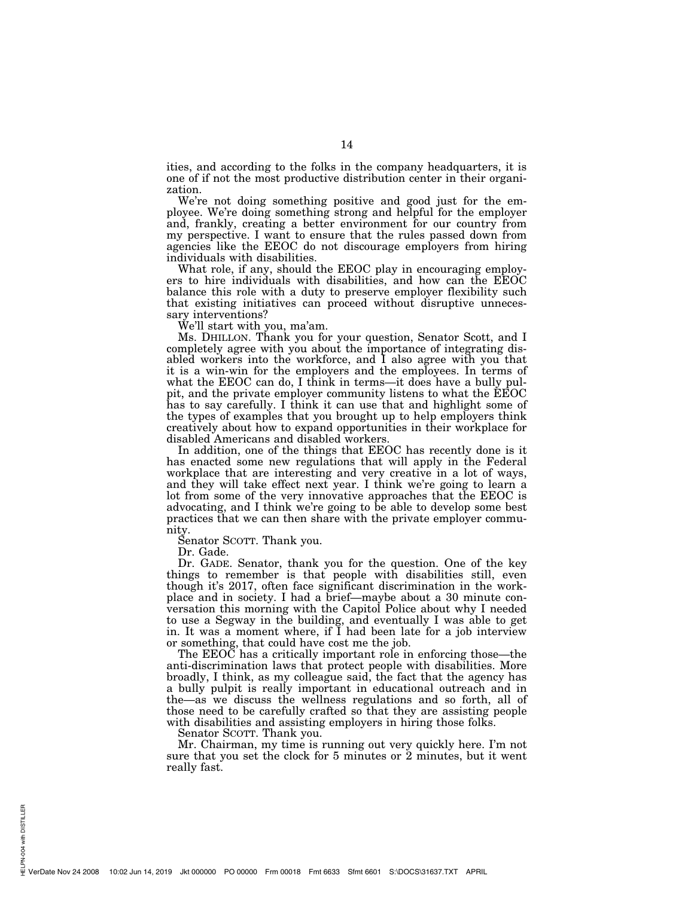ities, and according to the folks in the company headquarters, it is one of if not the most productive distribution center in their organization.

We're not doing something positive and good just for the employee. We're doing something strong and helpful for the employer and, frankly, creating a better environment for our country from my perspective. I want to ensure that the rules passed down from agencies like the EEOC do not discourage employers from hiring individuals with disabilities.

What role, if any, should the EEOC play in encouraging employers to hire individuals with disabilities, and how can the EEOC balance this role with a duty to preserve employer flexibility such that existing initiatives can proceed without disruptive unnecessary interventions?

We'll start with you, ma'am.

Ms. DHILLON. Thank you for your question, Senator Scott, and I completely agree with you about the importance of integrating disabled workers into the workforce, and I also agree with you that it is a win-win for the employers and the employees. In terms of what the EEOC can do, I think in terms—it does have a bully pulpit, and the private employer community listens to what the EEOC has to say carefully. I think it can use that and highlight some of the types of examples that you brought up to help employers think creatively about how to expand opportunities in their workplace for disabled Americans and disabled workers.

In addition, one of the things that EEOC has recently done is it has enacted some new regulations that will apply in the Federal workplace that are interesting and very creative in a lot of ways, and they will take effect next year. I think we're going to learn a lot from some of the very innovative approaches that the EEOC is advocating, and I think we're going to be able to develop some best practices that we can then share with the private employer community.

Senator SCOTT. Thank you.

Dr. Gade.

PN-004 with DISTILLER HELPN-004 with DISTILLER

Dr. GADE. Senator, thank you for the question. One of the key things to remember is that people with disabilities still, even though it's 2017, often face significant discrimination in the workplace and in society. I had a brief—maybe about a 30 minute conversation this morning with the Capitol Police about why I needed to use a Segway in the building, and eventually I was able to get in. It was a moment where, if I had been late for a job interview or something, that could have cost me the job.

The EEOC has a critically important role in enforcing those—the anti-discrimination laws that protect people with disabilities. More broadly, I think, as my colleague said, the fact that the agency has a bully pulpit is really important in educational outreach and in the—as we discuss the wellness regulations and so forth, all of those need to be carefully crafted so that they are assisting people with disabilities and assisting employers in hiring those folks.

Senator SCOTT. Thank you.

Mr. Chairman, my time is running out very quickly here. I'm not sure that you set the clock for 5 minutes or 2 minutes, but it went really fast.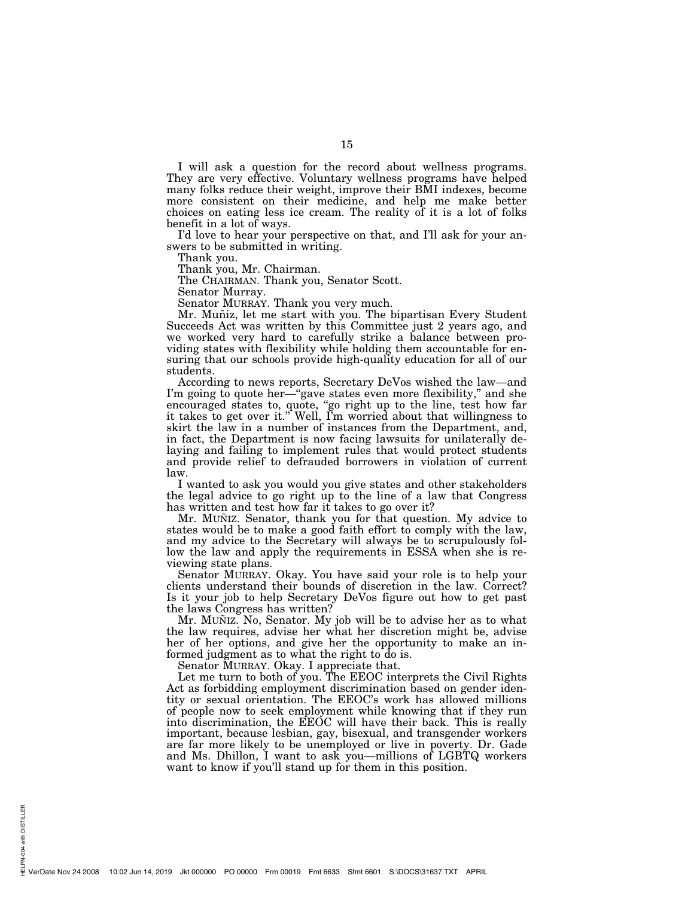I will ask a question for the record about wellness programs. They are very effective. Voluntary wellness programs have helped many folks reduce their weight, improve their BMI indexes, become more consistent on their medicine, and help me make better choices on eating less ice cream. The reality of it is a lot of folks benefit in a lot of ways.

I'd love to hear your perspective on that, and I'll ask for your answers to be submitted in writing.

Thank you.

Thank you, Mr. Chairman.

The CHAIRMAN. Thank you, Senator Scott.

Senator Murray.

Senator MURRAY. Thank you very much.

Mr. Muñiz, let me start with you. The bipartisan Every Student Succeeds Act was written by this Committee just 2 years ago, and we worked very hard to carefully strike a balance between providing states with flexibility while holding them accountable for ensuring that our schools provide high-quality education for all of our students.

According to news reports, Secretary DeVos wished the law—and I'm going to quote her—"gave states even more flexibility," and she encouraged states to, quote, "go right up to the line, test how far it takes to get over it.'' Well, I'm worried about that willingness to skirt the law in a number of instances from the Department, and, in fact, the Department is now facing lawsuits for unilaterally delaying and failing to implement rules that would protect students and provide relief to defrauded borrowers in violation of current law.

I wanted to ask you would you give states and other stakeholders the legal advice to go right up to the line of a law that Congress has written and test how far it takes to go over it?

Mr. MUÑIZ. Senator, thank you for that question. My advice to states would be to make a good faith effort to comply with the law, and my advice to the Secretary will always be to scrupulously follow the law and apply the requirements in ESSA when she is reviewing state plans.

Senator MURRAY. Okay. You have said your role is to help your clients understand their bounds of discretion in the law. Correct? Is it your job to help Secretary DeVos figure out how to get past the laws Congress has written?

Mr. MUÑIZ. No, Senator. My job will be to advise her as to what the law requires, advise her what her discretion might be, advise her of her options, and give her the opportunity to make an informed judgment as to what the right to do is.

Senator MURRAY. Okay. I appreciate that.

Let me turn to both of you. The EEOC interprets the Civil Rights Act as forbidding employment discrimination based on gender identity or sexual orientation. The EEOC's work has allowed millions of people now to seek employment while knowing that if they run into discrimination, the EEOC will have their back. This is really important, because lesbian, gay, bisexual, and transgender workers are far more likely to be unemployed or live in poverty. Dr. Gade and Ms. Dhillon, I want to ask you—millions of LGBTQ workers want to know if you'll stand up for them in this position.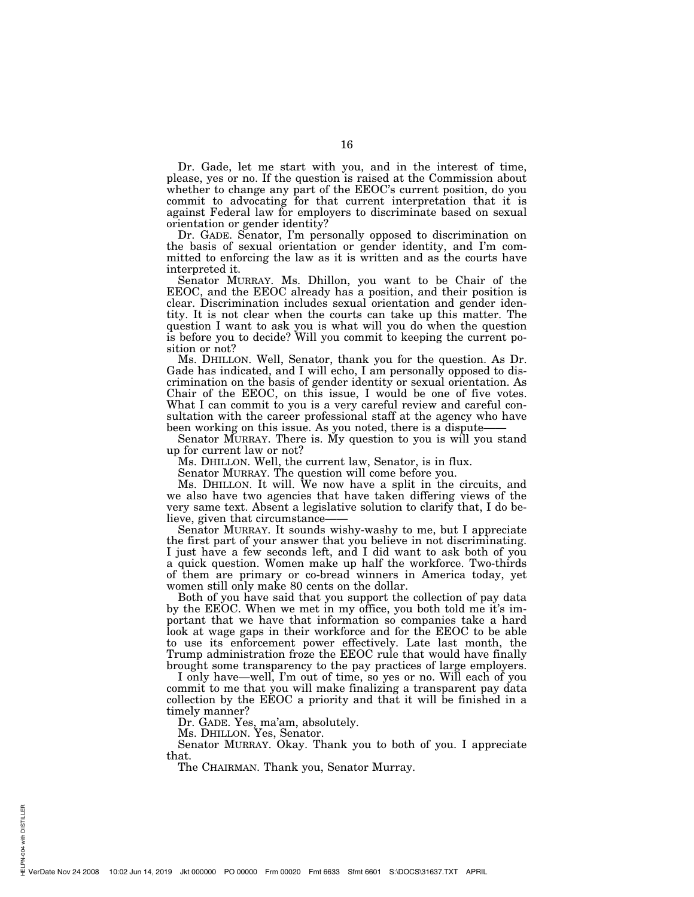Dr. Gade, let me start with you, and in the interest of time, please, yes or no. If the question is raised at the Commission about whether to change any part of the EEOC's current position, do you commit to advocating for that current interpretation that it is against Federal law for employers to discriminate based on sexual orientation or gender identity?

Dr. GADE. Senator, I'm personally opposed to discrimination on the basis of sexual orientation or gender identity, and I'm committed to enforcing the law as it is written and as the courts have interpreted it.

Senator MURRAY. Ms. Dhillon, you want to be Chair of the EEOC, and the EEOC already has a position, and their position is clear. Discrimination includes sexual orientation and gender identity. It is not clear when the courts can take up this matter. The question I want to ask you is what will you do when the question is before you to decide? Will you commit to keeping the current position or not?

Ms. DHILLON. Well, Senator, thank you for the question. As Dr. Gade has indicated, and I will echo, I am personally opposed to discrimination on the basis of gender identity or sexual orientation. As Chair of the EEOC, on this issue, I would be one of five votes. What I can commit to you is a very careful review and careful consultation with the career professional staff at the agency who have been working on this issue. As you noted, there is a dispute-

Senator MURRAY. There is. My question to you is will you stand up for current law or not?

Ms. DHILLON. Well, the current law, Senator, is in flux.

Senator MURRAY. The question will come before you.

Ms. DHILLON. It will. We now have a split in the circuits, and we also have two agencies that have taken differing views of the very same text. Absent a legislative solution to clarify that, I do believe, given that circumstance-

Senator MURRAY. It sounds wishy-washy to me, but I appreciate the first part of your answer that you believe in not discriminating. I just have a few seconds left, and I did want to ask both of you a quick question. Women make up half the workforce. Two-thirds of them are primary or co-bread winners in America today, yet women still only make 80 cents on the dollar.

Both of you have said that you support the collection of pay data by the EEOC. When we met in my office, you both told me it's important that we have that information so companies take a hard look at wage gaps in their workforce and for the EEOC to be able to use its enforcement power effectively. Late last month, the Trump administration froze the EEOC rule that would have finally brought some transparency to the pay practices of large employers.

I only have—well, I'm out of time, so yes or no. Will each of you commit to me that you will make finalizing a transparent pay data collection by the EEOC a priority and that it will be finished in a timely manner?

Dr. GADE. Yes, ma'am, absolutely.

Ms. DHILLON. Yes, Senator.

Senator MURRAY. Okay. Thank you to both of you. I appreciate that.

The CHAIRMAN. Thank you, Senator Murray.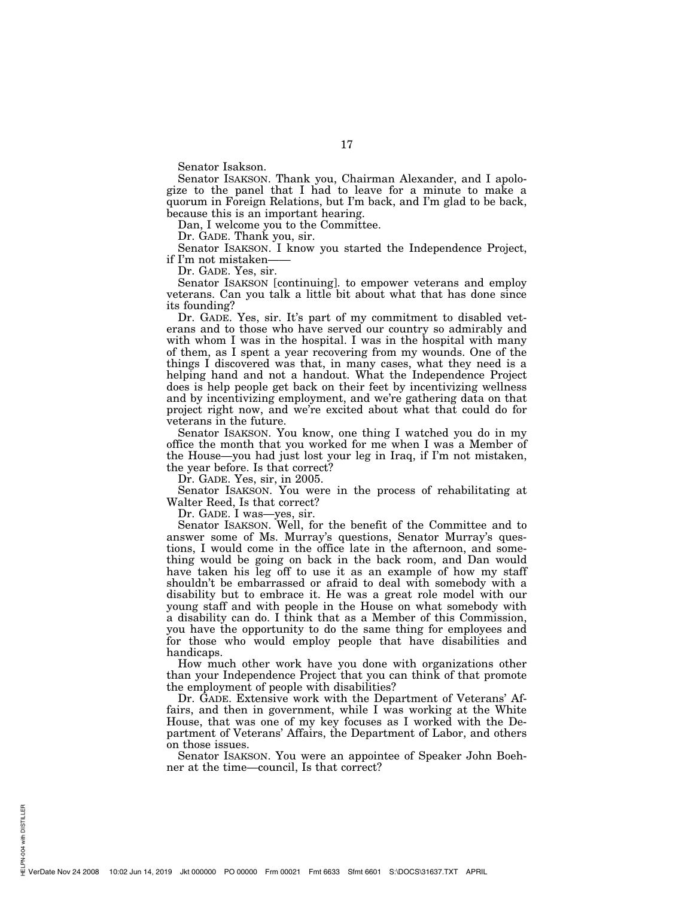Senator Isakson.

Senator ISAKSON. Thank you, Chairman Alexander, and I apologize to the panel that I had to leave for a minute to make a quorum in Foreign Relations, but I'm back, and I'm glad to be back, because this is an important hearing.

Dan, I welcome you to the Committee.

Dr. GADE. Thank you, sir.

Senator ISAKSON. I know you started the Independence Project, if I'm not mistaken——

Dr. GADE. Yes, sir.

Senator ISAKSON [continuing]. to empower veterans and employ veterans. Can you talk a little bit about what that has done since its founding?

Dr. GADE. Yes, sir. It's part of my commitment to disabled veterans and to those who have served our country so admirably and with whom I was in the hospital. I was in the hospital with many of them, as I spent a year recovering from my wounds. One of the things I discovered was that, in many cases, what they need is a helping hand and not a handout. What the Independence Project does is help people get back on their feet by incentivizing wellness and by incentivizing employment, and we're gathering data on that project right now, and we're excited about what that could do for veterans in the future.

Senator ISAKSON. You know, one thing I watched you do in my office the month that you worked for me when I was a Member of the House—you had just lost your leg in Iraq, if I'm not mistaken, the year before. Is that correct?

Dr. GADE. Yes, sir, in 2005.

Senator ISAKSON. You were in the process of rehabilitating at Walter Reed, Is that correct?

Dr. GADE. I was—yes, sir.

Senator ISAKSON. Well, for the benefit of the Committee and to answer some of Ms. Murray's questions, Senator Murray's questions, I would come in the office late in the afternoon, and something would be going on back in the back room, and Dan would have taken his leg off to use it as an example of how my staff shouldn't be embarrassed or afraid to deal with somebody with a disability but to embrace it. He was a great role model with our young staff and with people in the House on what somebody with a disability can do. I think that as a Member of this Commission, you have the opportunity to do the same thing for employees and for those who would employ people that have disabilities and handicaps.

How much other work have you done with organizations other than your Independence Project that you can think of that promote the employment of people with disabilities?

Dr. GADE. Extensive work with the Department of Veterans' Affairs, and then in government, while I was working at the White House, that was one of my key focuses as I worked with the Department of Veterans' Affairs, the Department of Labor, and others on those issues.

Senator ISAKSON. You were an appointee of Speaker John Boehner at the time—council, Is that correct?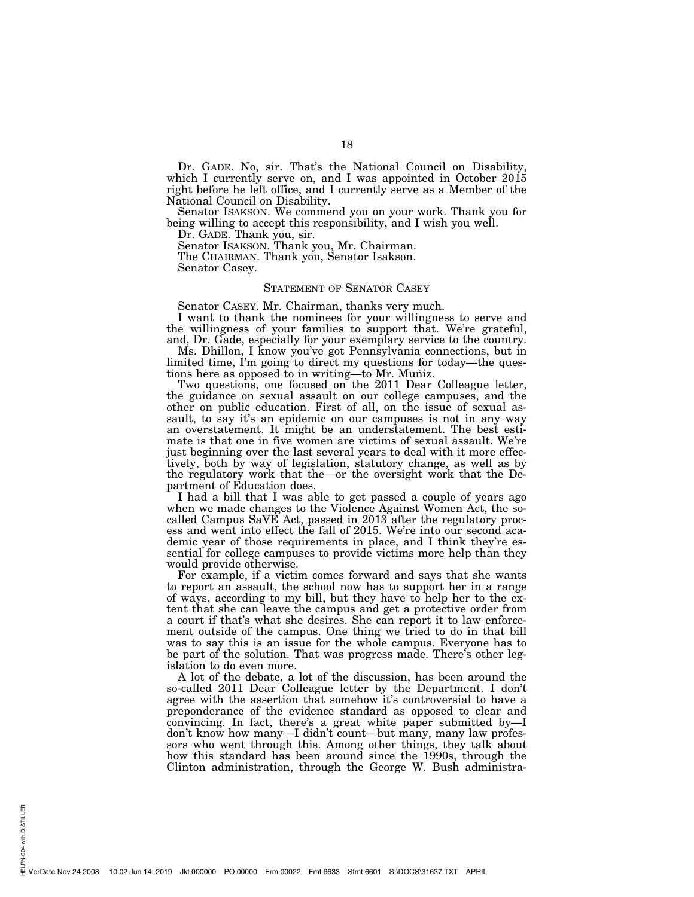Dr. GADE. No, sir. That's the National Council on Disability, which I currently serve on, and I was appointed in October 2015 right before he left office, and I currently serve as a Member of the National Council on Disability.

Senator ISAKSON. We commend you on your work. Thank you for being willing to accept this responsibility, and I wish you well.

Dr. GADE. Thank you, sir.

Senator ISAKSON. Thank you, Mr. Chairman.

The CHAIRMAN. Thank you, Senator Isakson. Senator Casey.

#### STATEMENT OF SENATOR CASEY

Senator CASEY. Mr. Chairman, thanks very much.

I want to thank the nominees for your willingness to serve and the willingness of your families to support that. We're grateful, and, Dr. Gade, especially for your exemplary service to the country.

Ms. Dhillon, I know you've got Pennsylvania connections, but in limited time, I'm going to direct my questions for today—the questions here as opposed to in writing—to Mr. Muñiz.

Two questions, one focused on the 2011 Dear Colleague letter, the guidance on sexual assault on our college campuses, and the other on public education. First of all, on the issue of sexual assault, to say it's an epidemic on our campuses is not in any way an overstatement. It might be an understatement. The best estimate is that one in five women are victims of sexual assault. We're just beginning over the last several years to deal with it more effectively, both by way of legislation, statutory change, as well as by the regulatory work that the—or the oversight work that the Department of Education does.

I had a bill that I was able to get passed a couple of years ago when we made changes to the Violence Against Women Act, the socalled Campus SaVE Act, passed in 2013 after the regulatory process and went into effect the fall of 2015. We're into our second academic year of those requirements in place, and I think they're essential for college campuses to provide victims more help than they would provide otherwise.

For example, if a victim comes forward and says that she wants to report an assault, the school now has to support her in a range of ways, according to my bill, but they have to help her to the extent that she can leave the campus and get a protective order from a court if that's what she desires. She can report it to law enforcement outside of the campus. One thing we tried to do in that bill was to say this is an issue for the whole campus. Everyone has to be part of the solution. That was progress made. There's other legislation to do even more.

A lot of the debate, a lot of the discussion, has been around the so-called 2011 Dear Colleague letter by the Department. I don't agree with the assertion that somehow it's controversial to have a preponderance of the evidence standard as opposed to clear and convincing. In fact, there's a great white paper submitted by—I don't know how many—I didn't count—but many, many law professors who went through this. Among other things, they talk about how this standard has been around since the 1990s, through the Clinton administration, through the George W. Bush administra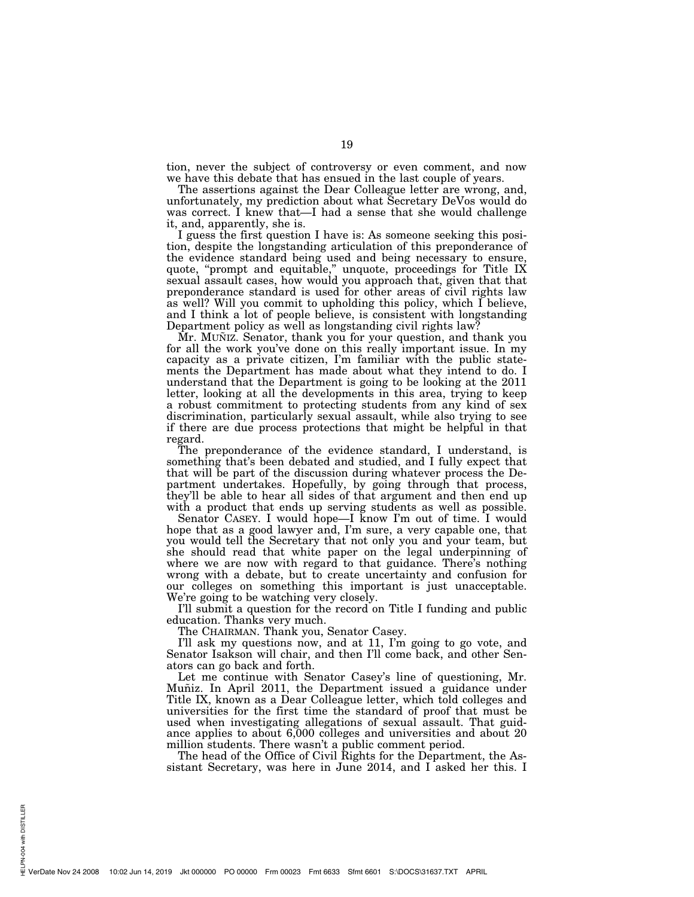tion, never the subject of controversy or even comment, and now we have this debate that has ensued in the last couple of years.

The assertions against the Dear Colleague letter are wrong, and, unfortunately, my prediction about what Secretary DeVos would do was correct. I knew that—I had a sense that she would challenge it, and, apparently, she is.

I guess the first question I have is: As someone seeking this position, despite the longstanding articulation of this preponderance of the evidence standard being used and being necessary to ensure, quote, "prompt and equitable," unquote, proceedings for Title IX sexual assault cases, how would you approach that, given that that preponderance standard is used for other areas of civil rights law as well? Will you commit to upholding this policy, which I believe, and I think a lot of people believe, is consistent with longstanding Department policy as well as longstanding civil rights law?

Mr. MUNIZ. Senator, thank you for your question, and thank you for all the work you've done on this really important issue. In my capacity as a private citizen, I'm familiar with the public statements the Department has made about what they intend to do. I understand that the Department is going to be looking at the 2011 letter, looking at all the developments in this area, trying to keep a robust commitment to protecting students from any kind of sex discrimination, particularly sexual assault, while also trying to see if there are due process protections that might be helpful in that regard.

The preponderance of the evidence standard, I understand, is something that's been debated and studied, and I fully expect that that will be part of the discussion during whatever process the Department undertakes. Hopefully, by going through that process, they'll be able to hear all sides of that argument and then end up with a product that ends up serving students as well as possible.

Senator CASEY. I would hope—I know I'm out of time. I would hope that as a good lawyer and, I'm sure, a very capable one, that you would tell the Secretary that not only you and your team, but she should read that white paper on the legal underpinning of where we are now with regard to that guidance. There's nothing wrong with a debate, but to create uncertainty and confusion for our colleges on something this important is just unacceptable. We're going to be watching very closely.

I'll submit a question for the record on Title I funding and public education. Thanks very much.

The CHAIRMAN. Thank you, Senator Casey.

I'll ask my questions now, and at 11, I'm going to go vote, and Senator Isakson will chair, and then I'll come back, and other Senators can go back and forth.

Let me continue with Senator Casey's line of questioning, Mr. Muñiz. In April 2011, the Department issued a guidance under Title IX, known as a Dear Colleague letter, which told colleges and universities for the first time the standard of proof that must be used when investigating allegations of sexual assault. That guidance applies to about 6,000 colleges and universities and about 20 million students. There wasn't a public comment period.

The head of the Office of Civil Rights for the Department, the Assistant Secretary, was here in June 2014, and I asked her this. I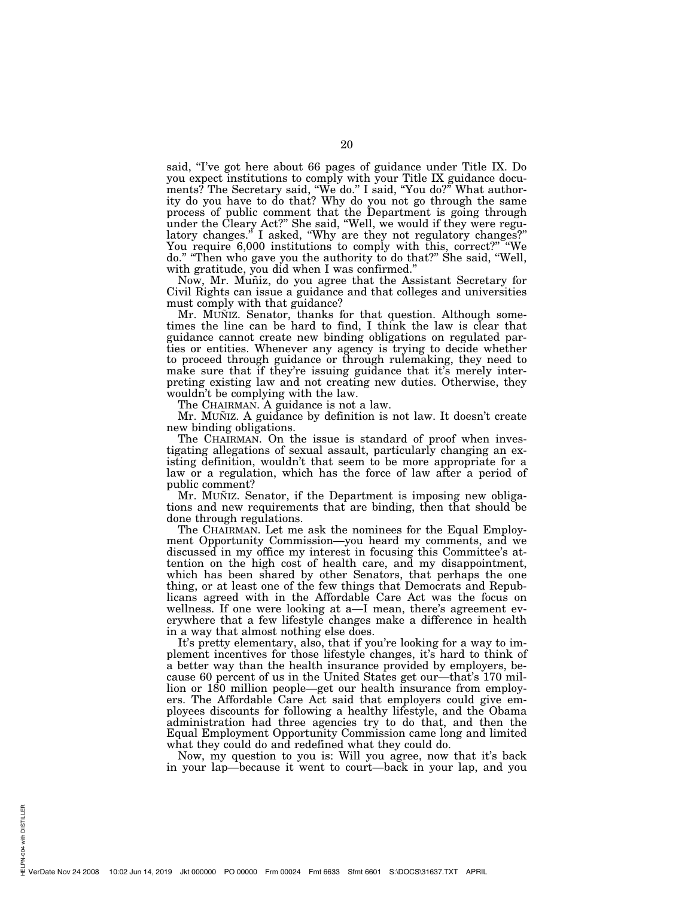said, "I've got here about 66 pages of guidance under Title IX. Do you expect institutions to comply with your Title IX guidance documents? The Secretary said, ''We do.'' I said, ''You do?'' What authority do you have to do that? Why do you not go through the same process of public comment that the Department is going through under the Cleary Act?'' She said, ''Well, we would if they were regulatory changes.'' I asked, ''Why are they not regulatory changes?'' You require 6,000 institutions to comply with this, correct?" "We do.'' ''Then who gave you the authority to do that?'' She said, ''Well, with gratitude, you did when I was confirmed.''

Now, Mr. Muñiz, do you agree that the Assistant Secretary for Civil Rights can issue a guidance and that colleges and universities must comply with that guidance?

Mr. MUÑIZ. Senator, thanks for that question. Although sometimes the line can be hard to find, I think the law is clear that guidance cannot create new binding obligations on regulated parties or entities. Whenever any agency is trying to decide whether to proceed through guidance or through rulemaking, they need to make sure that if they're issuing guidance that it's merely interpreting existing law and not creating new duties. Otherwise, they wouldn't be complying with the law.

The CHAIRMAN. A guidance is not a law.

Mr. MUÑIZ. A guidance by definition is not law. It doesn't create new binding obligations.

The CHAIRMAN. On the issue is standard of proof when investigating allegations of sexual assault, particularly changing an existing definition, wouldn't that seem to be more appropriate for a law or a regulation, which has the force of law after a period of public comment?

Mr. MuÑiz. Senator, if the Department is imposing new obligations and new requirements that are binding, then that should be done through regulations.

The CHAIRMAN. Let me ask the nominees for the Equal Employment Opportunity Commission—you heard my comments, and we discussed in my office my interest in focusing this Committee's attention on the high cost of health care, and my disappointment, which has been shared by other Senators, that perhaps the one thing, or at least one of the few things that Democrats and Republicans agreed with in the Affordable Care Act was the focus on wellness. If one were looking at a—I mean, there's agreement everywhere that a few lifestyle changes make a difference in health in a way that almost nothing else does.

It's pretty elementary, also, that if you're looking for a way to implement incentives for those lifestyle changes, it's hard to think of a better way than the health insurance provided by employers, because 60 percent of us in the United States get our—that's 170 million or 180 million people—get our health insurance from employers. The Affordable Care Act said that employers could give employees discounts for following a healthy lifestyle, and the Obama administration had three agencies try to do that, and then the Equal Employment Opportunity Commission came long and limited what they could do and redefined what they could do.

Now, my question to you is: Will you agree, now that it's back in your lap—because it went to court—back in your lap, and you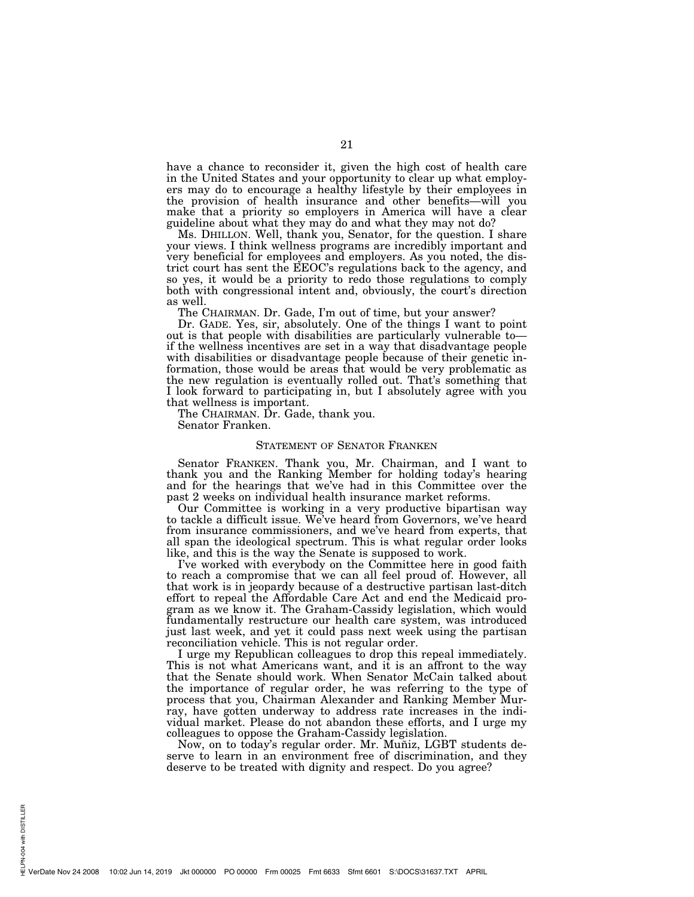have a chance to reconsider it, given the high cost of health care in the United States and your opportunity to clear up what employers may do to encourage a healthy lifestyle by their employees in the provision of health insurance and other benefits—will you make that a priority so employers in America will have a clear guideline about what they may do and what they may not do?

Ms. DHILLON. Well, thank you, Senator, for the question. I share your views. I think wellness programs are incredibly important and very beneficial for employees and employers. As you noted, the district court has sent the EEOC's regulations back to the agency, and so yes, it would be a priority to redo those regulations to comply both with congressional intent and, obviously, the court's direction as well.

The CHAIRMAN. Dr. Gade, I'm out of time, but your answer?

Dr. GADE. Yes, sir, absolutely. One of the things I want to point out is that people with disabilities are particularly vulnerable to if the wellness incentives are set in a way that disadvantage people with disabilities or disadvantage people because of their genetic information, those would be areas that would be very problematic as the new regulation is eventually rolled out. That's something that I look forward to participating in, but I absolutely agree with you that wellness is important.

The CHAIRMAN. Dr. Gade, thank you.

Senator Franken.

# STATEMENT OF SENATOR FRANKEN

Senator FRANKEN. Thank you, Mr. Chairman, and I want to thank you and the Ranking Member for holding today's hearing and for the hearings that we've had in this Committee over the past 2 weeks on individual health insurance market reforms.

Our Committee is working in a very productive bipartisan way to tackle a difficult issue. We've heard from Governors, we've heard from insurance commissioners, and we've heard from experts, that all span the ideological spectrum. This is what regular order looks like, and this is the way the Senate is supposed to work.

I've worked with everybody on the Committee here in good faith to reach a compromise that we can all feel proud of. However, all that work is in jeopardy because of a destructive partisan last-ditch effort to repeal the Affordable Care Act and end the Medicaid program as we know it. The Graham-Cassidy legislation, which would fundamentally restructure our health care system, was introduced just last week, and yet it could pass next week using the partisan reconciliation vehicle. This is not regular order.

I urge my Republican colleagues to drop this repeal immediately. This is not what Americans want, and it is an affront to the way that the Senate should work. When Senator McCain talked about the importance of regular order, he was referring to the type of process that you, Chairman Alexander and Ranking Member Murray, have gotten underway to address rate increases in the individual market. Please do not abandon these efforts, and I urge my colleagues to oppose the Graham-Cassidy legislation.

Now, on to today's regular order. Mr. Muniz, LGBT students deserve to learn in an environment free of discrimination, and they deserve to be treated with dignity and respect. Do you agree?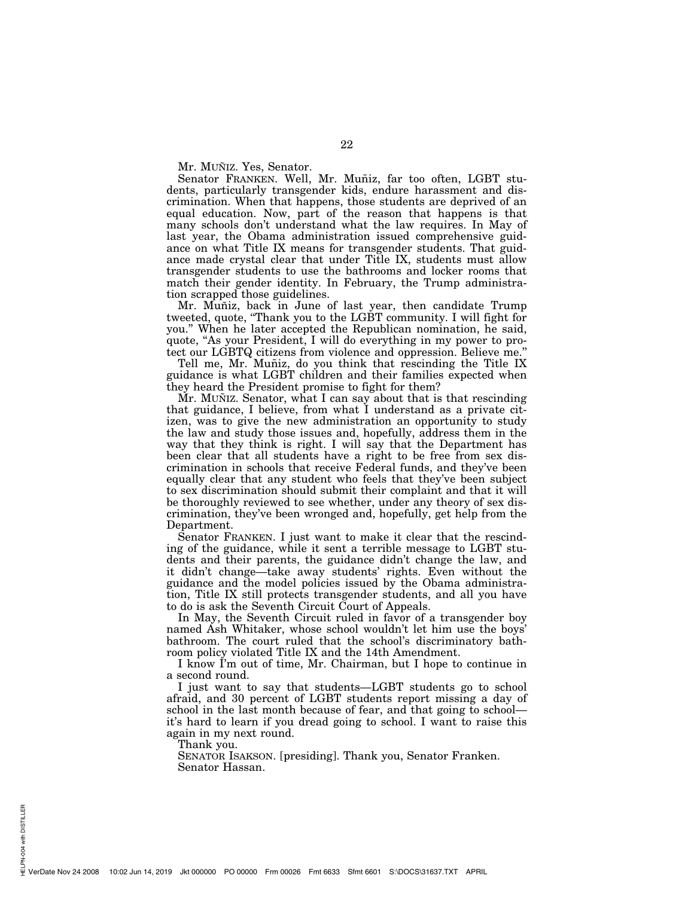Mr. MUÑIZ. Yes, Senator.

Senator FRANKEN. Well, Mr. Muñiz, far too often, LGBT students, particularly transgender kids, endure harassment and discrimination. When that happens, those students are deprived of an equal education. Now, part of the reason that happens is that many schools don't understand what the law requires. In May of last year, the Obama administration issued comprehensive guidance on what Title IX means for transgender students. That guidance made crystal clear that under Title IX, students must allow transgender students to use the bathrooms and locker rooms that match their gender identity. In February, the Trump administration scrapped those guidelines.

Mr. Muñiz, back in June of last year, then candidate Trump tweeted, quote, ''Thank you to the LGBT community. I will fight for you.'' When he later accepted the Republican nomination, he said, quote, "As your President, I will do everything in my power to protect our LGBTQ citizens from violence and oppression. Believe me.''

Tell me, Mr. Muñiz, do you think that rescinding the Title IX guidance is what LGBT children and their families expected when they heard the President promise to fight for them?

Mr. MUÑIZ. Senator, what I can say about that is that rescinding that guidance, I believe, from what I understand as a private citizen, was to give the new administration an opportunity to study the law and study those issues and, hopefully, address them in the way that they think is right. I will say that the Department has been clear that all students have a right to be free from sex discrimination in schools that receive Federal funds, and they've been equally clear that any student who feels that they've been subject to sex discrimination should submit their complaint and that it will be thoroughly reviewed to see whether, under any theory of sex discrimination, they've been wronged and, hopefully, get help from the Department.

Senator FRANKEN. I just want to make it clear that the rescinding of the guidance, while it sent a terrible message to LGBT students and their parents, the guidance didn't change the law, and it didn't change—take away students' rights. Even without the guidance and the model policies issued by the Obama administration, Title IX still protects transgender students, and all you have to do is ask the Seventh Circuit Court of Appeals.

In May, the Seventh Circuit ruled in favor of a transgender boy named Ash Whitaker, whose school wouldn't let him use the boys' bathroom. The court ruled that the school's discriminatory bathroom policy violated Title IX and the 14th Amendment.

I know I'm out of time, Mr. Chairman, but I hope to continue in a second round.

I just want to say that students—LGBT students go to school afraid, and 30 percent of LGBT students report missing a day of school in the last month because of fear, and that going to school it's hard to learn if you dread going to school. I want to raise this again in my next round.

Thank you.

SENATOR ISAKSON. [presiding]. Thank you, Senator Franken. Senator Hassan.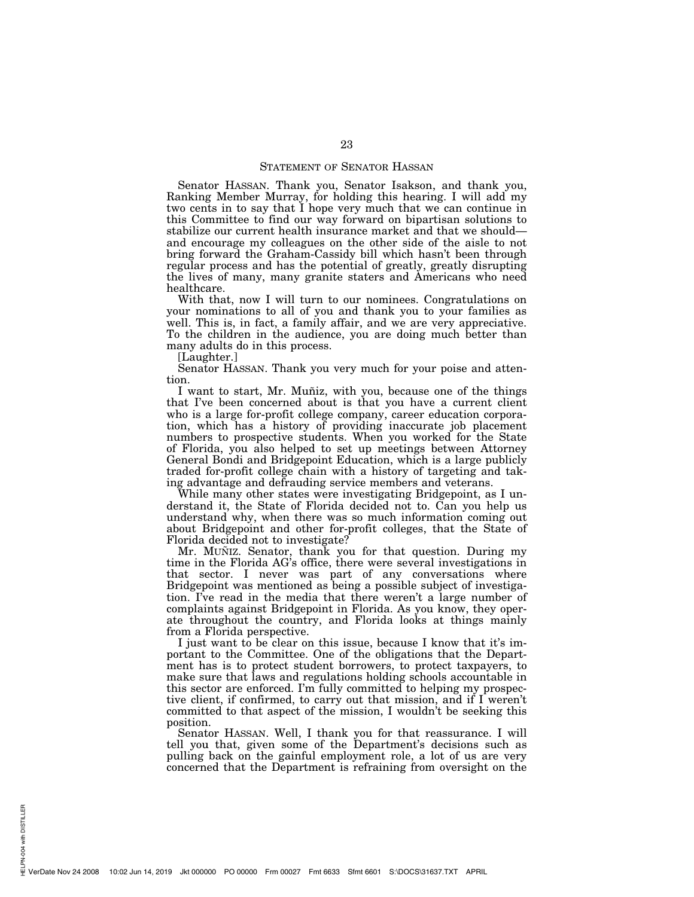#### STATEMENT OF SENATOR HASSAN

Senator HASSAN. Thank you, Senator Isakson, and thank you, Ranking Member Murray, for holding this hearing. I will add my two cents in to say that I hope very much that we can continue in this Committee to find our way forward on bipartisan solutions to stabilize our current health insurance market and that we should and encourage my colleagues on the other side of the aisle to not bring forward the Graham-Cassidy bill which hasn't been through regular process and has the potential of greatly, greatly disrupting the lives of many, many granite staters and Americans who need healthcare.

With that, now I will turn to our nominees. Congratulations on your nominations to all of you and thank you to your families as well. This is, in fact, a family affair, and we are very appreciative. To the children in the audience, you are doing much better than many adults do in this process.

[Laughter.]

Senator HASSAN. Thank you very much for your poise and attention.

I want to start, Mr. Muñiz, with you, because one of the things that I've been concerned about is that you have a current client who is a large for-profit college company, career education corporation, which has a history of providing inaccurate job placement numbers to prospective students. When you worked for the State of Florida, you also helped to set up meetings between Attorney General Bondi and Bridgepoint Education, which is a large publicly traded for-profit college chain with a history of targeting and taking advantage and defrauding service members and veterans.

While many other states were investigating Bridgepoint, as I understand it, the State of Florida decided not to. Can you help us understand why, when there was so much information coming out about Bridgepoint and other for-profit colleges, that the State of Florida decided not to investigate?

Mr. Muñiz. Senator, thank you for that question. During my time in the Florida AG's office, there were several investigations in that sector. I never was part of any conversations where Bridgepoint was mentioned as being a possible subject of investigation. I've read in the media that there weren't a large number of complaints against Bridgepoint in Florida. As you know, they operate throughout the country, and Florida looks at things mainly from a Florida perspective.

I just want to be clear on this issue, because I know that it's important to the Committee. One of the obligations that the Department has is to protect student borrowers, to protect taxpayers, to make sure that laws and regulations holding schools accountable in this sector are enforced. I'm fully committed to helping my prospective client, if confirmed, to carry out that mission, and if I weren't committed to that aspect of the mission, I wouldn't be seeking this position.

Senator HASSAN. Well, I thank you for that reassurance. I will tell you that, given some of the Department's decisions such as pulling back on the gainful employment role, a lot of us are very concerned that the Department is refraining from oversight on the

PN-004 with DISTILLER HELPN-004 with DISTILLER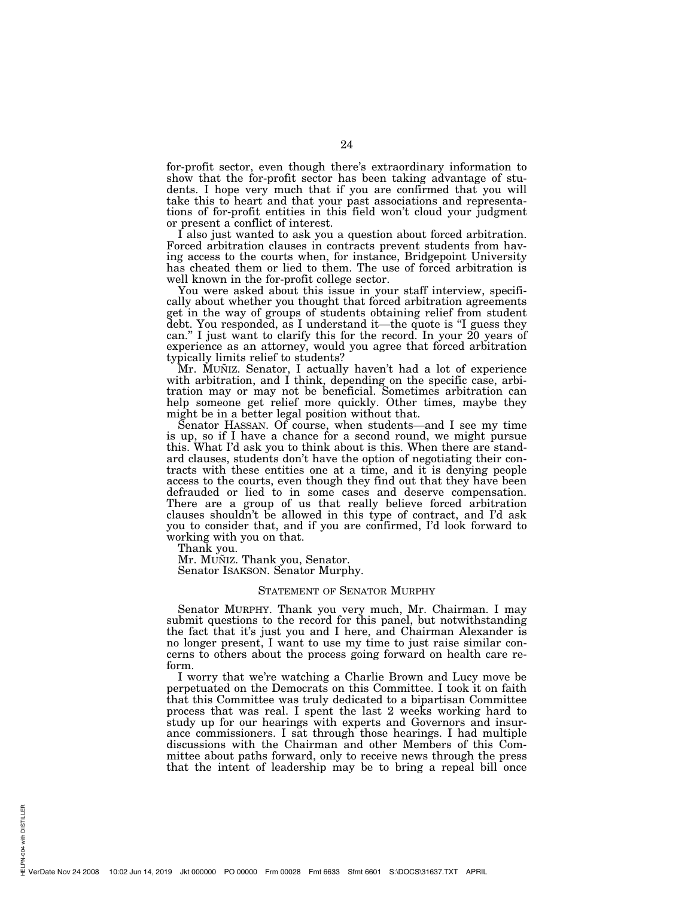for-profit sector, even though there's extraordinary information to show that the for-profit sector has been taking advantage of students. I hope very much that if you are confirmed that you will take this to heart and that your past associations and representations of for-profit entities in this field won't cloud your judgment or present a conflict of interest.

I also just wanted to ask you a question about forced arbitration. Forced arbitration clauses in contracts prevent students from having access to the courts when, for instance, Bridgepoint University has cheated them or lied to them. The use of forced arbitration is well known in the for-profit college sector.

You were asked about this issue in your staff interview, specifically about whether you thought that forced arbitration agreements get in the way of groups of students obtaining relief from student debt. You responded, as I understand it—the quote is ''I guess they can.'' I just want to clarify this for the record. In your 20 years of experience as an attorney, would you agree that forced arbitration typically limits relief to students?

Mr. MUNIZ. Senator, I actually haven't had a lot of experience with arbitration, and I think, depending on the specific case, arbitration may or may not be beneficial. Sometimes arbitration can help someone get relief more quickly. Other times, maybe they might be in a better legal position without that.

Senator HASSAN. Of course, when students—and I see my time is up, so if I have a chance for a second round, we might pursue this. What I'd ask you to think about is this. When there are standard clauses, students don't have the option of negotiating their contracts with these entities one at a time, and it is denying people access to the courts, even though they find out that they have been defrauded or lied to in some cases and deserve compensation. There are a group of us that really believe forced arbitration clauses shouldn't be allowed in this type of contract, and I'd ask you to consider that, and if you are confirmed, I'd look forward to working with you on that.

Thank you.

Mr. MUÑIZ. Thank you, Senator. Senator ISAKSON. Senator Murphy.

#### STATEMENT OF SENATOR MURPHY

Senator MURPHY. Thank you very much, Mr. Chairman. I may submit questions to the record for this panel, but notwithstanding the fact that it's just you and I here, and Chairman Alexander is no longer present, I want to use my time to just raise similar concerns to others about the process going forward on health care reform.

I worry that we're watching a Charlie Brown and Lucy move be perpetuated on the Democrats on this Committee. I took it on faith that this Committee was truly dedicated to a bipartisan Committee process that was real. I spent the last 2 weeks working hard to study up for our hearings with experts and Governors and insurance commissioners. I sat through those hearings. I had multiple discussions with the Chairman and other Members of this Committee about paths forward, only to receive news through the press that the intent of leadership may be to bring a repeal bill once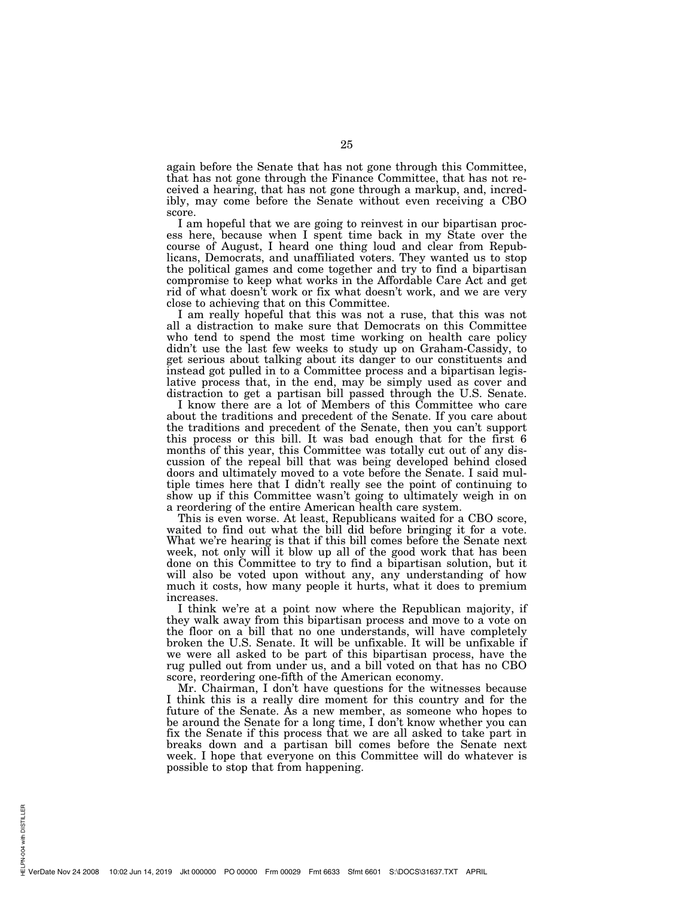again before the Senate that has not gone through this Committee, that has not gone through the Finance Committee, that has not received a hearing, that has not gone through a markup, and, incredibly, may come before the Senate without even receiving a CBO score.

I am hopeful that we are going to reinvest in our bipartisan process here, because when I spent time back in my State over the course of August, I heard one thing loud and clear from Republicans, Democrats, and unaffiliated voters. They wanted us to stop the political games and come together and try to find a bipartisan compromise to keep what works in the Affordable Care Act and get rid of what doesn't work or fix what doesn't work, and we are very close to achieving that on this Committee.

I am really hopeful that this was not a ruse, that this was not all a distraction to make sure that Democrats on this Committee who tend to spend the most time working on health care policy didn't use the last few weeks to study up on Graham-Cassidy, to get serious about talking about its danger to our constituents and instead got pulled in to a Committee process and a bipartisan legislative process that, in the end, may be simply used as cover and distraction to get a partisan bill passed through the U.S. Senate.

I know there are a lot of Members of this Committee who care about the traditions and precedent of the Senate. If you care about the traditions and precedent of the Senate, then you can't support this process or this bill. It was bad enough that for the first 6 months of this year, this Committee was totally cut out of any discussion of the repeal bill that was being developed behind closed doors and ultimately moved to a vote before the Senate. I said multiple times here that I didn't really see the point of continuing to show up if this Committee wasn't going to ultimately weigh in on a reordering of the entire American health care system.

This is even worse. At least, Republicans waited for a CBO score, waited to find out what the bill did before bringing it for a vote. What we're hearing is that if this bill comes before the Senate next week, not only will it blow up all of the good work that has been done on this Committee to try to find a bipartisan solution, but it will also be voted upon without any, any understanding of how much it costs, how many people it hurts, what it does to premium increases.

I think we're at a point now where the Republican majority, if they walk away from this bipartisan process and move to a vote on the floor on a bill that no one understands, will have completely broken the U.S. Senate. It will be unfixable. It will be unfixable if we were all asked to be part of this bipartisan process, have the rug pulled out from under us, and a bill voted on that has no CBO score, reordering one-fifth of the American economy.

Mr. Chairman, I don't have questions for the witnesses because I think this is a really dire moment for this country and for the future of the Senate. As a new member, as someone who hopes to be around the Senate for a long time, I don't know whether you can fix the Senate if this process that we are all asked to take part in breaks down and a partisan bill comes before the Senate next week. I hope that everyone on this Committee will do whatever is possible to stop that from happening.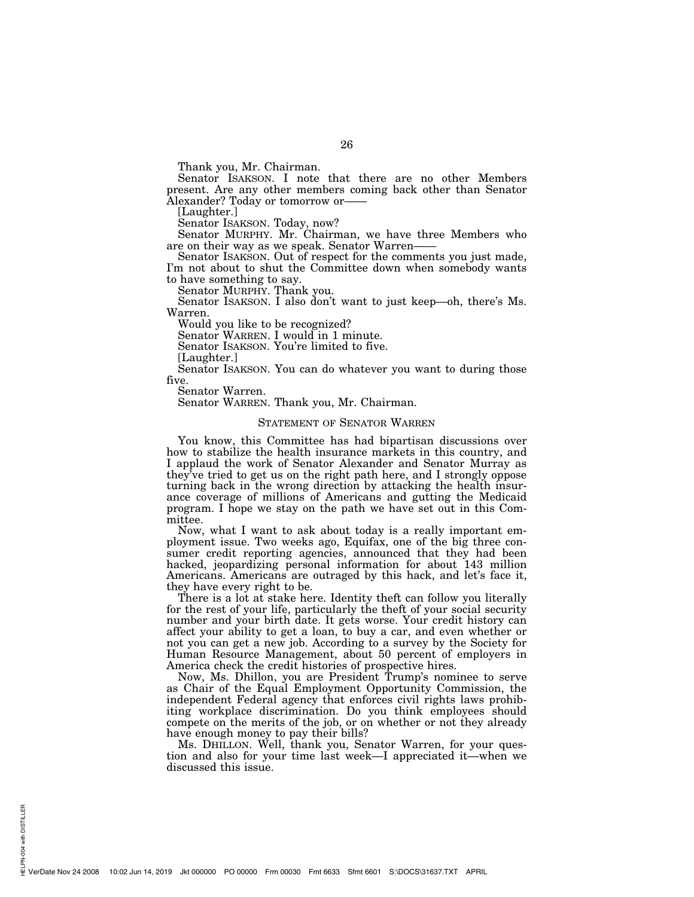Thank you, Mr. Chairman.

Senator ISAKSON. I note that there are no other Members present. Are any other members coming back other than Senator Alexander? Today or tomorrow or——

[Laughter.]

Senator ISAKSON. Today, now?

Senator MURPHY. Mr. Chairman, we have three Members who are on their way as we speak. Senator Warren——

Senator ISAKSON. Out of respect for the comments you just made, I'm not about to shut the Committee down when somebody wants to have something to say.

Senator MURPHY. Thank you.

Senator ISAKSON. I also don't want to just keep—oh, there's Ms. Warren.

Would you like to be recognized?

Senator WARREN. I would in 1 minute.

Senator ISAKSON. You're limited to five.

[Laughter.]

Senator ISAKSON. You can do whatever you want to during those five.

Senator Warren.

Senator WARREN. Thank you, Mr. Chairman.

#### STATEMENT OF SENATOR WARREN

You know, this Committee has had bipartisan discussions over how to stabilize the health insurance markets in this country, and I applaud the work of Senator Alexander and Senator Murray as they've tried to get us on the right path here, and I strongly oppose turning back in the wrong direction by attacking the health insurance coverage of millions of Americans and gutting the Medicaid program. I hope we stay on the path we have set out in this Committee.

Now, what I want to ask about today is a really important employment issue. Two weeks ago, Equifax, one of the big three consumer credit reporting agencies, announced that they had been hacked, jeopardizing personal information for about 143 million Americans. Americans are outraged by this hack, and let's face it, they have every right to be.

There is a lot at stake here. Identity theft can follow you literally for the rest of your life, particularly the theft of your social security number and your birth date. It gets worse. Your credit history can affect your ability to get a loan, to buy a car, and even whether or not you can get a new job. According to a survey by the Society for Human Resource Management, about 50 percent of employers in America check the credit histories of prospective hires.

Now, Ms. Dhillon, you are President Trump's nominee to serve as Chair of the Equal Employment Opportunity Commission, the independent Federal agency that enforces civil rights laws prohibiting workplace discrimination. Do you think employees should compete on the merits of the job, or on whether or not they already have enough money to pay their bills?

Ms. DHILLON. Well, thank you, Senator Warren, for your question and also for your time last week—I appreciated it—when we discussed this issue.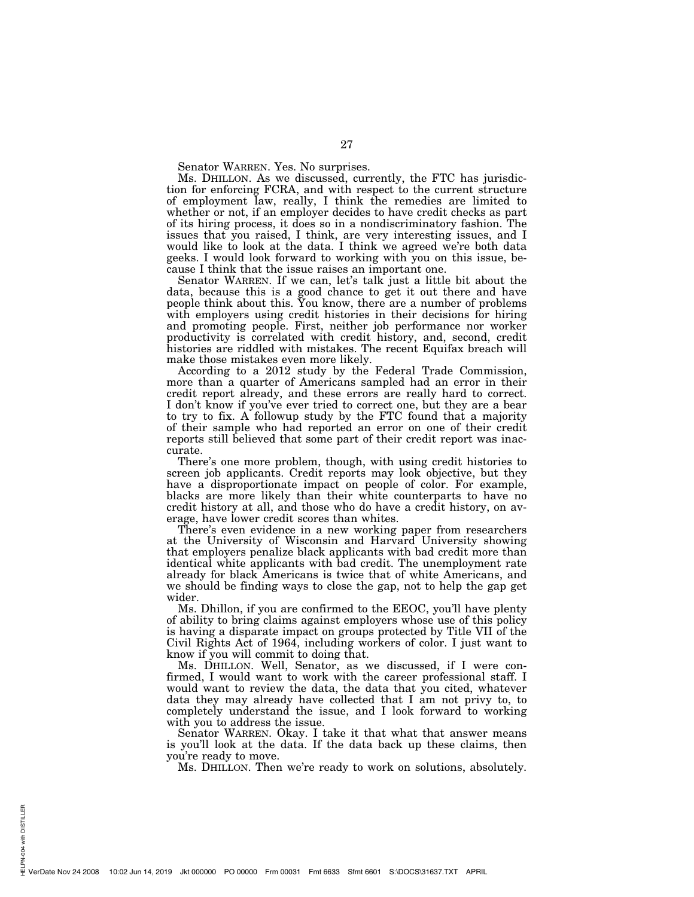Senator WARREN. Yes. No surprises.

Ms. DHILLON. As we discussed, currently, the FTC has jurisdiction for enforcing FCRA, and with respect to the current structure of employment law, really, I think the remedies are limited to whether or not, if an employer decides to have credit checks as part of its hiring process, it does so in a nondiscriminatory fashion. The issues that you raised, I think, are very interesting issues, and I would like to look at the data. I think we agreed we're both data geeks. I would look forward to working with you on this issue, because I think that the issue raises an important one.

Senator WARREN. If we can, let's talk just a little bit about the data, because this is a good chance to get it out there and have people think about this. You know, there are a number of problems with employers using credit histories in their decisions for hiring and promoting people. First, neither job performance nor worker productivity is correlated with credit history, and, second, credit histories are riddled with mistakes. The recent Equifax breach will make those mistakes even more likely.

According to a 2012 study by the Federal Trade Commission, more than a quarter of Americans sampled had an error in their credit report already, and these errors are really hard to correct. I don't know if you've ever tried to correct one, but they are a bear to try to fix. A followup study by the FTC found that a majority of their sample who had reported an error on one of their credit reports still believed that some part of their credit report was inaccurate.

There's one more problem, though, with using credit histories to screen job applicants. Credit reports may look objective, but they have a disproportionate impact on people of color. For example, blacks are more likely than their white counterparts to have no credit history at all, and those who do have a credit history, on average, have lower credit scores than whites.

There's even evidence in a new working paper from researchers at the University of Wisconsin and Harvard University showing that employers penalize black applicants with bad credit more than identical white applicants with bad credit. The unemployment rate already for black Americans is twice that of white Americans, and we should be finding ways to close the gap, not to help the gap get wider.

Ms. Dhillon, if you are confirmed to the EEOC, you'll have plenty of ability to bring claims against employers whose use of this policy is having a disparate impact on groups protected by Title VII of the Civil Rights Act of 1964, including workers of color. I just want to know if you will commit to doing that.

Ms. DHILLON. Well, Senator, as we discussed, if I were confirmed, I would want to work with the career professional staff. I would want to review the data, the data that you cited, whatever data they may already have collected that I am not privy to, to completely understand the issue, and I look forward to working with you to address the issue.

Senator WARREN. Okay. I take it that what that answer means is you'll look at the data. If the data back up these claims, then you're ready to move.

Ms. DHILLON. Then we're ready to work on solutions, absolutely.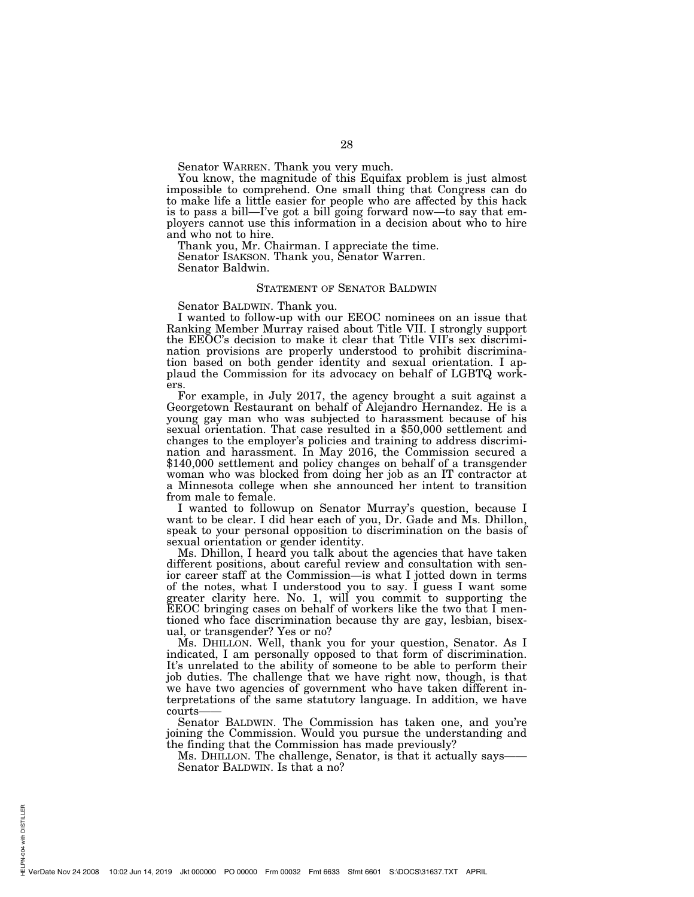Senator WARREN. Thank you very much.

You know, the magnitude of this Equifax problem is just almost impossible to comprehend. One small thing that Congress can do to make life a little easier for people who are affected by this hack is to pass a bill—I've got a bill going forward now—to say that employers cannot use this information in a decision about who to hire and who not to hire.

Thank you, Mr. Chairman. I appreciate the time. Senator ISAKSON. Thank you, Senator Warren. Senator Baldwin.

#### STATEMENT OF SENATOR BALDWIN

Senator BALDWIN. Thank you.

I wanted to follow-up with our EEOC nominees on an issue that Ranking Member Murray raised about Title VII. I strongly support the EEOC's decision to make it clear that Title VII's sex discrimination provisions are properly understood to prohibit discrimination based on both gender identity and sexual orientation. I applaud the Commission for its advocacy on behalf of LGBTQ workers.

For example, in July 2017, the agency brought a suit against a Georgetown Restaurant on behalf of Alejandro Hernandez. He is a young gay man who was subjected to harassment because of his sexual orientation. That case resulted in a \$50,000 settlement and changes to the employer's policies and training to address discrimination and harassment. In May 2016, the Commission secured a \$140,000 settlement and policy changes on behalf of a transgender woman who was blocked from doing her job as an IT contractor at a Minnesota college when she announced her intent to transition from male to female.

I wanted to followup on Senator Murray's question, because I want to be clear. I did hear each of you, Dr. Gade and Ms. Dhillon, speak to your personal opposition to discrimination on the basis of sexual orientation or gender identity.

Ms. Dhillon, I heard you talk about the agencies that have taken different positions, about careful review and consultation with senior career staff at the Commission—is what I jotted down in terms of the notes, what I understood you to say. I guess I want some greater clarity here. No. 1, will you commit to supporting the EEOC bringing cases on behalf of workers like the two that I mentioned who face discrimination because thy are gay, lesbian, bisexual, or transgender? Yes or no?

Ms. DHILLON. Well, thank you for your question, Senator. As I indicated, I am personally opposed to that form of discrimination. It's unrelated to the ability of someone to be able to perform their job duties. The challenge that we have right now, though, is that we have two agencies of government who have taken different interpretations of the same statutory language. In addition, we have courts-

Senator BALDWIN. The Commission has taken one, and you're joining the Commission. Would you pursue the understanding and the finding that the Commission has made previously?

Ms. DHILLON. The challenge, Senator, is that it actually says—— Senator BALDWIN. Is that a no?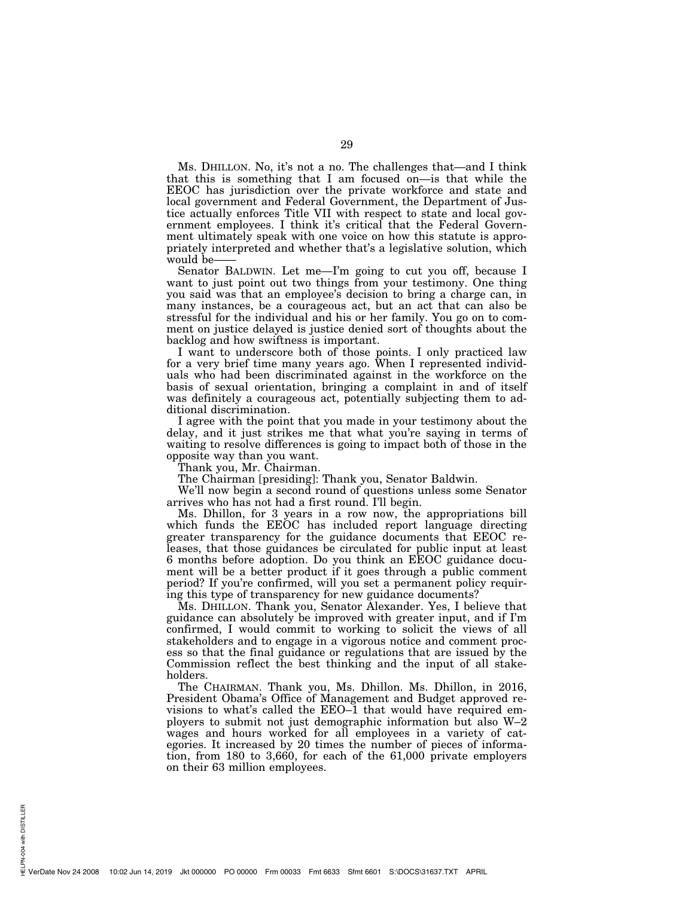Ms. DHILLON. No, it's not a no. The challenges that—and I think that this is something that I am focused on—is that while the EEOC has jurisdiction over the private workforce and state and local government and Federal Government, the Department of Justice actually enforces Title VII with respect to state and local government employees. I think it's critical that the Federal Government ultimately speak with one voice on how this statute is appropriately interpreted and whether that's a legislative solution, which would be-

Senator BALDWIN. Let me—I'm going to cut you off, because I want to just point out two things from your testimony. One thing you said was that an employee's decision to bring a charge can, in many instances, be a courageous act, but an act that can also be stressful for the individual and his or her family. You go on to comment on justice delayed is justice denied sort of thoughts about the backlog and how swiftness is important.

I want to underscore both of those points. I only practiced law for a very brief time many years ago. When I represented individuals who had been discriminated against in the workforce on the basis of sexual orientation, bringing a complaint in and of itself was definitely a courageous act, potentially subjecting them to additional discrimination.

I agree with the point that you made in your testimony about the delay, and it just strikes me that what you're saying in terms of waiting to resolve differences is going to impact both of those in the opposite way than you want.

Thank you, Mr. Chairman.

The Chairman [presiding]: Thank you, Senator Baldwin.

We'll now begin a second round of questions unless some Senator arrives who has not had a first round. I'll begin.

Ms. Dhillon, for 3 years in a row now, the appropriations bill which funds the EEOC has included report language directing greater transparency for the guidance documents that EEOC releases, that those guidances be circulated for public input at least 6 months before adoption. Do you think an EEOC guidance document will be a better product if it goes through a public comment period? If you're confirmed, will you set a permanent policy requiring this type of transparency for new guidance documents?

Ms. DHILLON. Thank you, Senator Alexander. Yes, I believe that guidance can absolutely be improved with greater input, and if I'm confirmed, I would commit to working to solicit the views of all stakeholders and to engage in a vigorous notice and comment process so that the final guidance or regulations that are issued by the Commission reflect the best thinking and the input of all stakeholders.

The CHAIRMAN. Thank you, Ms. Dhillon. Ms. Dhillon, in 2016, President Obama's Office of Management and Budget approved revisions to what's called the EEO–1 that would have required employers to submit not just demographic information but also W–2 wages and hours worked for all employees in a variety of categories. It increased by 20 times the number of pieces of information, from 180 to 3,660, for each of the 61,000 private employers on their 63 million employees.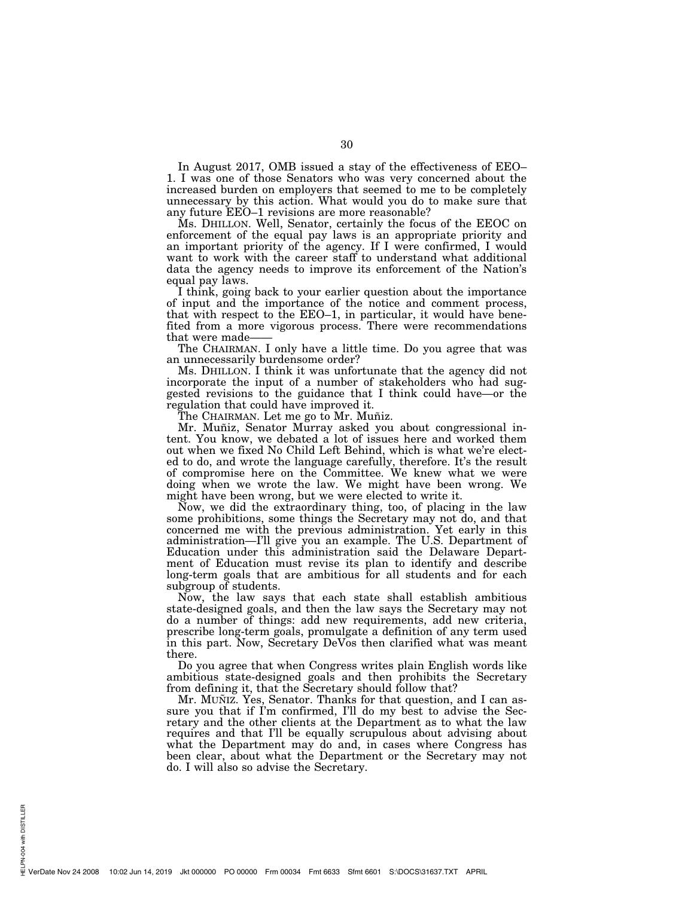In August 2017, OMB issued a stay of the effectiveness of EEO– 1. I was one of those Senators who was very concerned about the increased burden on employers that seemed to me to be completely unnecessary by this action. What would you do to make sure that any future EEO–1 revisions are more reasonable?

Ms. DHILLON. Well, Senator, certainly the focus of the EEOC on enforcement of the equal pay laws is an appropriate priority and an important priority of the agency. If I were confirmed, I would want to work with the career staff to understand what additional data the agency needs to improve its enforcement of the Nation's equal pay laws.

I think, going back to your earlier question about the importance of input and the importance of the notice and comment process, that with respect to the EEO–1, in particular, it would have benefited from a more vigorous process. There were recommendations that were made-

The CHAIRMAN. I only have a little time. Do you agree that was an unnecessarily burdensome order?

Ms. DHILLON. I think it was unfortunate that the agency did not incorporate the input of a number of stakeholders who had suggested revisions to the guidance that I think could have—or the regulation that could have improved it.

The CHAIRMAN. Let me go to Mr. Muñiz.

Mr. Muñiz, Senator Murray asked you about congressional intent. You know, we debated a lot of issues here and worked them out when we fixed No Child Left Behind, which is what we're elected to do, and wrote the language carefully, therefore. It's the result of compromise here on the Committee. We knew what we were doing when we wrote the law. We might have been wrong. We might have been wrong, but we were elected to write it.

Now, we did the extraordinary thing, too, of placing in the law some prohibitions, some things the Secretary may not do, and that concerned me with the previous administration. Yet early in this administration—I'll give you an example. The U.S. Department of Education under this administration said the Delaware Department of Education must revise its plan to identify and describe long-term goals that are ambitious for all students and for each subgroup of students.

Now, the law says that each state shall establish ambitious state-designed goals, and then the law says the Secretary may not do a number of things: add new requirements, add new criteria, prescribe long-term goals, promulgate a definition of any term used in this part. Now, Secretary DeVos then clarified what was meant there.

Do you agree that when Congress writes plain English words like ambitious state-designed goals and then prohibits the Secretary from defining it, that the Secretary should follow that?

Mr. MUÑIZ. Yes, Senator. Thanks for that question, and I can assure you that if I'm confirmed, I'll do my best to advise the Secretary and the other clients at the Department as to what the law requires and that I'll be equally scrupulous about advising about what the Department may do and, in cases where Congress has been clear, about what the Department or the Secretary may not do. I will also so advise the Secretary.

PN-004 with DISTILLER HELPN-004 with DISTILLER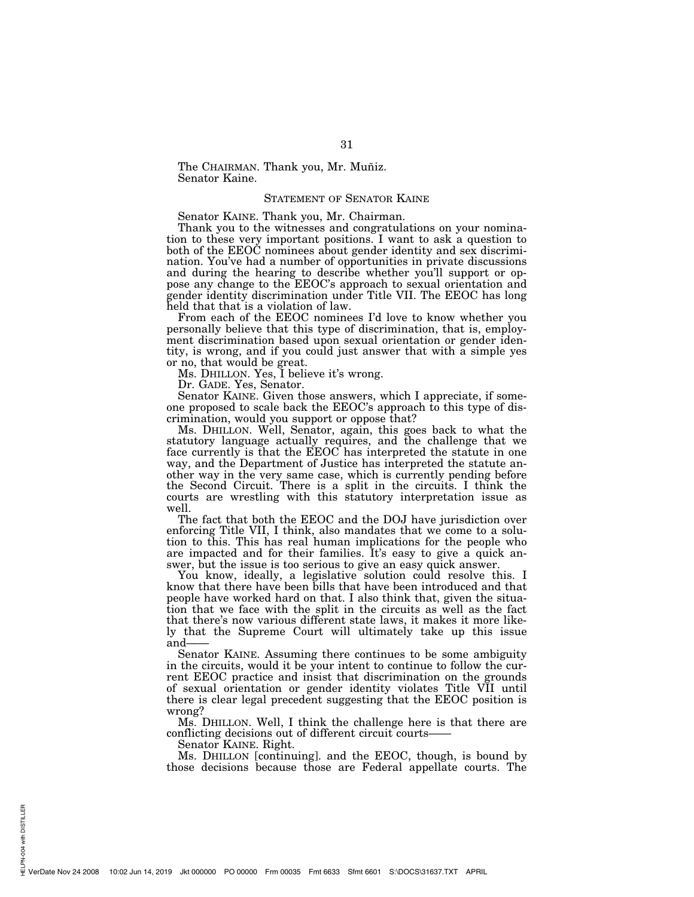The CHAIRMAN. Thank you, Mr. Muñiz. Senator Kaine.

# STATEMENT OF SENATOR KAINE

Senator KAINE. Thank you, Mr. Chairman.

Thank you to the witnesses and congratulations on your nomination to these very important positions. I want to ask a question to both of the EEOC nominees about gender identity and sex discrimination. You've had a number of opportunities in private discussions and during the hearing to describe whether you'll support or oppose any change to the EEOC's approach to sexual orientation and gender identity discrimination under Title VII. The EEOC has long held that that is a violation of law.

From each of the EEOC nominees I'd love to know whether you personally believe that this type of discrimination, that is, employment discrimination based upon sexual orientation or gender identity, is wrong, and if you could just answer that with a simple yes or no, that would be great.

Ms. DHILLON. Yes, I believe it's wrong.

Dr. GADE. Yes, Senator.

Senator KAINE. Given those answers, which I appreciate, if someone proposed to scale back the EEOC's approach to this type of discrimination, would you support or oppose that?

Ms. DHILLON. Well, Senator, again, this goes back to what the statutory language actually requires, and the challenge that we face currently is that the EEOC has interpreted the statute in one way, and the Department of Justice has interpreted the statute another way in the very same case, which is currently pending before the Second Circuit. There is a split in the circuits. I think the courts are wrestling with this statutory interpretation issue as well.

The fact that both the EEOC and the DOJ have jurisdiction over enforcing Title VII, I think, also mandates that we come to a solution to this. This has real human implications for the people who are impacted and for their families. It's easy to give a quick answer, but the issue is too serious to give an easy quick answer.

You know, ideally, a legislative solution could resolve this. I know that there have been bills that have been introduced and that people have worked hard on that. I also think that, given the situation that we face with the split in the circuits as well as the fact that there's now various different state laws, it makes it more likely that the Supreme Court will ultimately take up this issue and-

Senator KAINE. Assuming there continues to be some ambiguity in the circuits, would it be your intent to continue to follow the current EEOC practice and insist that discrimination on the grounds of sexual orientation or gender identity violates Title VII until there is clear legal precedent suggesting that the EEOC position is wrong?

Ms. DHILLON. Well, I think the challenge here is that there are conflicting decisions out of different circuit courts-

Senator KAINE. Right.

Ms. DHILLON [continuing]. and the EEOC, though, is bound by those decisions because those are Federal appellate courts. The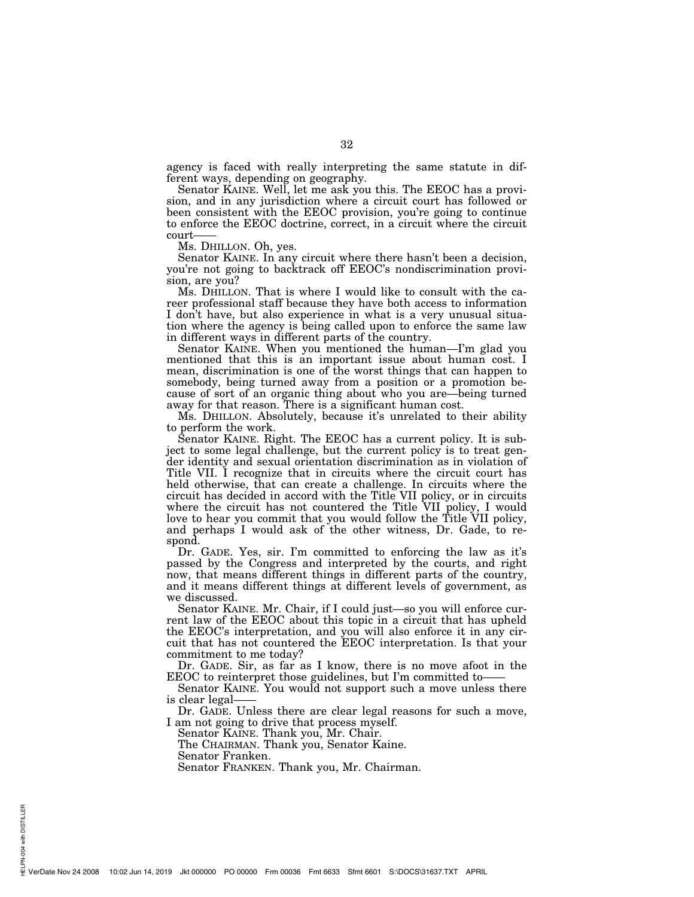agency is faced with really interpreting the same statute in different ways, depending on geography.

Senator KAINE. Well, let me ask you this. The EEOC has a provision, and in any jurisdiction where a circuit court has followed or been consistent with the EEOC provision, you're going to continue to enforce the EEOC doctrine, correct, in a circuit where the circuit court-

Ms. DHILLON. Oh, yes.

Senator KAINE. In any circuit where there hasn't been a decision, you're not going to backtrack off EEOC's nondiscrimination provision, are you?

Ms. DHILLON. That is where I would like to consult with the career professional staff because they have both access to information I don't have, but also experience in what is a very unusual situation where the agency is being called upon to enforce the same law in different ways in different parts of the country.

Senator KAINE. When you mentioned the human—I'm glad you mentioned that this is an important issue about human cost. I mean, discrimination is one of the worst things that can happen to somebody, being turned away from a position or a promotion because of sort of an organic thing about who you are—being turned away for that reason. There is a significant human cost.

Ms. DHILLON. Absolutely, because it's unrelated to their ability to perform the work.

Senator KAINE. Right. The EEOC has a current policy. It is subject to some legal challenge, but the current policy is to treat gender identity and sexual orientation discrimination as in violation of Title VII. I recognize that in circuits where the circuit court has held otherwise, that can create a challenge. In circuits where the circuit has decided in accord with the Title VII policy, or in circuits where the circuit has not countered the Title VII policy, I would love to hear you commit that you would follow the Title VII policy, and perhaps I would ask of the other witness, Dr. Gade, to respond.

Dr. GADE. Yes, sir. I'm committed to enforcing the law as it's passed by the Congress and interpreted by the courts, and right now, that means different things in different parts of the country, and it means different things at different levels of government, as we discussed.

Senator KAINE. Mr. Chair, if I could just—so you will enforce current law of the EEOC about this topic in a circuit that has upheld the EEOC's interpretation, and you will also enforce it in any circuit that has not countered the EEOC interpretation. Is that your commitment to me today?

Dr. GADE. Sir, as far as I know, there is no move afoot in the EEOC to reinterpret those guidelines, but I'm committed to——

Senator KAINE. You would not support such a move unless there is clear legal——

Dr. GADE. Unless there are clear legal reasons for such a move, I am not going to drive that process myself.

Senator KAINE. Thank you, Mr. Chair.

The CHAIRMAN. Thank you, Senator Kaine.

Senator Franken.

Senator FRANKEN. Thank you, Mr. Chairman.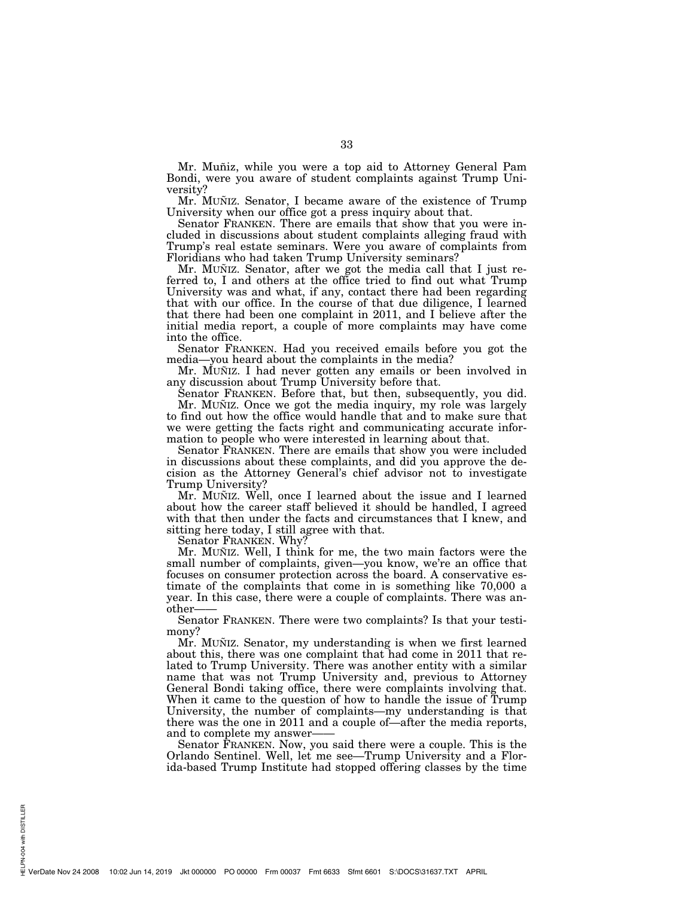Mr. Muñiz, while you were a top aid to Attorney General Pam Bondi, were you aware of student complaints against Trump University?

Mr. MUÑIZ. Senator, I became aware of the existence of Trump University when our office got a press inquiry about that.

Senator FRANKEN. There are emails that show that you were included in discussions about student complaints alleging fraud with Trump's real estate seminars. Were you aware of complaints from Floridians who had taken Trump University seminars?

Mr. MUÑIZ. Senator, after we got the media call that I just referred to, I and others at the office tried to find out what Trump University was and what, if any, contact there had been regarding that with our office. In the course of that due diligence, I learned that there had been one complaint in 2011, and I believe after the initial media report, a couple of more complaints may have come into the office.

Senator FRANKEN. Had you received emails before you got the media—you heard about the complaints in the media?

Mr. MUÑIZ. I had never gotten any emails or been involved in any discussion about Trump University before that.

Senator FRANKEN. Before that, but then, subsequently, you did. Mr. MUÑIZ. Once we got the media inquiry, my role was largely to find out how the office would handle that and to make sure that we were getting the facts right and communicating accurate information to people who were interested in learning about that.

Senator FRANKEN. There are emails that show you were included in discussions about these complaints, and did you approve the decision as the Attorney General's chief advisor not to investigate Trump University?

Mr. MUÑIZ. Well, once I learned about the issue and I learned about how the career staff believed it should be handled, I agreed with that then under the facts and circumstances that I knew, and sitting here today, I still agree with that.

Senator FRANKEN. Why?

Mr. MUÑIZ. Well, I think for me, the two main factors were the small number of complaints, given—you know, we're an office that focuses on consumer protection across the board. A conservative estimate of the complaints that come in is something like 70,000 a year. In this case, there were a couple of complaints. There was another——

Senator FRANKEN. There were two complaints? Is that your testimony?

Mr. MUNIZ. Senator, my understanding is when we first learned about this, there was one complaint that had come in 2011 that related to Trump University. There was another entity with a similar name that was not Trump University and, previous to Attorney General Bondi taking office, there were complaints involving that. When it came to the question of how to handle the issue of Trump University, the number of complaints—my understanding is that there was the one in 2011 and a couple of—after the media reports, and to complete my answer-

Senator FRANKEN. Now, you said there were a couple. This is the Orlando Sentinel. Well, let me see—Trump University and a Florida-based Trump Institute had stopped offering classes by the time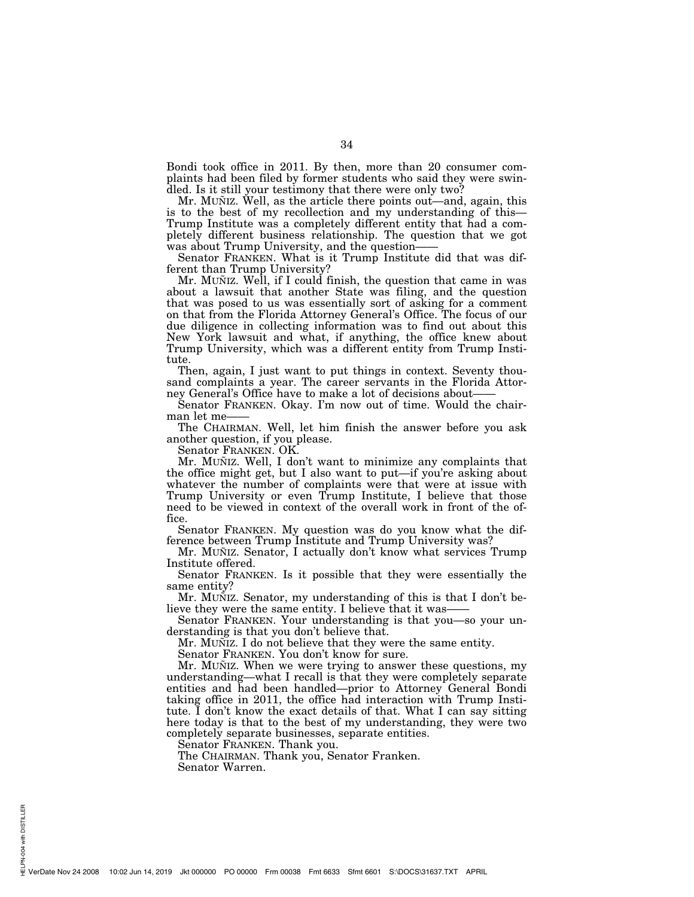Bondi took office in 2011. By then, more than 20 consumer complaints had been filed by former students who said they were swindled. Is it still your testimony that there were only two?

Mr. MUNTZ. Well, as the article there points out—and, again, this is to the best of my recollection and my understanding of this— Trump Institute was a completely different entity that had a completely different business relationship. The question that we got was about Trump University, and the question-

Senator FRANKEN. What is it Trump Institute did that was different than Trump University?

Mr. MUÑIZ. Well, if I could finish, the question that came in was about a lawsuit that another State was filing, and the question that was posed to us was essentially sort of asking for a comment on that from the Florida Attorney General's Office. The focus of our due diligence in collecting information was to find out about this New York lawsuit and what, if anything, the office knew about Trump University, which was a different entity from Trump Institute.

Then, again, I just want to put things in context. Seventy thousand complaints a year. The career servants in the Florida Attorney General's Office have to make a lot of decisions about-

Senator FRANKEN. Okay. I'm now out of time. Would the chairman let me-

The CHAIRMAN. Well, let him finish the answer before you ask another question, if you please.

Senator FRANKEN. OK.

Mr. MUÑIZ. Well, I don't want to minimize any complaints that the office might get, but I also want to put—if you're asking about whatever the number of complaints were that were at issue with Trump University or even Trump Institute, I believe that those need to be viewed in context of the overall work in front of the office.

Senator FRANKEN. My question was do you know what the difference between Trump Institute and Trump University was?

Mr. MUÑIZ. Senator, I actually don't know what services Trump Institute offered.

Senator FRANKEN. Is it possible that they were essentially the same entity?

Mr. MUÑIZ. Senator, my understanding of this is that I don't believe they were the same entity. I believe that it was-

Senator FRANKEN. Your understanding is that you—so your understanding is that you don't believe that.

Mr. MUNIZ. I do not believe that they were the same entity.

Senator FRANKEN. You don't know for sure.

Mr. MUÑIZ. When we were trying to answer these questions, my understanding—what I recall is that they were completely separate entities and had been handled—prior to Attorney General Bondi taking office in 2011, the office had interaction with Trump Institute. I don't know the exact details of that. What I can say sitting here today is that to the best of my understanding, they were two completely separate businesses, separate entities.

Senator FRANKEN. Thank you.

The CHAIRMAN. Thank you, Senator Franken. Senator Warren.

PN-004 with DISTILLER HELPN-004 with DISTILLER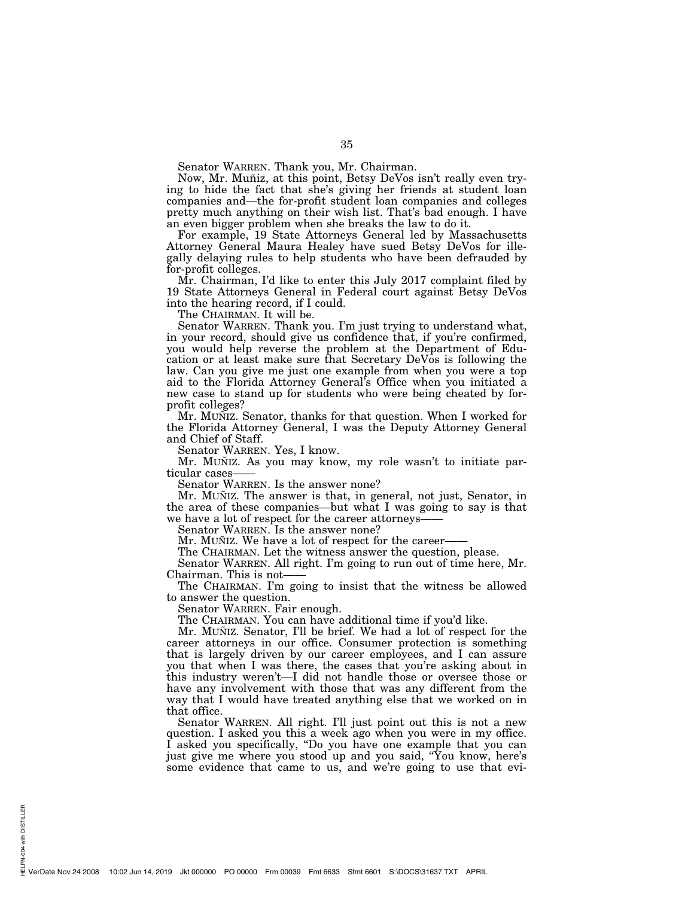Senator WARREN. Thank you, Mr. Chairman.

Now, Mr. Muñiz, at this point, Betsy DeVos isn't really even trying to hide the fact that she's giving her friends at student loan companies and—the for-profit student loan companies and colleges pretty much anything on their wish list. That's bad enough. I have an even bigger problem when she breaks the law to do it.

For example, 19 State Attorneys General led by Massachusetts Attorney General Maura Healey have sued Betsy DeVos for illegally delaying rules to help students who have been defrauded by for-profit colleges.

Mr. Chairman, I'd like to enter this July 2017 complaint filed by 19 State Attorneys General in Federal court against Betsy DeVos into the hearing record, if I could.

The CHAIRMAN. It will be.

Senator WARREN. Thank you. I'm just trying to understand what, in your record, should give us confidence that, if you're confirmed, you would help reverse the problem at the Department of Education or at least make sure that Secretary DeVos is following the law. Can you give me just one example from when you were a top aid to the Florida Attorney General's Office when you initiated a new case to stand up for students who were being cheated by forprofit colleges?

Mr. MUÑIZ. Senator, thanks for that question. When I worked for the Florida Attorney General, I was the Deputy Attorney General and Chief of Staff.

Senator WARREN. Yes, I know.

Mr. MUÑIZ. As you may know, my role wasn't to initiate particular cases-

Senator WARREN. Is the answer none?

Mr. MUÑIZ. The answer is that, in general, not just, Senator, in the area of these companies—but what I was going to say is that we have a lot of respect for the career attorneys-

Senator WARREN. Is the answer none?

Mr. MUÑIZ. We have a lot of respect for the career-

The CHAIRMAN. Let the witness answer the question, please.

Senator WARREN. All right. I'm going to run out of time here, Mr. Chairman. This is not-

The CHAIRMAN. I'm going to insist that the witness be allowed to answer the question.

Senator WARREN. Fair enough.

The CHAIRMAN. You can have additional time if you'd like.

Mr. MUÑIZ. Senator, I'll be brief. We had a lot of respect for the career attorneys in our office. Consumer protection is something that is largely driven by our career employees, and I can assure you that when I was there, the cases that you're asking about in this industry weren't—I did not handle those or oversee those or have any involvement with those that was any different from the way that I would have treated anything else that we worked on in that office.

Senator WARREN. All right. I'll just point out this is not a new question. I asked you this a week ago when you were in my office. I asked you specifically, ''Do you have one example that you can just give me where you stood up and you said, ''You know, here's some evidence that came to us, and we're going to use that evi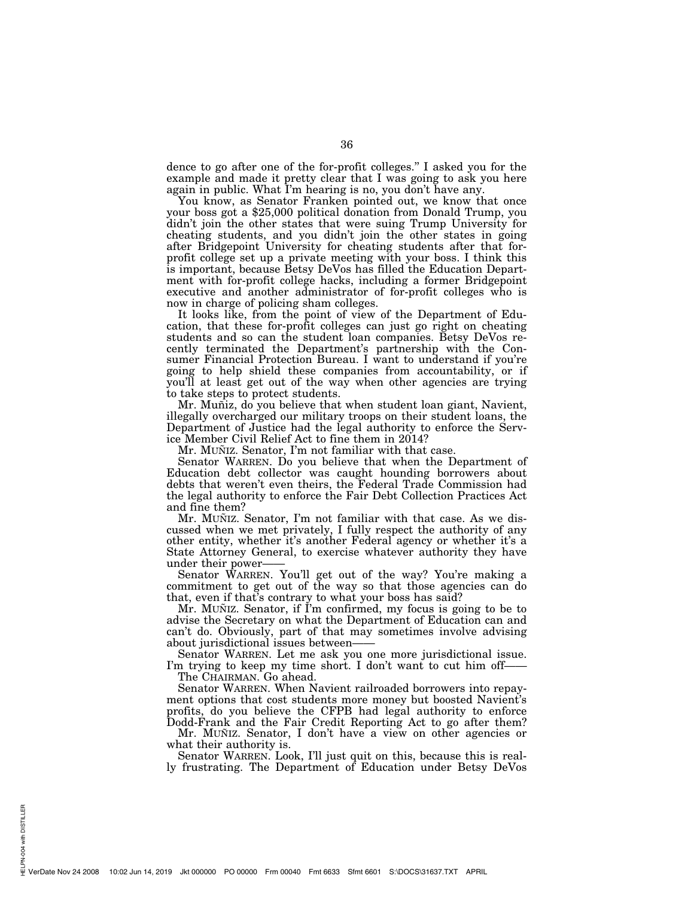dence to go after one of the for-profit colleges.'' I asked you for the example and made it pretty clear that I was going to ask you here again in public. What I'm hearing is no, you don't have any.<br>You know, as Senator Franken pointed out, we know that once

your boss got a \$25,000 political donation from Donald Trump, you didn't join the other states that were suing Trump University for cheating students, and you didn't join the other states in going after Bridgepoint University for cheating students after that forprofit college set up a private meeting with your boss. I think this is important, because Betsy DeVos has filled the Education Department with for-profit college hacks, including a former Bridgepoint executive and another administrator of for-profit colleges who is now in charge of policing sham colleges.

It looks like, from the point of view of the Department of Education, that these for-profit colleges can just go right on cheating students and so can the student loan companies. Betsy DeVos recently terminated the Department's partnership with the Consumer Financial Protection Bureau. I want to understand if you're going to help shield these companies from accountability, or if you'll at least get out of the way when other agencies are trying to take steps to protect students.

Mr. Muñiz, do you believe that when student loan giant, Navient, illegally overcharged our military troops on their student loans, the Department of Justice had the legal authority to enforce the Service Member Civil Relief Act to fine them in 2014?

Mr. MUÑIZ. Senator, I'm not familiar with that case.

Senator WARREN. Do you believe that when the Department of Education debt collector was caught hounding borrowers about debts that weren't even theirs, the Federal Trade Commission had the legal authority to enforce the Fair Debt Collection Practices Act and fine them?

Mr. MUÑIZ. Senator, I'm not familiar with that case. As we discussed when we met privately, I fully respect the authority of any other entity, whether it's another Federal agency or whether it's a State Attorney General, to exercise whatever authority they have under their power-

Senator WARREN. You'll get out of the way? You're making a commitment to get out of the way so that those agencies can do that, even if that's contrary to what your boss has said?

Mr. MUÑIZ. Senator, if I'm confirmed, my focus is going to be to advise the Secretary on what the Department of Education can and can't do. Obviously, part of that may sometimes involve advising about jurisdictional issues between——

Senator WARREN. Let me ask you one more jurisdictional issue. I'm trying to keep my time short. I don't want to cut him off-

The CHAIRMAN. Go ahead.

Senator WARREN. When Navient railroaded borrowers into repayment options that cost students more money but boosted Navient's profits, do you believe the CFPB had legal authority to enforce Dodd-Frank and the Fair Credit Reporting Act to go after them?

Mr. MUÑIZ. Senator, I don't have a view on other agencies or what their authority is.

Senator WARREN. Look, I'll just quit on this, because this is really frustrating. The Department of Education under Betsy DeVos

PN-004 with DISTILLER HELPN-004 with DISTILLER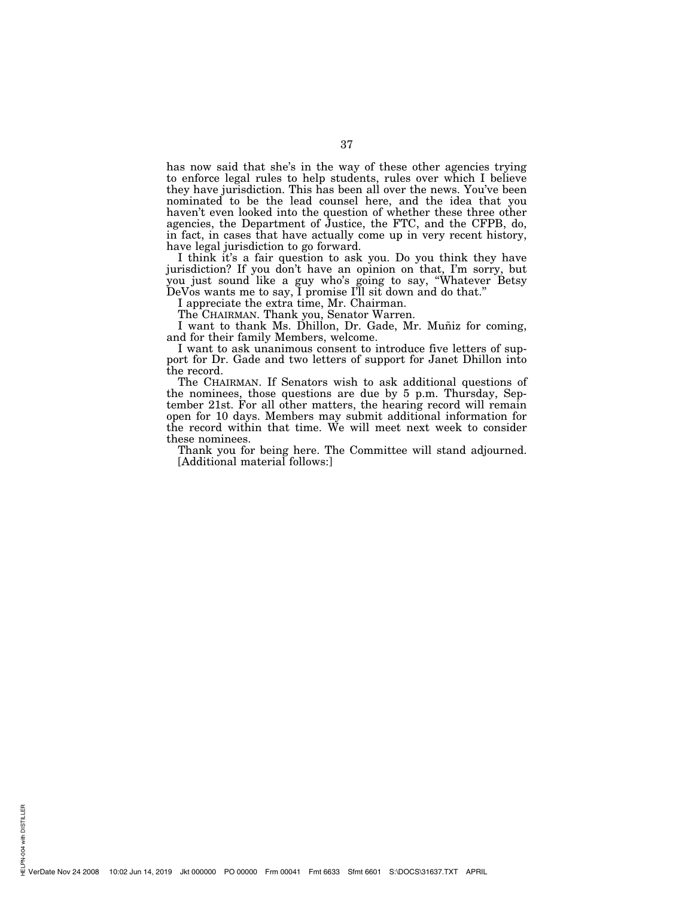has now said that she's in the way of these other agencies trying to enforce legal rules to help students, rules over which I believe they have jurisdiction. This has been all over the news. You've been nominated to be the lead counsel here, and the idea that you haven't even looked into the question of whether these three other agencies, the Department of Justice, the FTC, and the CFPB, do, in fact, in cases that have actually come up in very recent history, have legal jurisdiction to go forward.

I think it's a fair question to ask you. Do you think they have jurisdiction? If you don't have an opinion on that, I'm sorry, but you just sound like a guy who's going to say, ''Whatever Betsy DeVos wants me to say, I promise I'll sit down and do that.''

I appreciate the extra time, Mr. Chairman.

The CHAIRMAN. Thank you, Senator Warren.

I want to thank Ms. Dhillon, Dr. Gade, Mr. Munt for coming, and for their family Members, welcome.

I want to ask unanimous consent to introduce five letters of support for Dr. Gade and two letters of support for Janet Dhillon into the record.

The CHAIRMAN. If Senators wish to ask additional questions of the nominees, those questions are due by 5 p.m. Thursday, September 21st. For all other matters, the hearing record will remain open for 10 days. Members may submit additional information for the record within that time. We will meet next week to consider these nominees.

Thank you for being here. The Committee will stand adjourned. [Additional material follows:]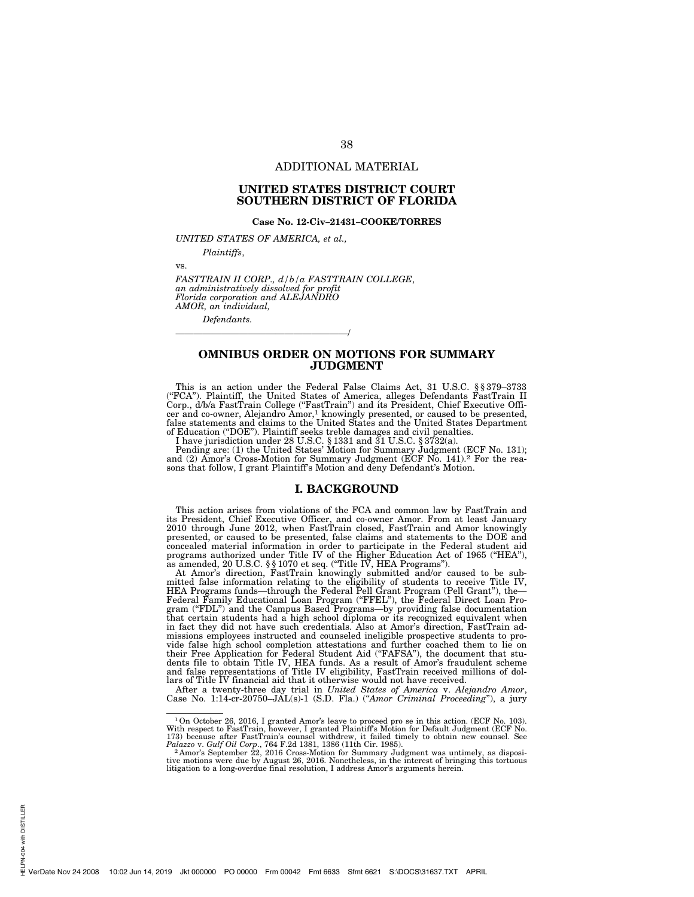# ADDITIONAL MATERIAL

38

# **UNITED STATES DISTRICT COURT SOUTHERN DISTRICT OF FLORIDA**

## **Case No. 12-Civ–21431–COOKE/TORRES**

*UNITED STATES OF AMERICA, et al.,* 

———————————————————/

*Plaintiffs*,

vs.

*FASTTRAIN II CORP., d/b/a FASTTRAIN COLLEGE*, *an administratively dissolved for profit Florida corporation and ALEJANDRO AMOR, an individual,* 

*Defendants.* 

# **OMNIBUS ORDER ON MOTIONS FOR SUMMARY JUDGMENT**

This is an action under the Federal False Claims Act, 31 U.S.C. §§379–3733<br>("FCA"). Plaintiff, the United States of America, alleges Defendants FastTrain II<br>Corp., d/b/a FastTrain College ("FastTrain") and its President, C cer and co-owner, Alejandro Amor,1 knowingly presented, or caused to be presented, false statements and claims to the United States and the United States Department

of Education ("DOE"). Plaintiff seeks treble damages and civil penalties.<br>I have jurisdiction under 28 U.S.C. § 1331 and 31 U.S.C. § 3732(a).<br>Pending are: (1) the United States' Motion for Summary Judgment (ECF No. 131);<br>P

## **I. BACKGROUND**

This action arises from violations of the FCA and common law by FastTrain and its President, Chief Executive Officer, and co-owner Amor. From at least January 2010 through June 2012, when FastTrain closed, FastTrain and Amor knowingly presented, or caused to be presented, false claims and statements to the DOE and

concealed material information in order to participate in the Federal student aid<br>programs authorized under Title IV of the Higher Education Act of 1965 ("HEA"),<br>as amended, 20 U.S.C. §§1070 et seq. ("Title IV, HEA Program missions employees instructed and counseled ineligible prospective students to provide false high school completion attestations and further coached them to lie on<br>their Free Application for Federal Student Aid ("FAFSA"), the document that stu-<br>dents file to obtain Title IV, HEA funds. As a result of Am lars of Title IV financial aid that it otherwise would not have received.

After a twenty-three day trial in *United States of America* v. *Alejandro Amor*, Case No. 1:14-cr-20750–JAL(s)-1 (S.D. Fla.) (''*Amor Criminal Proceeding*''), a jury

<sup>&</sup>lt;sup>1</sup>On October 26, 2016, I granted Amor's leave to proceed pro se in this action. (ECF No. 103).<br>With respect to FastTrain, however, I granted Plaintiff's Motion for Default Judgment (ECF No. 173) because after FastTrain's

tive motions were due by August 26, 2016. Nonetheless, in the interest of bringing this tortuous litigation to a long-overdue final resolution, I address Amor's arguments herein.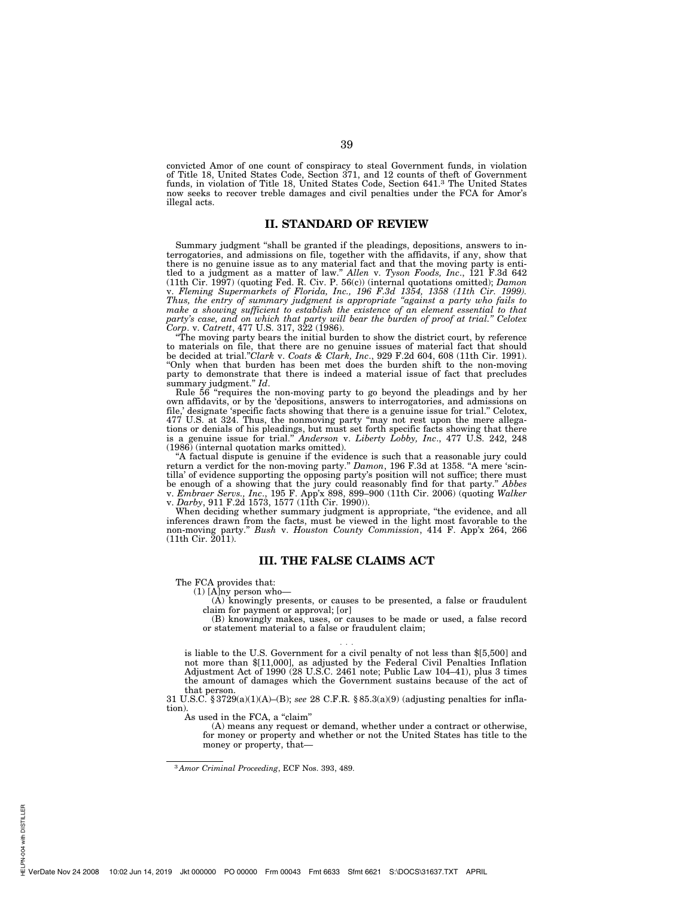convicted Amor of one count of conspiracy to steal Government funds, in violation of Title 18, United States Code, Section 371, and 12 counts of theft of Government funds, in violation of Title 18, United States Code, Section 641.3 The United States now seeks to recover treble damages and civil penalties under the FCA for Amor's illegal acts.

39

# **II. STANDARD OF REVIEW**

Summary judgment ''shall be granted if the pleadings, depositions, answers to interrogatories, and admissions on file, together with the affidavits, if any, show that there is no genuine issue as to any material fact and that the moving party is entitled to a judgment as a matter of law.'' *Allen* v. *Tyson Foods, Inc*., 121 F.3d 642 (11th Cir. 1997) (quoting Fed. R. Civ. P. 56(c)) (internal quotations omitted); *Damon*  v. *Fleming Supermarkets of Florida, Inc., 196 F.3d 1354, 1358 (11th Cir. 1999). Thus, the entry of summary judgment is appropriate ''against a party who fails to make a showing sufficient to establish the existence of an element essential to that party's case, and on which that party will bear the burden of proof at trial.'' Celotex Corp*. v. *Catrett*, 477 U.S. 317, 322 (1986).

''The moving party bears the initial burden to show the district court, by reference to materials on file, that there are no genuine issues of material fact that should be decided at trial.''*Clark* v. *Coats & Clark, Inc*., 929 F.2d 604, 608 (11th Cir. 1991). ''Only when that burden has been met does the burden shift to the non-moving party to demonstrate that there is indeed a material issue of fact that precludes summary judgment.'' *Id*.

Rule 56 ''requires the non-moving party to go beyond the pleadings and by her own affidavits, or by the 'depositions, answers to interrogatories, and admissions on file,' designate 'specific facts showing that there is a genuine issue for trial.'' Celotex, 477 U.S. at 324. Thus, the nonmoving party ''may not rest upon the mere allegations or denials of his pleadings, but must set forth specific facts showing that there is a genuine issue for trial.'' *Anderson* v. *Liberty Lobby, Inc*., 477 U.S. 242, 248 (1986) (internal quotation marks omitted).

''A factual dispute is genuine if the evidence is such that a reasonable jury could return a verdict for the non-moving party." *Damon*, 196 F.3d at 1358. "A mere 'scintilla' of evidence supporting the opposing party's position will not suffice; there must be enough of a showing that the jury could reasonably find for that party.'' *Abbes*  v. *Embraer Servs., Inc*., 195 F. App'x 898, 899–900 (11th Cir. 2006) (quoting *Walker*  v. *Darby*, 911 F.2d 1573, 1577 (11th Cir. 1990)).

When deciding whether summary judgment is appropriate, ''the evidence, and all inferences drawn from the facts, must be viewed in the light most favorable to the non-moving party.'' *Bush* v. *Houston County Commission*, 414 F. App'x 264, 266 (11th Cir. 2011).

# **III. THE FALSE CLAIMS ACT**

The FCA provides that:

(1) [A]ny person who—

(A) knowingly presents, or causes to be presented, a false or fraudulent claim for payment or approval; [or]

(B) knowingly makes, uses, or causes to be made or used, a false record or statement material to a false or fraudulent claim;

is liable to the U.S. Government for a civil penalty of not less than \$[5,500] and not more than \$[11,000], as adjusted by the Federal Civil Penalties Inflation Adjustment Act of 1990 (28 U.S.C. 2461 note; Public Law 104–41), plus 3 times the amount of damages which the Government sustains because of the act of that person.

31 U.S.C. § 3729(a)(1)(A)–(B); *see* 28 C.F.R. § 85.3(a)(9) (adjusting penalties for inflation).

. . .

As used in the FCA, a "claim"

(A) means any request or demand, whether under a contract or otherwise, for money or property and whether or not the United States has title to the money or property, that-

<sup>3</sup> *Amor Criminal Proceeding*, ECF Nos. 393, 489.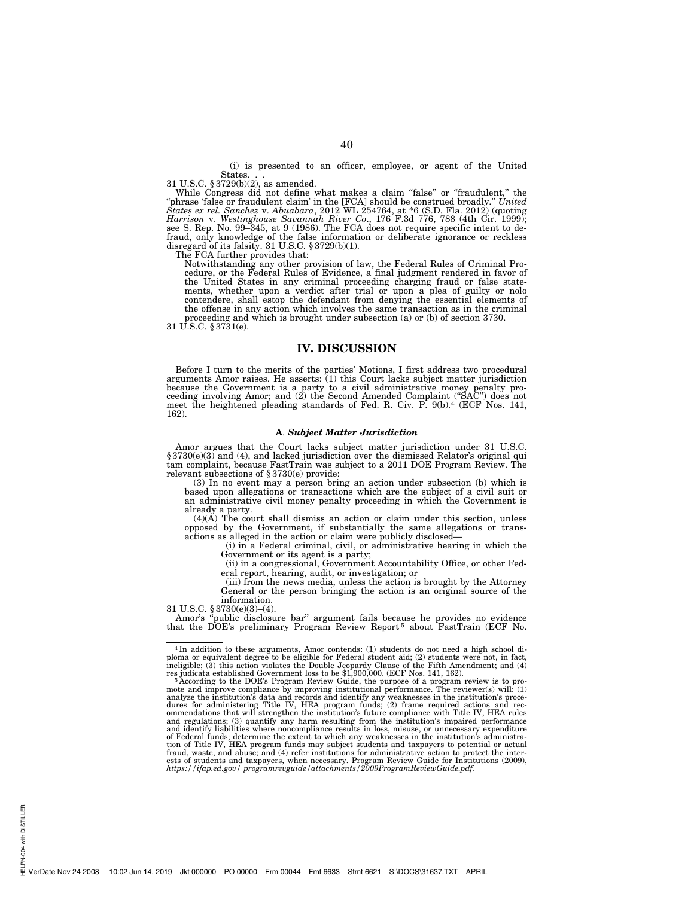(i) is presented to an officer, employee, or agent of the United States. 31 U.S.C. § 3729(b)(2), as amended.

While Congress did not define what makes a claim "false" or "fraudulent," the<br>"phrase 'false or fraudulent claim' in the [FCA] should be construed broadly." *United*<br>States ex rel. Sanchez v. Abuabara, 2012 WL 254764, at \*

The FCA further provides that:

Notwithstanding any other provision of law, the Federal Rules of Criminal Pro-cedure, or the Federal Rules of Evidence, a final judgment rendered in favor of the United States in any criminal proceeding charging fraud or false state-ments, whether upon a verdict after trial or upon a plea of guilty or nolo contendere, shall estop the defendant from denying the essential elements of the offense in any action which involves the same transaction as in the criminal proceeding and which is brought under subsection (a) or (b) of section 3730. 31 U.S.C. § 3731(e).

# **IV. DISCUSSION**

Before I turn to the merits of the parties' Motions, I first address two procedural arguments Amor raises. He asserts: (1) this Court lacks subject matter jurisdiction because the Government is a party to a civil administrative money penalty pro-<br>ceeding involving Amor; and (2) the Second Amended Complaint ("SAC") does not<br>meet the heightened pleading standards of Fed. R. Civ. P. 9(b).<sup>4</sup> 162).

#### **A**. *Subject Matter Jurisdiction*

Amor argues that the Court lacks subject matter jurisdiction under 31 U.S.C. § 3730(e)(3) and (4), and lacked jurisdiction over the dismissed Relator's original qui tam complaint, because FastTrain was subject to a 2011 DOE Program Review. The relevant subsections of §3730(e) provide:

(3) In no event may a person bring an action under subsection (b) which is based upon allegations or transactions which are the subject of a civil suit or an administrative civil money penalty proceeding in which the Government is already a party. (4)(A) The court shall dismiss an action or claim under this section, unless

opposed by the Government, if substantially the same allegations or transactions as alleged in the action or claim were publicly disclosed—

(i) in a Federal criminal, civil, or administrative hearing in which the Government or its agent is a party;

(ii) in a congressional, Government Accountability Office, or other Federal report, hearing, audit, or investigation; or

(iii) from the news media, unless the action is brought by the Attorney General or the person bringing the action is an original source of the information.

31 U.S.C. § 3730(e)(3)–(4).

Amor's ''public disclosure bar'' argument fails because he provides no evidence that the DOE's preliminary Program Review Report 5 about FastTrain (ECF No.

<sup>4</sup> In addition to these arguments, Amor contends: (1) students do not need a high school di-ploma or equivalent degree to be eligible for Federal student aid; (2) students were not, in fact, ineligible; (3) this action violates the Double Jeopardy Clause of the Fifth Amendment; and (4)<br>res judicata established Government loss to be \$1,900,000. (ECF Nos. 141, 162).<br><sup>5</sup> According to the DOE's Program Review Guid

mote and improve compliance by improving institutional performance. The reviewer(s) will: (1)<br>analyze the institution's data and records and identify any weaknesses in the institution's proce-<br>dures for administering Title ommendations that will strengthen the institution's future compliance with Title IV, HEA rules<br>and regulations; (3) quantify any harm resulting from the institution's impaired performance<br>and identify liabilities where non of Federal funds; determine the extent to which any weaknesses in the institution's administra-tion of Title IV, HEA program funds may subject students and taxpayers to potential or actual fraud, waste, and abuse; and (4) refer institutions for administrative action to protect the interests of students and taxpayers, when necessary. Program Review Guide for Institutions (2009), *https://ifap.ed.gov/ programrevguide/attachments/2009ProgramReviewGuide.pdf*.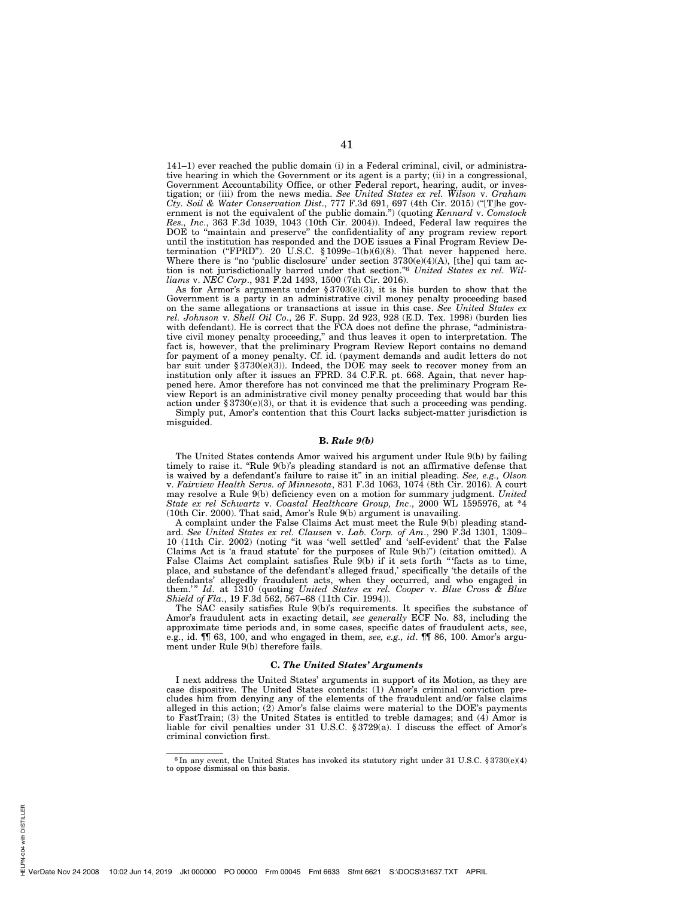141–1) ever reached the public domain (i) in a Federal criminal, civil, or administrative hearing in which the Government or its agent is a party; (ii) in a congressional, Government Accountability Office, or other Federal report, hearing, audit, or investigation; or (iii) from the news media. *See United States ex rel. Wilson* v. *Graham Cty. Soil & Water Conservation Dist*., 777 F.3d 691, 697 (4th Cir. 2015) (''[T]he government is not the equivalent of the public domain.'') (quoting *Kennard* v. *Comstock Res., Inc*., 363 F.3d 1039, 1043 (10th Cir. 2004)). Indeed, Federal law requires the DOE to ''maintain and preserve'' the confidentiality of any program review report until the institution has responded and the DOE issues a Final Program Review Determination ("FPRD"). 20 U.S.C. § 1099 $c=1(b)(6)(8)$ . That never happened here. Where there is "no 'public disclosure' under section  $3730(e)(4)(A)$ , [the] qui tam action is not jurisdictionally barred under that section.''6 *United States ex rel. Williams* v. *NEC Corp*., 931 F.2d 1493, 1500 (7th Cir. 2016).

As for Armor's arguments under  $\S 3703(e)(3)$ , it is his burden to show that the Government is a party in an administrative civil money penalty proceeding based on the same allegations or transactions at issue in this case. *See United States ex rel. Johnson* v. *Shell Oil Co*., 26 F. Supp. 2d 923, 928 (E.D. Tex. 1998) (burden lies with defendant). He is correct that the FCA does not define the phrase, "administrative civil money penalty proceeding,'' and thus leaves it open to interpretation. The fact is, however, that the preliminary Program Review Report contains no demand for payment of a money penalty. Cf. id. (payment demands and audit letters do not bar suit under § 3730(e)(3)). Indeed, the DOE may seek to recover money from an institution only after it issues an FPRD. 34 C.F.R. pt. 668. Again, that never happened here. Amor therefore has not convinced me that the preliminary Program Review Report is an administrative civil money penalty proceeding that would bar this action under  $§ 3730(e)(3)$ , or that it is evidence that such a proceeding was pending. Simply put, Amor's contention that this Court lacks subject-matter jurisdiction is misguided.

#### **B.** *Rule 9(b)*

The United States contends Amor waived his argument under Rule 9(b) by failing timely to raise it. "Rule 9(b)'s pleading standard is not an affirmative defense that is waived by a defendant's failure to raise it'' in an initial pleading. *See, e.g., Olson*  v. *Fairview Health Servs. of Minnesota*, 831 F.3d 1063, 1074 (8th Cir. 2016). A court may resolve a Rule 9(b) deficiency even on a motion for summary judgment. *United State ex rel Schwartz* v. *Coastal Healthcare Group, Inc*., 2000 WL 1595976, at \*4 (10th Cir. 2000). That said, Amor's Rule 9(b) argument is unavailing.

A complaint under the False Claims Act must meet the Rule 9(b) pleading standard. *See United States ex rel. Clausen* v. *Lab. Corp. of Am*., 290 F.3d 1301, 1309– 10 (11th Cir. 2002) (noting ''it was 'well settled' and 'self-evident' that the False Claims Act is 'a fraud statute' for the purposes of Rule  $9(b)$ ") (citation omitted). A False Claims Act complaint satisfies Rule 9(b) if it sets forth "facts as to time, place, and substance of the defendant's alleged fraud,' specifically 'the details of the defendants' allegedly fraudulent acts, when they occurred, and who engaged in them.'" *Id.* at 1310 (quoting *United States ex rel. Cooper v. Blue Cross & Blue Shield of Fla*., 19 F.3d 562, 567–68 (11th Cir. 1994)).

The SAC easily satisfies Rule 9(b)'s requirements. It specifies the substance of Amor's fraudulent acts in exacting detail, *see generally* ECF No. 83, including the approximate time periods and, in some cases, specific dates of fraudulent acts, see, e.g., id. ¶¶ 63, 100, and who engaged in them, *see, e.g., id*. ¶¶ 86, 100. Amor's argument under Rule 9(b) therefore fails.

# **C.** *The United States' Arguments*

I next address the United States' arguments in support of its Motion, as they are case dispositive. The United States contends: (1) Amor's criminal conviction precludes him from denying any of the elements of the fraudulent and/or false claims alleged in this action;  $(2)$  Amor's false claims were material to the DOE's payments to FastTrain; (3) the United States is entitled to treble damages; and (4) Amor is liable for civil penalties under 31 U.S.C. § 3729(a). I discuss the effect of Amor's criminal conviction first.

<sup>&</sup>lt;sup>6</sup> In any event, the United States has invoked its statutory right under 31 U.S.C.  $$3730(e)(4)$  to oppose dismissal on this basis.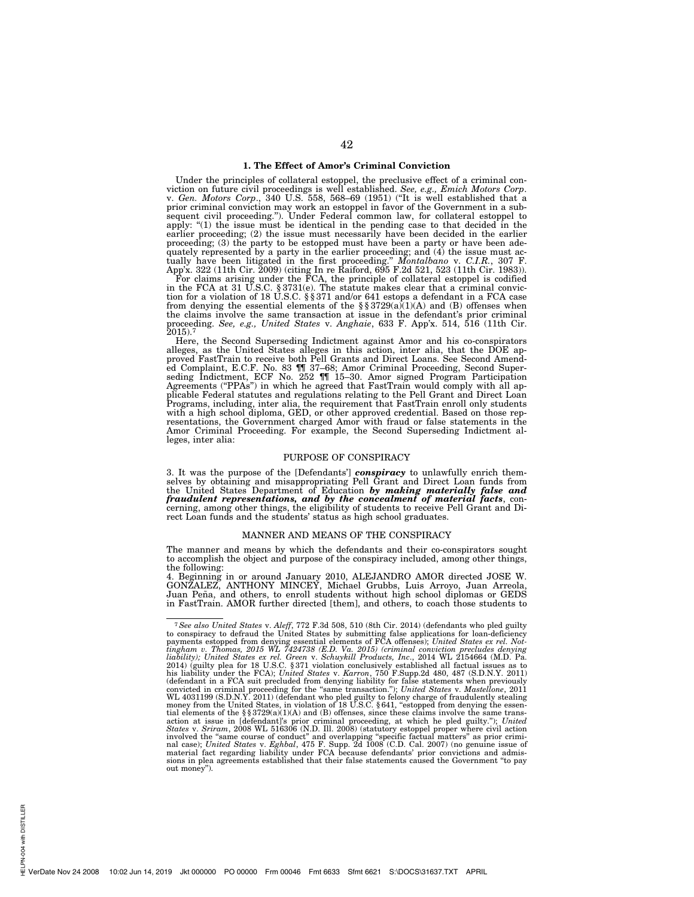# **1. The Effect of Amor's Criminal Conviction**

Under the principles of collateral estoppel, the preclusive effect of a criminal conviction on future civil proceedings is well established. See, e.g., Emich Motors Corp. viction on future civil proceedings is well established. See, e.g., Emich Motors Corp.<br>v. Gen. Motors Corp., 340 U.S. 558, 568–69 (1951) ("It is well established that a<br>prior criminal conviction may work an estoppel in fav apply: ''(1) the issue must be identical in the pending case to that decided in the earlier proceeding; (2) the issue must necessarily have been decided in the earlier

proceeding; (3) the party to be estopped must have been a party or have been ade-<br>quately represented by a party in the earlier proceeding; and (4) the issue must ac-<br>tually have been litigated in the first proceeding." M

Here, the Second Superseding Indictment against Amor and his co-conspirators alleges, as the United States alleges in this action, inter alia, that the DOE approved FastTrain to receive both Pell Grants and Direct Loans. See Second Amend-<br>ed Complaint, E.C.F. No. 83 ¶ 37–68; Amor Criminal Proceeding, Second Super-<br>seding Indictment, ECF No. 252 ¶ 15–30. Amor signed Program Part plicable Federal statutes and regulations relating to the Pell Grant and Direct Loan Programs, including, inter alia, the requirement that FastTrain enroll only students with a high school diploma, GED, or other approved credential. Based on those rep-resentations, the Government charged Amor with fraud or false statements in the Amor Criminal Proceeding. For example, the Second Superseding Indictment alleges, inter alia:

## PURPOSE OF CONSPIRACY

3. It was the purpose of the [Defendants'] **conspiracy** to unlawfully enrich themselves by obtaining and misappropriating Pell Grant and Direct Loan funds from the United States Department of Education by making materially cerning, among other things, the eligibility of students to receive Pell Grant and Direct Loan funds and the students' status as high school graduates.

#### MANNER AND MEANS OF THE CONSPIRACY

The manner and means by which the defendants and their co-conspirators sought to accomplish the object and purpose of the conspiracy included, among other things, the following:

4. Beginning in or around January 2010, ALEJANDRO AMOR directed JOSE W.<br>GONZALEZ, ANTHONY MINCEY, Michael Grubbs, Luis Arroyo, Juan Arreola,<br>Juan Peña, and others, to enroll students without high school diplomas or GEDS in FastTrain. AMOR further directed [them], and others, to coach those students to

<sup>&</sup>lt;sup>7</sup> See also United States v. Aleff, 772 F.3d 508, 510 (8th Cir. 2014) (defendants who pled guilty to conspiracy to defraud the United States by submitting false applications for loan-deficiency payments estopped from den convicted in criminal proceeding for the "same transaction."); *United States v. Mastellone,* 2011<br>WL 4031199 (S.D.N.Y. 2011) (defendant who pled guilty to felony charge of fraudulently stealing<br>money from the United State tial elements of the §§3729(a)(1)(A) and (B) offenses, since these claims involve the same trans-<br>action at issue in [defendant];" prior criminal proceeding, at which he pled guilty."); United<br>States v. Sriram, 2008 WL 516 involved the "same course of conduct" and overlapping "specific factual matters" as prior crimi-<br>nal case); *United States* v. *Eghbal*, 475 F. Supp. 2d 1008 (C.D. Cal. 2007) (no genuine issue of<br>material fact regarding li sions in plea agreements established that their false statements caused the Government ''to pay out money'').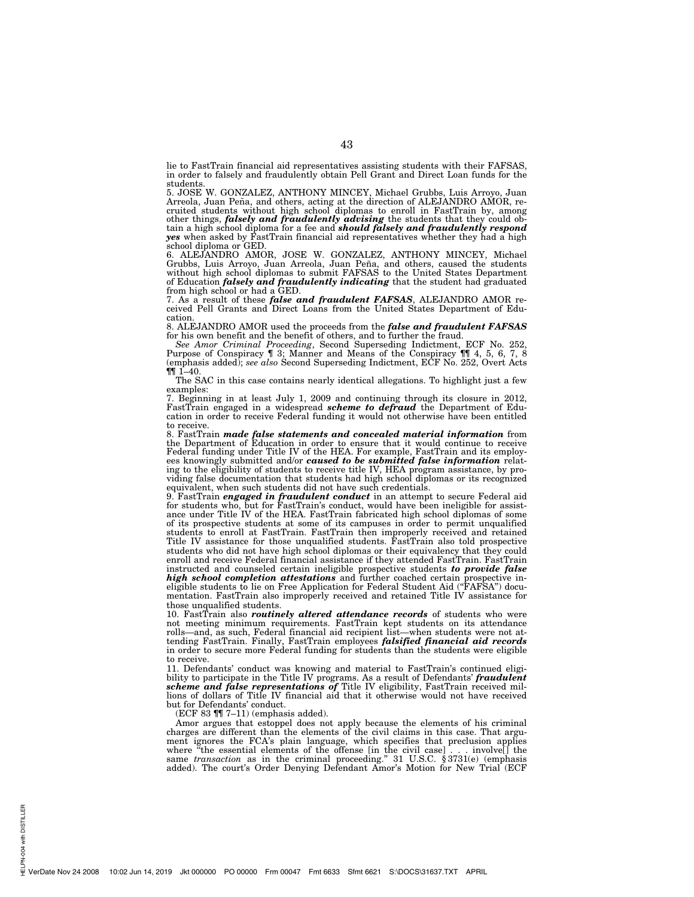lie to FastTrain financial aid representatives assisting students with their FAFSAS, in order to falsely and fraudulently obtain Pell Grant and Direct Loan funds for the students.

5. JOSE W. GONZALEZ, ANTHONY MINCEY, Michael Grubbs, Luis Arroyo, Juan Arreola, Juan Peña, and others, acting at the direction of ALEJANDRO AMOR, recruited students without high school diplomas to enroll in FastTrain by, among other things, *falsely and fraudulently advising* the students tha school diploma or GED.

6. ALEJANDRO AMOR, JOSE W. GONZALEZ, ANTHONY MINCEY, Michael Grubbs, Luis Arroyo, Juan Arreola, Juan Peña, and others, caused the students without high school diplomas to submit FAFSAS to the United States Department of Education *falsely and fraudulently indicating* that the student had graduated from high school or had a GED.

7. As a result of these *false and fraudulent FAFSAS*, ALEJANDRO AMOR re-ceived Pell Grants and Direct Loans from the United States Department of Edu-

cation. 8. ALEJANDRO AMOR used the proceeds from the *false and fraudulent FAFSAS* 

for his own benefit and the benefit of others, and to further the fraud. *See Amor Criminal Proceeding*, Second Superseding Indictment, ECF No. 252, Purpose of Conspiracy ¶ 3; Manner and Means of the Conspiracy ¶¶ 4, 5, 6, 7, 8 (emphasis added); *see also* Second Superseding Indictment, ECF No. 252, Overt Acts  $\P\P$  1-40.

The SAC in this case contains nearly identical allegations. To highlight just a few examples:

7. Beginning in at least July 1, 2009 and continuing through its closure in 2012, FastTrain engaged in a widespread *scheme to defraud* the Department of Education in order to receive Federal funding it would not otherwise have been entitled to receive.

8. FastTrain *made false statements and concealed material information* from<br>the Department of Education in order to ensure that it would continue to receive<br>Federal funding under Title IV of the HEA. For example, FastTrai ees knowingly submitted and/or *caused to be submitted false information* relating to the eligibility of students to receive title IV, HEA program assistance, by providing false documentation that students had high schoo equivalent, when such students did not have such credentials.

9. FastTrain *engaged in fraudulent conduct* in an attempt to secure Federal aid for students who, but for FastTrain's conduct, would have been ineligible for assistance under Title IV of the HEA. FastTrain fabricated high school diplomas of some of its prospective students at some of its campuses in order to permit unqualified students to enroll at FastTrain. FastTrain then improperly received and retained Title IV assistance for those unqualified students. FastTrain also told prospective students who did not have high school diplomas or their equivalency that they could enroll and receive Federal financial assistance if they attended FastTrain. FastTrain instructed and counseled certain ineligible prospective students *to provide false high school completion attestations* and further coached certain prospective ineligible students to lie on Free Application for Federal Student Aid (''FAFSA'') documentation. FastTrain also improperly received and retained Title IV assistance for those unqualified students.

10. FastTrain also *routinely altered attendance records* of students who were not meeting minimum requirements. FastTrain kept students on its attendance rolls—and, as such, Federal financial aid recipient list—when students were not attending FastTrain. Finally, FastTrain employees *falsified financial aid records*  in order to secure more Federal funding for students than the students were eligible to receive.

11. Defendants' conduct was knowing and material to FastTrain's continued eligibility to participate in the Title IV programs. As a result of Defendants' *fraudulent scheme and false representations of* Title IV eligibility, FastTrain received millions of dollars of Title IV financial aid that it otherwise would not have received but for Defendants' conduct.

(ECF 83 ¶¶ 7–11) (emphasis added).

Amor argues that estoppel does not apply because the elements of his criminal charges are different than the elements of the civil claims in this case. That argument ignores the FCA's plain language, which specifies that preclusion applies where "the essential elements of the offense [in the civil case]... involve[] the where "the essential elements of the offense [in the civil case]. . . involve<sup>[</sup>] the same *transaction* as in the criminal proceeding." 31 U.S.C. § 3731(e) (emphasis added). The court's Order Denying Defendant Amor's Motion for New Trial (ECF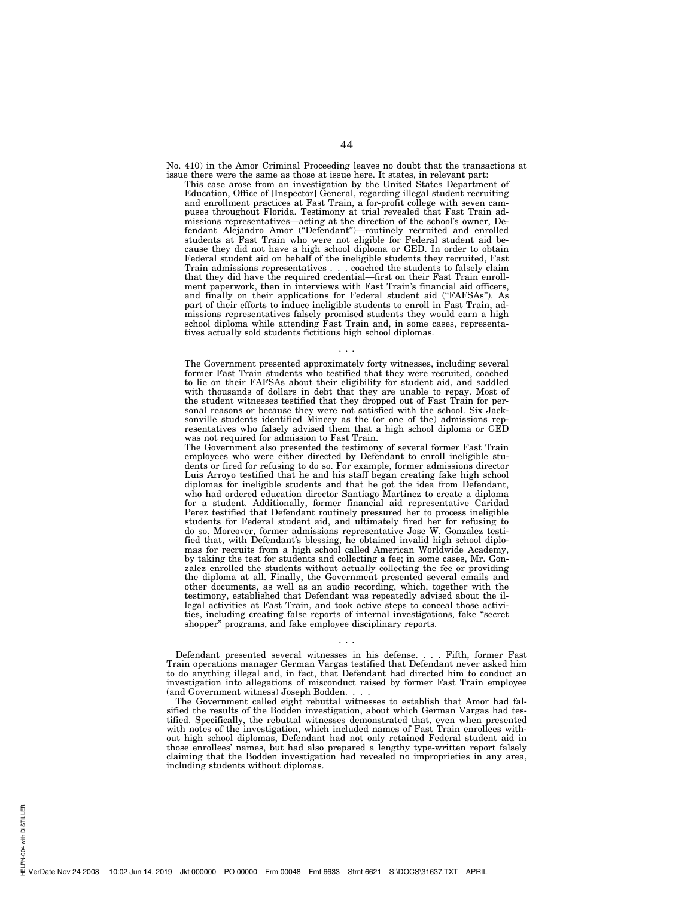No. 410) in the Amor Criminal Proceeding leaves no doubt that the transactions at issue there were the same as those at issue here. It states, in relevant part:

This case arose from an investigation by the United States Department of Education, Office of [Inspector] General, regarding illegal student recruiting and enrollment practices at Fast Train, a for-profit college with seven campuses throughout Florida. Testimony at trial revealed that Fast Train admissions representatives—acting at the direction of the school's owner, Defendant Alejandro Amor (''Defendant'')—routinely recruited and enrolled students at Fast Train who were not eligible for Federal student aid because they did not have a high school diploma or GED. In order to obtain Federal student aid on behalf of the ineligible students they recruited, Fast Train admissions representatives . . . coached the students to falsely claim that they did have the required credential—first on their Fast Train enrollment paperwork, then in interviews with Fast Train's financial aid officers, and finally on their applications for Federal student aid (''FAFSAs''). As part of their efforts to induce ineligible students to enroll in Fast Train, admissions representatives falsely promised students they would earn a high school diploma while attending Fast Train and, in some cases, representatives actually sold students fictitious high school diplomas.

The Government presented approximately forty witnesses, including several former Fast Train students who testified that they were recruited, coached to lie on their FAFSAs about their eligibility for student aid, and saddled with thousands of dollars in debt that they are unable to repay. Most of the student witnesses testified that they dropped out of Fast Train for personal reasons or because they were not satisfied with the school. Six Jacksonville students identified Mincey as the (or one of the) admissions representatives who falsely advised them that a high school diploma or GED was not required for admission to Fast Train.

. . .

The Government also presented the testimony of several former Fast Train employees who were either directed by Defendant to enroll ineligible students or fired for refusing to do so. For example, former admissions director Luis Arroyo testified that he and his staff began creating fake high school diplomas for ineligible students and that he got the idea from Defendant, who had ordered education director Santiago Martinez to create a diploma for a student. Additionally, former financial aid representative Caridad Perez testified that Defendant routinely pressured her to process ineligible students for Federal student aid, and ultimately fired her for refusing to do so. Moreover, former admissions representative Jose W. Gonzalez testified that, with Defendant's blessing, he obtained invalid high school diplomas for recruits from a high school called American Worldwide Academy, by taking the test for students and collecting a fee; in some cases, Mr. Gonzalez enrolled the students without actually collecting the fee or providing the diploma at all. Finally, the Government presented several emails and other documents, as well as an audio recording, which, together with the testimony, established that Defendant was repeatedly advised about the illegal activities at Fast Train, and took active steps to conceal those activities, including creating false reports of internal investigations, fake ''secret shopper'' programs, and fake employee disciplinary reports.

Defendant presented several witnesses in his defense. . . . Fifth, former Fast Train operations manager German Vargas testified that Defendant never asked him to do anything illegal and, in fact, that Defendant had directed him to conduct an investigation into allegations of misconduct raised by former Fast Train employee (and Government witness) Joseph Bodden.

. . .

The Government called eight rebuttal witnesses to establish that Amor had falsified the results of the Bodden investigation, about which German Vargas had testified. Specifically, the rebuttal witnesses demonstrated that, even when presented with notes of the investigation, which included names of Fast Train enrollees without high school diplomas, Defendant had not only retained Federal student aid in those enrollees' names, but had also prepared a lengthy type-written report falsely claiming that the Bodden investigation had revealed no improprieties in any area, including students without diplomas.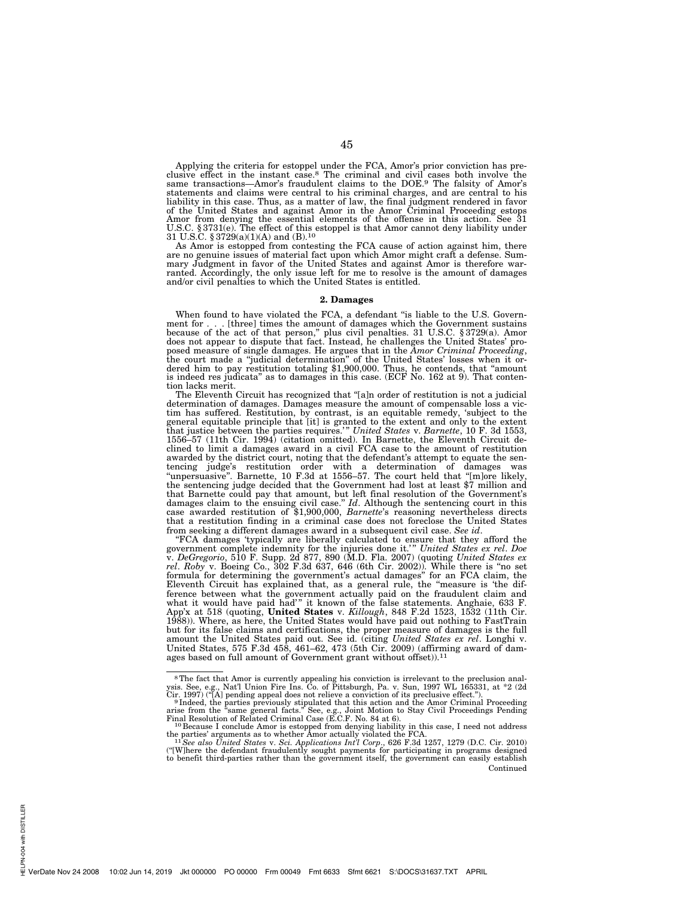Applying the criteria for estoppel under the FCA, Amor's prior conviction has pre-<br>clusive effect in the instant case.<sup>8</sup> The criminal and civil cases both involve the<br>same transactions—Amor's fraudulent claims to the DOE. statements and claims were central to his criminal charges, and are central to his liability in this case. Thus, as a matter of law, the final judgment rendered in favor<br>of the United States and against Amor in the Amor Criminal Proceeding estops<br>Amor from denying the essential elements of the offense in U.S.C. § 3731(e). The effect of this estoppel is that Amor cannot deny liability under 31 U.S.C. § 3729(a)(1)(A) and (B).<sup>10</sup>

As Amor is estopped from contesting the FCA cause of action against him, there are no genuine issues of material fact upon which Amor might craft a defense. Summary Judgment in favor of the United States and against Amor is therefore war-ranted. Accordingly, the only issue left for me to resolve is the amount of damages and/or civil penalties to which the United States is entitled.

#### **2. Damages**

When found to have violated the FCA, a defendant "is liable to the U.S. Government for . . . [three] times the amount of damages which the Government sustains because of the act of that person," plus civil penalties. 31 U.S.C. §3729(a). Amor does not appear to dispute that fact. Instead, he challeng posed measure of single damages. He argues that in the *Amor Criminal Proceeding*, the court made a "judicial determination" of the United States' losses when it ordered him to pay restitution totaling \$1,900,000. Thus, he is indeed res judicata'' as to damages in this case. (ECF No. 162 at 9). That contention lacks merit.

The Eleventh Circuit has recognized that ''[a]n order of restitution is not a judicial determination of damages. Damages measure the amount of compensable loss a victim has suffered. Restitution, by contrast, is an equitable remedy, 'subject to the general equitable principle that [it] is granted to the extent and only to the extent final that justice between the parties requires." Un clined to limit a damages award in a civil FCA case to the amount of restitution awarded by the district court, noting that the defendant's attempt to equate the sentencing judge's restitution order with a determination of damages was ''unpersuasive''. Barnette, 10 F.3d at 1556–57. The court held that ''[m]ore likely, the sentencing judge decided that the Government had lost at least \$7 million and that Barnette could pay that amount, but left final resolution of the Government's damages claim to the ensuing civil case.'' *Id*. Although the sentencing court in this case awarded restitution of \$1,900,000, *Barnette*'s reasoning nevertheless directs that a restitution finding in a criminal case does not foreclose the United States from seeking a different damages award in a subsequent civil case. *See id*.

''FCA damages 'typically are liberally calculated to ensure that they afford the government complete indemnity for the injuries done it.' '' *United States ex rel*. *Doe*  v. *DeGregorio*, 510 F. Supp. 2d 877, 890 (M.D. Fla. 2007) (quoting *United States ex rel*. *Roby* v. Boeing Co., 302 F.3d 637, 646 (6th Cir. 2002)). While there is ''no set formula for determining the government's actual damages'' for an FCA claim, the Eleventh Circuit has explained that, as a general rule, the ''measure is 'the difference between what the government actually paid on the fraudulent claim and what it would have paid had'" it known of the false statements. Anghaie, 633 F. App'x at 518 (quoting, **United States** v. *Killough*, 848 F.2d 1523, 1532 (11th Cir. 1988)). Where, as here, the United States would have paid out nothing to FastTrain but for its false claims and certifications, the proper measure of damages is the full amount the United States paid out. See id. (citing *United States ex rel*. Longhi v. United States, 575 F.3d 458, 461–62, 473 (5th Cir. 2009) (affirming award of damages based on full amount of Government grant without offset)).<sup>11</sup>

<sup>&</sup>lt;sup>8</sup>The fact that Amor is currently appealing his conviction is irrelevant to the preclusion analysis. See, e.g., Nat'l Union Fire Ins. Co. of Pittsburgh, Pa. v. Sun, 1997 WL 165331, at  $*2$  (2d Cir. 1997) ("[A] pending ap

Final Resolution of Related Criminal Case (E.C.F. No. 84 at 6).<br><sup>10</sup> Because I conclude Amor is estopped from denying liability in this case, I need not address

the parties' arguments as to whether Amor actually violated the FCA.<br><sup>11</sup>*See also United States v. Sci. Applications Int'l Corp.*, 626 F.3d 1257, 1279 (D.C. Cir. 2010)<br>"[Where the defendant fraudulently sought payments fo Continued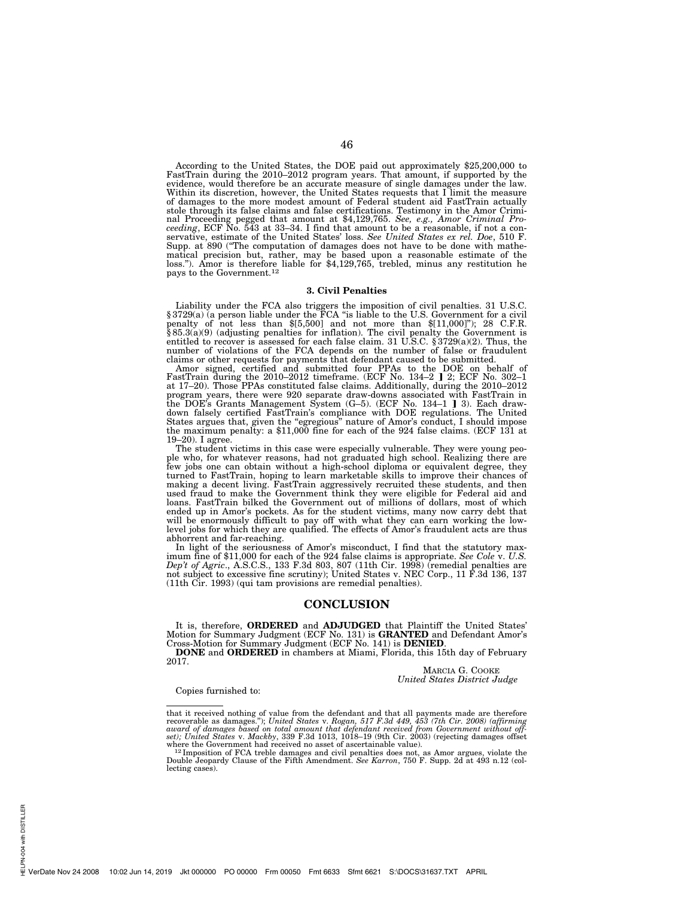According to the United States, the DOE paid out approximately \$25,200,000 to FastTrain during the 2010–2012 program years. That amount, if supported by the evidence, would therefore be an accurate measure of single damages under the law. Within its discretion, however, the United States requests that I limit the measure of damages to the more modest amount of Federal student aid FastTrain actually stole through its false claims and false certifications. Testimony in the Amor Criminal Proceeding pegged that amount at \$4,129,765. See, e.g., Amor Criminal Proceeding, ECF No. 543 at 33–34. I find that amount to be a rea Supp. at 890 (''The computation of damages does not have to be done with mathematical precision but, rather, may be based upon a reasonable estimate of the loss."). Amor is therefore liable for \$4,129,765, trebled, minus any restitution he pays to the Government.<sup>12</sup>

## **3. Civil Penalties**

Liability under the FCA also triggers the imposition of civil penalties. 31 U.S.C. § 3729(a) (a person liable under the FCA "is liable to the U.S. Government for a civil penalty of not less than \$[5,500] and not more than \$[11,000]"); 28 C.F.R. § 85.3(a)(9) (adjusting penalties for inflation). The civil penalty the Government is entitled to recover is assessed for each false claim. 31 U.S.C. § 3729(a)(2). Thus, the number of violations of the FCA depends on the number of false or fraudulent

claims or other requests for payments that defendant caused to be submitted. Amor signed, certified and submitted four PPAs to the DOE on behalf of FastTrain during the 2010–2012 timeframe. (ECF No. 134–2 ] 2; ECF No. 302–1 at 17–20). Those PPAs constituted false claims. Additionally, during the 2010–2012 program years, there were 920 separate draw-downs associated with FastTrain in the DOE's Grants Management System (G–5). (ECF No. 134–1 ] 3). Each drawdown falsely certified FastTrain's compliance with DOE regulations. The United States argues that, given the ''egregious'' nature of Amor's conduct, I should impose the maximum penalty: a \$11,000 fine for each of the 924 false claims. (ECF 131 at 19–20). I agree.

The student victims in this case were especially vulnerable. They were young people who, for whatever reasons, had not graduated high school. Realizing there are few jobs one can obtain without a high-school diploma or equivalent degree, they turned to FastTrain, hoping to learn marketable skills to improve their chances of making a decent living. FastTrain aggressively recruited these students, and then used fraud to make the Government think they were eligibl ended up in Amor's pockets. As for the student victims, many now carry debt that<br>will be enormously difficult to pay off with what they can earn working the low-<br>level jobs for which they are qualified. The effects of Amor abhorrent and far-reaching.<br>In light of the seriousness of Amor's misconduct, I find that the statutory max-

imum fine of \$11,000 for each of the 924 false claims is appropriate. *See Cole v. U.S. Dep't of Agric*., A.S.C.S., 133 F.3d 803, 807 (11th Cir. 1998) (remedial penalties are not subject to excessive fine scrutiny); United States v. NEC Corp., 11 F.3d 136, 137 (11th Cir. 1993) (qui tam provisions are remedial penalties).

# **CONCLUSION**

It is, therefore, **ORDERED** and **ADJUDGED** that Plaintiff the United States' Motion for Summary Judgment (ECF No. 131) is **GRANTED** and Defendant Amor's Cross-Motion for Summary Judgment (ECF No. 131) is **GRANTED**.

**DONE** and **ORDERED** in chambers at Miami, Florida, this 15th day of February 2017.

MARCIA G. COOKE *United States District Judge* 

#### Copies furnished to:

that it received nothing of value from the defendant and that all payments made are therefore<br>recoverable as damages."); United States v. Rogan, 517 F.3d 449, 453 (7th Cir. 2008) (affirming<br>award of damages based on total *set); United States* v. *Mackby*, 339 F.3d 1013, 1018–19 (9th Cir. 2003) (rejecting damages offset

where the Government had received no asset of ascertainable value).<br><sup>121</sup>Imposition of FCA treble damages and civil penalties does not, as Amor argues, violate the<br>Double Jeopardy Clause of the Fifth Amendment. *See Karron* lecting cases).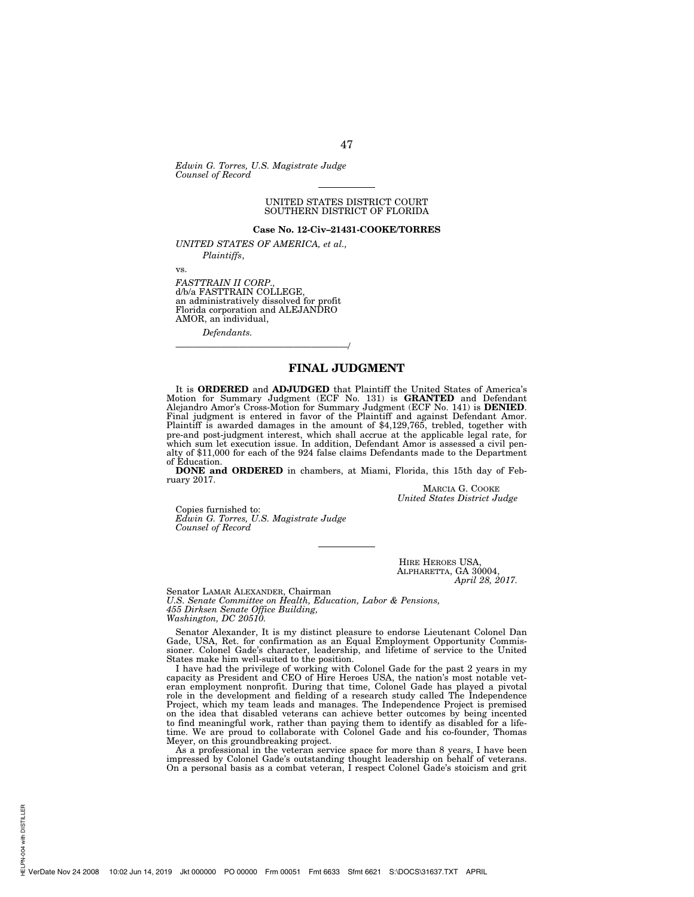*Edwin G. Torres, U.S. Magistrate Judge Counsel of Record* 

## UNITED STATES DISTRICT COURT SOUTHERN DISTRICT OF FLORIDA

## **Case No. 12-Civ–21431-COOKE/TORRES**

*UNITED STATES OF AMERICA, et al.,* 

*Plaintiffs*,

vs.

*FASTTRAIN II CORP.,*  d/b/a FASTTRAIN COLLEGE, an administratively dissolved for profit Florida corporation and ALEJANDRO AMOR, an individual,

———————————————————/

*Defendants.* 

# **FINAL JUDGMENT**

It is **ORDERED** and **ADJUDGED** that Plaintiff the United States of America's Motion for Summary Judgment (ECF No. 131) is **GRANTED** and Defendant Alejandro Amor's Cross-Motion for Summary Judgment (ECF No. 141) is **DENIED**. Final judgment is entered in favor of the Plaintiff and against Defendant Amor. Plaintiff is awarded damages in the amount of \$4,129,765, trebled, together with pre-and post-judgment interest, which shall accrue at the applicable legal rate, for which sum let execution issue. In addition, Defendant Amor is assessed a civil penalty of \$11,000 for each of the 924 false claims Defendants made to the Department of Education.

**DONE and ORDERED** in chambers, at Miami, Florida, this 15th day of February 2017.

MARCIA G. COOKE *United States District Judge* 

Copies furnished to: *Edwin G. Torres, U.S. Magistrate Judge Counsel of Record* 

> HIRE HEROES USA, ALPHARETTA, GA 30004, *April 28, 2017.*

Senator LAMAR ALEXANDER, Chairman

*U.S. Senate Committee on Health, Education, Labor & Pensions, 455 Dirksen Senate Office Building, Washington, DC 20510.* 

Senator Alexander, It is my distinct pleasure to endorse Lieutenant Colonel Dan Gade, USA, Ret. for confirmation as an Equal Employment Opportunity Commissioner. Colonel Gade's character, leadership, and lifetime of service to the United States make him well-suited to the position.

I have had the privilege of working with Colonel Gade for the past 2 years in my capacity as President and CEO of Hire Heroes USA, the nation's most notable veteran employment nonprofit. During that time, Colonel Gade has played a pivotal role in the development and fielding of a research study called The Independence Project, which my team leads and manages. The Independence Project is premised on the idea that disabled veterans can achieve better outcomes by being incented to find meaningful work, rather than paying them to identify as disabled for a lifetime. We are proud to collaborate with Colonel Gade and his co-founder, Thomas Meyer, on this groundbreaking project.

As a professional in the veteran service space for more than 8 years, I have been impressed by Colonel Gade's outstanding thought leadership on behalf of veterans. On a personal basis as a combat veteran, I respect Colonel Gade's stoicism and grit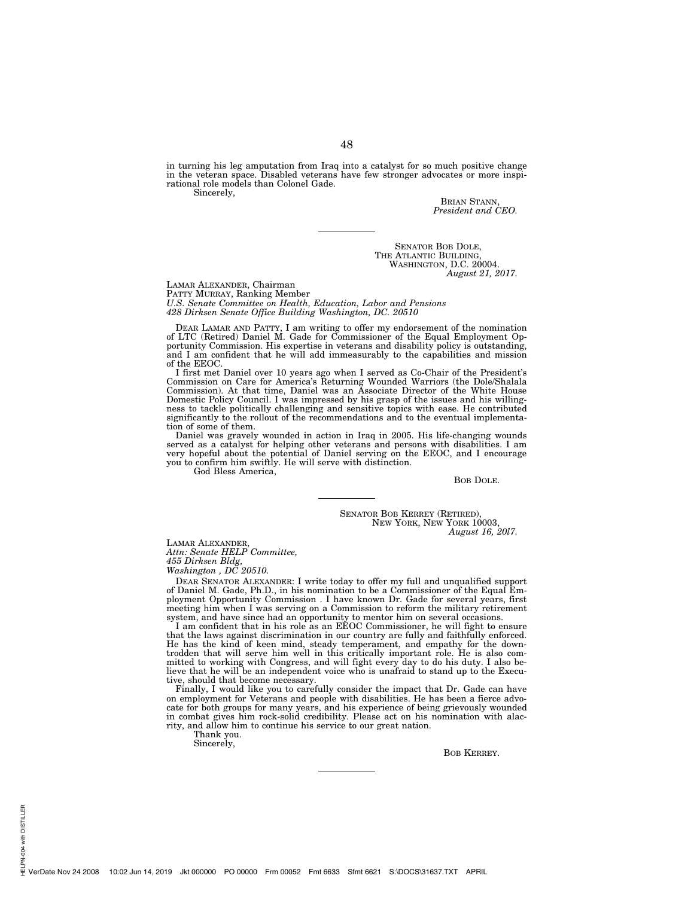in turning his leg amputation from Iraq into a catalyst for so much positive change in the veteran space. Disabled veterans have few stronger advocates or more inspirational role models than Colonel Gade. Sincerely,

> BRIAN STANN, *President and CEO.*

SENATOR BOB DOLE, THE ATLANTIC BUILDING, WASHINGTON, D.C. 20004. *August 21, 2017.* 

LAMAR ALEXANDER, Chairman PATTY MURRAY, Ranking Member *U.S. Senate Committee on Health, Education, Labor and Pensions 428 Dirksen Senate Office Building Washington, DC. 20510* 

DEAR LAMAR AND PATTY, I am writing to offer my endorsement of the nomination of LTC (Retired) Daniel M. Gade for Commissioner of the Equal Employment Opportunity Commission. His expertise in veterans and disability policy is outstanding, and I am confident that he will add immeasurably to the capabilities and mission of the EEOC.

I first met Daniel over 10 years ago when I served as Co-Chair of the President's Commission on Care for America's Returning Wounded Warriors (the Dole/Shalala Commission). At that time, Daniel was an Associate Director of Domestic Policy Council. I was impressed by his grasp of the issues and his willingness to tackle politically challenging and sensitive topics with ease. He contributed significantly to the rollout of the recommendations and to the eventual implementation of some of them.

Daniel was gravely wounded in action in Iraq in 2005. His life-changing wounds served as a catalyst for helping other veterans and persons with disabilities. I am very hopeful about the potential of Daniel serving on the EEOC, and I encourage you to confirm him swiftly. He will serve with distinction.

God Bless America,

BOB DOLE.

SENATOR BOB KERREY (RETIRED), NEW YORK, NEW YORK 10003, *August 16, 20l7.* 

LAMAR ALEXANDER, *Attn: Senate HELP Committee, 455 Dirksen Bldg,* 

*Washington , DC 20510.* 

DEAR SENATOR ALEXANDER: I write today to offer my full and unqualified support of Daniel M. Gade, Ph.D., in his nomination to be a Commissioner of the Equal Employment Opportunity Commission . I have known Dr. Gade for several years, first meeting him when I was serving on a Commission to reform the military retirement system, and have since had an opportunity to mentor him on several occasions. I am confident that in his role as an EEOC Commissioner, he will fight to ensure

that the laws against discrimination in our country are fully and faithfully enforced. He has the kind of keen mind, steady temperament, and empathy for the downtrodden that will serve him well in this critically important role. He is also com-mitted to working with Congress, and will fight every day to do his duty. I also believe that he will be an independent voice who is unafraid to stand up to the Executive, should that become necessary.

Finally, I would like you to carefully consider the impact that Dr. Gade can have on employment for Veterans and people with disabilities. He has been a fierce advocate for both groups for many years, and his experience of being grievously wounded in combat gives him rock-solid credibility. Please act on his nomination with alacrity, and allow him to continue his service to our great nation.

Thank you.

Sincerely,

BOB KERREY.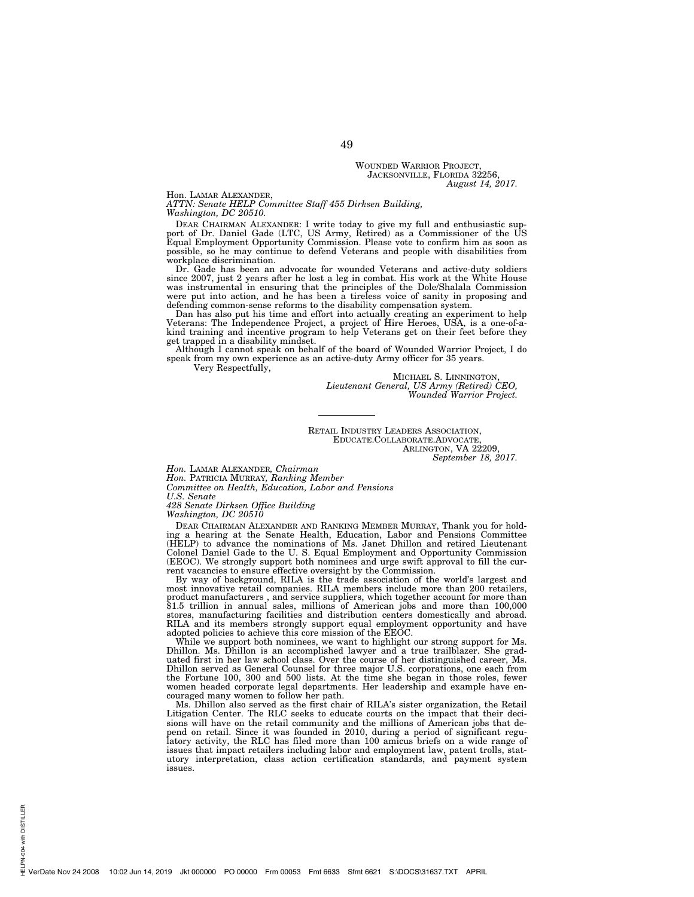#### WOUNDED WARRIOR PROJECT, JACKSONVILLE, FLORIDA 32256. *August 14, 2017.*

# Hon. LAMAR ALEXANDER,

*ATTN: Senate HELP Committee Staff 455 Dirksen Building, Washington, DC 20510.* 

DEAR CHAIRMAN ALEXANDER: I write today to give my full and enthusiastic support of Dr. Daniel Gade (LTC, US Army, Retired) as a Commissioner of the US Equal Employment Opportunity Commission. Please vote to confirm him as possible, so he may continue to defend Veterans and people with disabilities from

workplace discrimination. Dr. Gade has been an advocate for wounded Veterans and active-duty soldiers since 2007, just 2 years after he lost a leg in combat. His work at the White House was instrumental in ensuring that the principles of the Dole/Shalala Commission were put into action, and he has been a tireless voice of sanity in proposing and defending common-sense reforms to the disability compensation system.

Dan has also put his time and effort into actually creating an experiment to help Veterans: The Independence Project, a project of Hire Heroes, USA, is a one-of-a-kind training and incentive program to help Veterans get on their feet before they get trapped in a disability mindset.

Although I cannot speak on behalf of the board of Wounded Warrior Project, I do speak from my own experience as an active-duty Army officer for 35 years.

Very Respectfully,

MICHAEL S. LINNINGTON, *Lieutenant General, US Army (Retired) CEO, Wounded Warrior Project.* 

RETAIL INDUSTRY LEADERS ASSOCIATION, EDUCATE.COLLABORATE.ADVOCATE, ARLINGTON, VA 22209, *September 18, 2017.* 

*Hon.* LAMAR ALEXANDER*, Chairman* 

*Hon.* PATRICIA MURRAY*, Ranking Member* 

*Committee on Health, Education, Labor and Pensions U.S. Senate* 

*428 Senate Dirksen Office Building* 

*Washington, DC 20510* 

DEAR CHAIRMAN ALEXANDER AND RANKING MEMBER MURRAY, Thank you for holding a hearing at the Senate Health, Education, Labor and Pensions Committee (HELP) to advance the nominations of Ms. Janet Dhillon and retired Lieutenant Colonel Daniel Gade to the U. S. Equal Employment and Opportunity Commission (EEOC). We strongly support both nominees and urge swift approval to fill the current vacancies to ensure effective oversight by the Commission.

By way of background, RILA is the trade association of the world's largest and most innovative retail companies. RILA members include more than 200 retailers, product manufacturers , and service suppliers, which together account for more than \$1.5 trillion in annual sales, millions of American jobs and more than 100,000 stores, manufacturing facilities and distribution centers domestically and abroad. RILA and its members strongly support equal employment opportunity and have

adopted policies to achieve this core mission of the EEOC. While we support both nominees, we want to highlight our strong support for Ms. Dhillon. Ms. Dhillon is an accomplished lawyer and a true trailblazer. She graduated first in her law school class. Over the course of her distinguished career, Ms. Dhillon served as General Counsel for three major U.S. corporations, one each from the Fortune 100, 300 and 500 lists. At the time she began in those roles, fewer women headed corporate legal departments. Her leadership and example have encouraged many women to follow her path.

Ms. Dhillon also served as the first chair of RILA's sister organization, the Retail Litigation Center. The RLC seeks to educate courts on the impact that their decisions will have on the retail community and the millions of American jobs that depend on retail. Since it was founded in 2010, during a period of significant regulatory activity, the RLC has filed more than 100 amicus briefs on a wide range of issues that impact retailers including labor and employment law, patent trolls, stat-utory interpretation, class action certification standards, and payment system issues.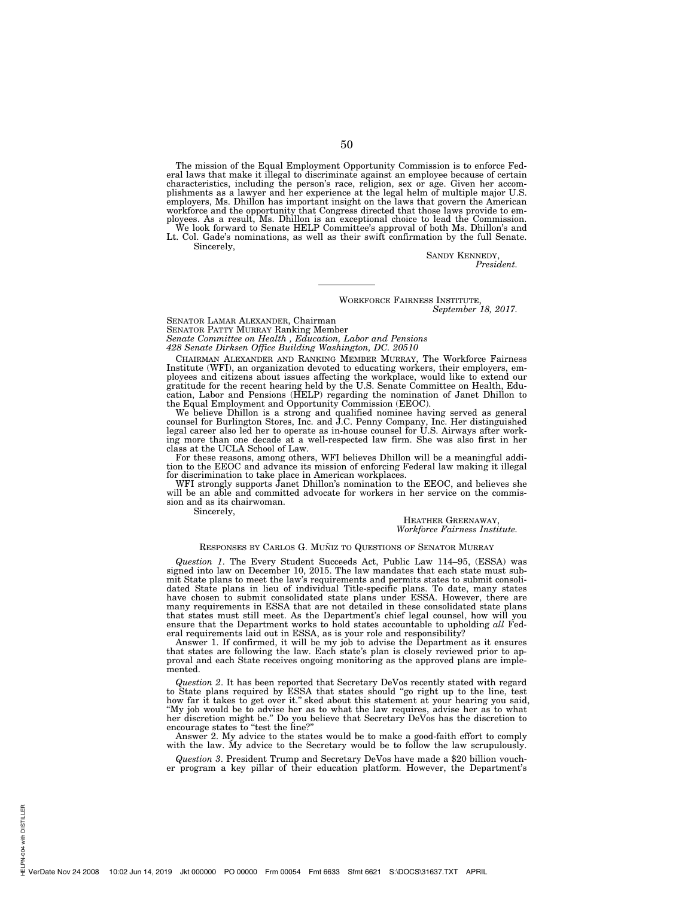The mission of the Equal Employment Opportunity Commission is to enforce Federal laws that make it illegal to discriminate against an employee because of certain characteristics, including the person's race, religion, sex or age. Given her accomplishments as a lawyer and her experience at the legal helm of multiple major U.S. employers, Ms. Dhillon has important insight on the laws that govern the American workforce and the opportunity that Congress directed that those laws provide to employees. As a result, Ms. Dhillon is an exceptional choice to lead the Commission.<br>We look forward to Senate HELP Committee's approval of bo

Lt. Col. Gade's nominations, as well as their swift confirmation by the full Senate. Sincerely,

> SANDY KENNEDY, *President.*

# WORKFORCE FAIRNESS INSTITUTE, *September 18, 2017.*

SENATOR LAMAR ALEXANDER, Chairman

SENATOR PATTY MURRAY Ranking Member

*Senate Committee on Health , Education, Labor and Pensions* 

*428 Senate Dirksen Office Building Washington, DC. 20510* 

CHAIRMAN ALEXANDER AND RANKING MEMBER MURRAY, The Workforce Fairness Institute (WFI), an organization devoted to educating workers, their employers, employees and citizens about issues affecting the workplace, would like to extend our gratitude for the recent hearing held by the U.S. Senate Committee on Health, Education, Labor and Pensions (HELP) regarding the nominatio the Equal Employment and Opportunity Commission (EEOC).

We believe Dhillon is a strong and qualified nominee having served as general counsel for Burlington Stores, Inc. and J.C. Penny Company, Inc. Her distinguished legal career also led her to operate as in-house counsel for class at the UCLA School of Law.

For these reasons, among others, WFI believes Dhillon will be a meaningful addition to the EEOC and advance its mission of enforcing Federal law making it illegal for discrimination to take place in American workplaces.

WFI strongly supports Janet Dhillon's nomination to the EEOC, and believes she will be an able and committed advocate for workers in her service on the commission and as its chairwoman.

Sincerely,

HEATHER GREENAWAY, *Workforce Fairness Institute.* 

## RESPONSES BY CARLOS G. MUÑIZ TO QUESTIONS OF SENATOR MURRAY

*Question 1*. The Every Student Succeeds Act, Public Law 114–95, (ESSA) was signed into law on December 10, 2015. The law mandates that each state must submit State plans to meet the law's requirements and permits states to submit consolidated State plans in lieu of individual Title-specific plans. To date, many states have chosen to submit consolidated state plans under ESSA. However, there are many requirements in ESSA that are not detailed in these consolidated state plans that states must still meet. As the Department's chief legal counsel, how will you ensure that the Department works to hold states accountable to upholding *all* Federal requirements laid out in ESSA, as is your role and responsibility?

Answer 1. If confirmed, it will be my job to advise the Department as it ensures that states are following the law. Each state's plan is closely reviewed prior to approval and each State receives ongoing monitoring as the approved plans are implemented.

*Question 2*. It has been reported that Secretary DeVos recently stated with regard to State plans required by ESSA that states should ''go right up to the line, test how far it takes to get over it." sked about this statement at your hearing you said, "My job would be to advise her as to what the law requires, advise her as to what her discretion might be." Do you believe that Secretar

Answer 2. My advice to the states would be to make a good-faith effort to comply with the law. My advice to the Secretary would be to follow the law scrupulously.

*Question 3*. President Trump and Secretary DeVos have made a \$20 billion voucher program a key pillar of their education platform. However, the Department's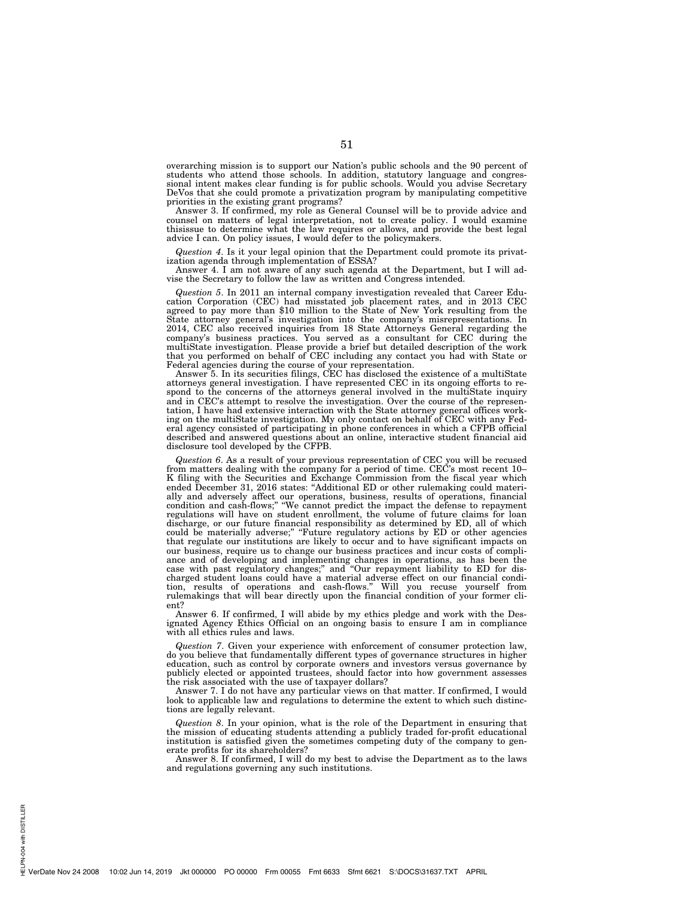overarching mission is to support our Nation's public schools and the 90 percent of students who attend those schools. In addition, statutory language and congressional intent makes clear funding is for public schools. Would you advise Secretary DeVos that she could promote a privatization program by manipulating competitive priorities in the existing grant programs?

Answer 3. If confirmed, my role as General Counsel will be to provide advice and counsel on matters of legal interpretation, not to create policy. I would examine thisissue to determine what the law requires or allows, and provide the best legal advice I can. On policy issues, I would defer to the policymakers.

*Question 4*. Is it your legal opinion that the Department could promote its privatization agenda through implementation of ESSA?

Answer 4. I am not aware of any such agenda at the Department, but I will advise the Secretary to follow the law as written and Congress intended.

*Question 5*. In 2011 an internal company investigation revealed that Career Education Corporation (CEC) had misstated job placement rates, and in 2013 CEC agreed to pay more than \$10 million to the State of New York resulting from the State attorney general's investigation into the company's misrepresentations. In 2014, CEC also received inquiries from 18 State Attorneys General regarding the company's business practices. You served as a consultant for CEC during the multiState investigation. Please provide a brief but detailed description of the work that you performed on behalf of CEC including any contact you had with State or Federal agencies during the course of your representation.

Answer 5. In its securities filings, CEC has disclosed the existence of a multiState attorneys general investigation. I have represented CEC in its ongoing efforts to respond to the concerns of the attorneys general involved in the multiState inquiry and in CEC's attempt to resolve the investigation. Over the course of the representation, I have had extensive interaction with the State attorney general offices working on the multiState investigation. My only contact on behalf of CEC with any Federal agency consisted of participating in phone conferences in which a CFPB official described and answered questions about an online, interactive student financial aid disclosure tool developed by the CFPB.

*Question 6*. As a result of your previous representation of CEC you will be recused from matters dealing with the company for a period of time. CEC's most recent 10– K filing with the Securities and Exchange Commission from the fiscal year which ended December 31, 2016 states: ''Additional ED or other rulemaking could materially and adversely affect our operations, business, results of operations, financial condition and cash-flows;'' ''We cannot predict the impact the defense to repayment regulations will have on student enrollment, the volume of future claims for loan discharge, or our future financial responsibility as determined by ED, all of which could be materially adverse;'' ''Future regulatory actions by ED or other agencies that regulate our institutions are likely to occur and to have significant impacts on our business, require us to change our business practices and incur costs of compliance and of developing and implementing changes in operations, as has been the case with past regulatory changes;'' and ''Our repayment liability to ED for discharged student loans could have a material adverse effect on our financial condition, results of operations and cash-flows.'' Will you recuse yourself from rulemakings that will bear directly upon the financial condition of your former client?

Answer 6. If confirmed, I will abide by my ethics pledge and work with the Designated Agency Ethics Official on an ongoing basis to ensure I am in compliance with all ethics rules and laws.

*Question 7*. Given your experience with enforcement of consumer protection law, do you believe that fundamentally different types of governance structures in higher education, such as control by corporate owners and investors versus governance by publicly elected or appointed trustees, should factor into how government assesses the risk associated with the use of taxpayer dollars?

Answer 7. I do not have any particular views on that matter. If confirmed, I would look to applicable law and regulations to determine the extent to which such distinctions are legally relevant.

*Question 8*. In your opinion, what is the role of the Department in ensuring that the mission of educating students attending a publicly traded for-profit educational institution is satisfied given the sometimes competing duty of the company to generate profits for its shareholders?

Answer 8. If confirmed, I will do my best to advise the Department as to the laws and regulations governing any such institutions.

PN-004 with DISTILLER HELPN-004 with DISTILLER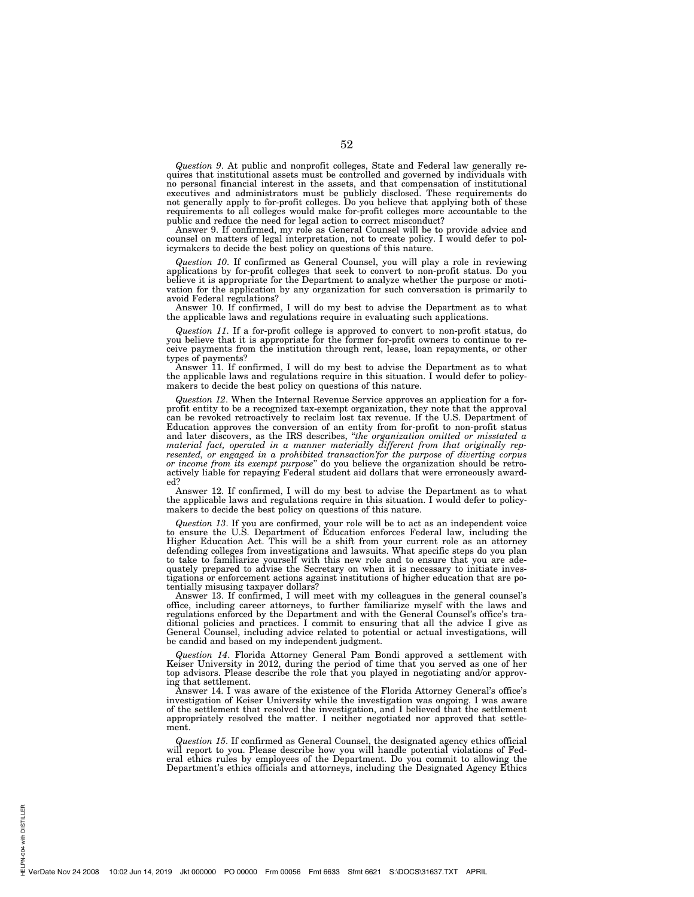*Question 9*. At public and nonprofit colleges, State and Federal law generally requires that institutional assets must be controlled and governed by individuals with no personal financial interest in the assets, and that compensation of institutional executives and administrators must be publicly disclosed. These requirements do not generally apply to for-profit colleges. Do you believe that applying both of these requirements to all colleges would make for-profit colleges more accountable to the public and reduce the need for legal action to correct misconduct?

Answer 9. If confirmed, my role as General Counsel will be to provide advice and counsel on matters of legal interpretation, not to create policy. I would defer to policymakers to decide the best policy on questions of this nature.

*Question 10*. If confirmed as General Counsel, you will play a role in reviewing applications by for-profit colleges that seek to convert to non-profit status. Do you believe it is appropriate for the Department to analyze whether the purpose or motivation for the application by any organization for such conversation is primarily to avoid Federal regulations?

Answer 10. If confirmed, I will do my best to advise the Department as to what the applicable laws and regulations require in evaluating such applications.

*Question 11*. If a for-profit college is approved to convert to non-profit status, do you believe that it is appropriate for the former for-profit owners to continue to receive payments from the institution through rent, lease, loan repayments, or other types of payments?

Answer 11. If confirmed, I will do my best to advise the Department as to what the applicable laws and regulations require in this situation. I would defer to policymakers to decide the best policy on questions of this nature.

*Question 12*. When the Internal Revenue Service approves an application for a forprofit entity to be a recognized tax-exempt organization, they note that the approval can be revoked retroactively to reclaim lost tax revenue. If the U.S. Department of Education approves the conversion of an entity from for-profit to non-profit status and later discovers, as the IRS describes, ''*the organization omitted or misstated a material fact, operated in a manner materially different from that originally represented, or engaged in a prohibited transaction'for the purpose of diverting corpus or income from its exempt purpose*'' do you believe the organization should be retroactively liable for repaying Federal student aid dollars that were erroneously awarded?

Answer 12. If confirmed, I will do my best to advise the Department as to what the applicable laws and regulations require in this situation. I would defer to policymakers to decide the best policy on questions of this nature.

*Question 13*. If you are confirmed, your role will be to act as an independent voice to ensure the U.S. Department of Education enforces Federal law, including the Higher Education Act. This will be a shift from your current role as an attorney defending colleges from investigations and lawsuits. What specific steps do you plan to take to familiarize yourself with this new role and to ensure that you are adequately prepared to advise the Secretary on when it is necessary to initiate investigations or enforcement actions against institutions of higher education that are potentially misusing taxpayer dollars?

Answer 13. If confirmed, I will meet with my colleagues in the general counsel's office, including career attorneys, to further familiarize myself with the laws and regulations enforced by the Department and with the General Counsel's office's traditional policies and practices. I commit to ensuring that all the advice I give as General Counsel, including advice related to potential or actual investigations, will be candid and based on my independent judgment.

*Question 14*. Florida Attorney General Pam Bondi approved a settlement with Keiser University in 2012, during the period of time that you served as one of her top advisors. Please describe the role that you played in negotiating and/or approving that settlement.

Answer 14. I was aware of the existence of the Florida Attorney General's office's investigation of Keiser University while the investigation was ongoing. I was aware of the settlement that resolved the investigation, and I believed that the settlement appropriately resolved the matter. I neither negotiated nor approved that settlement.

*Question 15*. If confirmed as General Counsel, the designated agency ethics official will report to you. Please describe how you will handle potential violations of Federal ethics rules by employees of the Department. Do you commit to allowing the Department's ethics officials and attorneys, including the Designated Agency Ethics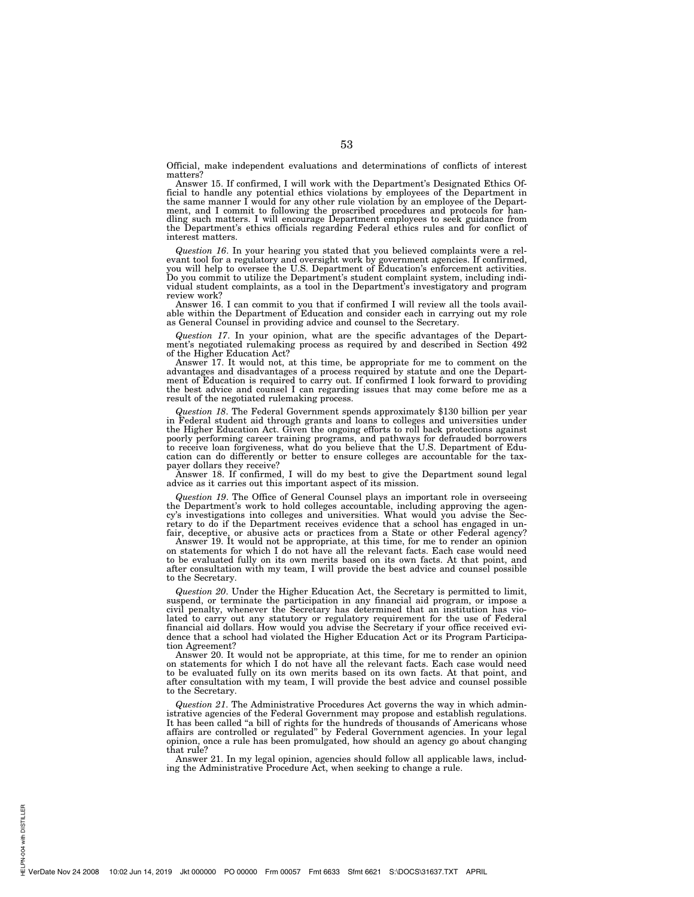Official, make independent evaluations and determinations of conflicts of interest matters?

Answer 15. If confirmed, I will work with the Department's Designated Ethics Official to handle any potential ethics violations by employees of the Department in the same manner I would for any other rule violation by an employee of the Department, and I commit to following the proscribed procedures and protocols for han-dling such matters. I will encourage Department employees to seek guidance from the Department's ethics officials regarding Federal ethics rules and for conflict of interest matters.

*Question 16*. In your hearing you stated that you believed complaints were a relevant tool for a regulatory and oversight work by government agencies. If confirmed,<br>you will help to oversee the U.S. Department of Education's enforcement activities.<br>Do you commit to utilize the Department's student com vidual student complaints, as a tool in the Department's investigatory and program review work?

Answer 16. I can commit to you that if confirmed I will review all the tools available within the Department of Education and consider each in carrying out my role as General Counsel in providing advice and counsel to the Secretary.

*Question 17*. In your opinion, what are the specific advantages of the Depart-ment's negotiated rulemaking process as required by and described in Section 492 of the Higher Education Act?

Answer 17. It would not, at this time, be appropriate for me to comment on the advantages and disadvantages of a process required by statute and one the Department of Education is required to carry out. If confirmed I look forward to providing the best advice and counsel I can regarding issues that may come before me as a result of the negotiated rulemaking process.

*Question 18*. The Federal Government spends approximately \$130 billion per year in Federal student aid through grants and loans to colleges and universities under the Higher Education Act. Given the ongoing efforts to roll back protections against poorly performing career training programs, and pathways for defrauded borrowers to receive loan forgiveness, what do you believe that the U.S. Department of Education can do differently or better to ensure colleges are accountable for the taxpayer dollars they receive?

Answer 18. If confirmed, I will do my best to give the Department sound legal advice as it carries out this important aspect of its mission.

Question 19. The Office of General Counsel plays an important role in overseeing<br>the Department's work to hold colleges accountable, including approving the agen-<br>cy's investigations into colleges and universities. What wo fair, deceptive, or abusive acts or practices from a State or other Federal agency? Answer 19. It would not be appropriate, at this time, for me to render an opinion

on statements for which I do not have all the relevant facts. Each case would need to be evaluated fully on its own merits based on its own facts. At that point, and after consultation with my team, I will provide the best advice and counsel possible to the Secretary.

*Question 20*. Under the Higher Education Act, the Secretary is permitted to limit, suspend, or terminate the participation in any financial aid program, or impose a civil penalty, whenever the Secretary has determined that an institution has violated to carry out any statutory or regulatory requirement for the use of Federal financial aid dollars. How would you advise the Secretary if your office received evidence that a school had violated the Higher Education Act or its Program Participation Agreement?

Answer 20. It would not be appropriate, at this time, for me to render an opinion on statements for which I do not have all the relevant facts. Each case would need to be evaluated fully on its own merits based on its own facts. At that point, and after consultation with my team, I will provide the best advice and counsel possible to the Secretary.

*Question 21*. The Administrative Procedures Act governs the way in which administrative agencies of the Federal Government may propose and establish regulations. It has been called ''a bill of rights for the hundreds of thousands of Americans whose affairs are controlled or regulated'' by Federal Government agencies. In your legal opinion, once a rule has been promulgated, how should an agency go about changing that rule?

Answer 21. In my legal opinion, agencies should follow all applicable laws, including the Administrative Procedure Act, when seeking to change a rule.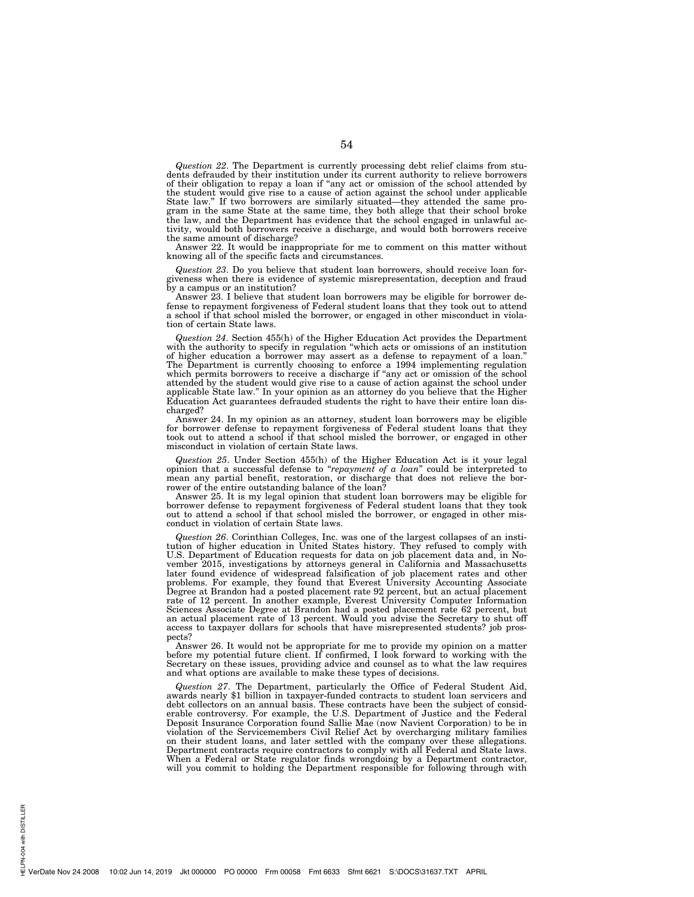*Question 22*. The Department is currently processing debt relief claims from students defrauded by their institution under its current authority to relieve borrowers of their obligation to repay a loan if ''any act or omission of the school attended by the student would give rise to a cause of action against the school under applicable State law.'' If two borrowers are similarly situated—they attended the same program in the same State at the same time, they both allege that their school broke the law, and the Department has evidence that the school engaged in unlawful activity, would both borrowers receive a discharge, and would both borrowers receive the same amount of discharge?

Answer 22. It would be inappropriate for me to comment on this matter without knowing all of the specific facts and circumstances.

*Question 23*. Do you believe that student loan borrowers, should receive loan forgiveness when there is evidence of systemic misrepresentation, deception and fraud by a campus or an institution?

Answer 23. I believe that student loan borrowers may be eligible for borrower defense to repayment forgiveness of Federal student loans that they took out to attend a school if that school misled the borrower, or engaged in other misconduct in violation of certain State laws.

*Question 24*. Section 455(h) of the Higher Education Act provides the Department with the authority to specify in regulation "which acts or omissions of an institution of higher education a borrower may assert as a defense to repayment of a loan.'' The Department is currently choosing to enforce a 1994 implementing regulation which permits borrowers to receive a discharge if "any act or omission of the school attended by the student would give rise to a cause of action against the school under applicable State law.'' In your opinion as an attorney do you believe that the Higher Education Act guarantees defrauded students the right to have their entire loan discharged?

Answer 24. In my opinion as an attorney, student loan borrowers may be eligible for borrower defense to repayment forgiveness of Federal student loans that they took out to attend a school if that school misled the borrower, or engaged in other misconduct in violation of certain State laws.

*Question 25*. Under Section 455(h) of the Higher Education Act is it your legal opinion that a successful defense to ''*repayment of a loan*'' could be interpreted to mean any partial benefit, restoration, or discharge that does not relieve the borrower of the entire outstanding balance of the loan?

Answer 25. It is my legal opinion that student loan borrowers may be eligible for borrower defense to repayment forgiveness of Federal student loans that they took out to attend a school if that school misled the borrower, or engaged in other misconduct in violation of certain State laws.

*Question 26*. Corinthian Colleges, Inc. was one of the largest collapses of an institution of higher education in United States history. They refused to comply with U.S. Department of Education requests for data on job placement data and, in November 2015, investigations by attorneys general in California and Massachusetts later found evidence of widespread falsification of job placement rates and other problems. For example, they found that Everest University Accounting Associate Degree at Brandon had a posted placement rate 92 percent, but an actual placement rate of 12 percent. In another example, Everest University Computer Information Sciences Associate Degree at Brandon had a posted placement rate 62 percent, but an actual placement rate of 13 percent. Would you advise the Secretary to shut off access to taxpayer dollars for schools that have misrepresented students? job prospects?

Answer 26. It would not be appropriate for me to provide my opinion on a matter before my potential future client. If confirmed, I look forward to working with the Secretary on these issues, providing advice and counsel as to what the law requires and what options are available to make these types of decisions.

*Question 27*. The Department, particularly the Office of Federal Student Aid, awards nearly \$1 billion in taxpayer-funded contracts to student loan servicers and debt collectors on an annual basis. These contracts have been the subject of considerable controversy. For example, the U.S. Department of Justice and the Federal Deposit Insurance Corporation found Sallie Mae (now Navient Corporation) to be in violation of the Servicemembers Civil Relief Act by overcharging military families on their student loans, and later settled with the company over these allegations. Department contracts require contractors to comply with all Federal and State laws. When a Federal or State regulator finds wrongdoing by a Department contractor, will you commit to holding the Department responsible for following through with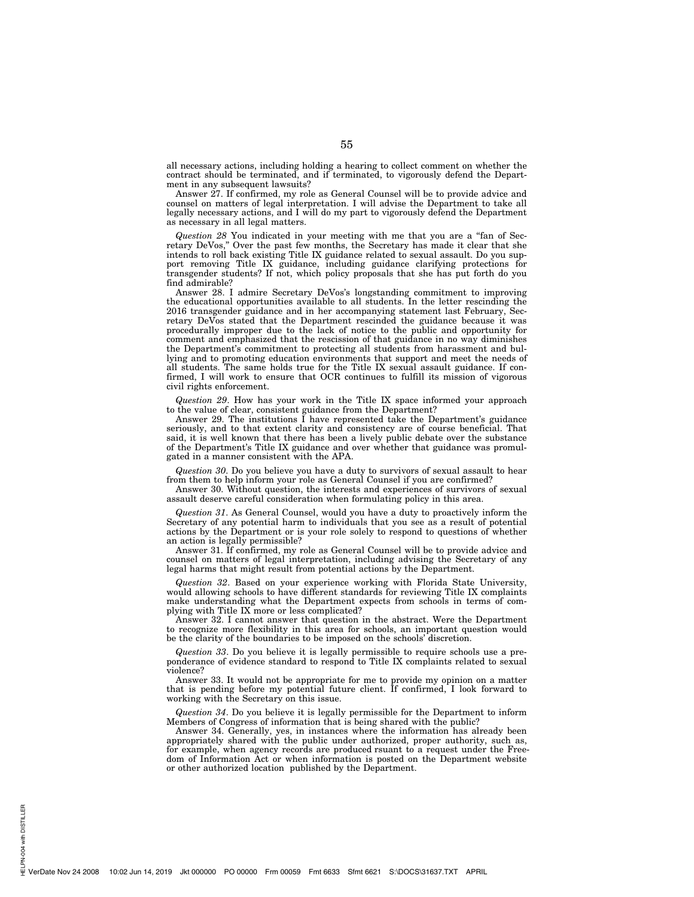all necessary actions, including holding a hearing to collect comment on whether the contract should be terminated, and if terminated, to vigorously defend the Department in any subsequent lawsuits?

Answer 27. If confirmed, my role as General Counsel will be to provide advice and counsel on matters of legal interpretation. I will advise the Department to take all legally necessary actions, and I will do my part to vigorously defend the Department as necessary in all legal matters.

*Question 28* You indicated in your meeting with me that you are a ''fan of Secretary DeVos,'' Over the past few months, the Secretary has made it clear that she intends to roll back existing Title IX guidance related to sexual assault. Do you support removing Title IX guidance, including guidance clarifying protections for transgender students? If not, which policy proposals that she has put forth do you find admirable?

Answer 28. I admire Secretary DeVos's longstanding commitment to improving the educational opportunities available to all students. In the letter rescinding the 2016 transgender guidance and in her accompanying statement last February, Secretary DeVos stated that the Department rescinded the guidance because it was procedurally improper due to the lack of notice to the public and opportunity for comment and emphasized that the rescission of that guidance in no way diminishes the Department's commitment to protecting all students from harassment and bullying and to promoting education environments that support and meet the needs of all students. The same holds true for the Title IX sexual assault guidance. If confirmed, I will work to ensure that OCR continues to fulfill its mission of vigorous civil rights enforcement.

*Question 29*. How has your work in the Title IX space informed your approach to the value of clear, consistent guidance from the Department?

Answer 29. The institutions I have represented take the Department's guidance seriously, and to that extent clarity and consistency are of course beneficial. That said, it is well known that there has been a lively public debate over the substance of the Department's Title IX guidance and over whether that guidance was promulgated in a manner consistent with the APA.

*Question 30*. Do you believe you have a duty to survivors of sexual assault to hear from them to help inform your role as General Counsel if you are confirmed?

Answer 30. Without question, the interests and experiences of survivors of sexual assault deserve careful consideration when formulating policy in this area.

*Question 31*. As General Counsel, would you have a duty to proactively inform the Secretary of any potential harm to individuals that you see as a result of potential actions by the Department or is your role solely to respond to questions of whether an action is legally permissible?

Answer 31. If confirmed, my role as General Counsel will be to provide advice and counsel on matters of legal interpretation, including advising the Secretary of any legal harms that might result from potential actions by the Department.

*Question 32*. Based on your experience working with Florida State University, would allowing schools to have different standards for reviewing Title IX complaints make understanding what the Department expects from schools in terms of complying with Title IX more or less complicated?

Answer 32. I cannot answer that question in the abstract. Were the Department to recognize more flexibility in this area for schools, an important question would be the clarity of the boundaries to be imposed on the schools' discretion.

*Question 33*. Do you believe it is legally permissible to require schools use a preponderance of evidence standard to respond to Title IX complaints related to sexual violence?

Answer 33. It would not be appropriate for me to provide my opinion on a matter that is pending before my potential future client. If confirmed, I look forward to working with the Secretary on this issue.

*Question 34*. Do you believe it is legally permissible for the Department to inform Members of Congress of information that is being shared with the public?

Answer 34. Generally, yes, in instances where the information has already been appropriately shared with the public under authorized, proper authority, such as, for example, when agency records are produced rsuant to a request under the Freedom of Information Act or when information is posted on the Department website or other authorized location published by the Department.

PN-004 with DISTILLER HELPN-004 with DISTILLER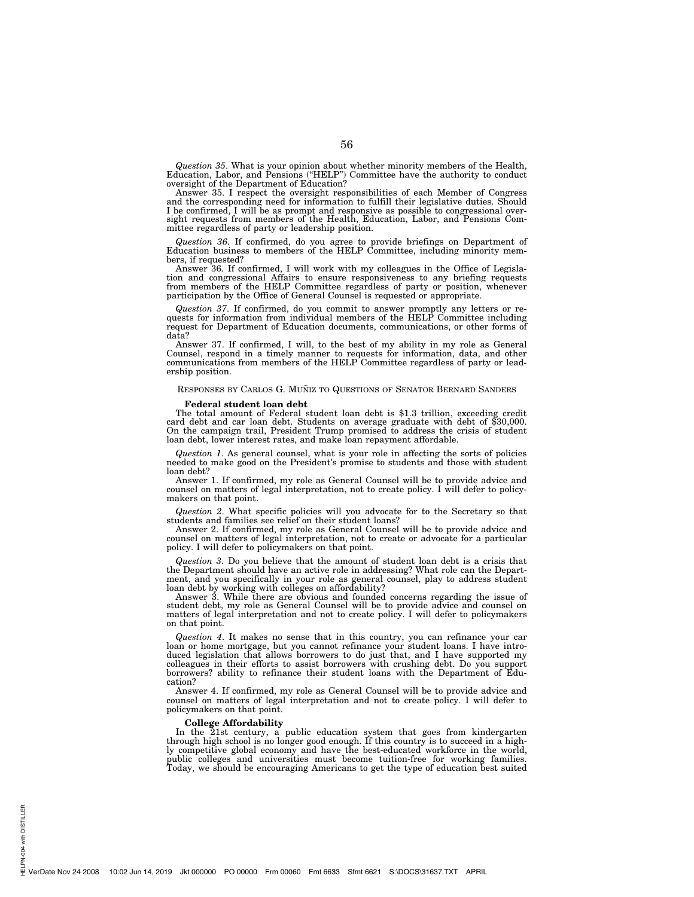*Question 35*. What is your opinion about whether minority members of the Health, Education, Labor, and Pensions (''HELP'') Committee have the authority to conduct oversight of the Department of Education?

Answer 35. I respect the oversight responsibilities of each Member of Congress and the corresponding need for information to fulfill their legislative duties. Should I be confirmed, I will be as prompt and responsive as possible to congressional over-sight requests from members of the Health, Education, Labor, and Pensions Committee regardless of party or leadership position.

*Question 36*. If confirmed, do you agree to provide briefings on Department of Education business to members of the HELP Committee, including minority members, if requested?

Answer 36. If confirmed, I will work with my colleagues in the Office of Legislation and congressional Affairs to ensure responsiveness to any briefing requests from members of the HELP Committee regardless of party or position, whenever participation by the Office of General Counsel is requested or appropriate.

*Question 37*. If confirmed, do you commit to answer promptly any letters or requests for information from individual members of the HELP Committee including request for Department of Education documents, communications, or other forms of data?

Answer 37. If confirmed, I will, to the best of my ability in my role as General Counsel, respond in a timely manner to requests for information, data, and other communications from members of the HELP Committee regardless of party or leadership position.

## RESPONSES BY CARLOS G. MUÑIZ TO QUESTIONS OF SENATOR BERNARD SANDERS

**Federal student loan debt**  The total amount of Federal student loan debt is \$1.3 trillion, exceeding credit card debt and car loan debt. Students on average graduate with debt of \$30,000.<br>On the campaign trail, President Trump promised to address th loan debt, lower interest rates, and make loan repayment affordable.

*Question 1*. As general counsel, what is your role in affecting the sorts of policies needed to make good on the President's promise to students and those with student loan debt?

Answer 1. If confirmed, my role as General Counsel will be to provide advice and counsel on matters of legal interpretation, not to create policy. I will defer to policymakers on that point.

*Question 2*. What specific policies will you advocate for to the Secretary so that students and families see relief on their student loans?

Answer 2. If confirmed, my role as General Counsel will be to provide advice and counsel on matters of legal interpretation, not to create or advocate for a particular policy. I will defer to policymakers on that point.

*Question 3*. Do you believe that the amount of student loan debt is a crisis that the Department should have an active role in addressing? What role can the Department, and you specifically in your role as general counsel, play to address student

loan debt by working with colleges on affordability? Answer 3. While there are obvious and founded concerns regarding the issue of student debt, my role as General Counsel will be to provide advice and counsel on matters of legal interpretation and not to create policy. I will defer to policymakers on that point.

*Question 4*. It makes no sense that in this country, you can refinance your car loan or home mortgage, but you cannot refinance your student loans. I have introduced legislation that allows borrowers to do just that, and I have supported my colleagues in their efforts to assist borrowers with crushing debt. Do you support borrowers? ability to refinance their student loans with the Department of Education?

Answer 4. If confirmed, my role as General Counsel will be to provide advice and counsel on matters of legal interpretation and not to create policy. I will defer to policymakers on that point.

#### **College Affordability**

In the 21st century, a public education system that goes from kindergarten through high school is no longer good enough. If this country is to succeed in a highly competitive global economy and have the best-educated workforce in the world, public colleges and universities must become tuition-free for working families. Today, we should be encouraging Americans to get the type of education best suited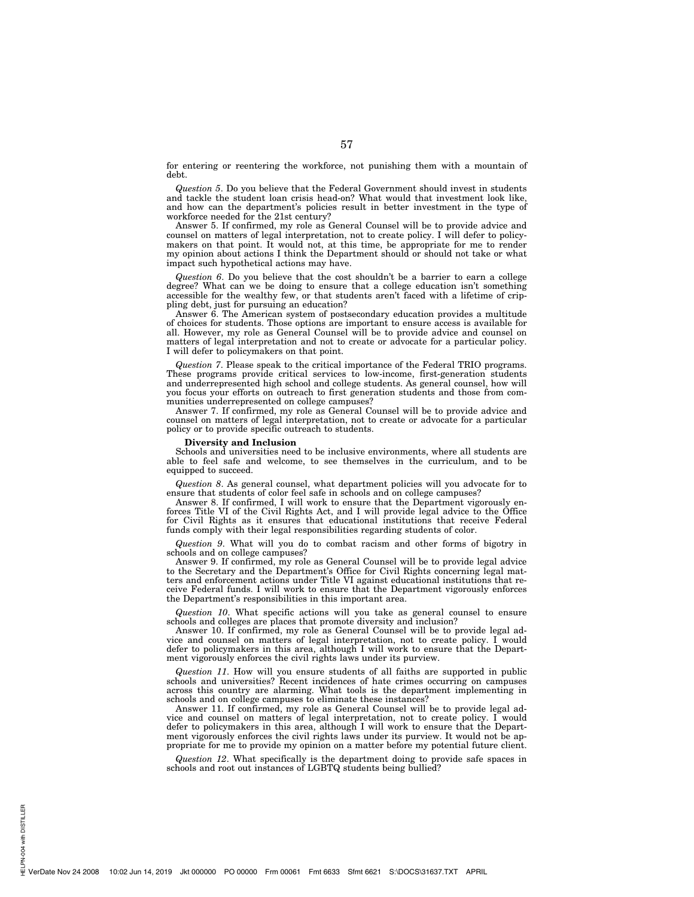for entering or reentering the workforce, not punishing them with a mountain of debt.

*Question 5*. Do you believe that the Federal Government should invest in students and tackle the student loan crisis head-on? What would that investment look like, and how can the department's policies result in better investment in the type of workforce needed for the 21st century?

Answer 5. If confirmed, my role as General Counsel will be to provide advice and counsel on matters of legal interpretation, not to create policy. I will defer to policymakers on that point. It would not, at this time, be appropriate for me to render my opinion about actions I think the Department should or should not take or what impact such hypothetical actions may have.

*Question 6*. Do you believe that the cost shouldn't be a barrier to earn a college degree? What can we be doing to ensure that a college education isn't something accessible for the wealthy few, or that students aren't faced with a lifetime of crippling debt, just for pursuing an education?

Answer 6. The American system of postsecondary education provides a multitude of choices for students. Those options are important to ensure access is available for all. However, my role as General Counsel will be to provide advice and counsel on matters of legal interpretation and not to create or advocate for a particular policy. I will defer to policymakers on that point.

*Question 7*. Please speak to the critical importance of the Federal TRIO programs. These programs provide critical services to low-income, first-generation students and underrepresented high school and college students. As general counsel, how will you focus your efforts on outreach to first generation students and those from communities underrepresented on college campuses?

Answer 7. If confirmed, my role as General Counsel will be to provide advice and counsel on matters of legal interpretation, not to create or advocate for a particular policy or to provide specific outreach to students.

## **Diversity and Inclusion**

Schools and universities need to be inclusive environments, where all students are able to feel safe and welcome, to see themselves in the curriculum, and to be equipped to succeed.

*Question 8*. As general counsel, what department policies will you advocate for to ensure that students of color feel safe in schools and on college campuses?

Answer 8. If confirmed, I will work to ensure that the Department vigorously enforces Title VI of the Civil Rights Act, and I will provide legal advice to the Office for Civil Rights as it ensures that educational institutions that receive Federal funds comply with their legal responsibilities regarding students of color.

*Question 9*. What will you do to combat racism and other forms of bigotry in schools and on college campuses?

Answer 9. If confirmed, my role as General Counsel will be to provide legal advice to the Secretary and the Department's Office for Civil Rights concerning legal matters and enforcement actions under Title VI against educational institutions that receive Federal funds. I will work to ensure that the Department vigorously enforces the Department's responsibilities in this important area.

*Question 10*. What specific actions will you take as general counsel to ensure schools and colleges are places that promote diversity and inclusion?

Answer 10. If confirmed, my role as General Counsel will be to provide legal advice and counsel on matters of legal interpretation, not to create policy. I would defer to policymakers in this area, although I will work to ensure that the Department vigorously enforces the civil rights laws under its purview.

*Question 11*. How will you ensure students of all faiths are supported in public schools and universities? Recent incidences of hate crimes occurring on campuses across this country are alarming. What tools is the department implementing in schools and on college campuses to eliminate these instances?

Answer 11. If confirmed, my role as General Counsel will be to provide legal advice and counsel on matters of legal interpretation, not to create policy. I would defer to policymakers in this area, although I will work to ensure that the Department vigorously enforces the civil rights laws under its purview. It would not be appropriate for me to provide my opinion on a matter before my potential future client.

*Question 12*. What specifically is the department doing to provide safe spaces in schools and root out instances of LGBTQ students being bullied?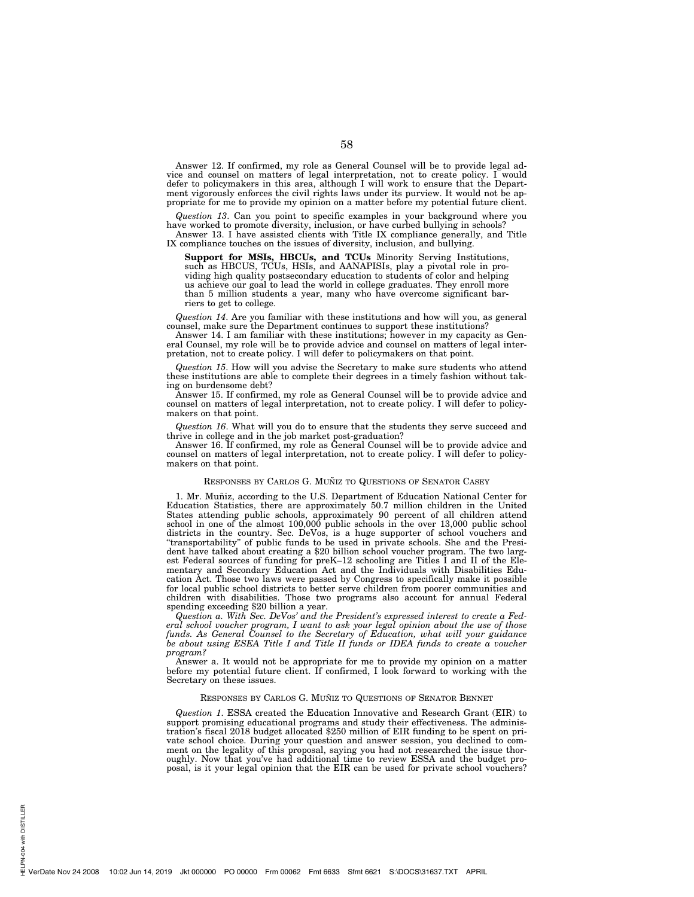Answer 12. If confirmed, my role as General Counsel will be to provide legal advice and counsel on matters of legal interpretation, not to create policy. I would defer to policymakers in this area, although I will work to ensure that the Department vigorously enforces the civil rights laws under its purview. It would not be appropriate for me to provide my opinion on a matter before my potential future client.

*Question 13*. Can you point to specific examples in your background where you have worked to promote diversity, inclusion, or have curbed bullying in schools?

Answer 13. I have assisted clients with Title IX compliance generally, and Title IX compliance touches on the issues of diversity, inclusion, and bullying.

**Support for MSIs, HBCUs, and TCUs** Minority Serving Institutions, such as HBCUS, TCUs, HSIs, and AANAPISIs, play a pivotal role in providing high quality postsecondary education to students of color and helping us achieve our goal to lead the world in college graduates. They enroll more than 5 million students a year, many who have overcome significant barriers to get to college.

*Question 14*. Are you familiar with these institutions and how will you, as general counsel, make sure the Department continues to support these institutions?

Answer 14. I am familiar with these institutions; however in my capacity as General Counsel, my role will be to provide advice and counsel on matters of legal interpretation, not to create policy. I will defer to policymakers on that point.

*Question 15*. How will you advise the Secretary to make sure students who attend these institutions are able to complete their degrees in a timely fashion without taking on burdensome debt?

Answer 15. If confirmed, my role as General Counsel will be to provide advice and counsel on matters of legal interpretation, not to create policy. I will defer to policymakers on that point.

*Question 16*. What will you do to ensure that the students they serve succeed and thrive in college and in the job market post-graduation?

Answer 16. If confirmed, my role as General Counsel will be to provide advice and counsel on matters of legal interpretation, not to create policy. I will defer to policymakers on that point.

#### RESPONSES BY CARLOS G. MUÑIZ TO QUESTIONS OF SENATOR CASEY

1. Mr. Muñiz, according to the U.S. Department of Education National Center for Education Statistics, there are approximately 50.7 million children in the United States attending public schools, approximately 90 percent of all children attend school in one of the almost 100,000 public schools in the over 13,000 public school districts in the country. Sec. DeVos, is a huge supporter of school vouchers and ''transportability'' of public funds to be used in private schools. She and the President have talked about creating a \$20 billion school voucher program. The two largest Federal sources of funding for preK–12 schooling are Titles I and II of the Elementary and Secondary Education Act and the Individuals with Disabilities Education Act. Those two laws were passed by Congress to specifically make it possible for local public school districts to better serve children from poorer communities and children with disabilities. Those two programs also account for annual Federal spending exceeding \$20 billion a year.

*Question a. With Sec. DeVos' and the President's expressed interest to create a Federal school voucher program, I want to ask your legal opinion about the use of those funds. As General Counsel to the Secretary of Education, what will your guidance be about using ESEA Title I and Title II funds or IDEA funds to create a voucher program?* 

Answer a. It would not be appropriate for me to provide my opinion on a matter before my potential future client. If confirmed, I look forward to working with the Secretary on these issues.

#### RESPONSES BY CARLOS G. MUÑIZ TO QUESTIONS OF SENATOR BENNET

*Question 1*. ESSA created the Education Innovative and Research Grant (EIR) to support promising educational programs and study their effectiveness. The administration's fiscal 2018 budget allocated \$250 million of EIR funding to be spent on private school choice. During your question and answer session, you declined to comment on the legality of this proposal, saying you had not researched the issue thoroughly. Now that you've had additional time to review ESSA and the budget proposal, is it your legal opinion that the EIR can be used for private school vouchers?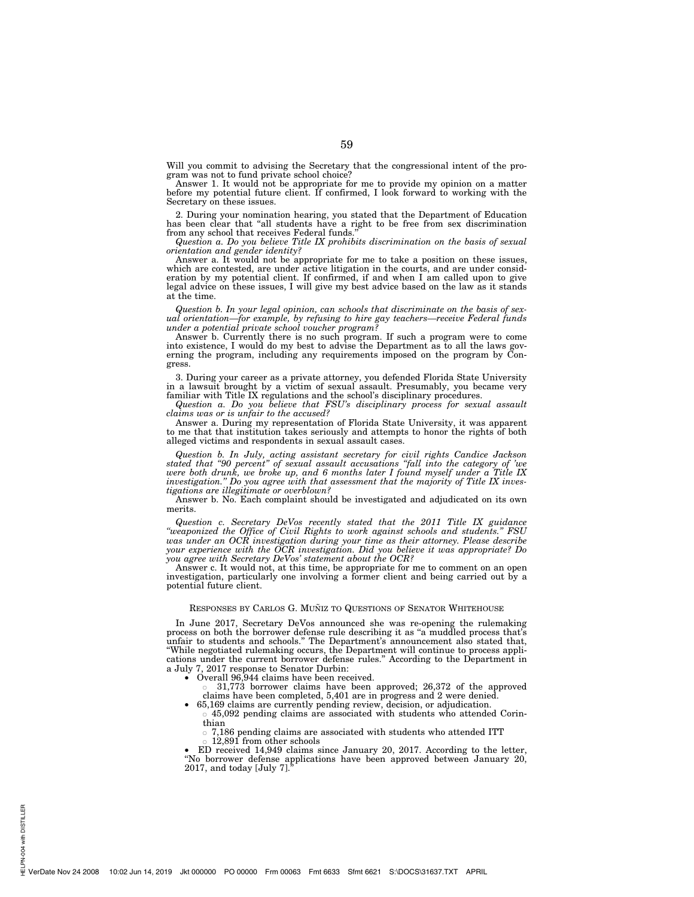Will you commit to advising the Secretary that the congressional intent of the program was not to fund private school choice?

Answer 1. It would not be appropriate for me to provide my opinion on a matter before my potential future client. If confirmed, I look forward to working with the Secretary on these issues.

2. During your nomination hearing, you stated that the Department of Education has been clear that "all students have a right to be free from sex discrimination from any school that receives Federal funds.

*Question a. Do you believe Title IX prohibits discrimination on the basis of sexual orientation and gender identity?* 

Answer a. It would not be appropriate for me to take a position on these issues, which are contested, are under active litigation in the courts, and are under consideration by my potential client. If confirmed, if and when I am called upon to give legal advice on these issues, I will give my best advice based on the law as it stands at the time.

*Question b. In your legal opinion, can schools that discriminate on the basis of sexual orientation—for example, by refusing to hire gay teachers—receive Federal funds under a potential private school voucher program?* 

Answer b. Currently there is no such program. If such a program were to come into existence, I would do my best to advise the Department as to all the laws governing the program, including any requirements imposed on the program by Congress.

3. During your career as a private attorney, you defended Florida State University in a lawsuit brought by a victim of sexual assault. Presumably, you became very familiar with Title IX regulations and the school's disciplinary procedures.

*Question a. Do you believe that FSU's disciplinary process for sexual assault claims was or is unfair to the accused?* 

Answer a. During my representation of Florida State University, it was apparent to me that that institution takes seriously and attempts to honor the rights of both alleged victims and respondents in sexual assault cases.

*Question b. In July, acting assistant secretary for civil rights Candice Jackson stated that ''90 percent'' of sexual assault accusations ''fall into the category of 'we were both drunk, we broke up, and 6 months later I found myself under a Title IX investigation.'' Do you agree with that assessment that the majority of Title IX investigations are illegitimate or overblown?* 

Answer b. No. Each complaint should be investigated and adjudicated on its own merits.

*Question c. Secretary DeVos recently stated that the 2011 Title IX guidance ''weaponized the Office of Civil Rights to work against schools and students.'' FSU was under an OCR investigation during your time as their attorney. Please describe your experience with the OCR investigation. Did you believe it was appropriate? Do you agree with Secretary DeVos' statement about the OCR?* 

Answer c. It would not, at this time, be appropriate for me to comment on an open investigation, particularly one involving a former client and being carried out by a potential future client.

#### RESPONSES BY CARLOS G. MUÑIZ TO QUESTIONS OF SENATOR WHITEHOUSE

In June 2017, Secretary DeVos announced she was re-opening the rulemaking process on both the borrower defense rule describing it as ''a muddled process that's unfair to students and schools.'' The Department's announcement also stated that, ''While negotiated rulemaking occurs, the Department will continue to process applications under the current borrower defense rules.'' According to the Department in a July 7, 2017 response to Senator Durbin:

• Overall 96,944 claims have been received.

¯ 31,773 borrower claims have been approved; 26,372 of the approved claims have been completed, 5,401 are in progress and 2 were denied.

- 65,169 claims are currently pending review, decision, or adjudication. ¯ 45,092 pending claims are associated with students who attended Corin
	- thian

 $\circ$  7,186 pending claims are associated with students who attended ITT

12,891 from other schools

• ED received 14,949 claims since January 20, 2017. According to the letter, ''No borrower defense applications have been approved between January 20,  $2017$ , and today [July 7].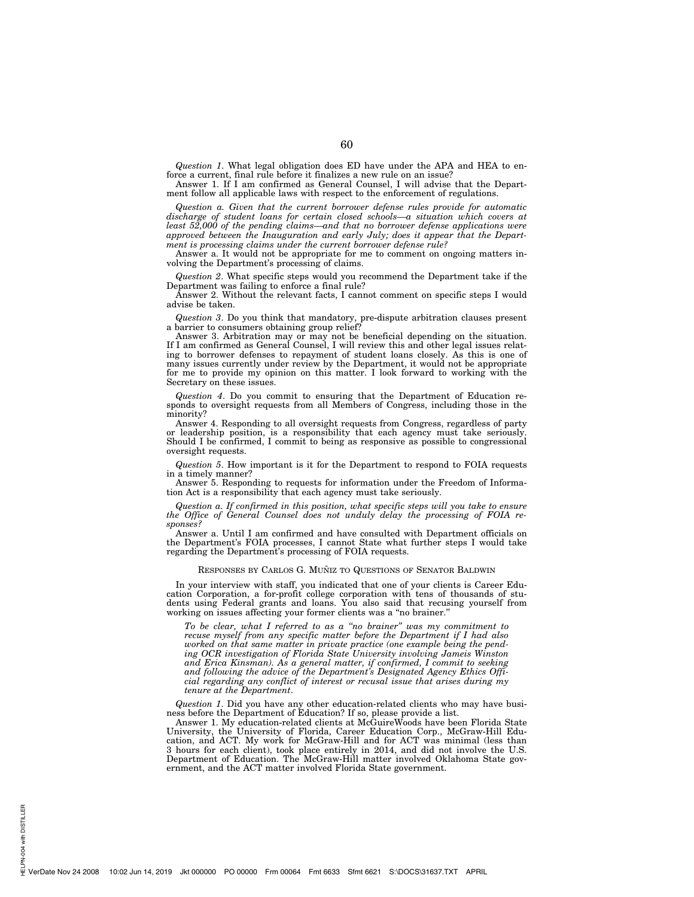*Question 1*. What legal obligation does ED have under the APA and HEA to enforce a current, final rule before it finalizes a new rule on an issue?

Answer 1. If I am confirmed as General Counsel, I will advise that the Department follow all applicable laws with respect to the enforcement of regulations.

*Question a. Given that the current borrower defense rules provide for automatic discharge of student loans for certain closed schools—a situation which covers at least 52,000 of the pending claims—and that no borrower defense applications were approved between the Inauguration and early July; does it appear that the Department is processing claims under the current borrower defense rule?* 

Answer a. It would not be appropriate for me to comment on ongoing matters involving the Department's processing of claims.

*Question 2*. What specific steps would you recommend the Department take if the Department was failing to enforce a final rule?

Answer 2. Without the relevant facts, I cannot comment on specific steps I would advise be taken.

*Question 3*. Do you think that mandatory, pre-dispute arbitration clauses present a barrier to consumers obtaining group relief?

Answer 3. Arbitration may or may not be beneficial depending on the situation. If I am confirmed as General Counsel, I will review this and other legal issues relating to borrower defenses to repayment of student loans closely. As this is one of many issues currently under review by the Department, it would not be appropriate for me to provide my opinion on this matter. I look forward to working with the Secretary on these issues.

*Question 4*. Do you commit to ensuring that the Department of Education responds to oversight requests from all Members of Congress, including those in the minority?

Answer 4. Responding to all oversight requests from Congress, regardless of party or leadership position, is a responsibility that each agency must take seriously. Should I be confirmed, I commit to being as responsive as possible to congressional oversight requests.

*Question 5*. How important is it for the Department to respond to FOIA requests in a timely manner?

Answer 5. Responding to requests for information under the Freedom of Information Act is a responsibility that each agency must take seriously.

*Question a. If confirmed in this position, what specific steps will you take to ensure the Office of General Counsel does not unduly delay the processing of FOIA responses?* 

Answer a. Until I am confirmed and have consulted with Department officials on the Department's FOIA processes, I cannot State what further steps I would take regarding the Department's processing of FOIA requests.

#### RESPONSES BY CARLOS G. MUÑIZ TO QUESTIONS OF SENATOR BALDWIN

In your interview with staff, you indicated that one of your clients is Career Education Corporation, a for-profit college corporation with tens of thousands of students using Federal grants and loans. You also said that recusing yourself from working on issues affecting your former clients was a "no brainer."

*To be clear, what I referred to as a ''no brainer'' was my commitment to recuse myself from any specific matter before the Department if I had also worked on that same matter in private practice (one example being the pending OCR investigation of Florida State University involving Jameis Winston and Erica Kinsman). As a general matter, if confirmed, I commit to seeking and following the advice of the Department's Designated Agency Ethics Official regarding any conflict of interest or recusal issue that arises during my tenure at the Department*.

*Question 1*. Did you have any other education-related clients who may have business before the Department of Education? If so, please provide a list.

Answer 1. My education-related clients at McGuireWoods have been Florida State University, the University of Florida, Career Education Corp., McGraw-Hill Education, and ACT. My work for McGraw-Hill and for ACT was minimal (less than 3 hours for each client), took place entirely in 2014, and did not involve the U.S. Department of Education. The McGraw-Hill matter involved Oklahoma State government, and the ACT matter involved Florida State government.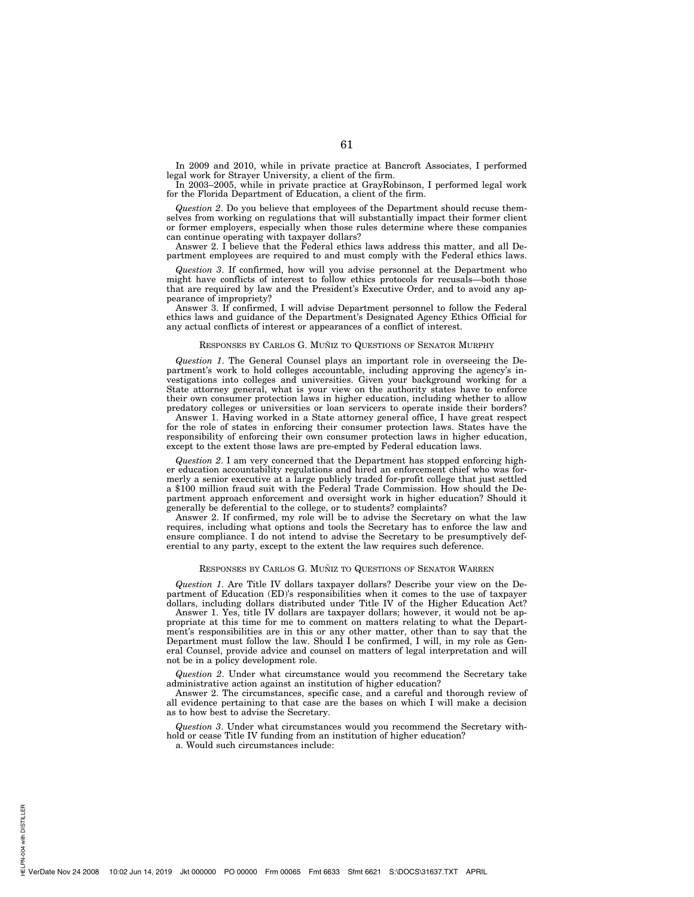In 2009 and 2010, while in private practice at Bancroft Associates, I performed legal work for Strayer University, a client of the firm.

In 2003–2005, while in private practice at GrayRobinson, I performed legal work for the Florida Department of Education, a client of the firm.

*Question 2*. Do you believe that employees of the Department should recuse themselves from working on regulations that will substantially impact their former client or former employers, especially when those rules determine where these companies can continue operating with taxpayer dollars?

Answer 2. I believe that the Federal ethics laws address this matter, and all Department employees are required to and must comply with the Federal ethics laws.

*Question 3*. If confirmed, how will you advise personnel at the Department who might have conflicts of interest to follow ethics protocols for recusals—both those that are required by law and the President's Executive Order, and to avoid any appearance of impropriety?

Answer 3. If confirmed, I will advise Department personnel to follow the Federal ethics laws and guidance of the Department's Designated Agency Ethics Official for any actual conflicts of interest or appearances of a conflict of interest.

#### RESPONSES BY CARLOS G. MUÑIZ TO QUESTIONS OF SENATOR MURPHY

*Question 1*. The General Counsel plays an important role in overseeing the Department's work to hold colleges accountable, including approving the agency's investigations into colleges and universities. Given your background working for a State attorney general, what is your view on the authority states have to enforce their own consumer protection laws in higher education, including whether to allow predatory colleges or universities or loan servicers to operate inside their borders?

Answer 1. Having worked in a State attorney general office, I have great respect for the role of states in enforcing their consumer protection laws. States have the responsibility of enforcing their own consumer protection laws in higher education, except to the extent those laws are pre-empted by Federal education laws.

*Question 2*. I am very concerned that the Department has stopped enforcing higher education accountability regulations and hired an enforcement chief who was formerly a senior executive at a large publicly traded for-profit college that just settled a \$100 million fraud suit with the Federal Trade Commission. How should the Department approach enforcement and oversight work in higher education? Should it generally be deferential to the college, or to students? complaints?

Answer 2. If confirmed, my role will be to advise the Secretary on what the law requires, including what options and tools the Secretary has to enforce the law and ensure compliance. I do not intend to advise the Secretary to be presumptively deferential to any party, except to the extent the law requires such deference.

## RESPONSES BY CARLOS G. MUÑIZ TO QUESTIONS OF SENATOR WARREN

*Question 1*. Are Title IV dollars taxpayer dollars? Describe your view on the Department of Education (ED)'s responsibilities when it comes to the use of taxpayer dollars, including dollars distributed under Title IV of the Higher Education Act?

Answer 1. Yes, title IV dollars are taxpayer dollars; however, it would not be appropriate at this time for me to comment on matters relating to what the Department's responsibilities are in this or any other matter, other than to say that the Department must follow the law. Should I be confirmed, I will, in my role as General Counsel, provide advice and counsel on matters of legal interpretation and will not be in a policy development role.

*Question 2*. Under what circumstance would you recommend the Secretary take administrative action against an institution of higher education?

Answer 2. The circumstances, specific case, and a careful and thorough review of all evidence pertaining to that case are the bases on which I will make a decision as to how best to advise the Secretary.

*Question 3*. Under what circumstances would you recommend the Secretary withhold or cease Title IV funding from an institution of higher education?

a. Would such circumstances include: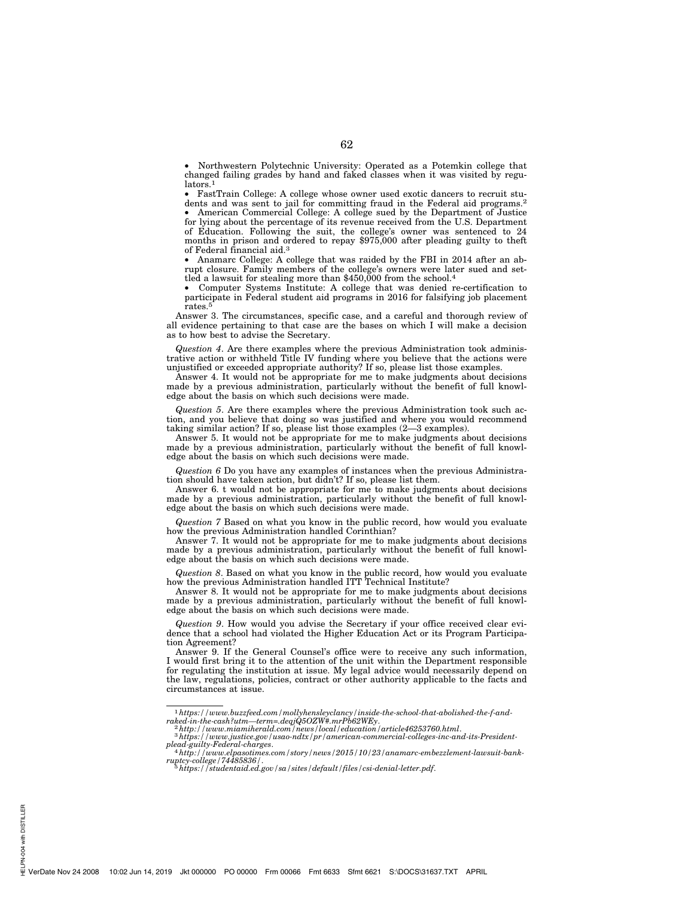• Northwestern Polytechnic University: Operated as a Potemkin college that changed failing grades by hand and faked classes when it was visited by regulators.<sup>1</sup>

• FastTrain College: A college whose owner used exotic dancers to recruit students and was sent to jail for committing fraud in the Federal aid programs.2

• American Commercial College: A college sued by the Department of Justice for lying about the percentage of its revenue received from the U.S. Department of Education. Following the suit, the college's owner was sentenced to 24 months in prison and ordered to repay \$975,000 after pleading guilty to theft of Federal financial aid.3

• Anamarc College: A college that was raided by the FBI in 2014 after an abrupt closure. Family members of the college's owners were later sued and settled a lawsuit for stealing more than \$450,000 from the school.<sup>4</sup>

• Computer Systems Institute: A college that was denied re-certification to participate in Federal student aid programs in 2016 for falsifying job placement rates. $5$ 

Answer 3. The circumstances, specific case, and a careful and thorough review of all evidence pertaining to that case are the bases on which I will make a decision as to how best to advise the Secretary.

*Question 4*. Are there examples where the previous Administration took administrative action or withheld Title IV funding where you believe that the actions were unjustified or exceeded appropriate authority? If so, please list those examples.

Answer 4. It would not be appropriate for me to make judgments about decisions made by a previous administration, particularly without the benefit of full knowledge about the basis on which such decisions were made.

*Question 5*. Are there examples where the previous Administration took such action, and you believe that doing so was justified and where you would recommend taking similar action? If so, please list those examples (2—3 examples).

Answer 5. It would not be appropriate for me to make judgments about decisions made by a previous administration, particularly without the benefit of full knowledge about the basis on which such decisions were made.

*Question 6* Do you have any examples of instances when the previous Administration should have taken action, but didn't? If so, please list them.

Answer 6. t would not be appropriate for me to make judgments about decisions made by a previous administration, particularly without the benefit of full knowledge about the basis on which such decisions were made.

*Question 7* Based on what you know in the public record, how would you evaluate how the previous Administration handled Corinthian?

Answer 7. It would not be appropriate for me to make judgments about decisions made by a previous administration, particularly without the benefit of full knowledge about the basis on which such decisions were made.

*Question 8*. Based on what you know in the public record, how would you evaluate how the previous Administration handled ITT Technical Institute?

Answer 8. It would not be appropriate for me to make judgments about decisions made by a previous administration, particularly without the benefit of full knowledge about the basis on which such decisions were made.

*Question 9*. How would you advise the Secretary if your office received clear evidence that a school had violated the Higher Education Act or its Program Participation Agreement?

Answer 9. If the General Counsel's office were to receive any such information, I would first bring it to the attention of the unit within the Department responsible for regulating the institution at issue. My legal advice would necessarily depend on the law, regulations, policies, contract or other authority applicable to the facts and circumstances at issue.

PN-004 with DISTILLER HELPN-004 with DISTILLER

 $\label{thm:main} \begin{small} \text{1}\; \text{https://www.buzzfeed.com/mollyhensleyclancy/inside-the-school that-abolished-the-f-and-raked-in-the-cash?} \textit{utm} \text{—term=}. \textit{degiQ5OZW\#},\; \textit{mrPb62WEy}. \\\\ \text{2}\; \text{http://www.miamiheral.com/news/local/ideal.com/newr/local} \textit{1}\; \text{2}\; \text{http://www.miamiheral.com/newr/ational} \end{small} \end{small}$ 

*plead-guilty-Federal-charges*. 4*http://www.elpasotimes.com/story/news/2015/10/23/anamarc-embezzlement-lawsuit-bank-*

*ruptcy-college/74485836/*. 5*https://studentaid.ed.gov/sa/sites/default/files/csi-denial-letter.pdf*.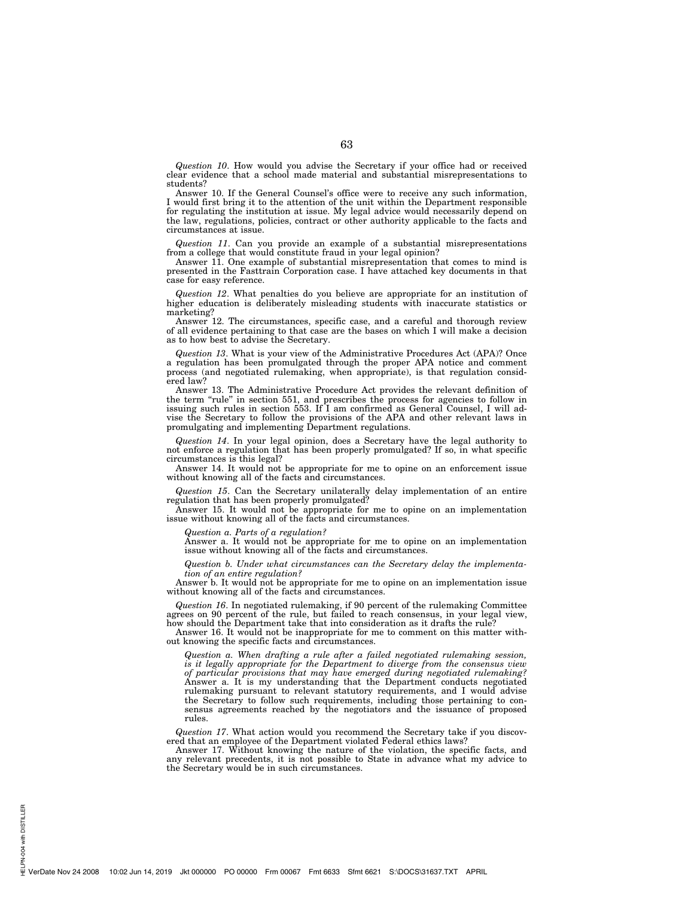*Question 10*. How would you advise the Secretary if your office had or received clear evidence that a school made material and substantial misrepresentations to students?

Answer 10. If the General Counsel's office were to receive any such information, I would first bring it to the attention of the unit within the Department responsible for regulating the institution at issue. My legal advice would necessarily depend on the law, regulations, policies, contract or other authority applicable to the facts and circumstances at issue.

*Question 11*. Can you provide an example of a substantial misrepresentations from a college that would constitute fraud in your legal opinion?

Answer 11. One example of substantial misrepresentation that comes to mind is presented in the Fasttrain Corporation case. I have attached key documents in that case for easy reference.

*Question 12*. What penalties do you believe are appropriate for an institution of higher education is deliberately misleading students with inaccurate statistics or marketing?

Answer 12. The circumstances, specific case, and a careful and thorough review of all evidence pertaining to that case are the bases on which I will make a decision as to how best to advise the Secretary.

*Question 13*. What is your view of the Administrative Procedures Act (APA)? Once a regulation has been promulgated through the proper APA notice and comment process (and negotiated rulemaking, when appropriate), is that regulation considered law?

Answer 13. The Administrative Procedure Act provides the relevant definition of the term ''rule'' in section 551, and prescribes the process for agencies to follow in issuing such rules in section 553. If I am confirmed as General Counsel, I will advise the Secretary to follow the provisions of the APA and other relevant laws in promulgating and implementing Department regulations.

*Question 14*. In your legal opinion, does a Secretary have the legal authority to not enforce a regulation that has been properly promulgated? If so, in what specific circumstances is this legal?

Answer 14. It would not be appropriate for me to opine on an enforcement issue without knowing all of the facts and circumstances.

*Question 15*. Can the Secretary unilaterally delay implementation of an entire regulation that has been properly promulgated?

Answer 15. It would not be appropriate for me to opine on an implementation issue without knowing all of the facts and circumstances.

*Question a. Parts of a regulation?* 

Answer a. It would not be appropriate for me to opine on an implementation issue without knowing all of the facts and circumstances.

*Question b. Under what circumstances can the Secretary delay the implementation of an entire regulation?* 

Answer b. It would not be appropriate for me to opine on an implementation issue without knowing all of the facts and circumstances.

*Question 16*. In negotiated rulemaking, if 90 percent of the rulemaking Committee agrees on 90 percent of the rule, but failed to reach consensus, in your legal view, how should the Department take that into consideration as it drafts the rule?

Answer 16. It would not be inappropriate for me to comment on this matter without knowing the specific facts and circumstances.

*Question a. When drafting a rule after a failed negotiated rulemaking session, is it legally appropriate for the Department to diverge from the consensus view of particular provisions that may have emerged during negotiated rulemaking?*  Answer a. It is my understanding that the Department conducts negotiated rulemaking pursuant to relevant statutory requirements, and I would advise the Secretary to follow such requirements, including those pertaining to consensus agreements reached by the negotiators and the issuance of proposed rules.

*Question 17*. What action would you recommend the Secretary take if you discovered that an employee of the Department violated Federal ethics laws?

Answer 17. Without knowing the nature of the violation, the specific facts, and any relevant precedents, it is not possible to State in advance what my advice to the Secretary would be in such circumstances.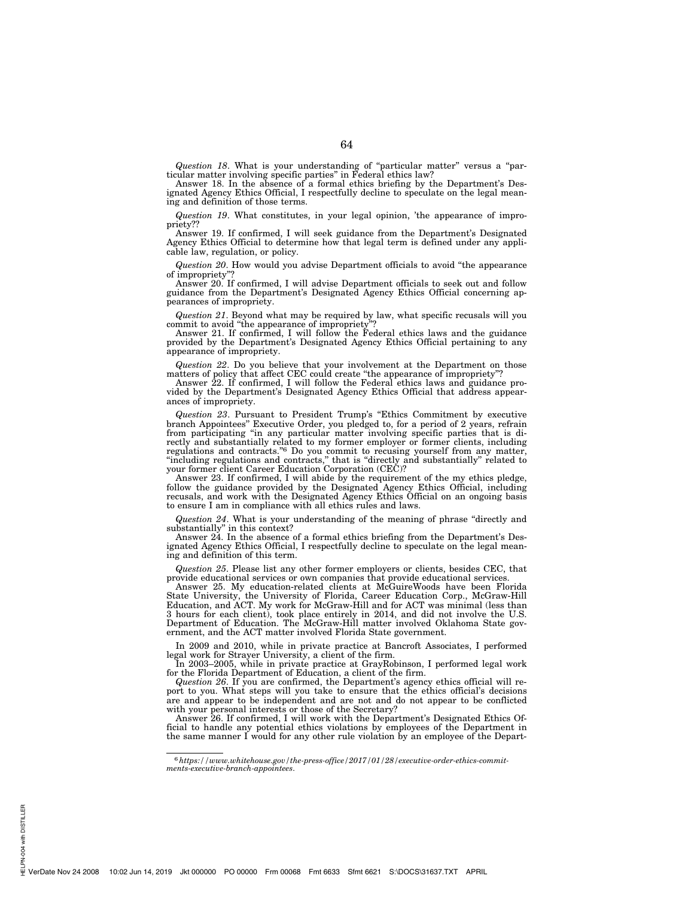*Question 18*. What is your understanding of ''particular matter'' versus a ''particular matter involving specific parties'' in Federal ethics law?

Answer 18. In the absence of a formal ethics briefing by the Department's Designated Agency Ethics Official, I respectfully decline to speculate on the legal meaning and definition of those terms.

*Question 19*. What constitutes, in your legal opinion, 'the appearance of impropriety??

Answer 19. If confirmed, I will seek guidance from the Department's Designated Agency Ethics Official to determine how that legal term is defined under any applicable law, regulation, or policy.

*Question 20*. How would you advise Department officials to avoid ''the appearance of impropriety"

Answer 20. If confirmed, I will advise Department officials to seek out and follow guidance from the Department's Designated Agency Ethics Official concerning appearances of impropriety.

*Question 21*. Beyond what may be required by law, what specific recusals will you commit to avoid ''the appearance of impropriety''?

Answer 21. If confirmed, I will follow the Federal ethics laws and the guidance provided by the Department's Designated Agency Ethics Official pertaining to any appearance of impropriety.

*Question 22*. Do you believe that your involvement at the Department on those matters of policy that affect CEC could create "the appearance of impropriety"?

Answer 22. If confirmed, I will follow the Federal ethics laws and guidance provided by the Department's Designated Agency Ethics Official that address appearances of impropriety.

*Question 23*. Pursuant to President Trump's ''Ethics Commitment by executive branch Appointees'' Executive Order, you pledged to, for a period of 2 years, refrain from participating ''in any particular matter involving specific parties that is directly and substantially related to my former employer or former clients, including regulations and contracts."<sup>6</sup> Do you commit to recusing yourself from any matter, "including regulations and contracts," that is "directly and substantially" related to your former client Career Education Corporation (CEC)?

Answer 23. If confirmed, I will abide by the requirement of the my ethics pledge, follow the guidance provided by the Designated Agency Ethics Official, including recusals, and work with the Designated Agency Ethics Official on an ongoing basis to ensure I am in compliance with all ethics rules and laws.

*Question 24*. What is your understanding of the meaning of phrase ''directly and substantially'' in this context?

Answer 24. In the absence of a formal ethics briefing from the Department's Designated Agency Ethics Official, I respectfully decline to speculate on the legal meaning and definition of this term.

*Question 25*. Please list any other former employers or clients, besides CEC, that provide educational services or own companies that provide educational services.

Answer 25. My education-related clients at McGuireWoods have been Florida State University, the University of Florida, Career Education Corp., McGraw-Hill Education, and ACT. My work for McGraw-Hill and for ACT was minimal (less than 3 hours for each client), took place entirely in 2014, and did not involve the U.S. Department of Education. The McGraw-Hill matter involved Oklahoma State government, and the ACT matter involved Florida State government.

In 2009 and 2010, while in private practice at Bancroft Associates, I performed legal work for Strayer University, a client of the firm.

In 2003–2005, while in private practice at GrayRobinson, I performed legal work for the Florida Department of Education, a client of the firm.

*Question 26*. If you are confirmed, the Department's agency ethics official will report to you. What steps will you take to ensure that the ethics official's decisions are and appear to be independent and are not and do not appear to be conflicted with your personal interests or those of the Secretary?

Answer 26. If confirmed, I will work with the Department's Designated Ethics Official to handle any potential ethics violations by employees of the Department in the same manner I would for any other rule violation by an employee of the Depart-

<sup>6</sup>*https://www.whitehouse.gov/the-press-office/2017/01/28/executive-order-ethics-commit-ments-executive-branch-appointees*.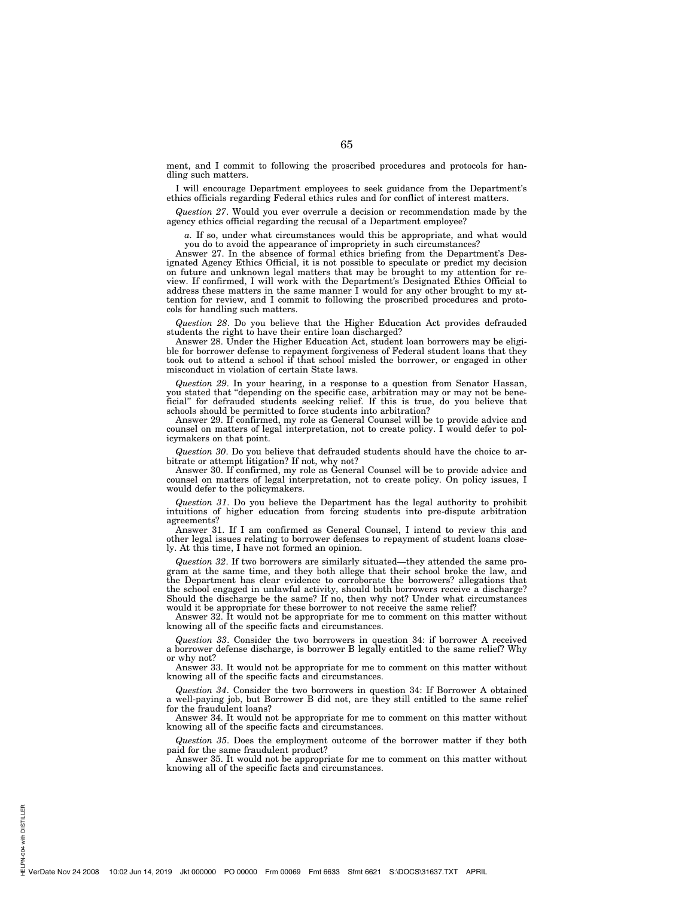ment, and I commit to following the proscribed procedures and protocols for handling such matters.

I will encourage Department employees to seek guidance from the Department's ethics officials regarding Federal ethics rules and for conflict of interest matters.

*Question 27*. Would you ever overrule a decision or recommendation made by the agency ethics official regarding the recusal of a Department employee?

*a.* If so, under what circumstances would this be appropriate, and what would you do to avoid the appearance of impropriety in such circumstances?

Answer 27. In the absence of formal ethics briefing from the Department's Designated Agency Ethics Official, it is not possible to speculate or predict my decision on future and unknown legal matters that may be brought to my attention for review. If confirmed, I will work with the Department's Designated Ethics Official to address these matters in the same manner I would for any other brought to my attention for review, and I commit to following the proscribed procedures and protocols for handling such matters.

*Question 28*. Do you believe that the Higher Education Act provides defrauded students the right to have their entire loan discharged?

Answer 28. Under the Higher Education Act, student loan borrowers may be eligible for borrower defense to repayment forgiveness of Federal student loans that they took out to attend a school if that school misled the borrower, or engaged in other misconduct in violation of certain State laws.

*Question 29*. In your hearing, in a response to a question from Senator Hassan, you stated that ''depending on the specific case, arbitration may or may not be beneficial'' for defrauded students seeking relief. If this is true, do you believe that schools should be permitted to force students into arbitration?

Answer 29. If confirmed, my role as General Counsel will be to provide advice and counsel on matters of legal interpretation, not to create policy. I would defer to policymakers on that point.

*Question 30*. Do you believe that defrauded students should have the choice to arbitrate or attempt litigation? If not, why not?

Answer 30. If confirmed, my role as General Counsel will be to provide advice and counsel on matters of legal interpretation, not to create policy. On policy issues, I would defer to the policymakers.

*Question 31*. Do you believe the Department has the legal authority to prohibit intuitions of higher education from forcing students into pre-dispute arbitration agreements?

Answer 31. If I am confirmed as General Counsel, I intend to review this and other legal issues relating to borrower defenses to repayment of student loans closely. At this time, I have not formed an opinion.

*Question 32*. If two borrowers are similarly situated—they attended the same program at the same time, and they both allege that their school broke the law, and the Department has clear evidence to corroborate the borrowers? allegations that the school engaged in unlawful activity, should both borrowers receive a discharge? Should the discharge be the same? If no, then why not? Under what circumstances would it be appropriate for these borrower to not receive the same relief?

Answer 32. It would not be appropriate for me to comment on this matter without knowing all of the specific facts and circumstances.

*Question 33*. Consider the two borrowers in question 34: if borrower A received a borrower defense discharge, is borrower B legally entitled to the same relief? Why or why not?

Answer 33. It would not be appropriate for me to comment on this matter without knowing all of the specific facts and circumstances.

*Question 34*. Consider the two borrowers in question 34: If Borrower A obtained a well-paying job, but Borrower B did not, are they still entitled to the same relief for the fraudulent loans?

Answer 34. It would not be appropriate for me to comment on this matter without knowing all of the specific facts and circumstances.

*Question 35*. Does the employment outcome of the borrower matter if they both paid for the same fraudulent product?

Answer 35. It would not be appropriate for me to comment on this matter without knowing all of the specific facts and circumstances.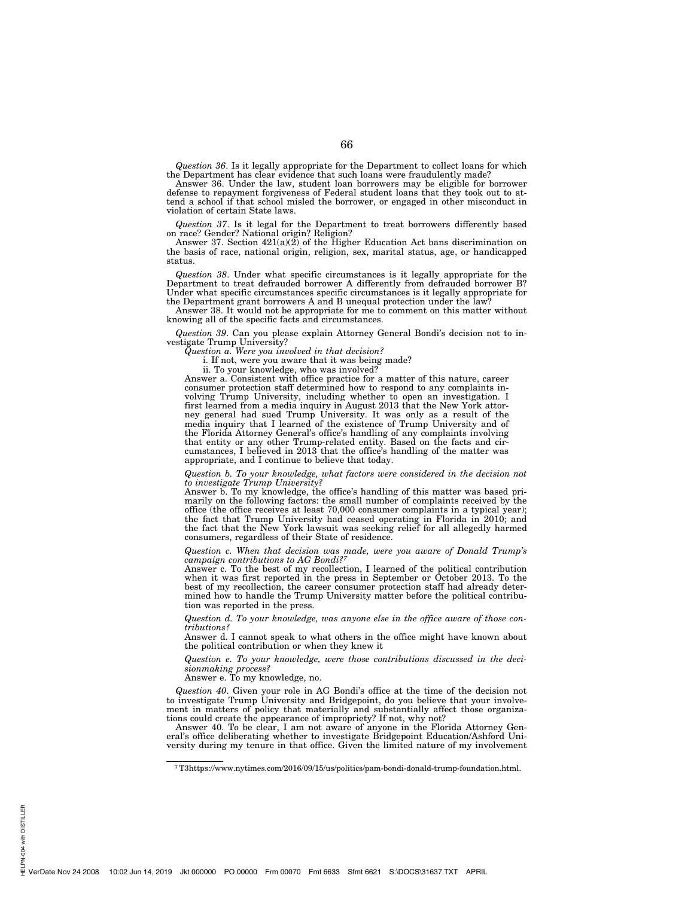*Question 36*. Is it legally appropriate for the Department to collect loans for which the Department has clear evidence that such loans were fraudulently made?

Answer 36. Under the law, student loan borrowers may be eligible for borrower defense to repayment forgiveness of Federal student loans that they took out to attend a school if that school misled the borrower, or engaged in other misconduct in violation of certain State laws.

*Question 37*. Is it legal for the Department to treat borrowers differently based on race? Gender? National origin? Religion?

Answer 37. Section 421(a)(2) of the Higher Education Act bans discrimination on the basis of race, national origin, religion, sex, marital status, age, or handicapped status.

*Question 38*. Under what specific circumstances is it legally appropriate for the Department to treat defrauded borrower A differently from defrauded borrower B? Under what specific circumstances specific circumstances is it legally appropriate for the Department grant borrowers A and B unequal protection under the law?

Answer 38. It would not be appropriate for me to comment on this matter without knowing all of the specific facts and circumstances.

*Question 39*. Can you please explain Attorney General Bondi's decision not to investigate Trump University?

*Question a. Were you involved in that decision?* 

i. If not, were you aware that it was being made?

ii. To your knowledge, who was involved?

Answer a. Consistent with office practice for a matter of this nature, career consumer protection staff determined how to respond to any complaints involving Trump University, including whether to open an investigation. I first learned from a media inquiry in August 2013 that the New York attorney general had sued Trump University. It was only as a result of the media inquiry that I learned of the existence of Trump University and of the Florida Attorney General's office's handling of any complaints involving that entity or any other Trump-related entity. Based on the facts and circumstances, I believed in 2013 that the office's handling of the matter was appropriate, and I continue to believe that today.

*Question b. To your knowledge, what factors were considered in the decision not to investigate Trump University?* 

Answer b. To my knowledge, the office's handling of this matter was based primarily on the following factors: the small number of complaints received by the office (the office receives at least 70,000 consumer complaints in a typical year); the fact that Trump University had ceased operating in Florida in 2010; and the fact that the New York lawsuit was seeking relief for all allegedly harmed consumers, regardless of their State of residence.

*Question c. When that decision was made, were you aware of Donald Trump's campaign contributions to AG Bondi?7*

Answer c. To the best of my recollection, I learned of the political contribution when it was first reported in the press in September or October 2013. To the best of my recollection, the career consumer protection staff had already determined how to handle the Trump University matter before the political contribution was reported in the press.

*Question d. To your knowledge, was anyone else in the office aware of those contributions?* 

Answer d. I cannot speak to what others in the office might have known about the political contribution or when they knew it

*Question e. To your knowledge, were those contributions discussed in the decisionmaking process?* 

Answer e. To my knowledge, no.

*Question 40*. Given your role in AG Bondi's office at the time of the decision not to investigate Trump University and Bridgepoint, do you believe that your involvement in matters of policy that materially and substantially affect those organizations could create the appearance of impropriety? If not, why not?

Answer 40. To be clear, I am not aware of anyone in the Florida Attorney General's office deliberating whether to investigate Bridgepoint Education/Ashford University during my tenure in that office. Given the limited nature of my involvement

<sup>7</sup>T3https://www.nytimes.com/2016/09/15/us/politics/pam-bondi-donald-trump-foundation.html.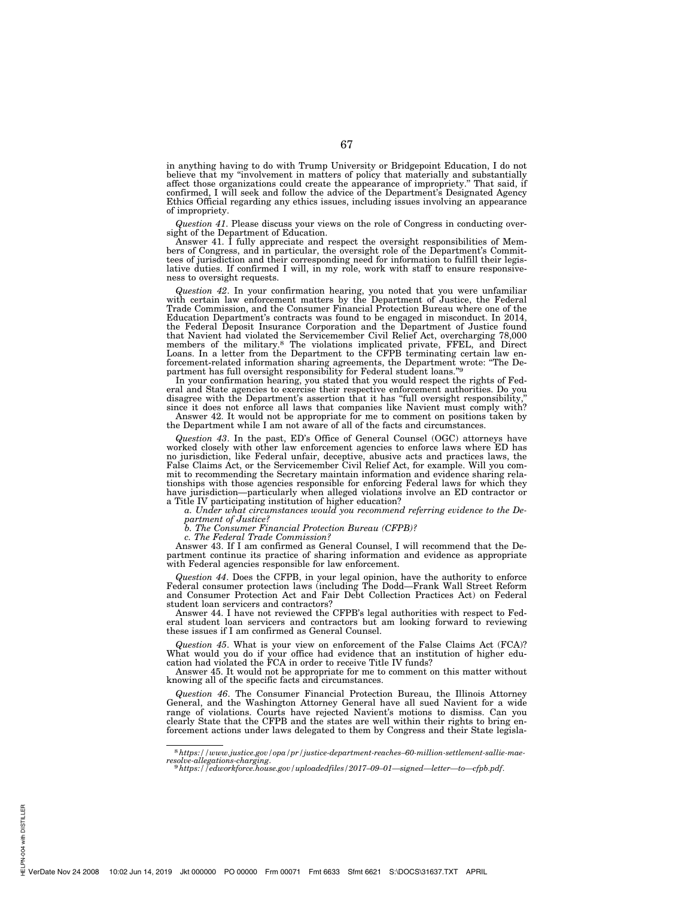in anything having to do with Trump University or Bridgepoint Education, I do not believe that my "involvement in matters of policy that materially and substantially<br>affect those organizations could create the appearance of impropriety." That said, if<br>confirmed, I will seek and follow the advice of the Ethics Official regarding any ethics issues, including issues involving an appearance of impropriety.

*Question 41*. Please discuss your views on the role of Congress in conducting oversight of the Department of Education.

Answer 41. I fully appreciate and respect the oversight responsibilities of Members of Congress, and in particular, the oversight role of the Department's Committees of jurisdiction and their corresponding need for information to fulfill their legislative duties. If confirmed I will, in my role, work with staff to ensure responsiveness to oversight requests.

*Question 42*. In your confirmation hearing, you noted that you were unfamiliar with certain law enforcement matters by the Department of Justice, the Federal Trade Commission, and the Consumer Financial Protection Bureau where one of the Education Department's contracts was found to be engaged in misconduct. In 2014, the Federal Deposit Insurance Corporation and the Department of Justice found that Navient had violated the Servicemember Civil Relief Act, overcharging 78,000 members of the military.8 The violations implicated private, FFEL, and Direct Loans. In a letter from the Department to the CFPB terminating certain law enforcement-related information sharing agreements, the Department wrote: "The Department has full oversight responsibility for Federal student loa

In your confirmation hearing, you stated that you would respect the rights of Fed-eral and State agencies to exercise their respective enforcement authorities. Do you disagree with the Department's assertion that it has "full oversight responsibility, since it does not enforce all laws that companies like Navient must comply with?

Answer 42. It would not be appropriate for me to comment on positions taken by the Department while I am not aware of all of the facts and circumstances.

*Question 43*. In the past, ED's Office of General Counsel (OGC) attorneys have worked closely with other law enforcement agencies to enforce laws where ED has no jurisdiction, like Federal unfair, deceptive, abusive acts and practices laws, the False Claims Act, or the Servicemember Civil Relief Act, for example. Will you commit to recommending the Secretary maintain information and evidence sharing relationships with those agencies responsible for enforcing Federal laws for which they have jurisdiction—particularly when alleged violations involve an ED contractor or a Title IV participating institution of higher education?

*a. Under what circumstances would you recommend referring evidence to the De-*

*partment of Justice? b. The Consumer Financial Protection Bureau (CFPB)?* 

*c. The Federal Trade Commission?* 

Answer 43. If I am confirmed as General Counsel, I will recommend that the Department continue its practice of sharing information and evidence as appropriate with Federal agencies responsible for law enforcement.

*Question 44*. Does the CFPB, in your legal opinion, have the authority to enforce Federal consumer protection laws (including The Dodd—Frank Wall Street Reform and Consumer Protection Act and Fair Debt Collection Practices Act) on Federal student loan servicers and contractors?

Answer 44. I have not reviewed the CFPB's legal authorities with respect to Federal student loan servicers and contractors but am looking forward to reviewing these issues if I am confirmed as General Counsel.

*Question 45*. What is your view on enforcement of the False Claims Act (FCA)? What would you do if your office had evidence that an institution of higher education had violated the FCA in order to receive Title IV funds?

Answer 45. It would not be appropriate for me to comment on this matter without knowing all of the specific facts and circumstances.

*Question 46*. The Consumer Financial Protection Bureau, the Illinois Attorney General, and the Washington Attorney General have all sued Navient for a wide range of violations. Courts have rejected Navient's motions to dismiss. Can you clearly State that the CFPB and the states are well within their rights to bring enforcement actions under laws delegated to them by Congress and their State legisla-

<sup>8</sup>*https://www.justice.gov/opa/pr/justice-department-reaches–60-million-settlement-sallie-maeresolve-allegations-charging*. 9*https://edworkforce.house.gov/uploadedfiles/2017–09–01—signed—letter—to—cfpb.pdf*.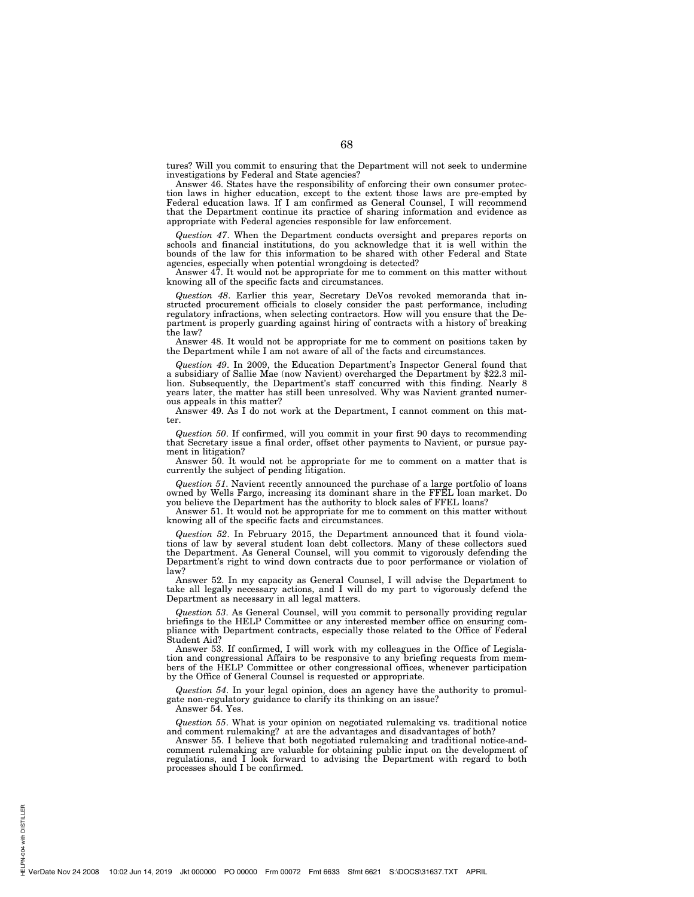tures? Will you commit to ensuring that the Department will not seek to undermine investigations by Federal and State agencies?

Answer 46. States have the responsibility of enforcing their own consumer protection laws in higher education, except to the extent those laws are pre-empted by Federal education laws. If I am confirmed as General Counsel, I will recommend that the Department continue its practice of sharing information and evidence as appropriate with Federal agencies responsible for law enforcement.

*Question 47*. When the Department conducts oversight and prepares reports on schools and financial institutions, do you acknowledge that it is well within the bounds of the law for this information to be shared with other Federal and State agencies, especially when potential wrongdoing is detected?

Answer 47. It would not be appropriate for me to comment on this matter without knowing all of the specific facts and circumstances.

*Question 48*. Earlier this year, Secretary DeVos revoked memoranda that instructed procurement officials to closely consider the past performance, including regulatory infractions, when selecting contractors. How will you ensure that the Department is properly guarding against hiring of contracts with a history of breaking the law?

Answer 48. It would not be appropriate for me to comment on positions taken by the Department while I am not aware of all of the facts and circumstances.

*Question 49*. In 2009, the Education Department's Inspector General found that a subsidiary of Sallie Mae (now Navient) overcharged the Department by \$22.3 million. Subsequently, the Department's staff concurred with this finding. Nearly 8 years later, the matter has still been unresolved. Why was Navient granted numerous appeals in this matter?

Answer 49. As I do not work at the Department, I cannot comment on this matter.

*Question 50*. If confirmed, will you commit in your first 90 days to recommending that Secretary issue a final order, offset other payments to Navient, or pursue payment in litigation?

Answer 50. It would not be appropriate for me to comment on a matter that is currently the subject of pending litigation.

*Question 51*. Navient recently announced the purchase of a large portfolio of loans owned by Wells Fargo, increasing its dominant share in the FFEL loan market. Do you believe the Department has the authority to block sales of FFEL loans?

Answer 51. It would not be appropriate for me to comment on this matter without knowing all of the specific facts and circumstances.

*Question 52*. In February 2015, the Department announced that it found violations of law by several student loan debt collectors. Many of these collectors sued the Department. As General Counsel, will you commit to vigorously defending the Department's right to wind down contracts due to poor performance or violation of law?

Answer 52. In my capacity as General Counsel, I will advise the Department to take all legally necessary actions, and I will do my part to vigorously defend the Department as necessary in all legal matters.

*Question 53*. As General Counsel, will you commit to personally providing regular briefings to the HELP Committee or any interested member office on ensuring compliance with Department contracts, especially those related to the Office of Federal Student Aid?

Answer 53. If confirmed, I will work with my colleagues in the Office of Legislation and congressional Affairs to be responsive to any briefing requests from members of the HELP Committee or other congressional offices, whenever participation by the Office of General Counsel is requested or appropriate.

*Question 54*. In your legal opinion, does an agency have the authority to promulgate non-regulatory guidance to clarify its thinking on an issue?

Answer 54. Yes.

PN-004 with DISTILLER HELPN-004 with DISTILLER

*Question 55*. What is your opinion on negotiated rulemaking vs. traditional notice and comment rulemaking? at are the advantages and disadvantages of both?

Answer 55. I believe that both negotiated rulemaking and traditional notice-andcomment rulemaking are valuable for obtaining public input on the development of regulations, and I look forward to advising the Department with regard to both processes should I be confirmed.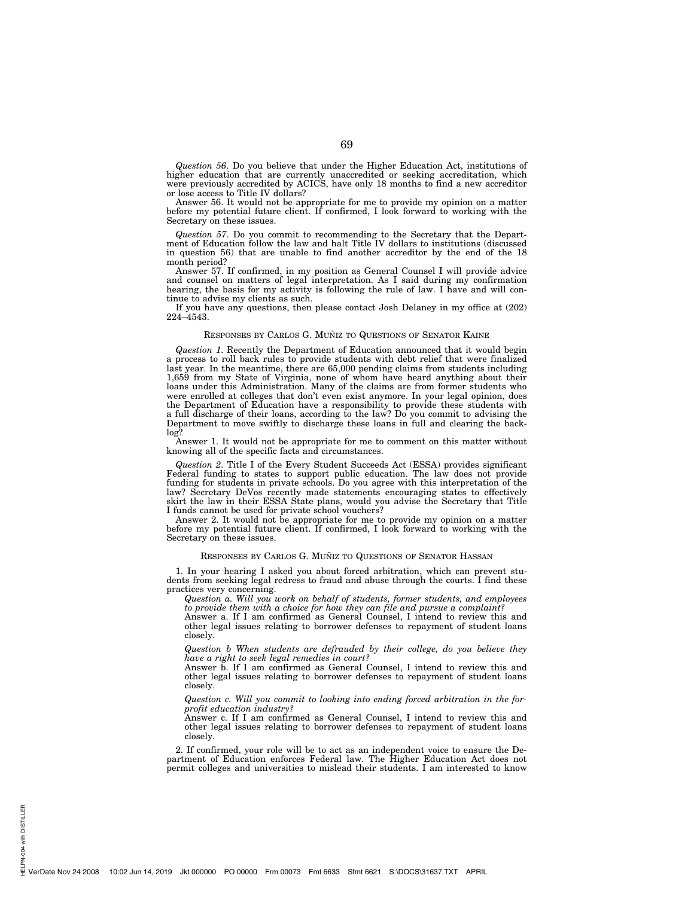*Question 56*. Do you believe that under the Higher Education Act, institutions of higher education that are currently unaccredited or seeking accreditation, which were previously accredited by ACICS, have only 18 months to find a new accreditor or lose access to Title IV dollars?

Answer 56. It would not be appropriate for me to provide my opinion on a matter before my potential future client. If confirmed, I look forward to working with the Secretary on these issues.

*Question 57*. Do you commit to recommending to the Secretary that the Department of Education follow the law and halt Title IV dollars to institutions (discussed in question 56) that are unable to find another accreditor by the end of the 18 month period?

Answer 57. If confirmed, in my position as General Counsel I will provide advice and counsel on matters of legal interpretation. As I said during my confirmation hearing, the basis for my activity is following the rule of law. I have and will continue to advise my clients as such.

If you have any questions, then please contact Josh Delaney in my office at (202) 224–4543.

## RESPONSES BY CARLOS G. MUÑIZ TO QUESTIONS OF SENATOR KAINE

*Question 1*. Recently the Department of Education announced that it would begin a process to roll back rules to provide students with debt relief that were finalized last year. In the meantime, there are 65,000 pending claims from students including 1,659 from my State of Virginia, none of whom have heard anything about their loans under this Administration. Many of the claims are from former students who were enrolled at colleges that don't even exist anymore. In your legal opinion, does the Department of Education have a responsibility to provide these students with a full discharge of their loans, according to the law? Do you commit to advising the Department to move swiftly to discharge these loans in full and clearing the backlog?

Answer 1. It would not be appropriate for me to comment on this matter without knowing all of the specific facts and circumstances.

*Question 2*. Title I of the Every Student Succeeds Act (ESSA) provides significant Federal funding to states to support public education. The law does not provide funding for students in private schools. Do you agree with this interpretation of the law? Secretary DeVos recently made statements encouraging states to effectively skirt the law in their ESSA State plans, would you advise the Secretary that Title I funds cannot be used for private school vouchers?

Answer 2. It would not be appropriate for me to provide my opinion on a matter before my potential future client. If confirmed, I look forward to working with the Secretary on these issues.

#### RESPONSES BY CARLOS G. MUÑIZ TO QUESTIONS OF SENATOR HASSAN

1. In your hearing I asked you about forced arbitration, which can prevent students from seeking legal redress to fraud and abuse through the courts. I find these practices very concerning.

*Question a. Will you work on behalf of students, former students, and employees to provide them with a choice for how they can file and pursue a complaint?* 

Answer a. If I am confirmed as General Counsel, I intend to review this and other legal issues relating to borrower defenses to repayment of student loans closely.

*Question b When students are defrauded by their college, do you believe they have a right to seek legal remedies in court?* 

Answer b. If I am confirmed as General Counsel, I intend to review this and other legal issues relating to borrower defenses to repayment of student loans closely.

*Question c. Will you commit to looking into ending forced arbitration in the forprofit education industry?* 

Answer c. If I am confirmed as General Counsel, I intend to review this and other legal issues relating to borrower defenses to repayment of student loans closely.

2. If confirmed, your role will be to act as an independent voice to ensure the Department of Education enforces Federal law. The Higher Education Act does not permit colleges and universities to mislead their students. I am interested to know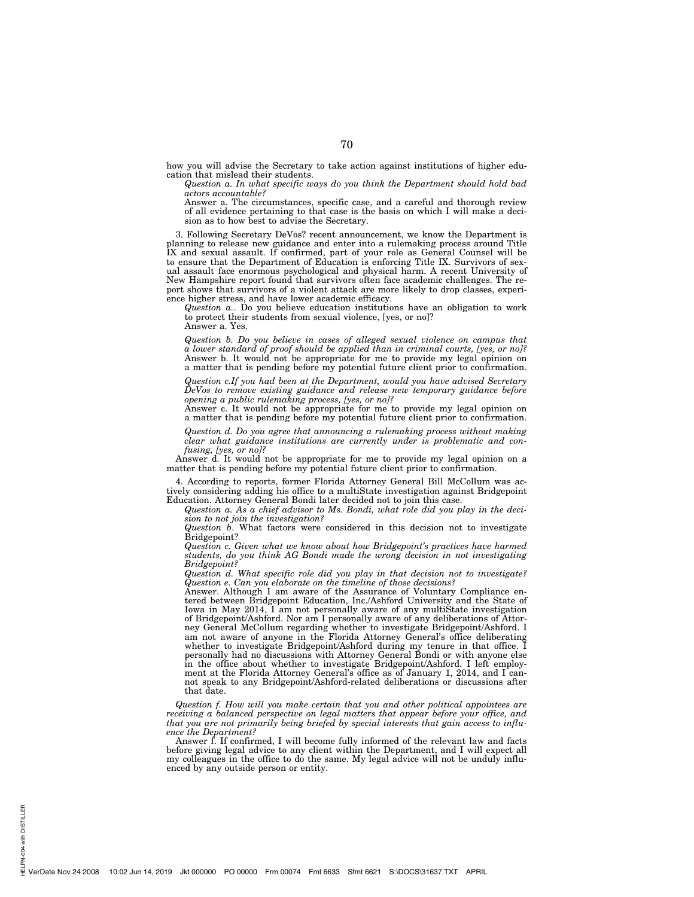how you will advise the Secretary to take action against institutions of higher education that mislead their students.

*Question a. In what specific ways do you think the Department should hold bad actors accountable?* 

Answer a. The circumstances, specific case, and a careful and thorough review of all evidence pertaining to that case is the basis on which I will make a decision as to how best to advise the Secretary.

3. Following Secretary DeVos? recent announcement, we know the Department is planning to release new guidance and enter into a rulemaking process around Title IX and sexual assault. If confirmed, part of your role as General Counsel will be to ensure that the Department of Education is enforcing Title IX. Survivors of sexual assault face enormous psychological and physical harm. A recent University of New Hampshire report found that survivors often face academic challenges. The report shows that survivors of a violent attack are more likely to drop classes, experience higher stress, and have lower academic efficacy.

*Question a.*. Do you believe education institutions have an obligation to work to protect their students from sexual violence, [yes, or no]?

Answer a. Yes.

*Question b. Do you believe in cases of alleged sexual violence on campus that a lower standard of proof should be applied than in criminal courts, [yes, or no]?*  Answer b. It would not be appropriate for me to provide my legal opinion on a matter that is pending before my potential future client prior to confirmation.

*Question c.If you had been at the Department, would you have advised Secretary DeVos to remove existing guidance and release new temporary guidance before opening a public rulemaking process, [yes, or no]?* 

Answer c. It would not be appropriate for me to provide my legal opinion on a matter that is pending before my potential future client prior to confirmation.

*Question d. Do you agree that announcing a rulemaking process without making clear what guidance institutions are currently under is problematic and confusing, [yes, or no]?* 

Answer d. It would not be appropriate for me to provide my legal opinion on a matter that is pending before my potential future client prior to confirmation.

4. According to reports, former Florida Attorney General Bill McCollum was actively considering adding his office to a multiState investigation against Bridgepoint Education. Attorney General Bondi later decided not to join this case.

*Question a. As a chief advisor to Ms. Bondi, what role did you play in the decision to not join the investigation?* 

*Question b*. What factors were considered in this decision not to investigate Bridgepoint?

*Question c. Given what we know about how Bridgepoint's practices have harmed students, do you think AG Bondi made the wrong decision in not investigating Bridgepoint?* 

*Question d. What specific role did you play in that decision not to investigate? Question e. Can you elaborate on the timeline of those decisions?* 

Answer. Although I am aware of the Assurance of Voluntary Compliance entered between Bridgepoint Education, Inc./Ashford University and the State of Iowa in May 2014, I am not personally aware of any multiState investigation of Bridgepoint/Ashford. Nor am I personally aware of any deliberations of Attorney General McCollum regarding whether to investigate Bridgepoint/Ashford. I am not aware of anyone in the Florida Attorney General's office deliberating whether to investigate Bridgepoint/Ashford during my tenure in that office. I personally had no discussions with Attorney General Bondi or with anyone else in the office about whether to investigate Bridgepoint/Ashford. I left employment at the Florida Attorney General's office as of January 1, 2014, and I cannot speak to any Bridgepoint/Ashford-related deliberations or discussions after that date.

*Question f. How will you make certain that you and other political appointees are receiving a balanced perspective on legal matters that appear before your office, and that you are not primarily being briefed by special interests that gain access to influence the Department?* 

Answer f. If confirmed, I will become fully informed of the relevant law and facts before giving legal advice to any client within the Department, and I will expect all my colleagues in the office to do the same. My legal advice will not be unduly influenced by any outside person or entity.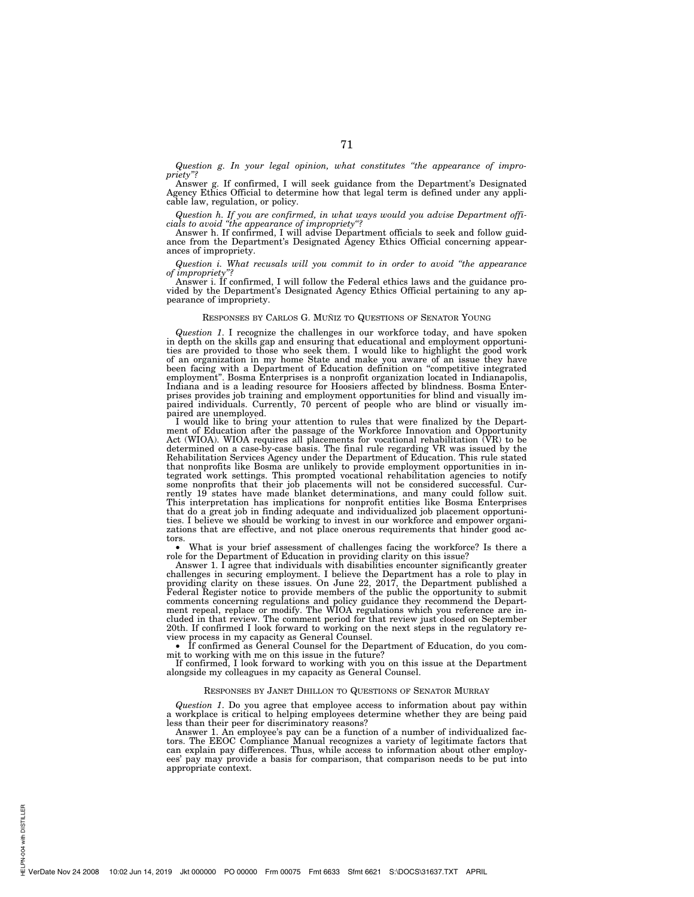*Question g. In your legal opinion, what constitutes ''the appearance of impropriety''?* 

Answer g. If confirmed, I will seek guidance from the Department's Designated Agency Ethics Official to determine how that legal term is defined under any applicable law, regulation, or policy.

*Question h. If you are confirmed, in what ways would you advise Department offi-cials to avoid ''the appearance of impropriety''?* 

Answer h. If confirmed, I will advise Department officials to seek and follow guidance from the Department's Designated Agency Ethics Official concerning appearances of impropriety.

*Question i. What recusals will you commit to in order to avoid ''the appearance of impropriety''?* 

Answer i. If confirmed, I will follow the Federal ethics laws and the guidance pro-vided by the Department's Designated Agency Ethics Official pertaining to any appearance of impropriety.

# RESPONSES BY CARLOS G. MUÑIZ TO QUESTIONS OF SENATOR YOUNG

*Question 1*. I recognize the challenges in our workforce today, and have spoken in depth on the skills gap and ensuring that educational and employment opportuni-ties are provided to those who seek them. I would like to highlight the good work of an organization in my home State and make you aware of an issue they have been facing with a Department of Education definition on ''competitive integrated employment''. Bosma Enterprises is a nonprofit organization located in Indianapolis, Indiana and is a leading resource for Hoosiers affected by blindness. Bosma Enterprises provides job training and employment opportunities for blind and visually im-paired individuals. Currently, 70 percent of people who are blind or visually impaired are unemployed.

I would like to bring your attention to rules that were finalized by the Department of Education after the passage of the Workforce Innovation and Opportunity Act (WIOA). WIOA requires all placements for vocational rehabil that nonprofits like Bosma are unlikely to provide employment opportunities in in-<br>tegrated work settings. This prompted vocational rehabilitation agencies to notify<br>some nonprofits that their job placements will not be co that do a great job in finding adequate and individualized job placement opportunities. I believe we should be working to invest in our workforce and empower organizations that are effective, and not place onerous requirements that hinder good ac-

What is your brief assessment of challenges facing the workforce? Is there a role for the Department of Education in providing clarity on this issue? Answer 1. I agree that individuals with disabilities encounter significantly greater

challenges in securing employment. I believe the Department has a role to play in<br>providing clarity on these issues. On June 22, 2017, the Department published a<br>Federal Register notice to provide members of the public the ment repeal, replace or modify. The WIOA regulations which you reference are in-cluded in that review. The comment period for that review just closed on September 20th. If confirmed I look forward to working on the next steps in the regulatory review process in my capacity as General Counsel.

• If confirmed as General Counsel for the Department of Education, do you commit to working with me on this issue in the future?

If confirmed, I look forward to working with you on this issue at the Department alongside my colleagues in my capacity as General Counsel.

# RESPONSES BY JANET DHILLON TO QUESTIONS OF SENATOR MURRAY

*Question 1*. Do you agree that employee access to information about pay within a workplace is critical to helping employees determine whether they are being paid less than their peer for discriminatory reasons?

Answer 1. An employee's pay can be a function of a number of individualized factors. The EEOC Compliance Manual recognizes a variety of legitimate factors that can explain pay differences. Thus, while access to information about other employees' pay may provide a basis for comparison, that comparison needs to be put into appropriate context.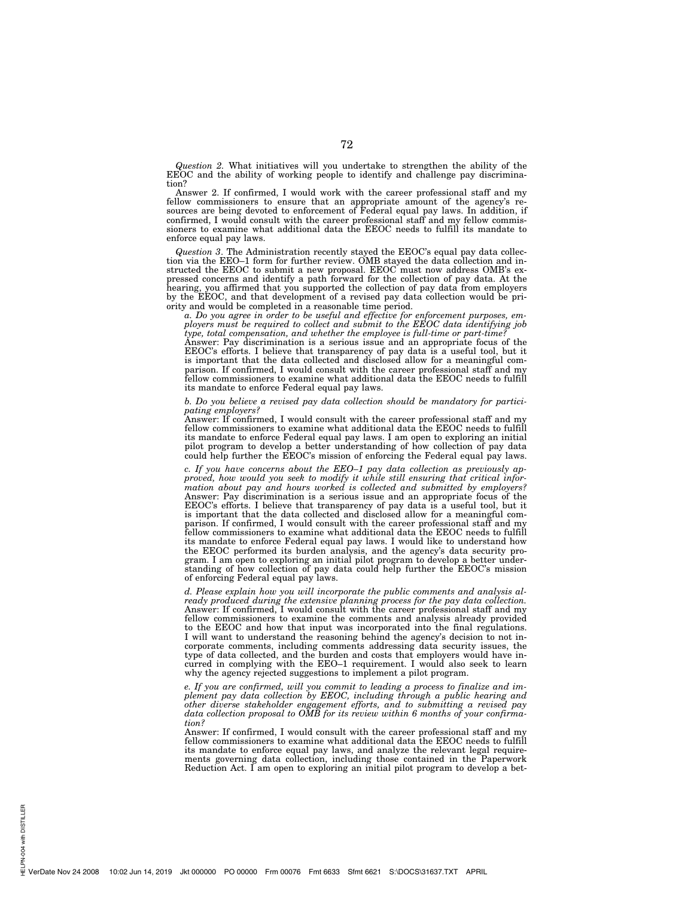*Question 2.* What initiatives will you undertake to strengthen the ability of the EEOC and the ability of working people to identify and challenge pay discrimination?

Answer 2. If confirmed, I would work with the career professional staff and my fellow commissioners to ensure that an appropriate amount of the agency's resources are being devoted to enforcement of Federal equal pay laws. In addition, if confirmed, I would consult with the career professional staff and my fellow commissioners to examine what additional data the EEOC needs to fulfill its mandate to enforce equal pay laws.

*Question 3*. The Administration recently stayed the EEOC's equal pay data collection via the EEO–1 form for further review. OMB stayed the data collection and instructed the EEOC to submit a new proposal. EEOC must now address OMB's expressed concerns and identify a path forward for the collection of pay data. At the hearing, you affirmed that you supported the collection of pay data from employers by the EEOC, and that development of a revised pay data collection would be priority and would be completed in a reasonable time period.

*a. Do you agree in order to be useful and effective for enforcement purposes, employers must be required to collect and submit to the EEOC data identifying job type, total compensation, and whether the employee is full-time or part-time?* 

Answer: Pay discrimination is a serious issue and an appropriate focus of the EEOC's efforts. I believe that transparency of pay data is a useful tool, but it is important that the data collected and disclosed allow for a meaningful comparison. If confirmed, I would consult with the career professional staff and my fellow commissioners to examine what additional data the EEOC needs to fulfill its mandate to enforce Federal equal pay laws.

# *b. Do you believe a revised pay data collection should be mandatory for participating employers?*

Answer: If confirmed, I would consult with the career professional staff and my fellow commissioners to examine what additional data the EEOC needs to fulfill its mandate to enforce Federal equal pay laws. I am open to exploring an initial pilot program to develop a better understanding of how collection of pay data could help further the EEOC's mission of enforcing the Federal equal pay laws.

*c. If you have concerns about the EEO–1 pay data collection as previously approved, how would you seek to modify it while still ensuring that critical information about pay and hours worked is collected and submitted by employers?*  Answer: Pay discrimination is a serious issue and an appropriate focus of the EEOC's efforts. I believe that transparency of pay data is a useful tool, but it is important that the data collected and disclosed allow for a meaningful comparison. If confirmed, I would consult with the career professional staff and my fellow commissioners to examine what additional data the EEOC needs to fulfill its mandate to enforce Federal equal pay laws. I would like to understand how the EEOC performed its burden analysis, and the agency's data security program. I am open to exploring an initial pilot program to develop a better understanding of how collection of pay data could help further the EEOC's mission of enforcing Federal equal pay laws.

*d. Please explain how you will incorporate the public comments and analysis already produced during the extensive planning process for the pay data collection.*  Answer: If confirmed, I would consult with the career professional staff and my fellow commissioners to examine the comments and analysis already provided to the EEOC and how that input was incorporated into the final regulations. I will want to understand the reasoning behind the agency's decision to not incorporate comments, including comments addressing data security issues, the type of data collected, and the burden and costs that employers would have incurred in complying with the EEO–1 requirement. I would also seek to learn why the agency rejected suggestions to implement a pilot program.

*e. If you are confirmed, will you commit to leading a process to finalize and implement pay data collection by EEOC, including through a public hearing and other diverse stakeholder engagement efforts, and to submitting a revised pay data collection proposal to OMB for its review within 6 months of your confirmation?* 

Answer: If confirmed, I would consult with the career professional staff and my fellow commissioners to examine what additional data the EEOC needs to fulfill its mandate to enforce equal pay laws, and analyze the relevant legal require-ments governing data collection, including those contained in the Paperwork Reduction Act. I am open to exploring an initial pilot program to develop a bet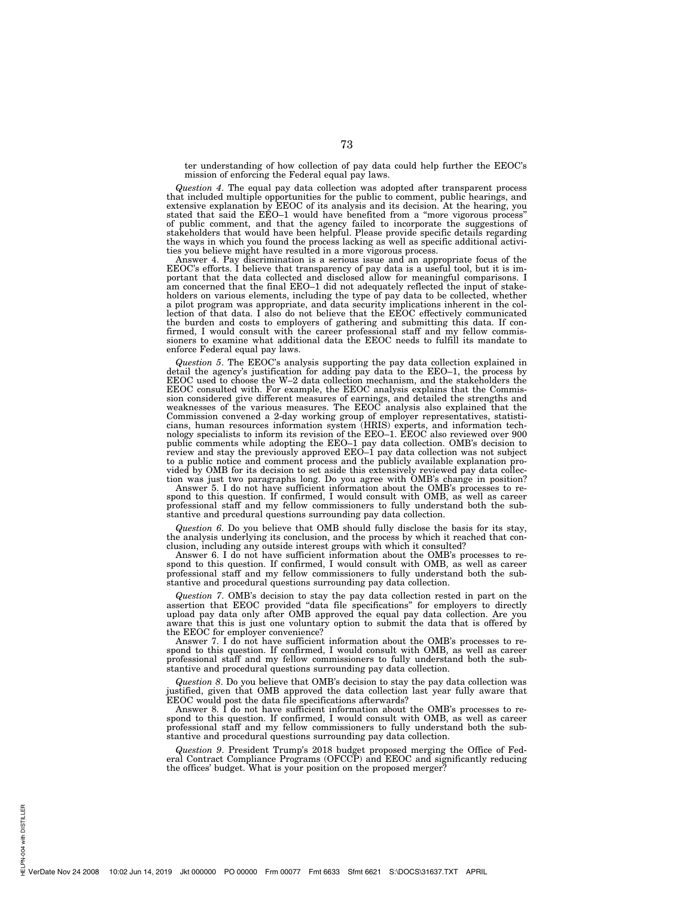ter understanding of how collection of pay data could help further the EEOC's mission of enforcing the Federal equal pay laws.

*Question 4*. The equal pay data collection was adopted after transparent process that included multiple opportunities for the public to comment, public hearings, and extensive explanation by EEOC of its analysis and its decision. At the hearing, you stated that said the EEO–1 would have benefited from a ''more vigorous process'' of public comment, and that the agency failed to incorporate the suggestions of stakeholders that would have been helpful. Please provide specific details regarding the ways in which you found the process lacking as well as specific additional activities you believe might have resulted in a more vigorous process.

Answer 4. Pay discrimination is a serious issue and an appropriate focus of the EEOC's efforts. I believe that transparency of pay data is a useful tool, but it is im-portant that the data collected and disclosed allow for meaningful comparisons. I am concerned that the final EEO–1 did not adequately reflected the input of stakeholders on various elements, including the type of pay data to be collected, whether a pilot program was appropriate, and data security implications inherent in the collection of that data. I also do not believe that the EEOC effectively communicated the burden and costs to employers of gathering and submitting this data. If confirmed, I would consult with the career professional staff and my fellow commis-sioners to examine what additional data the EEOC needs to fulfill its mandate to enforce Federal equal pay laws.

*Question 5*. The EEOC's analysis supporting the pay data collection explained in detail the agency's justification for adding pay data to the EEO–1, the process by EEOC used to choose the W–2 data collection mechanism, and the stakeholders the EEOC consulted with. For example, the EEOC analysis explains that the Commission considered give different measures of earnings, and detailed the strengths and<br>weaknesses of the various measures. The EEOC analysis also explained that the<br>Commission convened a 2-day working group of employer repres to a public notice and comment process and the publicly available explanation pro-vided by OMB for its decision to set aside this extensively reviewed pay data collection was just two paragraphs long. Do you agree with OMB's change in position? Answer 5. I do not have sufficient information about the OMB's processes to re-

spond to this question. If confirmed, I would consult with OMB, as well as career professional staff and my fellow commissioners to fully understand both the substantive and prcedural questions surrounding pay data collection.

*Question 6*. Do you believe that OMB should fully disclose the basis for its stay, the analysis underlying its conclusion, and the process by which it reached that conclusion, including any outside interest groups with which it consulted?

Answer 6. I do not have sufficient information about the OMB's processes to respond to this question. If confirmed, I would consult with OMB, as well as career professional staff and my fellow commissioners to fully understand both the substantive and procedural questions surrounding pay data collection.

*Question 7*. OMB's decision to stay the pay data collection rested in part on the assertion that EEOC provided ''data file specifications'' for employers to directly upload pay data only after OMB approved the equal pay data collection. Are you aware that this is just one voluntary option to submit the data that is offered by the EEOC for employer convenience?

Answer 7. I do not have sufficient information about the OMB's processes to respond to this question. If confirmed, I would consult with OMB, as well as career professional staff and my fellow commissioners to fully understand both the substantive and procedural questions surrounding pay data collection.

*Question 8*. Do you believe that OMB's decision to stay the pay data collection was justified, given that OMB approved the data collection last year fully aware that EEOC would post the data file specifications afterwards?

Answer 8. I do not have sufficient information about the OMB's processes to respond to this question. If confirmed, I would consult with OMB, as well as career professional staff and my fellow commissioners to fully understand both the substantive and procedural questions surrounding pay data collection.

*Question 9*. President Trump's 2018 budget proposed merging the Office of Fed-eral Contract Compliance Programs (OFCCP) and EEOC and significantly reducing the offices' budget. What is your position on the proposed merger?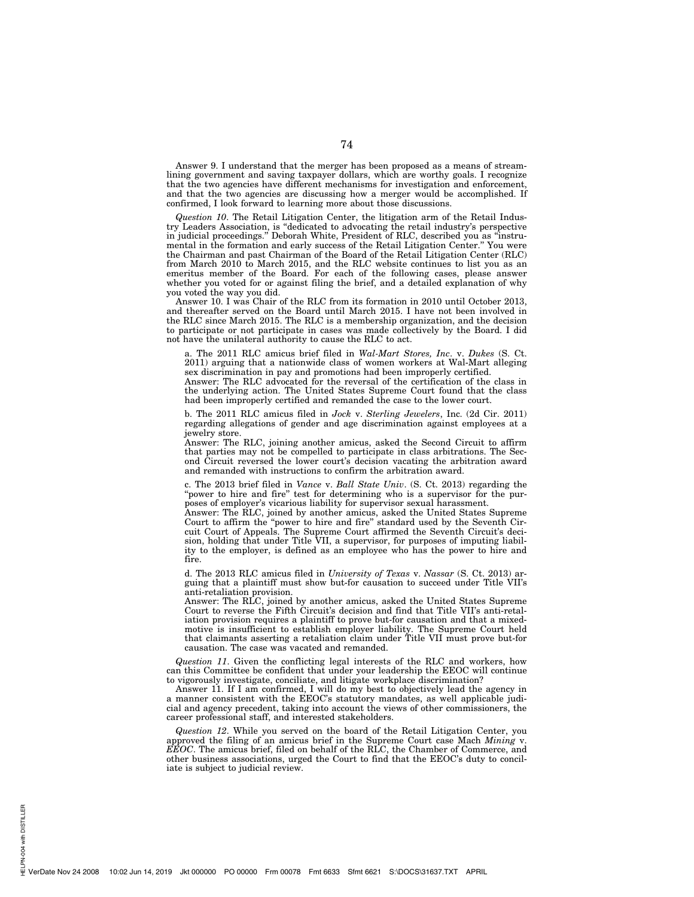Answer 9. I understand that the merger has been proposed as a means of streamlining government and saving taxpayer dollars, which are worthy goals. I recognize that the two agencies have different mechanisms for investigation and enforcement, and that the two agencies are discussing how a merger would be accomplished. If confirmed, I look forward to learning more about those discussions.

*Question 10*. The Retail Litigation Center, the litigation arm of the Retail Industry Leaders Association, is ''dedicated to advocating the retail industry's perspective in judicial proceedings.'' Deborah White, President of RLC, described you as ''instrumental in the formation and early success of the Retail Litigation Center.'' You were the Chairman and past Chairman of the Board of the Retail Litigation Center (RLC) from March 2010 to March 2015, and the RLC website continues to list you as an emeritus member of the Board. For each of the following cases, please answer whether you voted for or against filing the brief, and a detailed explanation of why you voted the way you did.

Answer 10. I was Chair of the RLC from its formation in 2010 until October 2013, and thereafter served on the Board until March 2015. I have not been involved in the RLC since March 2015. The RLC is a membership organization, and the decision to participate or not participate in cases was made collectively by the Board. I did not have the unilateral authority to cause the RLC to act.

a. The 2011 RLC amicus brief filed in *Wal-Mart Stores, Inc*. v. *Dukes* (S. Ct. 2011) arguing that a nationwide class of women workers at Wal-Mart alleging sex discrimination in pay and promotions had been improperly certified.

Answer: The RLC advocated for the reversal of the certification of the class in the underlying action. The United States Supreme Court found that the class had been improperly certified and remanded the case to the lower court.

b. The 2011 RLC amicus filed in *Jock* v. *Sterling Jewelers*, Inc. (2d Cir. 2011) regarding allegations of gender and age discrimination against employees at a jewelry store.

Answer: The RLC, joining another amicus, asked the Second Circuit to affirm that parties may not be compelled to participate in class arbitrations. The Second Circuit reversed the lower court's decision vacating the arbitration award and remanded with instructions to confirm the arbitration award.

c. The 2013 brief filed in *Vance* v. *Ball State Univ*. (S. Ct. 2013) regarding the ''power to hire and fire'' test for determining who is a supervisor for the purposes of employer's vicarious liability for supervisor sexual harassment.

Answer: The RLC, joined by another amicus, asked the United States Supreme Court to affirm the ''power to hire and fire'' standard used by the Seventh Circuit Court of Appeals. The Supreme Court affirmed the Seventh Circuit's decision, holding that under Title VII, a supervisor, for purposes of imputing liability to the employer, is defined as an employee who has the power to hire and fire.

d. The 2013 RLC amicus filed in *University of Texas* v. *Nassar* (S. Ct. 2013) arguing that a plaintiff must show but-for causation to succeed under Title VII's anti-retaliation provision.

Answer: The RLC, joined by another amicus, asked the United States Supreme Court to reverse the Fifth Circuit's decision and find that Title VII's anti-retaliation provision requires a plaintiff to prove but-for causation and that a mixedmotive is insufficient to establish employer liability. The Supreme Court held that claimants asserting a retaliation claim under Title VII must prove but-for causation. The case was vacated and remanded.

*Question 11*. Given the conflicting legal interests of the RLC and workers, how can this Committee be confident that under your leadership the EEOC will continue to vigorously investigate, conciliate, and litigate workplace discrimination?

Answer 11. If I am confirmed, I will do my best to objectively lead the agency in a manner consistent with the EEOC's statutory mandates, as well applicable judicial and agency precedent, taking into account the views of other commissioners, the career professional staff, and interested stakeholders.

*Question 12*. While you served on the board of the Retail Litigation Center, you approved the filing of an amicus brief in the Supreme Court case Mach *Mining* v. *EEOC*. The amicus brief, filed on behalf of the RLC, the Chamber of Commerce, and other business associations, urged the Court to find that the EEOC's duty to conciliate is subject to judicial review.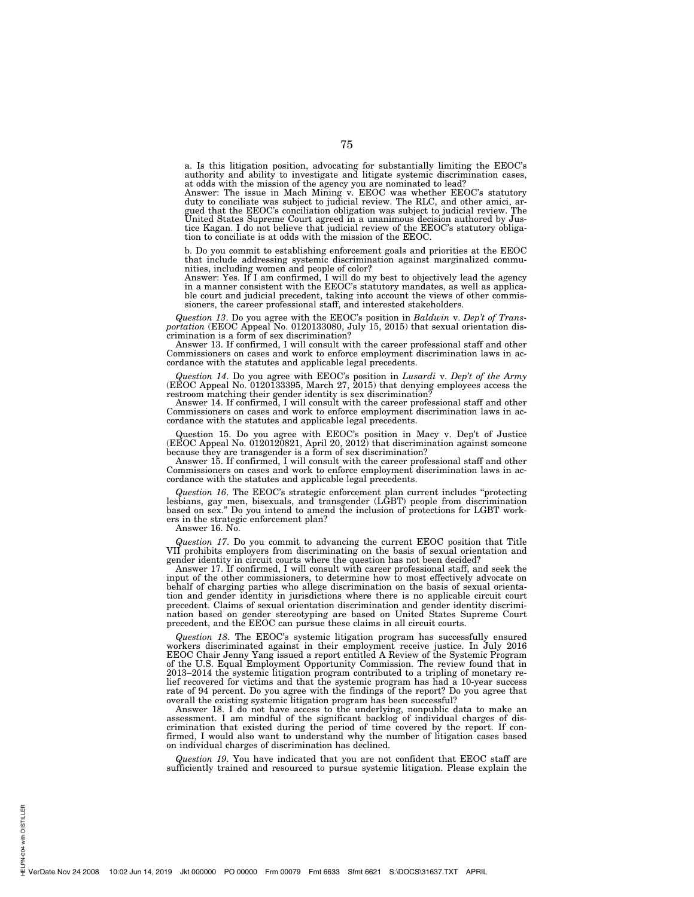a. Is this litigation position, advocating for substantially limiting the EEOC's authority and ability to investigate and litigate systemic discrimination cases,

at odds with the mission of the agency you are nominated to lead? Answer: The issue in Mach Mining v. EEOC was whether EEOC's statutory duty to conciliate was subject to judicial review. The RLC, and other amici, argued that the EEOC's conciliation obligation was subject to judicial review. The United States Supreme Court agreed in a unanimous decision authored by Justice Kagan. I do not believe that judicial review of the EEOC's statutory obligation to conciliate is at odds with the mission of the EEOC.

b. Do you commit to establishing enforcement goals and priorities at the EEOC that include addressing systemic discrimination against marginalized communities, including women and people of color?

Answer: Yes. If I am confirmed, I will do my best to objectively lead the agency in a manner consistent with the EEOC's statutory mandates, as well as applicable court and judicial precedent, taking into account the views of other commissioners, the career professional staff, and interested stakeholders.

*Question 13*. Do you agree with the EEOC's position in *Baldwin* v. *Dep't of Trans-portation* (EEOC Appeal No. 0120133080, July 15, 2015) that sexual orientation dis-

crimination is a form of sex discrimination? Answer 13. If confirmed, I will consult with the career professional staff and other Commissioners on cases and work to enforce employment discrimination laws in accordance with the statutes and applicable legal precedents.

*Question 14*. Do you agree with EEOC's position in *Lusardi* v. *Dep't of the Army*  (EEOC Appeal No. 0120133395, March 27, 2015) that denying employees access the restroom matching their gender identity is sex discrimination?

Answer 14. If confirmed, I will consult with the career professional staff and other Commissioners on cases and work to enforce employment discrimination laws in accordance with the statutes and applicable legal precedents.

Question 15. Do you agree with EEOC's position in Macy v. Dep't of Justice (EEOC Appeal No. 0120120821, April 20, 2012) that discrimination against someone because they are transgender is a form of sex discrimination?

Answer 15. If confirmed, I will consult with the career professional staff and other Commissioners on cases and work to enforce employment discrimination laws in accordance with the statutes and applicable legal precedents.

*Question 16*. The EEOC's strategic enforcement plan current includes "protecting lesbians, gay men, bisexuals, and transgender (LGBT) people from discrimination based on sex.'' Do you intend to amend the inclusion of protections for LGBT workers in the strategic enforcement plan?

Answer 16. No.

*Question 17*. Do you commit to advancing the current EEOC position that Title VII prohibits employers from discriminating on the basis of sexual orientation and gender identity in circuit courts where the question has not been decided?

Answer 17. If confirmed, I will consult with career professional staff, and seek the input of the other commissioners, to determine how to most effectively advocate on behalf of charging parties who allege discrimination on the basis of sexual orientation and gender identity in jurisdictions where there is no applicable circuit court precedent. Claims of sexual orientation discrimination and gender identity discrimination based on gender stereotyping are based on United States Supreme Court precedent, and the EEOC can pursue these claims in all circuit courts.

*Question 18*. The EEOC's systemic litigation program has successfully ensured workers discriminated against in their employment receive justice. In July 2016 EEOC Chair Jenny Yang issued a report entitled A Review of the Systemic Program of the U.S. Equal Employment Opportunity Commission. The review found that in 2013–2014 the systemic litigation program contributed to a tripling of monetary relief recovered for victims and that the systemic program has had a 10-year success rate of 94 percent. Do you agree with the findings of the report? Do you agree that overall the existing systemic litigation program has been successful?

Answer 18. I do not have access to the underlying, nonpublic data to make an assessment. I am mindful of the significant backlog of individual charges of discrimination that existed during the period of time covered by the report. If confirmed, I would also want to understand why the number of litigation cases based on individual charges of discrimination has declined.

*Question 19*. You have indicated that you are not confident that EEOC staff are sufficiently trained and resourced to pursue systemic litigation. Please explain the

PN-004 with DISTILLER HELPN-004 with DISTILLER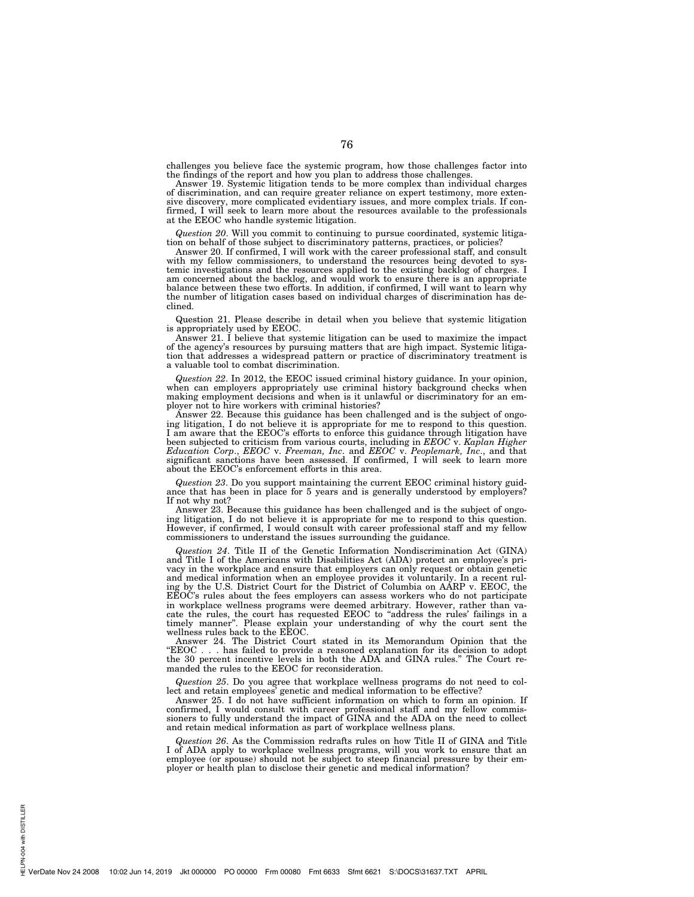challenges you believe face the systemic program, how those challenges factor into the findings of the report and how you plan to address those challenges.

Answer 19. Systemic litigation tends to be more complex than individual charges of discrimination, and can require greater reliance on expert testimony, more extensive discovery, more complicated evidentiary issues, and more complex trials. If confirmed, I will seek to learn more about the resources available to the professionals at the EEOC who handle systemic litigation.

*Question 20*. Will you commit to continuing to pursue coordinated, systemic litigation on behalf of those subject to discriminatory patterns, practices, or policies?

Answer 20. If confirmed, I will work with the career professional staff, and consult with my fellow commissioners, to understand the resources being devoted to systemic investigations and the resources applied to the existing backlog of charges. I am concerned about the backlog, and would work to ensure there is an appropriate balance between these two efforts. In addition, if confirmed, I will want to learn why the number of litigation cases based on individual charges of discrimination has declined.

Question 21. Please describe in detail when you believe that systemic litigation is appropriately used by EEOC.

Answer 21. I believe that systemic litigation can be used to maximize the impact of the agency's resources by pursuing matters that are high impact. Systemic litigation that addresses a widespread pattern or practice of discriminatory treatment is a valuable tool to combat discrimination.

*Question 22*. In 2012, the EEOC issued criminal history guidance. In your opinion, when can employers appropriately use criminal history background checks when making employment decisions and when is it unlawful or discriminatory for an employer not to hire workers with criminal histories?

Answer 22. Because this guidance has been challenged and is the subject of ongoing litigation, I do not believe it is appropriate for me to respond to this question. I am aware that the EEOC's efforts to enforce this guidance through litigation have been subjected to criticism from various courts, including in *EEOC* v. *Kaplan Higher Education Corp*., *EEOC* v. *Freeman, Inc*. and *EEOC* v. *Peoplemark, Inc*., and that significant sanctions have been assessed. If confirmed, I will seek to learn more about the EEOC's enforcement efforts in this area.

*Question 23*. Do you support maintaining the current EEOC criminal history guidance that has been in place for 5 years and is generally understood by employers? If not why not?

Answer 23. Because this guidance has been challenged and is the subject of ongoing litigation, I do not believe it is appropriate for me to respond to this question. However, if confirmed, I would consult with career professional staff and my fellow commissioners to understand the issues surrounding the guidance.

*Question 24*. Title II of the Genetic Information Nondiscrimination Act (GINA) and Title I of the Americans with Disabilities Act (ADA) protect an employee's privacy in the workplace and ensure that employers can only request or obtain genetic and medical information when an employee provides it voluntarily. In a recent ruling by the U.S. District Court for the District of Columbia on AARP v. EEOC, the EEOC's rules about the fees employers can assess workers who do not participate in workplace wellness programs were deemed arbitrary. However, rather than vacate the rules, the court has requested EEOC to ''address the rules' failings in a timely manner''. Please explain your understanding of why the court sent the wellness rules back to the EEOC.

Answer 24. The District Court stated in its Memorandum Opinion that the ''EEOC . . . has failed to provide a reasoned explanation for its decision to adopt the 30 percent incentive levels in both the ADA and GINA rules.'' The Court remanded the rules to the EEOC for reconsideration.

*Question 25*. Do you agree that workplace wellness programs do not need to collect and retain employees' genetic and medical information to be effective?

Answer 25. I do not have sufficient information on which to form an opinion. If confirmed, I would consult with career professional staff and my fellow commissioners to fully understand the impact of GINA and the ADA on the need to collect and retain medical information as part of workplace wellness plans.

*Question 26*. As the Commission redrafts rules on how Title II of GINA and Title I of ADA apply to workplace wellness programs, will you work to ensure that an employee (or spouse) should not be subject to steep financial pressure by their employer or health plan to disclose their genetic and medical information?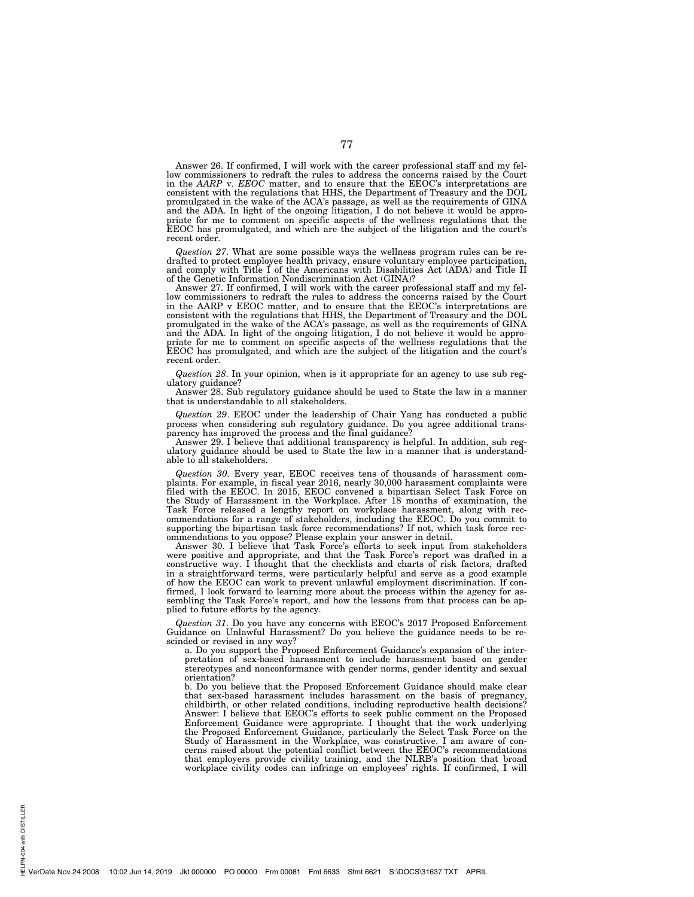Answer 26. If confirmed, I will work with the career professional staff and my fellow commissioners to redraft the rules to address the concerns raised by the Court in the *AARP* v. *EEOC* matter, and to ensure that the EEOC's interpretations are consistent with the regulations that HHS, the Department of Treasury and the DOL promulgated in the wake of the ACA's passage, as well as the requirements of GINA and the ADA. In light of the ongoing litigation, I do not believe it would be appropriate for me to comment on specific aspects of the wellness regulations that the priate for me to comment on specific aspects of the litigation and the court's EEOC has promulgated, and which are the subject of the litigation and the court's recent order.

*Question 27*. What are some possible ways the wellness program rules can be redrafted to protect employee health privacy, ensure voluntary employee participation, and comply with Title I of the Americans with Disabilities Act (ADA) and Title II of the Genetic Information Nondiscrimination Act (GINA)?

Answer 27. If confirmed, I will work with the career professional staff and my fellow commissioners to redraft the rules to address the concerns raised by the Court in the AARP v EEOC matter, and to ensure that the EEOC's interpretations are consistent with the regulations that HHS, the Department of Treasury and the DOL promulgated in the wake of the ACA's passage, as well as the requirements of GINA and the ADA. In light of the ongoing litigation, I do not believe it would be appropriate for me to comment on specific aspects of the wellness regulations that the EEOC has promulgated, and which are the subject of the litigation and the court's recent order.

*Question 28*. In your opinion, when is it appropriate for an agency to use sub regulatory guidance?

Answer 28. Sub regulatory guidance should be used to State the law in a manner that is understandable to all stakeholders.

*Question 29*. EEOC under the leadership of Chair Yang has conducted a public process when considering sub regulatory guidance. Do you agree additional transparency has improved the process and the final guidance?

Answer 29. I believe that additional transparency is helpful. In addition, sub regulatory guidance should be used to State the law in a manner that is understandable to all stakeholders.

*Question 30*. Every year, EEOC receives tens of thousands of harassment complaints. For example, in fiscal year 2016, nearly 30,000 harassment complaints were filed with the EEOC. In 2015, EEOC convened a bipartisan Select Task Force on the Study of Harassment in the Workplace. After 18 months of examination, the Task Force released a lengthy report on workplace harassment, along with recommendations for a range of stakeholders, including the EEOC. Do you commit to supporting the bipartisan task force recommendations? If not, which task force recommendations to you oppose? Please explain your answer in detail.

Answer 30. I believe that Task Force's efforts to seek input from stakeholders were positive and appropriate, and that the Task Force's report was drafted in a constructive way. I thought that the checklists and charts of risk factors, drafted in a straightforward terms, were particularly helpful and serve as a good example of how the EEOC can work to prevent unlawful employment discrimination. If confirmed, I look forward to learning more about the process within the agency for assembling the Task Force's report, and how the lessons from that process can be applied to future efforts by the agency.

*Question 31*. Do you have any concerns with EEOC's 2017 Proposed Enforcement Guidance on Unlawful Harassment? Do you believe the guidance needs to be rescinded or revised in any way?

a. Do you support the Proposed Enforcement Guidance's expansion of the interpretation of sex-based harassment to include harassment based on gender stereotypes and nonconformance with gender norms, gender identity and sexual orientation?

b. Do you believe that the Proposed Enforcement Guidance should make clear that sex-based harassment includes harassment on the basis of pregnancy, childbirth, or other related conditions, including reproductive health decisions? Answer: I believe that EEOC's efforts to seek public comment on the Proposed Enforcement Guidance were appropriate. I thought that the work underlying the Proposed Enforcement Guidance, particularly the Select Task Force on the Study of Harassment in the Workplace, was constructive. I am aware of concerns raised about the potential conflict between the EEOC's recommendations that employers provide civility training, and the NLRB's position that broad workplace civility codes can infringe on employees' rights. If confirmed, I will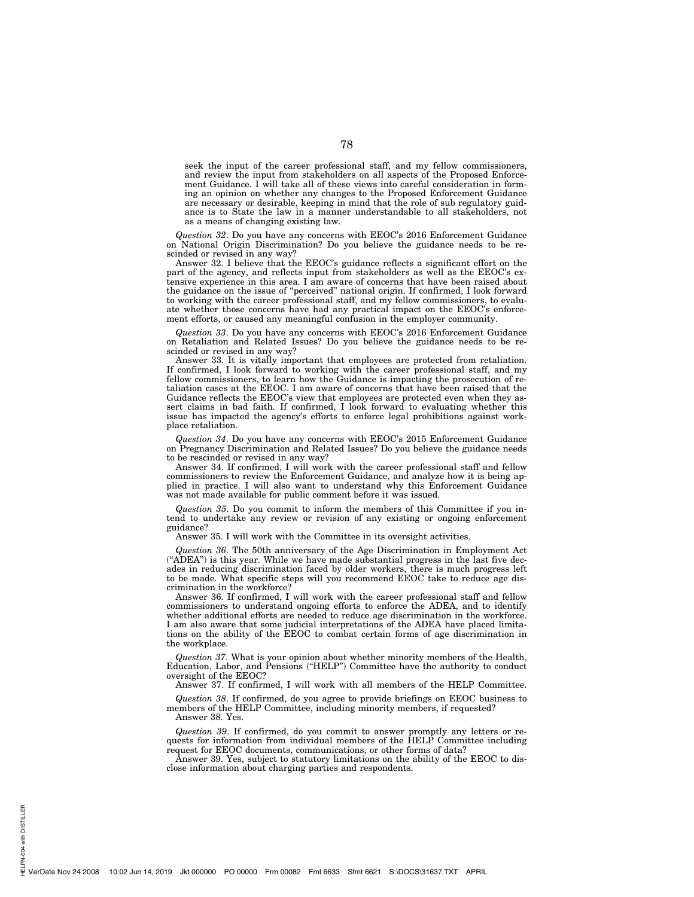seek the input of the career professional staff, and my fellow commissioners, and review the input from stakeholders on all aspects of the Proposed Enforcement Guidance. I will take all of these views into careful consideration in forming an opinion on whether any changes to the Proposed Enforcement Guidance are necessary or desirable, keeping in mind that the role of sub regulatory guidance is to State the law in a manner understandable to all stakeholders, not as a means of changing existing law.

*Question 32*. Do you have any concerns with EEOC's 2016 Enforcement Guidance on National Origin Discrimination? Do you believe the guidance needs to be rescinded or revised in any way?

Answer 32. I believe that the EEOC's guidance reflects a significant effort on the part of the agency, and reflects input from stakeholders as well as the EEOC's extensive experience in this area. I am aware of concerns that have been raised about the guidance on the issue of ''perceived'' national origin. If confirmed, I look forward to working with the career professional staff, and my fellow commissioners, to evaluate whether those concerns have had any practical impact on the EEOC's enforcement efforts, or caused any meaningful confusion in the employer community.

*Question 33*. Do you have any concerns with EEOC's 2016 Enforcement Guidance on Retaliation and Related Issues? Do you believe the guidance needs to be rescinded or revised in any way?

Answer 33. It is vitally important that employees are protected from retaliation. If confirmed, I look forward to working with the career professional staff, and my fellow commissioners, to learn how the Guidance is impacting the prosecution of retaliation cases at the EEOC. I am aware of concerns that have been raised that the Guidance reflects the EEOC's view that employees are protected even when they assert claims in bad faith. If confirmed, I look forward to evaluating whether this issue has impacted the agency's efforts to enforce legal prohibitions against workplace retaliation.

*Question 34*. Do you have any concerns with EEOC's 2015 Enforcement Guidance on Pregnancy Discrimination and Related Issues? Do you believe the guidance needs to be rescinded or revised in any way?

Answer 34. If confirmed, I will work with the career professional staff and fellow commissioners to review the Enforcement Guidance, and analyze how it is being applied in practice. I will also want to understand why this Enforcement Guidance was not made available for public comment before it was issued.

*Question 35*. Do you commit to inform the members of this Committee if you intend to undertake any review or revision of any existing or ongoing enforcement guidance?

Answer 35. I will work with the Committee in its oversight activities.

*Question 36*. The 50th anniversary of the Age Discrimination in Employment Act (''ADEA'') is this year. While we have made substantial progress in the last five decades in reducing discrimination faced by older workers, there is much progress left to be made. What specific steps will you recommend EEOC take to reduce age discrimination in the workforce?

Answer 36. If confirmed, I will work with the career professional staff and fellow commissioners to understand ongoing efforts to enforce the ADEA, and to identify whether additional efforts are needed to reduce age discrimination in the workforce. I am also aware that some judicial interpretations of the ADEA have placed limitations on the ability of the EEOC to combat certain forms of age discrimination in the workplace.

*Question 37*. What is your opinion about whether minority members of the Health, Education, Labor, and Pensions ("HELP") Committee have the authority to conduct oversight of the EEOC?

Answer 37. If confirmed, I will work with all members of the HELP Committee.

*Question 38*. If confirmed, do you agree to provide briefings on EEOC business to members of the HELP Committee, including minority members, if requested? Answer 38. Yes.

*Question 39*. If confirmed, do you commit to answer promptly any letters or requests for information from individual members of the HELP Committee including request for EEOC documents, communications, or other forms of data?

Answer 39. Yes, subject to statutory limitations on the ability of the EEOC to disclose information about charging parties and respondents.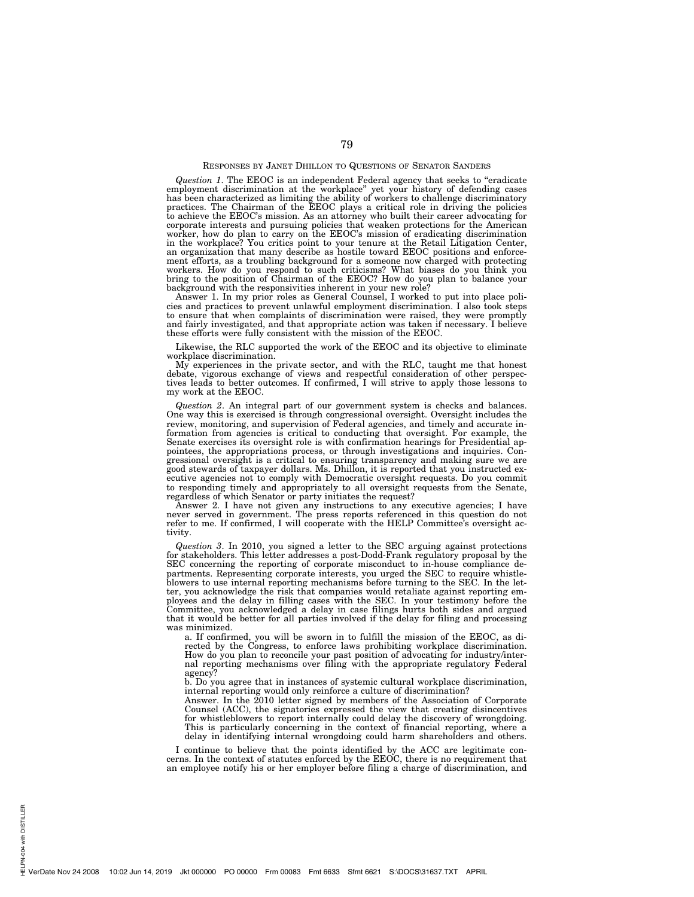# RESPONSES BY JANET DHILLON TO QUESTIONS OF SENATOR SANDERS

Question 1. The EEOC is an independent Federal agency that seeks to "eradicate employment discrimination at the workplace" yet your history of defending cases has been characterized as limiting the ability of workers to ch to achieve the EEOC's mission. As an attorney who built their career advocating for corporate interests and pursuing policies that weaken protections for the American<br>worker, how do plan to carry on the EEOC's mission of eradicating discrimination<br>in the workplace? You critics point to your tenure at the an organization that many describe as hostile toward EEOC positions and enforcement efforts, as a troubling background for a someone now charged with protecting workers. How do you respond to such criticisms? What biases do you think you bring to the position of Chairman of the EEOC? How do you plan to balance your background with the responsivities inherent in your new role?

Answer 1. In my prior roles as General Counsel, I worked to put into place policies and practices to prevent unlawful employment discrimination. I also took steps to ensure that when complaints of discrimination were raised, they were promptly and fairly investigated, and that appropriate action was taken if necessary. I believe these efforts were fully consistent with the mission of the EEOC.

Likewise, the RLC supported the work of the EEOC and its objective to eliminate workplace discrimination.

My experiences in the private sector, and with the RLC, taught me that honest debate, vigorous exchange of views and respectful consideration of other perspectives leads to better outcomes. If confirmed, I will strive to apply those lessons to my work at the EEOC.

*Question 2*. An integral part of our government system is checks and balances. One way this is exercised is through congressional oversight. Oversight includes the review, monitoring, and supervision of Federal agencies, and timely and accurate information from agencies is critical to conducting that oversight. For example, the Senate exercises its oversight role is with confirmation hearings for Presidential appointees, the appropriations process, or through investigations and inquiries. Congressional oversight is a critical to ensuring transparency and making sure we are good stewards of taxpayer dollars. Ms. Dhillon, it is reported that you instructed executive agencies not to comply with Democratic oversight requests. Do you commit to responding timely and appropriately to all oversight requests from the Senate, regardless of which Senator or party initiates the request?

Answer 2. I have not given any instructions to any executive agencies; I have never served in government. The press reports referenced in this question do not refer to me. If confirmed, I will cooperate with the HELP Committee's oversight activity.

*Question 3*. In 2010, you signed a letter to the SEC arguing against protections for stakeholders. This letter addresses a post-Dodd-Frank regulatory proposal by the SEC concerning the reporting of corporate misconduct to in-house compliance departments. Representing corporate interests, you urged the SEC to require whistleblowers to use internal reporting mechanisms before turning to the SEC. In the letter, you acknowledge the risk that companies would retaliate against reporting employees and the delay in filling cases with the SEC. In your testimony before the Committee, you acknowledged a delay in case filings hurts both sides and argued that it would be better for all parties involved if the delay for filing and processing was minimized.

a. If confirmed, you will be sworn in to fulfill the mission of the EEOC, as directed by the Congress, to enforce laws prohibiting workplace discrimination. How do you plan to reconcile your past position of advocating for industry/internal reporting mechanisms over filing with the appropriate regulatory Federal agency?

b. Do you agree that in instances of systemic cultural workplace discrimination, internal reporting would only reinforce a culture of discrimination?

Answer. In the  $\tilde{2010}$  letter signed by members of the Association of Corporate Counsel (ACC), the signatories expressed the view that creating disincentives for whistleblowers to report internally could delay the discovery of wrongdoing. This is particularly concerning in the context of financial reporting, where a delay in identifying internal wrongdoing could harm shareholders and others.

I continue to believe that the points identified by the ACC are legitimate con-cerns. In the context of statutes enforced by the EEOC, there is no requirement that an employee notify his or her employer before filing a charge of discrimination, and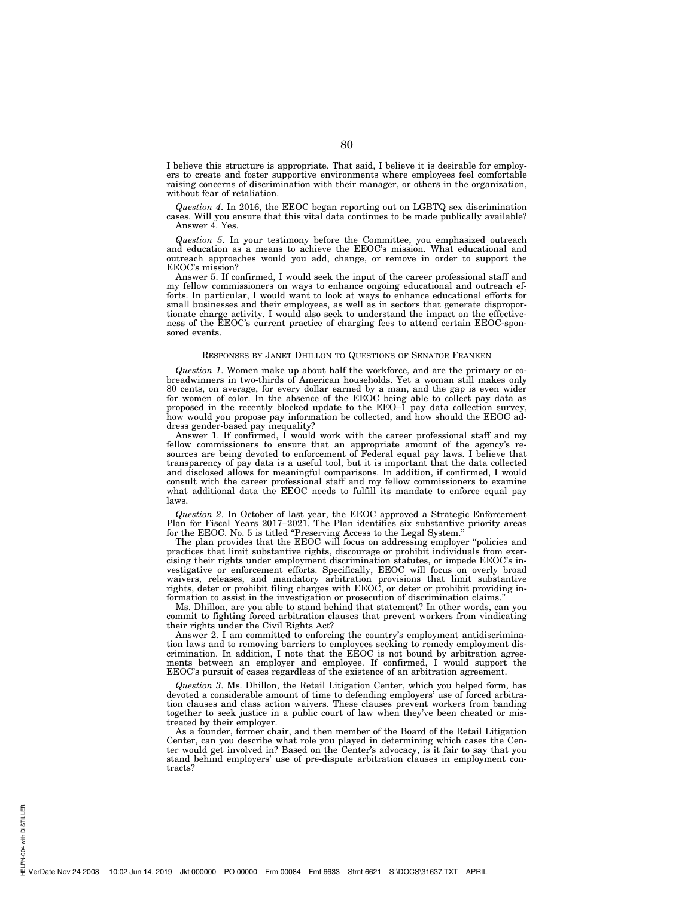I believe this structure is appropriate. That said, I believe it is desirable for employers to create and foster supportive environments where employees feel comfortable raising concerns of discrimination with their manager, or others in the organization, without fear of retaliation.

*Question 4*. In 2016, the EEOC began reporting out on LGBTQ sex discrimination cases. Will you ensure that this vital data continues to be made publically available? Answer 4. Yes.

*Question 5*. In your testimony before the Committee, you emphasized outreach and education as a means to achieve the EEOC's mission. What educational and outreach approaches would you add, change, or remove in order to support the EEOC's mission?

Answer 5. If confirmed, I would seek the input of the career professional staff and my fellow commissioners on ways to enhance ongoing educational and outreach efforts. In particular, I would want to look at ways to enhance educational efforts for small businesses and their employees, as well as in sectors that generate disproportionate charge activity. I would also seek to understand the impact on the effectiveness of the EEOC's current practice of charging fees to attend certain EEOC-sponsored events.

# RESPONSES BY JANET DHILLON TO QUESTIONS OF SENATOR FRANKEN

*Question 1*. Women make up about half the workforce, and are the primary or cobreadwinners in two-thirds of American households. Yet a woman still makes only 80 cents, on average, for every dollar earned by a man, and the gap is even wider for women of color. In the absence of the EEOC being able to collect pay data as proposed in the recently blocked update to the EEO–1 pay data collection survey, how would you propose pay information be collected, and how should the EEOC address gender-based pay inequality?

Answer 1. If confirmed, I would work with the career professional staff and my fellow commissioners to ensure that an appropriate amount of the agency's resources are being devoted to enforcement of Federal equal pay laws. I believe that transparency of pay data is a useful tool, but it is important that the data collected and disclosed allows for meaningful comparisons. In addition, if confirmed, I would consult with the career professional staff and my fellow commissioners to examine what additional data the EEOC needs to fulfill its mandate to enforce equal pay laws.

*Question 2*. In October of last year, the EEOC approved a Strategic Enforcement Plan for Fiscal Years 2017–2021. The Plan identifies six substantive priority areas for the EEOC. No. 5 is titled "Preserving Access to the Legal System."

The plan provides that the EEOC will focus on addressing employer ''policies and practices that limit substantive rights, discourage or prohibit individuals from exercising their rights under employment discrimination statutes, or impede EEOC's investigative or enforcement efforts. Specifically, EEOC will focus on overly broad waivers, releases, and mandatory arbitration provisions that limit substantive rights, deter or prohibit filing charges with EEOC, or deter or prohibit providing information to assist in the investigation or prosecution of discrimination claims.

Ms. Dhillon, are you able to stand behind that statement? In other words, can you commit to fighting forced arbitration clauses that prevent workers from vindicating their rights under the Civil Rights Act?

Answer 2. I am committed to enforcing the country's employment antidiscrimination laws and to removing barriers to employees seeking to remedy employment discrimination. In addition, I note that the EEOC is not bound by arbitration agreements between an employer and employee. If confirmed, I would support the EEOC's pursuit of cases regardless of the existence of an arbitration agreement.

*Question 3*. Ms. Dhillon, the Retail Litigation Center, which you helped form, has devoted a considerable amount of time to defending employers' use of forced arbitration clauses and class action waivers. These clauses prevent workers from banding together to seek justice in a public court of law when they've been cheated or mistreated by their employer.

As a founder, former chair, and then member of the Board of the Retail Litigation Center, can you describe what role you played in determining which cases the Center would get involved in? Based on the Center's advocacy, is it fair to say that you stand behind employers' use of pre-dispute arbitration clauses in employment contracts?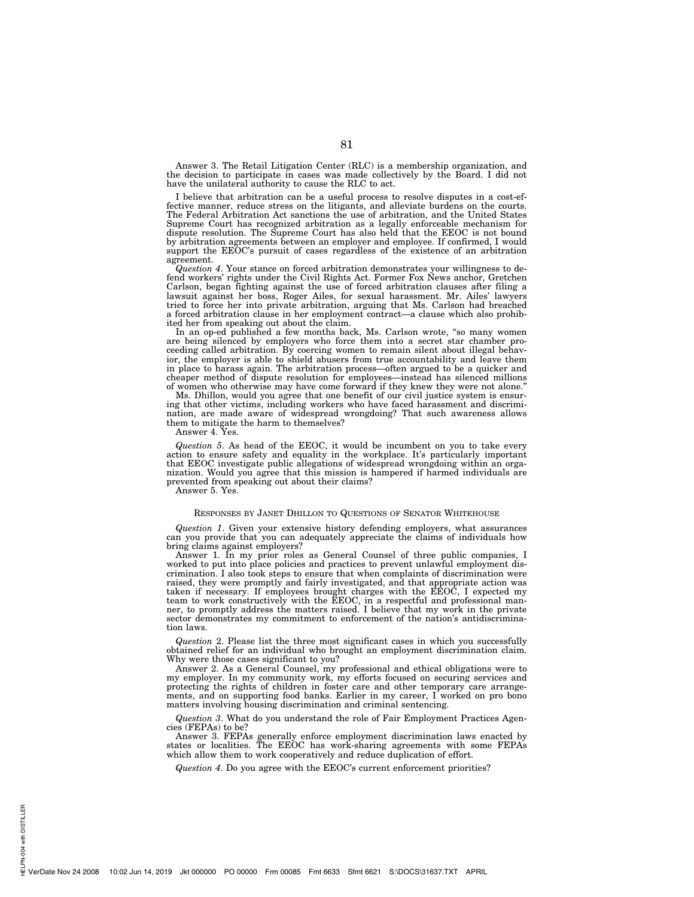Answer 3. The Retail Litigation Center (RLC) is a membership organization, and the decision to participate in cases was made collectively by the Board. I did not have the unilateral authority to cause the RLC to act.

I believe that arbitration can be a useful process to resolve disputes in a cost-effective manner, reduce stress on the litigants, and alleviate burdens on the courts. The Federal Arbitration Act sanctions the use of arbitration, and the United States Supreme Court has recognized arbitration as a legally enforceable mechanism for dispute resolution. The Supreme Court has also held that the EEOC is not bound by arbitration agreements between an employer and employee. If confirmed, I would support the EEOC's pursuit of cases regardless of the existence of an arbitration agreement.

*Question 4*. Your stance on forced arbitration demonstrates your willingness to defend workers' rights under the Civil Rights Act. Former Fox News anchor, Gretchen Carlson, began fighting against the use of forced arbitration clauses after filing a lawsuit against her boss, Roger Ailes, for sexual harassment. Mr. Ailes' lawyers tried to force her into private arbitration, arguing that Ms. Carlson had breached a forced arbitration clause in her employment contract—a clause which also prohibited her from speaking out about the claim.

In an op-ed published a few months back, Ms. Carlson wrote, "so many women are being silenced by employers who force them into a secret star chamber proceeding called arbitration. By coercing women to remain silent about illegal behavior, the employer is able to shield abusers from true accountability and leave them in place to harass again. The arbitration process—often argued to be a quicker and cheaper method of dispute resolution for employees—instead has silenced millions of women who otherwise may have come forward if they knew they were not alone.''

Ms. Dhillon, would you agree that one benefit of our civil justice system is ensuring that other victims, including workers who have faced harassment and discrimination, are made aware of widespread wrongdoing? That such awareness allows them to mitigate the harm to themselves?

Answer 4. Yes.

*Question 5*. As head of the EEOC, it would be incumbent on you to take every action to ensure safety and equality in the workplace. It's particularly important that EEOC investigate public allegations of widespread wrongdoing within an organization. Would you agree that this mission is hampered if harmed individuals are prevented from speaking out about their claims?

Answer 5. Yes.

#### RESPONSES BY JANET DHILLON TO QUESTIONS OF SENATOR WHITEHOUSE

*Question 1*. Given your extensive history defending employers, what assurances can you provide that you can adequately appreciate the claims of individuals how bring claims against employers?

Answer 1. In my prior roles as General Counsel of three public companies, I worked to put into place policies and practices to prevent unlawful employment discrimination. I also took steps to ensure that when complaints of discrimination were raised, they were promptly and fairly investigated, and that appropriate action was taken if necessary. If employees brought charges with the EEOC, I expected my team to work constructively with the EEOC, in a respectful and professional manner, to promptly address the matters raised. I believe that my work in the private sector demonstrates my commitment to enforcement of the nation's antidiscrimination laws.

*Question* 2. Please list the three most significant cases in which you successfully obtained relief for an individual who brought an employment discrimination claim. Why were those cases significant to you?

Answer 2. As a General Counsel, my professional and ethical obligations were to my employer. In my community work, my efforts focused on securing services and protecting the rights of children in foster care and other temporary care arrangements, and on supporting food banks. Earlier in my career, I worked on pro bono matters involving housing discrimination and criminal sentencing.

*Question 3*. What do you understand the role of Fair Employment Practices Agencies (FEPAs) to be?

Answer 3. FEPAs generally enforce employment discrimination laws enacted by states or localities. The EEOC has work-sharing agreements with some FEPAs which allow them to work cooperatively and reduce duplication of effort.

*Question 4*. Do you agree with the EEOC's current enforcement priorities?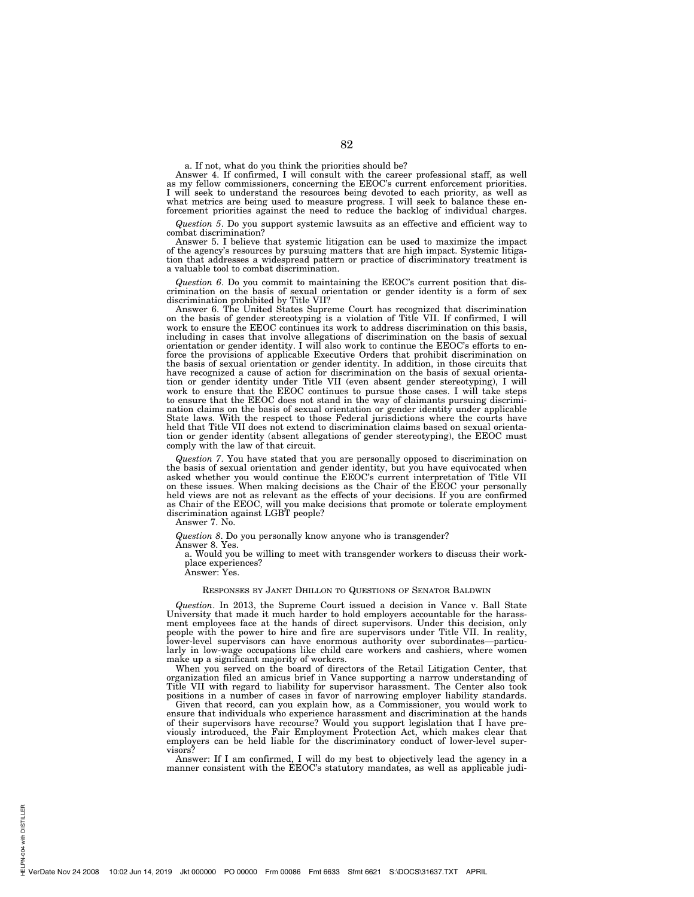a. If not, what do you think the priorities should be?

Answer 4. If confirmed, I will consult with the career professional staff, as well as my fellow commissioners, concerning the EEOC's current enforcement priorities. I will seek to understand the resources being devoted to each priority, as well as what metrics are being used to measure progress. I will seek to balance these enforcement priorities against the need to reduce the backlog of individual charges.

*Question 5*. Do you support systemic lawsuits as an effective and efficient way to combat discrimination?

Answer 5. I believe that systemic litigation can be used to maximize the impact of the agency's resources by pursuing matters that are high impact. Systemic litigation that addresses a widespread pattern or practice of discriminatory treatment is a valuable tool to combat discrimination.

*Question 6*. Do you commit to maintaining the EEOC's current position that discrimination on the basis of sexual orientation or gender identity is a form of sex discrimination prohibited by Title VII?

Answer 6. The United States Supreme Court has recognized that discrimination on the basis of gender stereotyping is a violation of Title VII. If confirmed, I will work to ensure the EEOC continues its work to address discrimination on this basis, including in cases that involve allegations of discrimination on the basis of sexual orientation or gender identity. I will also work to continue the EEOC's efforts to enforce the provisions of applicable Executive Orders that prohibit discrimination on the basis of sexual orientation or gender identity. In addition, in those circuits that have recognized a cause of action for discrimination on the basis of sexual orientation or gender identity under Title VII (even absent gender stereotyping), I will work to ensure that the EEOC continues to pursue those cases. I will take steps to ensure that the EEOC does not stand in the way of claimants pursuing discrimination claims on the basis of sexual orientation or gender identity under applicable State laws. With the respect to those Federal jurisdictions where the courts have held that Title VII does not extend to discrimination claims based on sexual orientation or gender identity (absent allegations of gender stereotyping), the EEOC must comply with the law of that circuit.

*Question 7*. You have stated that you are personally opposed to discrimination on the basis of sexual orientation and gender identity, but you have equivocated when asked whether you would continue the EEOC's current interpretation of Title VII on these issues. When making decisions as the Chair of the EEOC your personally held views are not as relevant as the effects of your decisions. If you are confirmed as Chair of the EEOC, will you make decisions that promote or tolerate employment discrimination against LGBT people?

Answer 7. No.

*Question 8*. Do you personally know anyone who is transgender?

Answer 8. Yes.

a. Would you be willing to meet with transgender workers to discuss their workplace experiences?

Answer: Yes.

#### RESPONSES BY JANET DHILLON TO QUESTIONS OF SENATOR BALDWIN

*Question*. In 2013, the Supreme Court issued a decision in Vance v. Ball State University that made it much harder to hold employers accountable for the harassment employees face at the hands of direct supervisors. Under this decision, only people with the power to hire and fire are supervisors under Title VII. In reality, lower-level supervisors can have enormous authority over subordinates—particularly in low-wage occupations like child care workers and cashiers, where women make up a significant majority of workers.

When you served on the board of directors of the Retail Litigation Center, that organization filed an amicus brief in Vance supporting a narrow understanding of Title VII with regard to liability for supervisor harassment. The Center also took positions in a number of cases in favor of narrowing employer liability standards.

Given that record, can you explain how, as a Commissioner, you would work to ensure that individuals who experience harassment and discrimination at the hands of their supervisors have recourse? Would you support legislation that I have previously introduced, the Fair Employment Protection Act, which makes clear that employers can be held liable for the discriminatory conduct of lower-level supervisors?

Answer: If I am confirmed, I will do my best to objectively lead the agency in a manner consistent with the EEOC's statutory mandates, as well as applicable judi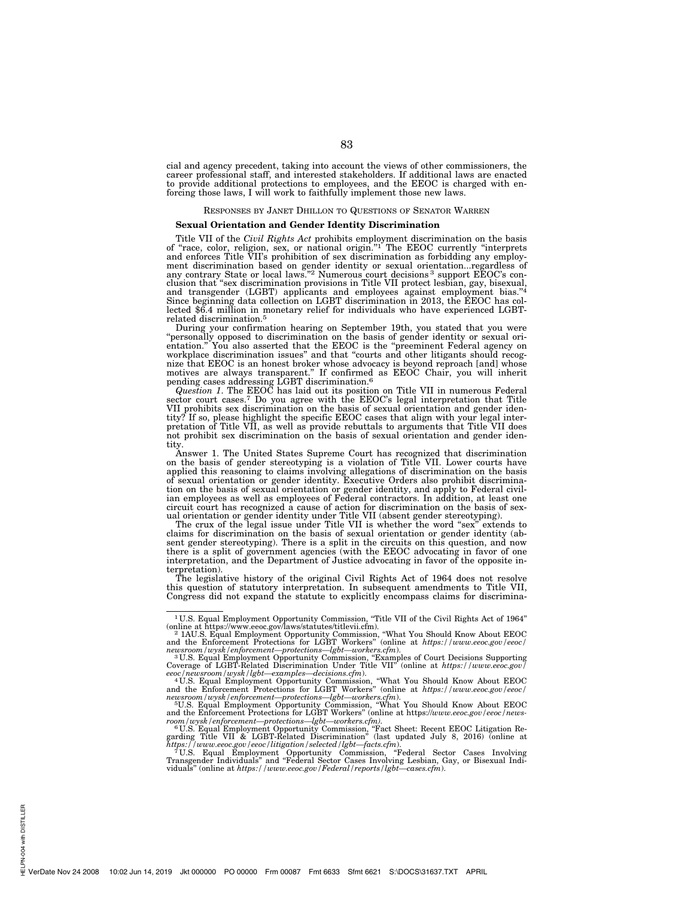cial and agency precedent, taking into account the views of other commissioners, the career professional staff, and interested stakeholders. If additional laws are enacted to provide additional protections to employees, and the EEOC is charged with en-forcing those laws, I will work to faithfully implement those new laws.

## RESPONSES BY JANET DHILLON TO QUESTIONS OF SENATOR WARREN

#### **Sexual Orientation and Gender Identity Discrimination**

Title VII of the *Civil Rights Act* prohibits employment discrimination on the basis of "race, color, religion, sex, or national origin."<sup>1</sup> The EEOC currently "interprets and enforces Title VII's prohibition of sex discrimination as forbidding any employment discrimination based on gender identity or sexual orientation...regardless of any contrary State or local laws."<sup>2</sup> Numerous court decisions<sup>3</sup> support EEOC's conclusion that ''sex discrimination provisions in Title VII protect lesbian, gay, bisexual, and transgender (LGBT) applicants and employees against employment bias."4 Since beginning data collection on LGBT discrimination in 2013, the EEOC has collected \$6.4 million in monetary relief for individuals who have experienced LGBTrelated discrimination.5

During your confirmation hearing on September 19th, you stated that you were "personally opposed to discrimination on the basis of gender identity or sexual ori-<br>entation." You also asserted that the EEOC is the "preeminent Federal agency on<br>workplace discrimination issues" and that "courts and oth nize that EEOC is an honest broker whose advocacy is beyond reproach [and] whose motives are always transparent.'' If confirmed as EEOC Chair, you will inherit

pending cases addressing LGBT discrimination.<sup>6</sup><br>*Question 1*. The EEOC has laid out its position on Title VII in numerous Federal sector court cases.<sup>7</sup> Do you agree with the EEOC's legal interpretation that Title VII prohibits sex discrimination on the basis of sexual orientation and gender iden-tity? If so, please highlight the specific EEOC cases that align with your legal interpretation of Title VII, as well as provide rebuttals to arguments that Title VII does not prohibit sex discrimination on the basis of sexual orientation and gender identity.

Answer 1. The United States Supreme Court has recognized that discrimination on the basis of gender stereotyping is a violation of Title VII. Lower courts have applied this reasoning to claims involving allegations of discrimination on the basis of sexual orientation or gender identity. Executive Orders also prohibit discrimination on the basis of sexual orientation or gender identity, and apply to Federal civilian employees as well as employees of Federal contractors. In addition, at least one circuit court has recognized a cause of action for discrimination on the basis of sex-ual orientation or gender identity under Title VII (absent gender stereotyping).

The crux of the legal issue under Title VII is whether the word "sex" extends to claims for discrimination on the basis of sexual orientation or gender identity (absent gender stereotyping). There is a split in the circuits on this question, and now there is a split of government agencies (with the EEOC advocating in favor of one interpretation, and the Department of Justice advocating in favor of the opposite interpretation).

The legislative history of the original Civil Rights Act of 1964 does not resolve this question of statutory interpretation. In subsequent amendments to Title VII, Congress did not expand the statute to explicitly encompass claims for discrimina-

<sup>&</sup>lt;sup>1</sup> U.S. Equal Employment Opportunity Commission, "Title VII of the Civil Rights Act of 1964"

online at https://www.eeoc.gov/laws/statutes/titlevii.cfm).<br>- 2 1AU.S. Equal Employment Opportunity Commission, "What You Should Know About EEOC<br>and the Enforcement Protections for LGBT Workers" (online at *https://www.eeo* 

*newsroom/wysk/enforcement—protections—lgbt—workers.cfm*). 3 U.S. Equal Employment Opportunity Commission, ''Examples of Court Decisions Supporting Coverage of LGBT-Related Discrimination Under Title VII'' (online at *https://www.eeoc.gov/ eeoc/newsroom/wysk/lgbt—examples—decisions.cfm*). 4 U.S. Equal Employment Opportunity Commission, ''What You Should Know About EEOC and the Enforcement Protections for LGBT Workers'' (online at *https://www.eeoc.gov/eeoc/ newsroom/wysk/enforcement—protections—lgbt—workers.cfm*). 5U.S. Equal Employment Opportunity Commission, ''What You Should Know About EEOC

and the Enforcement Protections for LGBT Workers" (online at https://www.eeoc.gov/eeoc/news-<br>room/wysk/enforcement—protections—lgbt—workers.cfm).<br>
"U.S. Equal Employment Opportunity Commission, "Fact Sheet: Recent EEOC Li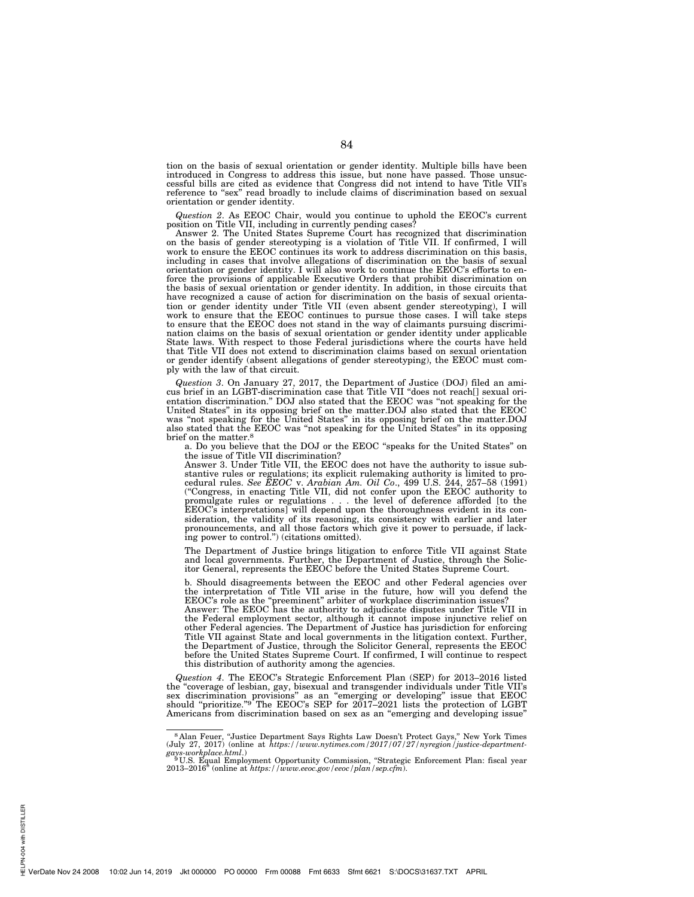tion on the basis of sexual orientation or gender identity. Multiple bills have been introduced in Congress to address this issue, but none have passed. Those unsuccessful bills are cited as evidence that Congress did not intend to have Title VII's reference to "sex" read broadly to include claims of discrimination based on sexual orientation or gender identity.

*Question 2*. As EEOC Chair, would you continue to uphold the EEOC's current position on Title VII, including in currently pending cases?

Answer 2. The United States Supreme Court has recognized that discrimination on the basis of gender stereotyping is a violation of Title VII. If confirmed, I will work to ensure the EEOC continues its work to address discrimination on this basis, including in cases that involve allegations of discrimination on the basis of sexual orientation or gender identity. I will also work to continue the EEOC's efforts to enforce the provisions of applicable Executive Orders that prohibit discrimination on the basis of sexual orientation or gender identity. In addition, in those circuits that have recognized a cause of action for discrimination on the basis of sexual orientation or gender identity under Title VII (even absent gender stereotyping), I will work to ensure that the EEOC continues to pursue those cases. I will take steps to ensure that the EEOC does not stand in the way of claimants pursuing discrimination claims on the basis of sexual orientation or gender identity under applicable State laws. With respect to those Federal jurisdictions where the courts have held that Title VII does not extend to discrimination claims based on sexual orientation or gender identify (absent allegations of gender stereotyping), the EEOC must comply with the law of that circuit.

*Question 3*. On January 27, 2017, the Department of Justice (DOJ) filed an amicus brief in an LGBT-discrimination case that Title VII ''does not reach[] sexual orientation discrimination.'' DOJ also stated that the EEOC was ''not speaking for the United States'' in its opposing brief on the matter.DOJ also stated that the EEOC was "not speaking for the United States" in its opposing brief on the matter.DOJ also stated that the EEOC was ''not speaking for the United States'' in its opposing brief on the matter.8

a. Do you believe that the DOJ or the EEOC ''speaks for the United States'' on the issue of Title VII discrimination?

Answer 3. Under Title VII, the EEOC does not have the authority to issue substantive rules or regulations; its explicit rulemaking authority is limited to procedural rules. *See EEOC* v. *Arabian Am. Oil Co*., 499 U.S. 244, 257–58 (1991) (''Congress, in enacting Title VII, did not confer upon the EEOC authority to promulgate rules or regulations . . . the level of deference afforded [to the EEOC's interpretations] will depend upon the thoroughness evident in its consideration, the validity of its reasoning, its consistency with earlier and later pronouncements, and all those factors which give it power to persuade, if lacking power to control.'') (citations omitted).

The Department of Justice brings litigation to enforce Title VII against State and local governments. Further, the Department of Justice, through the Solicitor General, represents the EEOC before the United States Supreme Court.

b. Should disagreements between the EEOC and other Federal agencies over the interpretation of Title VII arise in the future, how will you defend the EEOC's role as the "preeminent" arbiter of workplace discrimination issues?

Answer: The EEOC has the authority to adjudicate disputes under Title VII in the Federal employment sector, although it cannot impose injunctive relief on other Federal agencies. The Department of Justice has jurisdiction for enforcing Title VII against State and local governments in the litigation context. Further, the Department of Justice, through the Solicitor General, represents the EEOC before the United States Supreme Court. If confirmed, I will continue to respect this distribution of authority among the agencies.

*Question 4*. The EEOC's Strategic Enforcement Plan (SEP) for 2013–2016 listed the ''coverage of lesbian, gay, bisexual and transgender individuals under Title VII's sex discrimination provisions" as an "emerging or developing" issue that EEOC should "prioritize." The EEOC's SEP for 2017–2021 lists the protection of LGBT Americans from discrimination based on sex as an ''emerging and developing issue''

<sup>&</sup>lt;sup>8</sup> Alan Feuer, "Justice Department Says Rights Law Doesn't Protect Gays," New York Times (July 27, 2017) (online at *https://www.nytimes.com/2017/07/27/nyregion/justice-department-*

*gays-workplace.html*.) 9 U.S. Equal Employment Opportunity Commission, ''Strategic Enforcement Plan: fiscal year 2013–2016'' (online at *https://www.eeoc.gov/eeoc/plan/sep.cfm*).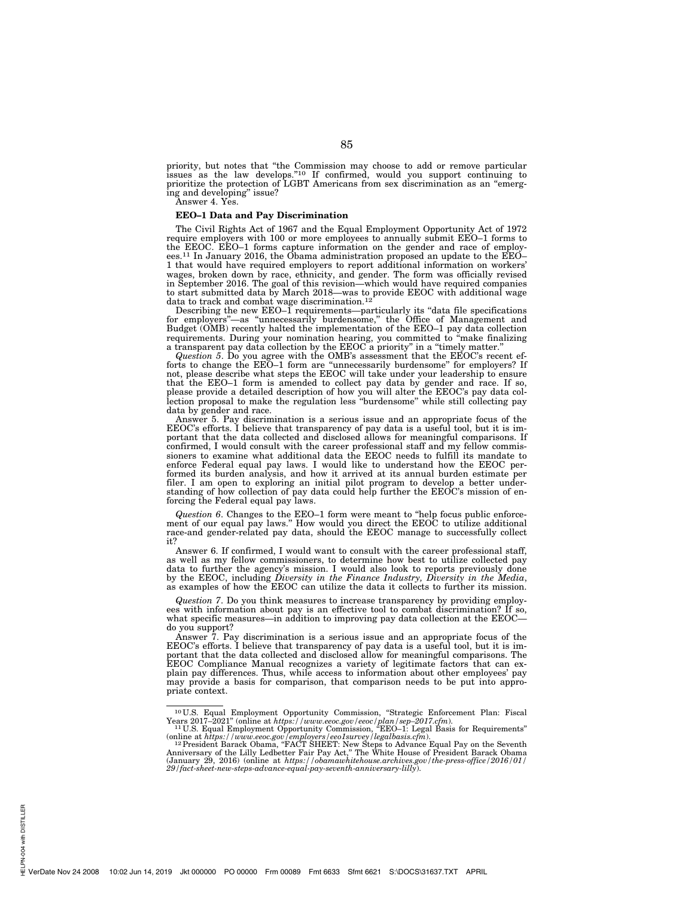priority, but notes that "the Commission may choose to add or remove particular issues as the law develops."<sup>10</sup> If confirmed, would you support continuing to prioritize the protection of LGBT Americans from sex discrimination as an ''emerging and developing'' issue?

Answer 4. Yes.

## **EEO–1 Data and Pay Discrimination**

The Civil Rights Act of 1967 and the Equal Employment Opportunity Act of 1972 require employers with 100 or more employees to annually submit EEO–1 forms to the EEOC. EEO–1 forms capture information on the gender and race of employ-ees.11 In January 2016, the Obama administration proposed an update to the EEO– 1 that would have required employers to report additional information on workers' wages, broken down by race, ethnicity, and gender. The form was officially revised in September 2016. The goal of this revision—which would have required companies to start submitted data by March 2018—was to provide EEOC with additional wage data to track and combat wage discrimination.<sup>12</sup><br>Describing the new EEO–1 requirements—particularly its "data file specifications"

for employers''—as ''unnecessarily burdensome,'' the Office of Management and Budget (OMB) recently halted the implementation of the EEO–1 pay data collection requirements. During your nomination hearing, you committed to ''make finalizing a transparent pay data collection by the EEOC a priority'' in a ''timely matter.''

*Question 5*. Do you agree with the OMB's assessment that the EEOC's recent efforts to change the EEO–1 form are ''unnecessarily burdensome'' for employers? If not, please describe what steps the EEOC will take under your leadership to ensure that the EEO–1 form is amended to collect pay data by gender and race. If so, please provide a detailed description of how you will alter the EEOC's pay data collection proposal to make the regulation less ''burdensome'' while still collecting pay data by gender and race.

Answer 5. Pay discrimination is a serious issue and an appropriate focus of the EEOC's efforts. I believe that transparency of pay data is a useful tool, but it is important that the data collected and disclosed allows for meaningful comparisons. If confirmed, I would consult with the career professional staff and my fellow commissioners to examine what additional data the EEOC needs to fulfill its mandate to enforce Federal equal pay laws. I would like to understand how the EEOC performed its burden analysis, and how it arrived at its annual burden estimate per filer. I am open to exploring an initial pilot program to develop a better understanding of how collection of pay data could help further the EEOC's mission of enforcing the Federal equal pay laws.

*Question 6*. Changes to the EEO–1 form were meant to ''help focus public enforcement of our equal pay laws." How would you direct the EEOC to utilize additional race-and gender-related pay data, should the EEOC manage to successfully collect it?

Answer 6. If confirmed, I would want to consult with the career professional staff, as well as my fellow commissioners, to determine how best to utilize collected pay data to further the agency's mission. I would also look to reports previously done by the EEOC, including *Diversity in the Finance Industry, Diversity in the Media*, as examples of how the EEOC can utilize the data it collects to further its mission.

*Question 7*. Do you think measures to increase transparency by providing employees with information about pay is an effective tool to combat discrimination? If so, what specific measures—in addition to improving pay data collection at the EEOC– do you support?

Answer 7. Pay discrimination is a serious issue and an appropriate focus of the EEOC's efforts. I believe that transparency of pay data is a useful tool, but it is important that the data collected and disclosed allow for meaningful comparisons. The EEOC Compliance Manual recognizes a variety of legitimate factors that can explain pay differences. Thus, while access to information about other employees' pay may provide a basis for comparison, that comparison needs to be put into appropriate context.

PN-004 with DISTILLER HELPN-004 with DISTILLER

<sup>&</sup>lt;sup>10</sup>U.S. Equal Employment Opportunity Commission, "Strategic Enforcement Plan: Fiscal Years 2017–2021" (online at *https://www.eeoc.gov/eeoc/plan/sep-2017.cfm*).<br><sup>11</sup>U.S. Equal Employment Opportunity Commission, "EEO-1: L

<sup>(</sup>online at https://www.eeoc.gov/employers/eeo1survey/legalbasis.cfm).<br><sup>12</sup> President Barack Obama, "FACT SHEET: New Steps to Advance Equal Pay on the Seventh<br>Anniversary of the Lilly Ledbetter Fair Pay Act," The White Hou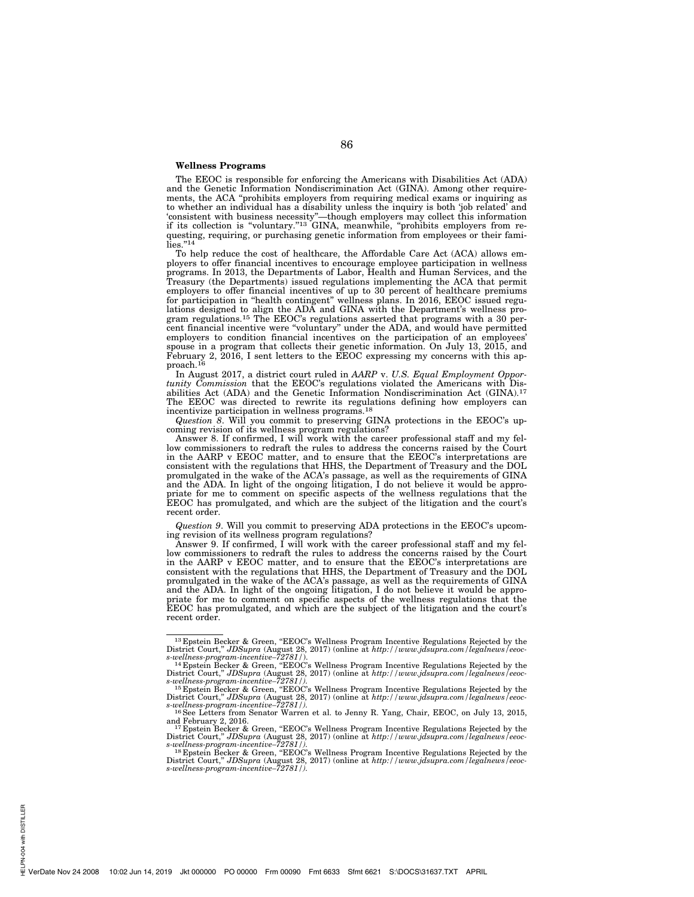## **Wellness Programs**

The EEOC is responsible for enforcing the Americans with Disabilities Act (ADA) and the Genetic Information Nondiscrimination Act (GINA). Among other requirements, the ACA ''prohibits employers from requiring medical exams or inquiring as to whether an individual has a disability unless the inquiry is both 'job related' and 'consistent with business necessity''—though employers may collect this information if its collection is ''voluntary.''13 GINA, meanwhile, ''prohibits employers from requesting, requiring, or purchasing genetic information from employees or their fami-<br>lies."<sup>14</sup>

To help reduce the cost of healthcare, the Affordable Care Act (ACA) allows employers to offer financial incentives to encourage employee participation in wellness programs. In 2013, the Departments of Labor, Health and Human Services, and the Treasury (the Departments) issued regulations implementing the ACA that permit employers to offer financial incentives of up to 30 percent of healthcare premiums for participation in ''health contingent'' wellness plans. In 2016, EEOC issued regulations designed to align the ADA and GINA with the Department's wellness pro-gram regulations.15 The EEOC's regulations asserted that programs with a 30 percent financial incentive were ''voluntary'' under the ADA, and would have permitted employers to condition financial incentives on the participation of an employees' spouse in a program that collects their genetic information. On July 13, 2015, and February 2, 2016, I sent letters to the EEOC expressing my concerns with this approach.16

In August 2017, a district court ruled in *AARP* v. *U.S. Equal Employment Opportunity Commission* that the EEOC's regulations violated the Americans with Disabilities Act (ADA) and the Genetic Information Nondiscrimination Act (GINA).<sup>17</sup> The EEOC was directed to rewrite its regulations defining how employers can incentivize participation in wellness programs.18

*Question 8*. Will you commit to preserving GINA protections in the EEOC's upcoming revision of its wellness program regulations?

Answer 8. If confirmed, I will work with the career professional staff and my fellow commissioners to redraft the rules to address the concerns raised by the Court in the AARP v EEOC matter, and to ensure that the EEOC's interpretations are consistent with the regulations that HHS, the Department of Treasury and the DOL promulgated in the wake of the ACA's passage, as well as the requirements of GINA and the ADA. In light of the ongoing litigation, I do not believe it would be appropriate for me to comment on specific aspects of the wellness regulations that the EEOC has promulgated, and which are the subject of the litigation and the court's recent order.

*Question 9*. Will you commit to preserving ADA protections in the EEOC's upcoming revision of its wellness program regulations?

Answer 9. If confirmed,  $\vec{l}$  will work with the career professional staff and my fellow commissioners to redraft the rules to address the concerns raised by the Court in the AARP v EEOC matter, and to ensure that the EEOC's interpretations are consistent with the regulations that HHS, the Department of Treasury and the DOL promulgated in the wake of the ACA's passage, as well as the requirements of GINA and the ADA. In light of the ongoing litigation, I do not believe it would be appropriate for me to comment on specific aspects of the wellness regulations that the EEOC has promulgated, and which are the subject of the litigation and the court's recent order.

<sup>&</sup>lt;sup>13</sup> Epstein Becker & Green, "EEOC's Wellness Program Incentive Regulations Rejected by the District Court," JDSupra (August 28, 2017) (online at *http://www.jdsupra.com/legalnews/eeoc-*<br>*s-wellness-program-incentive-7278* 

and February 2, 2016.<br><sup>17</sup> Epstein Becker & Green, "EEOC's Wellness Program Incentive Regulations Rejected by the

District Court," JDSupra (August 28, 2017) (online at http://www.jdsupra.com/legalnews/eeoc-<br>s-wellness-program-incentive-72781/).<br><sup>18</sup> Epstein Becker & Green, "EEOC's Wellness Program Incentive Regulations Rejected by the

District Court,'' *JDSupra* (August 28, 2017) (online at *http://www.jdsupra.com/legalnews/eeoc-s-wellness-program-incentive–72781/).*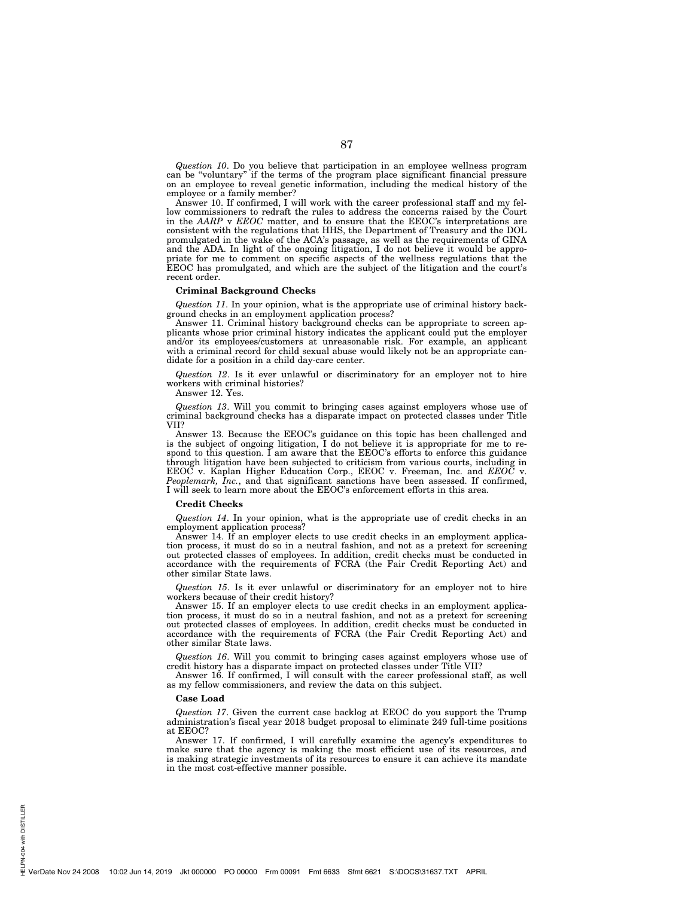*Question 10*. Do you believe that participation in an employee wellness program can be ''voluntary'' if the terms of the program place significant financial pressure on an employee to reveal genetic information, including the medical history of the employee or a family member?

Answer 10. If confirmed, I will work with the career professional staff and my fellow commissioners to redraft the rules to address the concerns raised by the Court in the *AARP* v *EEOC* matter, and to ensure that the EEOC's interpretations are consistent with the regulations that HHS, the Department of Treasury and the DOL promulgated in the wake of the ACA's passage, as well as the requirements of GINA and the ADA. In light of the ongoing litigation, I do not believe it would be appropriate for me to comment on specific aspects of the wellness regulations that the EEOC has promulgated, and which are the subject of the litigation and the court's recent order.

## **Criminal Background Checks**

*Question 11*. In your opinion, what is the appropriate use of criminal history background checks in an employment application process?

Answer 11. Criminal history background checks can be appropriate to screen applicants whose prior criminal history indicates the applicant could put the employer and/or its employees/customers at unreasonable risk. For example, an applicant with a criminal record for child sexual abuse would likely not be an appropriate candidate for a position in a child day-care center.

*Question 12*. Is it ever unlawful or discriminatory for an employer not to hire workers with criminal histories?

Answer 12. Yes.

*Question 13*. Will you commit to bringing cases against employers whose use of criminal background checks has a disparate impact on protected classes under Title VII?

Answer 13. Because the EEOC's guidance on this topic has been challenged and is the subject of ongoing litigation, I do not believe it is appropriate for me to respond to this question. I am aware that the EEOC's efforts to enforce this guidance through litigation have been subjected to criticism from various courts, including in EEOC v. Kaplan Higher Education Corp., EEOC v. Freeman, Inc. and *EEOC* v. *Peoplemark, Inc.*, and that significant sanctions have been assessed. If confirmed, I will seek to learn more about the EEOC's enforcement efforts in this area.

#### **Credit Checks**

*Question 14*. In your opinion, what is the appropriate use of credit checks in an employment application process?

Answer 14. If an employer elects to use credit checks in an employment application process, it must do so in a neutral fashion, and not as a pretext for screening out protected classes of employees. In addition, credit checks must be conducted in accordance with the requirements of FCRA (the Fair Credit Reporting Act) and other similar State laws.

*Question 15*. Is it ever unlawful or discriminatory for an employer not to hire workers because of their credit history?

Answer 15. If an employer elects to use credit checks in an employment application process, it must do so in a neutral fashion, and not as a pretext for screening out protected classes of employees. In addition, credit checks must be conducted in accordance with the requirements of FCRA (the Fair Credit Reporting Act) and other similar State laws.

*Question 16*. Will you commit to bringing cases against employers whose use of credit history has a disparate impact on protected classes under Title VII?

Answer 16. If confirmed, I will consult with the career professional staff, as well as my fellow commissioners, and review the data on this subject.

#### **Case Load**

*Question 17*. Given the current case backlog at EEOC do you support the Trump administration's fiscal year 2018 budget proposal to eliminate 249 full-time positions at EEOC?

Answer 17. If confirmed, I will carefully examine the agency's expenditures to make sure that the agency is making the most efficient use of its resources, and is making strategic investments of its resources to ensure it can achieve its mandate in the most cost-effective manner possible.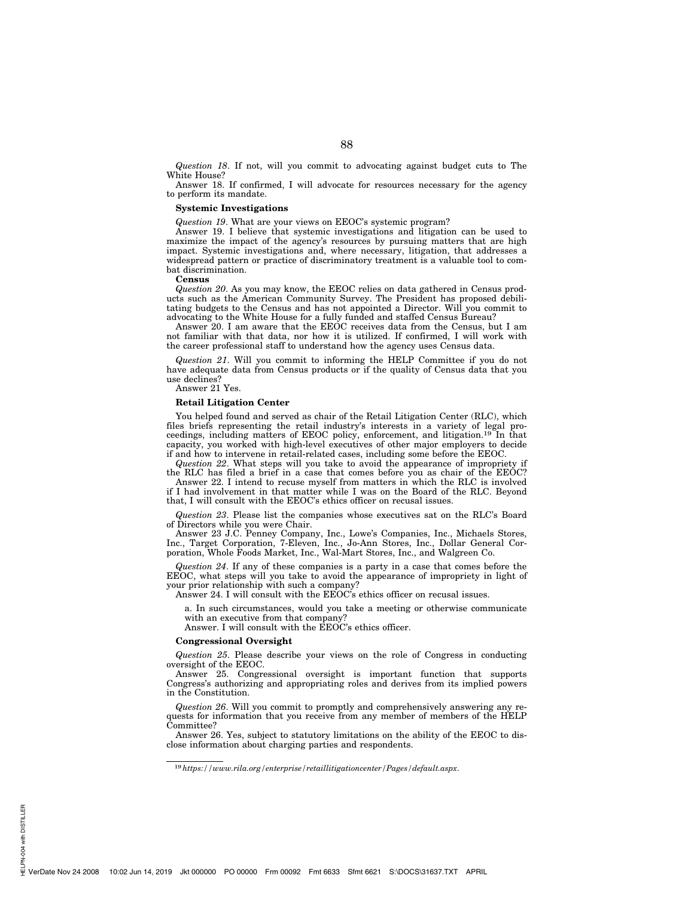*Question 18*. If not, will you commit to advocating against budget cuts to The White House?

Answer 18. If confirmed, I will advocate for resources necessary for the agency to perform its mandate.

#### **Systemic Investigations**

*Question 19*. What are your views on EEOC's systemic program?

Answer 19. I believe that systemic investigations and litigation can be used to maximize the impact of the agency's resources by pursuing matters that are high impact. Systemic investigations and, where necessary, litigation, that addresses a widespread pattern or practice of discriminatory treatment is a valuable tool to combat discrimination.

#### **Census**

*Question 20*. As you may know, the EEOC relies on data gathered in Census products such as the American Community Survey. The President has proposed debilitating budgets to the Census and has not appointed a Director. Will you commit to advocating to the White House for a fully funded and staffed Census Bureau?

Answer 20. I am aware that the EEOC receives data from the Census, but I am not familiar with that data, nor how it is utilized. If confirmed, I will work with the career professional staff to understand how the agency uses Census data.

*Question 21*. Will you commit to informing the HELP Committee if you do not have adequate data from Census products or if the quality of Census data that you use declines?

Answer 21 Yes.

#### **Retail Litigation Center**

You helped found and served as chair of the Retail Litigation Center (RLC), which files briefs representing the retail industry's interests in a variety of legal pro-ceedings, including matters of EEOC policy, enforcement, and litigation.19 In that capacity, you worked with high-level executives of other major employers to decide if and how to intervene in retail-related cases, including some before the EEOC.

*Question 22*. What steps will you take to avoid the appearance of impropriety if the RLC has filed a brief in a case that comes before you as chair of the EEOC?

Answer 22. I intend to recuse myself from matters in which the RLC is involved if I had involvement in that matter while I was on the Board of the RLC. Beyond that, I will consult with the EEOC's ethics officer on recusal issues.

*Question 23*. Please list the companies whose executives sat on the RLC's Board of Directors while you were Chair.

Answer 23 J.C. Penney Company, Inc., Lowe's Companies, Inc., Michaels Stores, Inc., Target Corporation, 7-Eleven, Inc., Jo-Ann Stores, Inc., Dollar General Corporation, Whole Foods Market, Inc., Wal-Mart Stores, Inc., and Walgreen Co.

*Question 24*. If any of these companies is a party in a case that comes before the EEOC, what steps will you take to avoid the appearance of impropriety in light of your prior relationship with such a company?

Answer 24. I will consult with the EEOC's ethics officer on recusal issues.

a. In such circumstances, would you take a meeting or otherwise communicate with an executive from that company?

Answer. I will consult with the EEOC's ethics officer.

## **Congressional Oversight**

*Question 25*. Please describe your views on the role of Congress in conducting oversight of the EEOC.

Answer 25. Congressional oversight is important function that supports Congress's authorizing and appropriating roles and derives from its implied powers in the Constitution.

*Question 26*. Will you commit to promptly and comprehensively answering any requests for information that you receive from any member of members of the HELP Committee?

Answer 26. Yes, subject to statutory limitations on the ability of the EEOC to disclose information about charging parties and respondents.

PN-004 with DISTILLER HELPN-004 with DISTILLER

<sup>19</sup>*https://www.rila.org/enterprise/retaillitigationcenter/Pages/default.aspx*.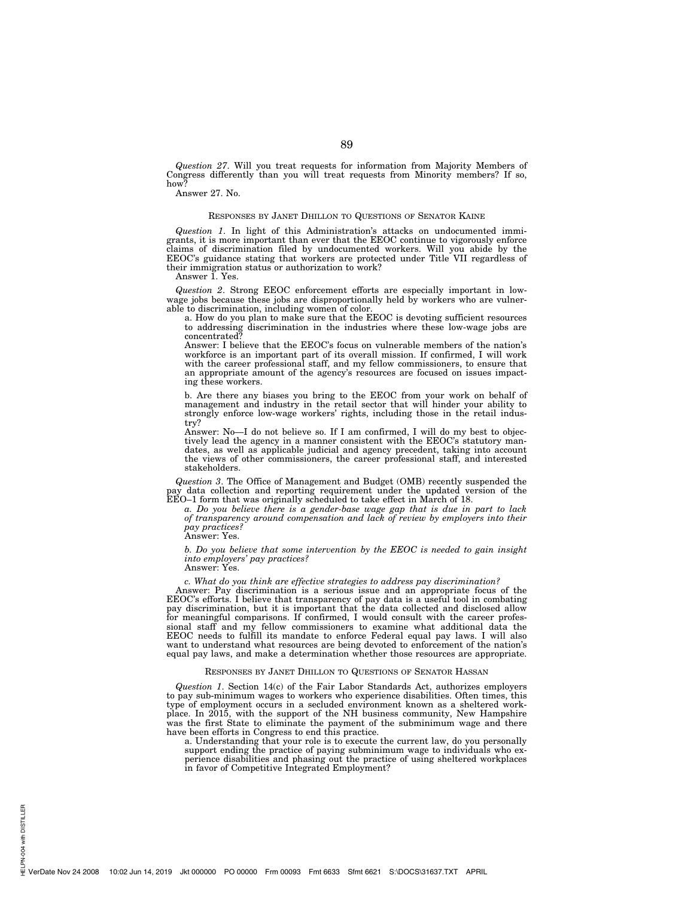*Question 27*. Will you treat requests for information from Majority Members of Congress differently than you will treat requests from Minority members? If so, how?

Answer 27. No.

## RESPONSES BY JANET DHILLON TO QUESTIONS OF SENATOR KAINE

*Question 1*. In light of this Administration's attacks on undocumented immigrants, it is more important than ever that the EEOC continue to vigorously enforce claims of discrimination filed by undocumented workers. Will you abide by the EEOC's guidance stating that workers are protected under Title VII regardless of their immigration status or authorization to work?

Answer 1. Yes.

*Question 2*. Strong EEOC enforcement efforts are especially important in lowwage jobs because these jobs are disproportionally held by workers who are vulnerable to discrimination, including women of color.

a. How do you plan to make sure that the EEOC is devoting sufficient resources to addressing discrimination in the industries where these low-wage jobs are concentrated?

Answer: I believe that the EEOC's focus on vulnerable members of the nation's workforce is an important part of its overall mission. If confirmed, I will work with the career professional staff, and my fellow commissioners, to ensure that an appropriate amount of the agency's resources are focused on issues impacting these workers.

b. Are there any biases you bring to the EEOC from your work on behalf of management and industry in the retail sector that will hinder your ability to strongly enforce low-wage workers' rights, including those in the retail industry?

Answer: No—I do not believe so. If I am confirmed, I will do my best to objectively lead the agency in a manner consistent with the EEOC's statutory mandates, as well as applicable judicial and agency precedent, taking into account the views of other commissioners, the career professional staff, and interested stakeholders.

*Question 3*. The Office of Management and Budget (OMB) recently suspended the pay data collection and reporting requirement under the updated version of the EEO–1 form that was originally scheduled to take effect in March of 18.

*a. Do you believe there is a gender-base wage gap that is due in part to lack of transparency around compensation and lack of review by employers into their pay practices?* 

Answer: Yes.

*b. Do you believe that some intervention by the EEOC is needed to gain insight into employers' pay practices?* 

Answer: Yes.

*c. What do you think are effective strategies to address pay discrimination?* 

Answer: Pay discrimination is a serious issue and an appropriate focus of the EEOC's efforts. I believe that transparency of pay data is a useful tool in combating pay discrimination, but it is important that the data collected and disclosed allow for meaningful comparisons. If confirmed, I would consult with the career professional staff and my fellow commissioners to examine what additional data the EEOC needs to fulfill its mandate to enforce Federal equal pay laws. I will also want to understand what resources are being devoted to enforcement of the nation's equal pay laws, and make a determination whether those resources are appropriate.

# RESPONSES BY JANET DHILLON TO QUESTIONS OF SENATOR HASSAN

*Question 1*. Section 14(c) of the Fair Labor Standards Act, authorizes employers to pay sub-minimum wages to workers who experience disabilities. Often times, this type of employment occurs in a secluded environment known as a sheltered workplace. In 2015, with the support of the NH business community, New Hampshire was the first State to eliminate the payment of the subminimum wage and there have been efforts in Congress to end this practice.

a. Understanding that your role is to execute the current law, do you personally support ending the practice of paying subminimum wage to individuals who ex-perience disabilities and phasing out the practice of using sheltered workplaces in favor of Competitive Integrated Employment?

PN-004 with DISTILLER HELPN-004 with DISTILLER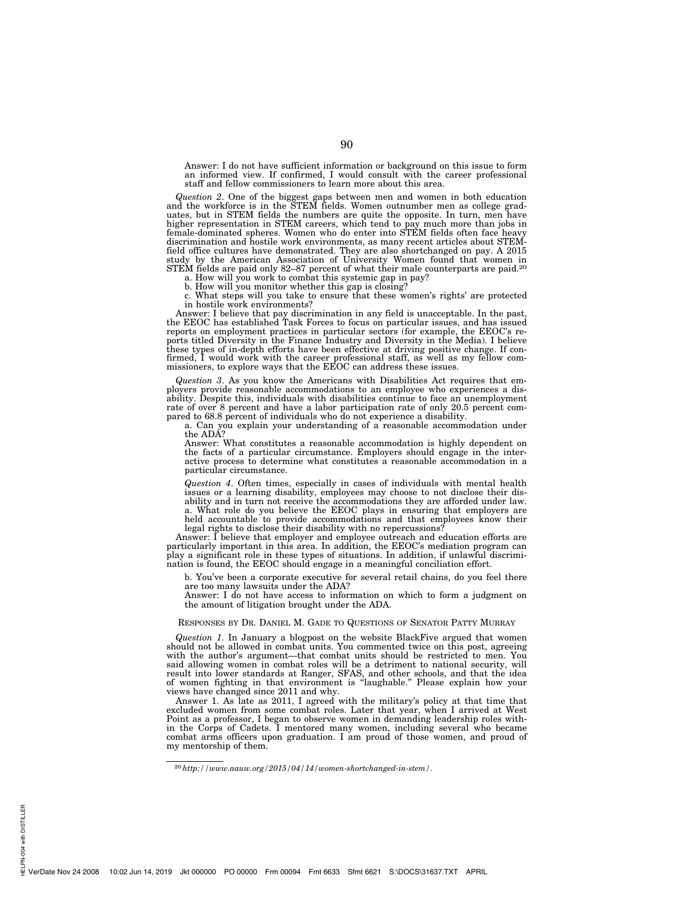Answer: I do not have sufficient information or background on this issue to form an informed view. If confirmed, I would consult with the career professional staff and fellow commissioners to learn more about this area.

*Question 2*. One of the biggest gaps between men and women in both education and the workforce is in the STEM fields. Women outnumber men as college graduates, but in STEM fields the numbers are quite the opposite. In turn, men have higher representation in STEM careers, which tend to pay much more than jobs in female-dominated spheres. Women who do enter into STEM fields often face heavy discrimination and hostile work environments, as many recent articles about STEMfield office cultures have demonstrated. They are also shortchanged on pay. A 2015 study by the American Association of University Women found that women in STEM fields are paid only 82–87 percent of what their male counterparts are paid.<sup>20</sup>

a. How will you work to combat this systemic gap in pay?

b. How will you monitor whether this gap is closing?

c. What steps will you take to ensure that these women's rights' are protected in hostile work environments?

Answer: I believe that pay discrimination in any field is unacceptable. In the past, the EEOC has established Task Forces to focus on particular issues, and has issued reports on employment practices in particular sectors (for example, the EEOC's reports titled Diversity in the Finance Industry and Diversity in the Media). I believe these types of in-depth efforts have been effective at driving positive change. If confirmed, I would work with the career professional staff, as well as my fellow com-missioners, to explore ways that the EEOC can address these issues.

*Question 3*. As you know the Americans with Disabilities Act requires that employers provide reasonable accommodations to an employee who experiences a dis-ability. Despite this, individuals with disabilities continue to face an unemployment rate of over 8 percent and have a labor participation rate of only 20.5 percent com-pared to 68.8 percent of individuals who do not experience a disability.

a. Can you explain your understanding of a reasonable accommodation under the ADA?

Answer: What constitutes a reasonable accommodation is highly dependent on the facts of a particular circumstance. Employers should engage in the interactive process to determine what constitutes a reasonable accommodation in a particular circumstance.

*Question 4*. Often times, especially in cases of individuals with mental health issues or a learning disability, employees may choose to not disclose their disability and in turn not receive the accommodations they are afforded under law. a. What role do you believe the EEOC plays in ensuring that employers are held accountable to provide accommodations and that employees know their legal rights to disclose their disability with no repercussions?

Answer: I believe that employer and employee outreach and education efforts are particularly important in this area. In addition, the EEOC's mediation program can play a significant role in these types of situations. In addition, if unlawful discrimination is found, the EEOC should engage in a meaningful conciliation effort.

b. You've been a corporate executive for several retail chains, do you feel there are too many lawsuits under the ADA?

Answer: I do not have access to information on which to form a judgment on the amount of litigation brought under the ADA.

# RESPONSES BY DR. DANIEL M. GADE TO QUESTIONS OF SENATOR PATTY MURRAY

*Question 1*. In January a blogpost on the website BlackFive argued that women should not be allowed in combat units. You commented twice on this post, agreeing with the author's argument—that combat units should be restricted to men. You said allowing women in combat roles will be a detriment to national security, will result into lower standards at Ranger, SFAS, and other schools, and that the idea of women fighting in that environment is ''laughable.'' Please explain how your views have changed since 2011 and why.

Answer 1. As late as 2011, I agreed with the military's policy at that time that excluded women from some combat roles. Later that year, when I arrived at West Point as a professor, I began to observe women in demanding leadership roles within the Corps of Cadets. I mentored many women, including several who became combat arms officers upon graduation. I am proud of those women, and proud of my mentorship of them.

<sup>20</sup>*http://www.aauw.org/2015/04/14/women-shortchanged-in-stem/*.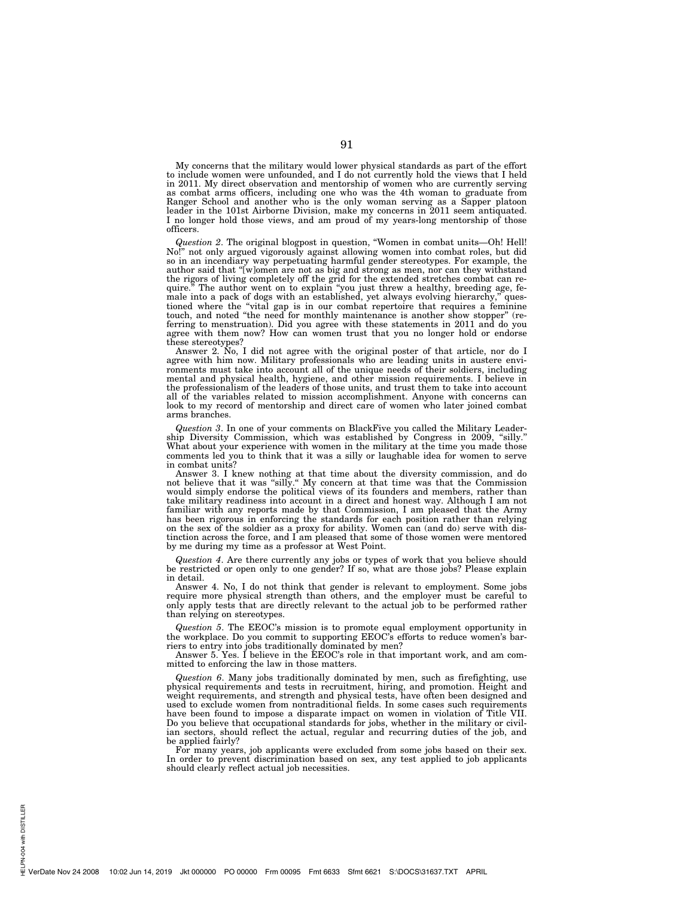My concerns that the military would lower physical standards as part of the effort to include women were unfounded, and I do not currently hold the views that I held in 2011. My direct observation and mentorship of women who are currently serving as combat arms officers, including one who was the 4th woman to graduate from Ranger School and another who is the only woman serving as a Sapper platoon leader in the 101st Airborne Division, make my concerns in 2011 seem antiquated. I no longer hold those views, and am proud of my years-long mentorship of those officers.

*Question 2*. The original blogpost in question, ''Women in combat units—Oh! Hell! No!'' not only argued vigorously against allowing women into combat roles, but did so in an incendiary way perpetuating harmful gender stereotypes. For example, the author said that ''[w]omen are not as big and strong as men, nor can they withstand the rigors of living completely off the grid for the extended stretches combat can require.'' The author went on to explain ''you just threw a healthy, breeding age, female into a pack of dogs with an established, yet always evolving hierarchy,'' questioned where the ''vital gap is in our combat repertoire that requires a feminine touch, and noted ''the need for monthly maintenance is another show stopper'' (referring to menstruation). Did you agree with these statements in 2011 and do you agree with them now? How can women trust that you no longer hold or endorse these stereotypes?

Answer 2. No, I did not agree with the original poster of that article, nor do I agree with him now. Military professionals who are leading units in austere environments must take into account all of the unique needs of their soldiers, including mental and physical health, hygiene, and other mission requirements. I believe in the professionalism of the leaders of those units, and trust them to take into account all of the variables related to mission accomplishment. Anyone with concerns can look to my record of mentorship and direct care of women who later joined combat arms branches.

*Question 3*. In one of your comments on BlackFive you called the Military Leadership Diversity Commission, which was established by Congress in 2009, ''silly.'' What about your experience with women in the military at the time you made those comments led you to think that it was a silly or laughable idea for women to serve in combat units?

Answer 3. I knew nothing at that time about the diversity commission, and do not believe that it was "silly." My concern at that time was that the Commission would simply endorse the political views of its founders and members, rather than take military readiness into account in a direct and honest way. Although I am not familiar with any reports made by that Commission, I am pleased that the Army has been rigorous in enforcing the standards for each position rather than relying on the sex of the soldier as a proxy for ability. Women can (and do) serve with distinction across the force, and I am pleased that some of those women were mentored by me during my time as a professor at West Point.

*Question 4*. Are there currently any jobs or types of work that you believe should be restricted or open only to one gender? If so, what are those jobs? Please explain in detail.

Answer 4. No, I do not think that gender is relevant to employment. Some jobs require more physical strength than others, and the employer must be careful to only apply tests that are directly relevant to the actual job to be performed rather than relying on stereotypes.

*Question 5*. The EEOC's mission is to promote equal employment opportunity in the workplace. Do you commit to supporting EEOC's efforts to reduce women's barriers to entry into jobs traditionally dominated by men?

Answer 5. Yes. I believe in the EEOC's role in that important work, and am committed to enforcing the law in those matters.

*Question 6*. Many jobs traditionally dominated by men, such as firefighting, use physical requirements and tests in recruitment, hiring, and promotion. Height and weight requirements, and strength and physical tests, have often been designed and used to exclude women from nontraditional fields. In some cases such requirements have been found to impose a disparate impact on women in violation of Title VII. Do you believe that occupational standards for jobs, whether in the military or civilian sectors, should reflect the actual, regular and recurring duties of the job, and be applied fairly?

For many years, job applicants were excluded from some jobs based on their sex. In order to prevent discrimination based on sex, any test applied to job applicants should clearly reflect actual job necessities.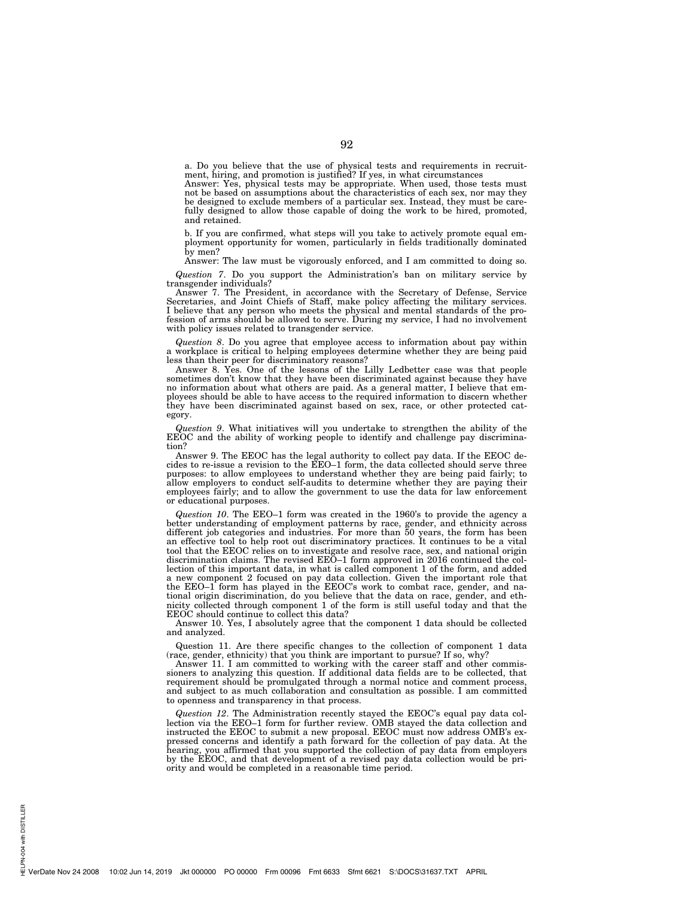a. Do you believe that the use of physical tests and requirements in recruitment, hiring, and promotion is justified? If yes, in what circumstances

Answer: Yes, physical tests may be appropriate. When used, those tests must not be based on assumptions about the characteristics of each sex, nor may they be designed to exclude members of a particular sex. Instead, they must be carefully designed to allow those capable of doing the work to be hired, promoted, and retained.

b. If you are confirmed, what steps will you take to actively promote equal employment opportunity for women, particularly in fields traditionally dominated by men?

Answer: The law must be vigorously enforced, and I am committed to doing so.

*Question 7*. Do you support the Administration's ban on military service by transgender individuals?

Answer 7. The President, in accordance with the Secretary of Defense, Service Secretaries, and Joint Chiefs of Staff, make policy affecting the military services. I believe that any person who meets the physical and mental standards of the profession of arms should be allowed to serve. During my service, I had no involvement with policy issues related to transgender service.

*Question 8*. Do you agree that employee access to information about pay within a workplace is critical to helping employees determine whether they are being paid less than their peer for discriminatory reasons?

Answer 8. Yes. One of the lessons of the Lilly Ledbetter case was that people sometimes don't know that they have been discriminated against because they have no information about what others are paid. As a general matter, I believe that employees should be able to have access to the required information to discern whether they have been discriminated against based on sex, race, or other protected category.

*Question 9*. What initiatives will you undertake to strengthen the ability of the EEOC and the ability of working people to identify and challenge pay discrimination?

Answer 9. The EEOC has the legal authority to collect pay data. If the EEOC decides to re-issue a revision to the EEO–1 form, the data collected should serve three purposes: to allow employees to understand whether they are being paid fairly; to allow employers to conduct self-audits to determine whether they are paying their employees fairly; and to allow the government to use the data for law enforcement or educational purposes.

*Question 10*. The EEO–1 form was created in the 1960's to provide the agency a better understanding of employment patterns by race, gender, and ethnicity across different job categories and industries. For more than 50 years, the form has been an effective tool to help root out discriminatory practices. It continues to be a vital tool that the EEOC relies on to investigate and resolve race, sex, and national origin discrimination claims. The revised EEO–1 form approved in 2016 continued the collection of this important data, in what is called component 1 of the form, and added a new component 2 focused on pay data collection. Given the important role that the EEO–1 form has played in the EEOC's work to combat race, gender, and national origin discrimination, do you believe that the data on race, gender, and ethnicity collected through component 1 of the form is still useful today and that the EEOC should continue to collect this data?

Answer 10. Yes, I absolutely agree that the component 1 data should be collected and analyzed.

Question 11. Are there specific changes to the collection of component 1 data (race, gender, ethnicity) that you think are important to pursue? If so, why?

Answer 11. I am committed to working with the career staff and other commissioners to analyzing this question. If additional data fields are to be collected, that requirement should be promulgated through a normal notice and comment process, and subject to as much collaboration and consultation as possible. I am committed to openness and transparency in that process.

*Question 12*. The Administration recently stayed the EEOC's equal pay data collection via the EEO–1 form for further review. OMB stayed the data collection and instructed the EEOC to submit a new proposal. EEOC must now address OMB's expressed concerns and identify a path forward for the collection of pay data. At the hearing, you affirmed that you supported the collection of pay data from employers by the EEOC, and that development of a revised pay data collection would be priority and would be completed in a reasonable time period.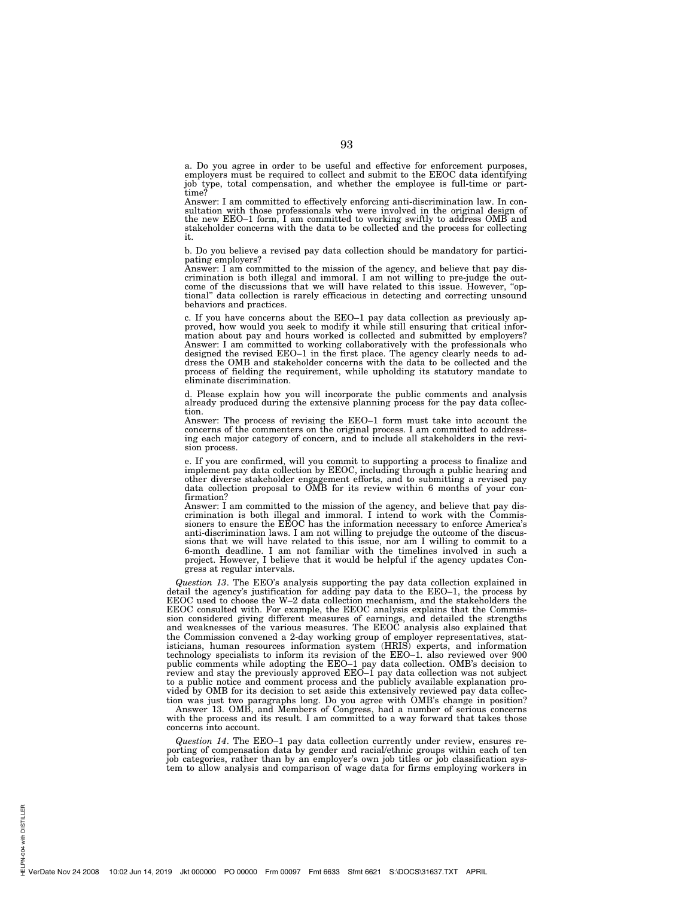a. Do you agree in order to be useful and effective for enforcement purposes, employers must be required to collect and submit to the EEOC data identifying job type, total compensation, and whether the employee is full-time or parttime?

Answer: I am committed to effectively enforcing anti-discrimination law. In consultation with those professionals who were involved in the original design of the new EEO–1 form, I am committed to working swiftly to address OMB and stakeholder concerns with the data to be collected and the process for collecting it.

b. Do you believe a revised pay data collection should be mandatory for participating employers?

Answer: I am committed to the mission of the agency, and believe that pay dis-crimination is both illegal and immoral. I am not willing to pre-judge the outcome of the discussions that we will have related to this issue. However, ''optional'' data collection is rarely efficacious in detecting and correcting unsound behaviors and practices.

c. If you have concerns about the EEO–1 pay data collection as previously ap-proved, how would you seek to modify it while still ensuring that critical information about pay and hours worked is collected and submitted by employers? Answer: I am committed to working collaboratively with the professionals who designed the revised EEO–1 in the first place. The agency clearly needs to address the OMB and stakeholder concerns with the data to be collected and the process of fielding the requirement, while upholding its statutory mandate to eliminate discrimination.

d. Please explain how you will incorporate the public comments and analysis already produced during the extensive planning process for the pay data collection.

Answer: The process of revising the EEO–1 form must take into account the concerns of the commenters on the original process. I am committed to addressing each major category of concern, and to include all stakeholders in the revision process.

e. If you are confirmed, will you commit to supporting a process to finalize and implement pay data collection by EEOC, including through a public hearing and other diverse stakeholder engagement efforts, and to submitting a revised pay data collection proposal to OMB for its review within 6 months of your confirmation?

Answer: I am committed to the mission of the agency, and believe that pay discrimination is both illegal and immoral. I intend to work with the Commis-sioners to ensure the EEOC has the information necessary to enforce America's anti-discrimination laws. I am not willing to prejudge the outcome of the discus-sions that we will have related to this issue, nor am I willing to commit to a 6-month deadline. I am not familiar with the timelines involved in such a project. However, I believe that it would be helpful if the agency updates Congress at regular intervals.

*Question 13*. The EEO's analysis supporting the pay data collection explained in detail the agency's justification for adding pay data to the EEO–1, the process by EEOC used to choose the W–2 data collection mechanism, and the stakeholders the EEOC consulted with. For example, the EEOC analysis explains that the Commission considered giving different measures of earnings, and detailed the strengths and weaknesses of the various measures. The EEOC analysis also explained that the Commission convened a 2-day working group of employer representatives, statisticians, human resources information system (HRIS) experts, and information technology specialists to inform its revision of the EEO–1. also reviewed over 900 public comments while adopting the EEO–1 pay data collection. OMB's decision to review and stay the previously approved EEO–1 pay data collection was not subject to a public notice and comment process and the publicly available explanation provided by OMB for its decision to set aside this extensively reviewed pay data collection was just two paragraphs long. Do you agree with OMB's change in position?

Answer 13. OMB, and Members of Congress, had a number of serious concerns with the process and its result. I am committed to a way forward that takes those concerns into account.

*Question 14*. The EEO–1 pay data collection currently under review, ensures reporting of compensation data by gender and racial/ethnic groups within each of ten job categories, rather than by an employer's own job titles or job classification system to allow analysis and comparison of wage data for firms employing workers in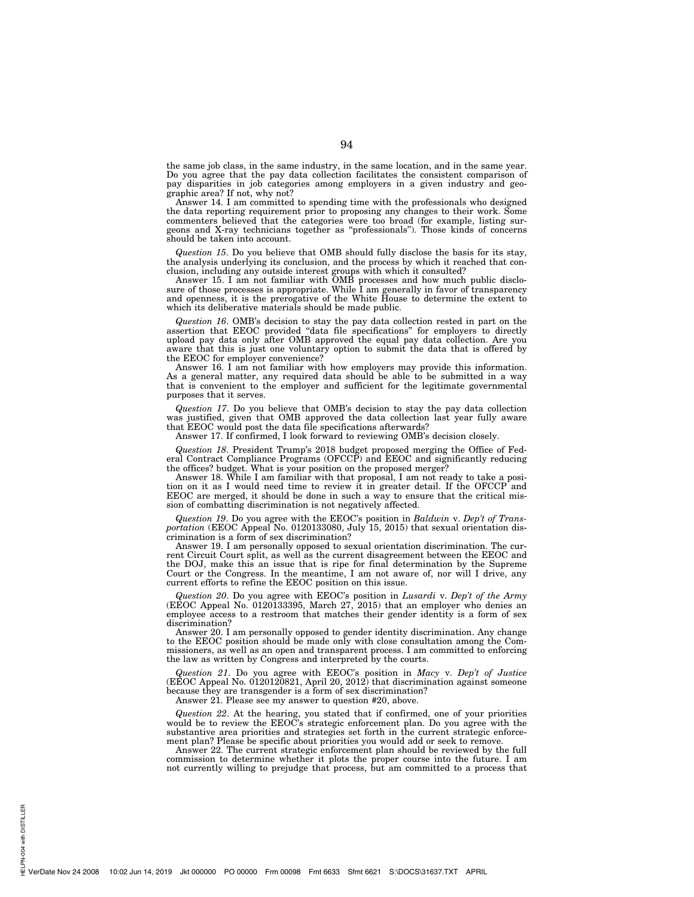the same job class, in the same industry, in the same location, and in the same year. Do you agree that the pay data collection facilitates the consistent comparison of pay disparities in job categories among employers in a given industry and geographic area? If not, why not?

Answer 14. I am committed to spending time with the professionals who designed the data reporting requirement prior to proposing any changes to their work. Some commenters believed that the categories were too broad (for example, listing surgeons and X-ray technicians together as ''professionals''). Those kinds of concerns should be taken into account.

*Question 15*. Do you believe that OMB should fully disclose the basis for its stay, the analysis underlying its conclusion, and the process by which it reached that conclusion, including any outside interest groups with which it consulted?

Answer 15. I am not familiar with OMB processes and how much public disclosure of those processes is appropriate. While I am generally in favor of transparency and openness, it is the prerogative of the White House to determine the extent to which its deliberative materials should be made public.

*Question 16*. OMB's decision to stay the pay data collection rested in part on the assertion that EEOC provided ''data file specifications'' for employers to directly upload pay data only after OMB approved the equal pay data collection. Are you aware that this is just one voluntary option to submit the data that is offered by the EEOC for employer convenience?

Answer 16. I am not familiar with how employers may provide this information. As a general matter, any required data should be able to be submitted in a way that is convenient to the employer and sufficient for the legitimate governmental purposes that it serves.

*Question 17*. Do you believe that OMB's decision to stay the pay data collection was justified, given that OMB approved the data collection last year fully aware that EEOC would post the data file specifications afterwards?

Answer 17. If confirmed, I look forward to reviewing OMB's decision closely.

*Question 18*. President Trump's 2018 budget proposed merging the Office of Federal Contract Compliance Programs (OFCCP) and EEOC and significantly reducing the offices? budget. What is your position on the proposed merger?

Answer 18. While I am familiar with that proposal, I am not ready to take a position on it as I would need time to review it in greater detail. If the OFCCP and EEOC are merged, it should be done in such a way to ensure that the critical mission of combatting discrimination is not negatively affected.

*Question 19*. Do you agree with the EEOC's position in *Baldwin* v. *Dep't of Transportation* (EEOC Appeal No. 0120133080, July 15, 2015) that sexual orientation discrimination is a form of sex discrimination?

Answer 19. I am personally opposed to sexual orientation discrimination. The current Circuit Court split, as well as the current disagreement between the EEOC and the DOJ, make this an issue that is ripe for final determination by the Supreme Court or the Congress. In the meantime, I am not aware of, nor will I drive, any current efforts to refine the EEOC position on this issue.

*Question 20*. Do you agree with EEOC's position in *Lusardi* v. *Dep't of the Army*  (EEOC Appeal No. 0120133395, March  $27, 2015$ ) that an employer who denies an employee access to a restroom that matches their gender identity is a form of sex discrimination?

Answer 20. I am personally opposed to gender identity discrimination. Any change to the EEOC position should be made only with close consultation among the Commissioners, as well as an open and transparent process. I am committed to enforcing the law as written by Congress and interpreted by the courts.

*Question 21*. Do you agree with EEOC's position in *Macy* v. *Dep't of Justice*  (EEOC Appeal No. 0120120821, April 20, 2012) that discrimination against someone because they are transgender is a form of sex discrimination?

Answer 21. Please see my answer to question #20, above.

*Question 22*. At the hearing, you stated that if confirmed, one of your priorities would be to review the EEOC's strategic enforcement plan. Do you agree with the substantive area priorities and strategies set forth in the current strategic enforcement plan? Please be specific about priorities you would add or seek to remove.

Answer 22. The current strategic enforcement plan should be reviewed by the full commission to determine whether it plots the proper course into the future. I am not currently willing to prejudge that process, but am committed to a process that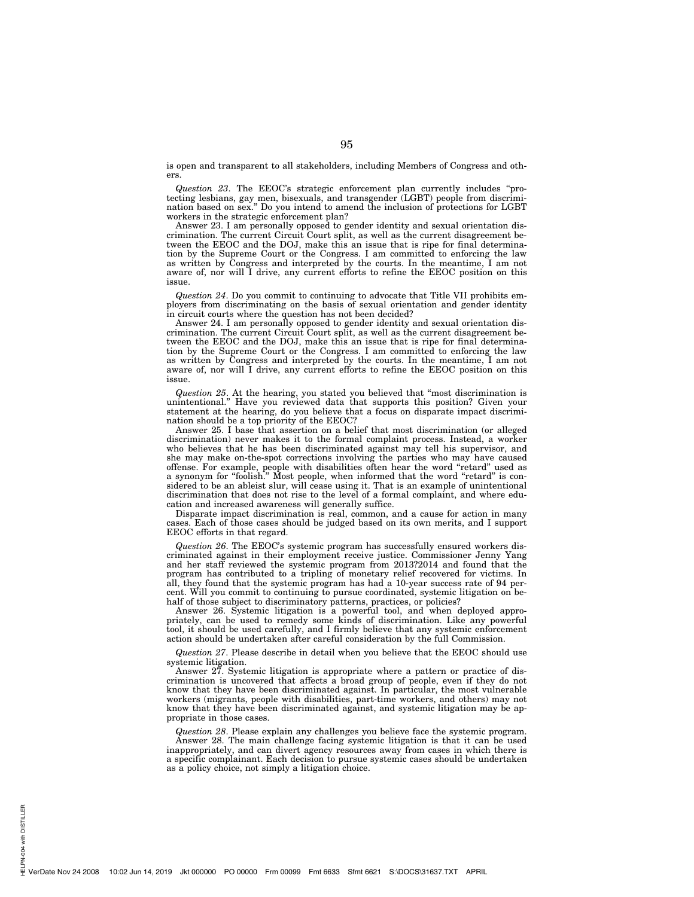is open and transparent to all stakeholders, including Members of Congress and others.

*Question 23*. The EEOC's strategic enforcement plan currently includes ''protecting lesbians, gay men, bisexuals, and transgender (LGBT) people from discrimination based on sex.'' Do you intend to amend the inclusion of protections for LGBT workers in the strategic enforcement plan?

Answer 23. I am personally opposed to gender identity and sexual orientation discrimination. The current Circuit Court split, as well as the current disagreement between the EEOC and the DOJ, make this an issue that is ripe for final determination by the Supreme Court or the Congress. I am committed to enforcing the law as written by Congress and interpreted by the courts. In the meantime, I am not aware of, nor will I drive, any current efforts to refine the EEOC position on this issue.

*Question 24*. Do you commit to continuing to advocate that Title VII prohibits employers from discriminating on the basis of sexual orientation and gender identity in circuit courts where the question has not been decided?

Answer 24. I am personally opposed to gender identity and sexual orientation discrimination. The current Circuit Court split, as well as the current disagreement between the EEOC and the DOJ, make this an issue that is ripe for final determination by the Supreme Court or the Congress. I am committed to enforcing the law as written by Congress and interpreted by the courts. In the meantime, I am not aware of, nor will I drive, any current efforts to refine the EEOC position on this issue.

*Question 25*. At the hearing, you stated you believed that ''most discrimination is unintentional.'' Have you reviewed data that supports this position? Given your statement at the hearing, do you believe that a focus on disparate impact discrimination should be a top priority of the EEOC?

Answer 25. I base that assertion on a belief that most discrimination (or alleged discrimination) never makes it to the formal complaint process. Instead, a worker who believes that he has been discriminated against may tell his supervisor, and she may make on-the-spot corrections involving the parties who may have caused offense. For example, people with disabilities often hear the word ''retard'' used as a synonym for ''foolish.'' Most people, when informed that the word ''retard'' is considered to be an ableist slur, will cease using it. That is an example of unintentional discrimination that does not rise to the level of a formal complaint, and where education and increased awareness will generally suffice.

Disparate impact discrimination is real, common, and a cause for action in many cases. Each of those cases should be judged based on its own merits, and I support EEOC efforts in that regard.

*Question 26*. The EEOC's systemic program has successfully ensured workers discriminated against in their employment receive justice. Commissioner Jenny Yang and her staff reviewed the systemic program from 2013?2014 and found that the program has contributed to a tripling of monetary relief recovered for victims. In all, they found that the systemic program has had a 10-year success rate of 94 percent. Will you commit to continuing to pursue coordinated, systemic litigation on behalf of those subject to discriminatory patterns, practices, or policies?

Answer 26. Systemic litigation is a powerful tool, and when deployed appropriately, can be used to remedy some kinds of discrimination. Like any powerful tool, it should be used carefully, and I firmly believe that any systemic enforcement action should be undertaken after careful consideration by the full Commission.

*Question 27*. Please describe in detail when you believe that the EEOC should use systemic litigation.

Answer 27. Systemic litigation is appropriate where a pattern or practice of discrimination is uncovered that affects a broad group of people, even if they do not know that they have been discriminated against. In particular, the most vulnerable workers (migrants, people with disabilities, part-time workers, and others) may not know that they have been discriminated against, and systemic litigation may be appropriate in those cases.

*Question 28*. Please explain any challenges you believe face the systemic program. Answer 28. The main challenge facing systemic litigation is that it can be used inappropriately, and can divert agency resources away from cases in which there is a specific complainant. Each decision to pursue systemic cases should be undertaken as a policy choice, not simply a litigation choice.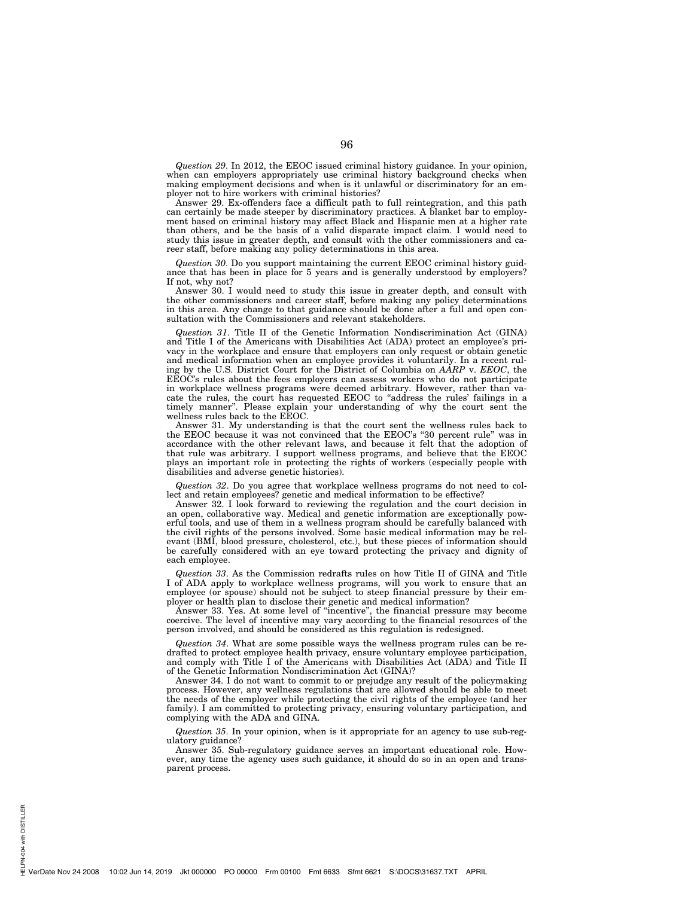*Question 29*. In 2012, the EEOC issued criminal history guidance. In your opinion, when can employers appropriately use criminal history background checks when making employment decisions and when is it unlawful or discriminatory for an employer not to hire workers with criminal histories?

Answer 29. Ex-offenders face a difficult path to full reintegration, and this path can certainly be made steeper by discriminatory practices. A blanket bar to employment based on criminal history may affect Black and Hispanic men at a higher rate than others, and be the basis of a valid disparate impact claim. I would need to study this issue in greater depth, and consult with the other commissioners and career staff, before making any policy determinations in this area.

*Question 30*. Do you support maintaining the current EEOC criminal history guidance that has been in place for 5 years and is generally understood by employers? If not, why not?

Answer 30. I would need to study this issue in greater depth, and consult with the other commissioners and career staff, before making any policy determinations in this area. Any change to that guidance should be done after a full and open consultation with the Commissioners and relevant stakeholders.

*Question 31*. Title II of the Genetic Information Nondiscrimination Act (GINA) and Title I of the Americans with Disabilities Act (ADA) protect an employee's privacy in the workplace and ensure that employers can only request or obtain genetic and medical information when an employee provides it voluntarily. In a recent ruling by the U.S. District Court for the District of Columbia on *AARP* v. *EEOC*, the EEOC's rules about the fees employers can assess workers who do not participate in workplace wellness programs were deemed arbitrary. However, rather than vacate the rules, the court has requested EEOC to ''address the rules' failings in a timely manner''. Please explain your understanding of why the court sent the wellness rules back to the EEOC.

Answer 31. My understanding is that the court sent the wellness rules back to the EEOC because it was not convinced that the EEOC's ''30 percent rule'' was in accordance with the other relevant laws, and because it felt that the adoption of that rule was arbitrary. I support wellness programs, and believe that the EEOC plays an important role in protecting the rights of workers (especially people with disabilities and adverse genetic histories).

*Question 32*. Do you agree that workplace wellness programs do not need to collect and retain employees? genetic and medical information to be effective?

Answer 32. I look forward to reviewing the regulation and the court decision in an open, collaborative way. Medical and genetic information are exceptionally powerful tools, and use of them in a wellness program should be carefully balanced with the civil rights of the persons involved. Some basic medical information may be relevant (BMI, blood pressure, cholesterol, etc.), but these pieces of information should be carefully considered with an eye toward protecting the privacy and dignity of each employee.

*Question 33*. As the Commission redrafts rules on how Title II of GINA and Title I of ADA apply to workplace wellness programs, will you work to ensure that an employee (or spouse) should not be subject to steep financial pressure by their employer or health plan to disclose their genetic and medical information?

Answer 33. Yes. At some level of ''incentive'', the financial pressure may become coercive. The level of incentive may vary according to the financial resources of the person involved, and should be considered as this regulation is redesigned.

*Question 34*. What are some possible ways the wellness program rules can be redrafted to protect employee health privacy, ensure voluntary employee participation, and comply with Title I of the Americans with Disabilities Act (ADA) and Title II of the Genetic Information Nondiscrimination Act (GINA)?

Answer 34. I do not want to commit to or prejudge any result of the policymaking process. However, any wellness regulations that are allowed should be able to meet the needs of the employer while protecting the civil rights of the employee (and her family). I am committed to protecting privacy, ensuring voluntary participation, and complying with the ADA and GINA.

*Question 35*. In your opinion, when is it appropriate for an agency to use sub-regulatory guidance?

Answer 35. Sub-regulatory guidance serves an important educational role. However, any time the agency uses such guidance, it should do so in an open and transparent process.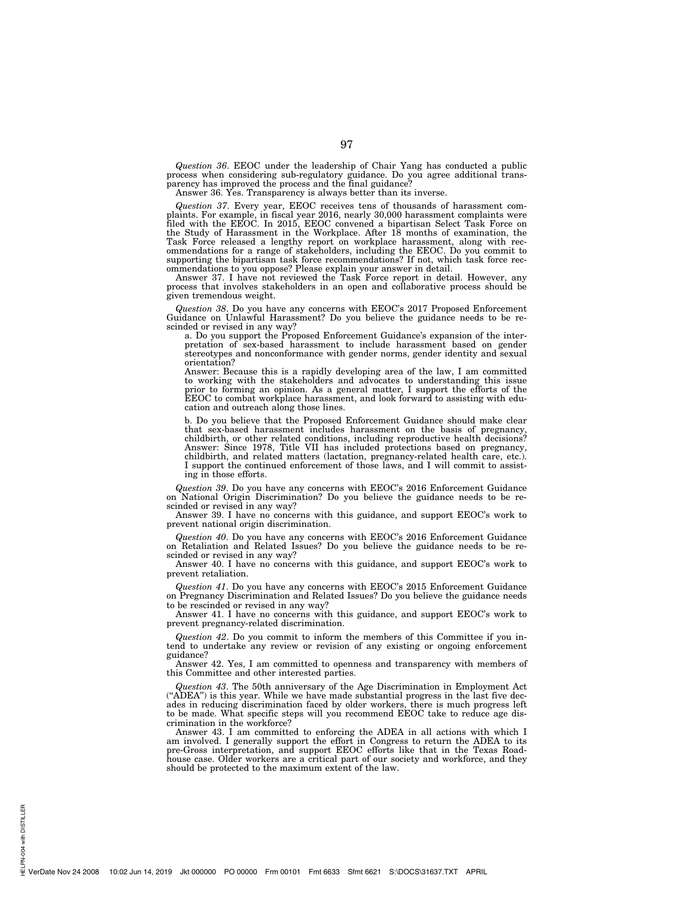*Question 36*. EEOC under the leadership of Chair Yang has conducted a public process when considering sub-regulatory guidance. Do you agree additional trans-parency has improved the process and the final guidance?

Answer 36. Yes. Transparency is always better than its inverse.

*Question 37*. Every year, EEOC receives tens of thousands of harassment complaints. For example, in fiscal year 2016, nearly 30,000 harassment complaints were filed with the EEOC. In 2015, EEOC convened a bipartisan Select Task Force on the Study of Harassment in the Workplace. After 18 months of examination, the Task Force released a lengthy report on workplace harassment, along with recommendations for a range of stakeholders, including the EEOC. Do you commit to supporting the bipartisan task force recommendations? If not, which task force recommendations to you oppose? Please explain your answer in detail.

Answer 37. I have not reviewed the Task Force report in detail. However, any process that involves stakeholders in an open and collaborative process should be given tremendous weight.

*Question 38*. Do you have any concerns with EEOC's 2017 Proposed Enforcement Guidance on Unlawful Harassment? Do you believe the guidance needs to be rescinded or revised in any way?

a. Do you support the Proposed Enforcement Guidance's expansion of the inter-pretation of sex-based harassment to include harassment based on gender stereotypes and nonconformance with gender norms, gender identity and sexual orientation?

Answer: Because this is a rapidly developing area of the law, I am committed to working with the stakeholders and advocates to understanding this issue prior to forming an opinion. As a general matter, I support the efforts of the EEOC to combat workplace harassment, and look forward to assisting with education and outreach along those lines.

b. Do you believe that the Proposed Enforcement Guidance should make clear that sex-based harassment includes harassment on the basis of pregnancy, childbirth, or other related conditions, including reproductive health decisions? Answer: Since 1978, Title VII has included protections based on pregnancy, childbirth, and related matters (lactation, pregnancy-related health care, etc.). I support the continued enforcement of those laws, and I will commit to assisting in those efforts.

*Question 39*. Do you have any concerns with EEOC's 2016 Enforcement Guidance on National Origin Discrimination? Do you believe the guidance needs to be re-scinded or revised in any way?

Answer 39. I have no concerns with this guidance, and support EEOC's work to prevent national origin discrimination.

*Question 40*. Do you have any concerns with EEOC's 2016 Enforcement Guidance on Retaliation and Related Issues? Do you believe the guidance needs to be rescinded or revised in any way?

Answer 40. I have no concerns with this guidance, and support EEOC's work to prevent retaliation.

*Question 41*. Do you have any concerns with EEOC's 2015 Enforcement Guidance on Pregnancy Discrimination and Related Issues? Do you believe the guidance needs to be rescinded or revised in any way?

Answer 41. I have no concerns with this guidance, and support EEOC's work to prevent pregnancy-related discrimination.

*Question 42*. Do you commit to inform the members of this Committee if you intend to undertake any review or revision of any existing or ongoing enforcement guidance?

Answer 42. Yes, I am committed to openness and transparency with members of this Committee and other interested parties.

*Question 43*. The 50th anniversary of the Age Discrimination in Employment Act (''ADEA'') is this year. While we have made substantial progress in the last five decades in reducing discrimination faced by older workers, there is much progress left to be made. What specific steps will you recommend EEOC take to reduce age discrimination in the workforce?

Answer 43. I am committed to enforcing the ADEA in all actions with which I am involved. I generally support the effort in Congress to return the ADEA to its pre-Gross interpretation, and support EEOC efforts like that in the Texas Road-house case. Older workers are a critical part of our society and workforce, and they should be protected to the maximum extent of the law.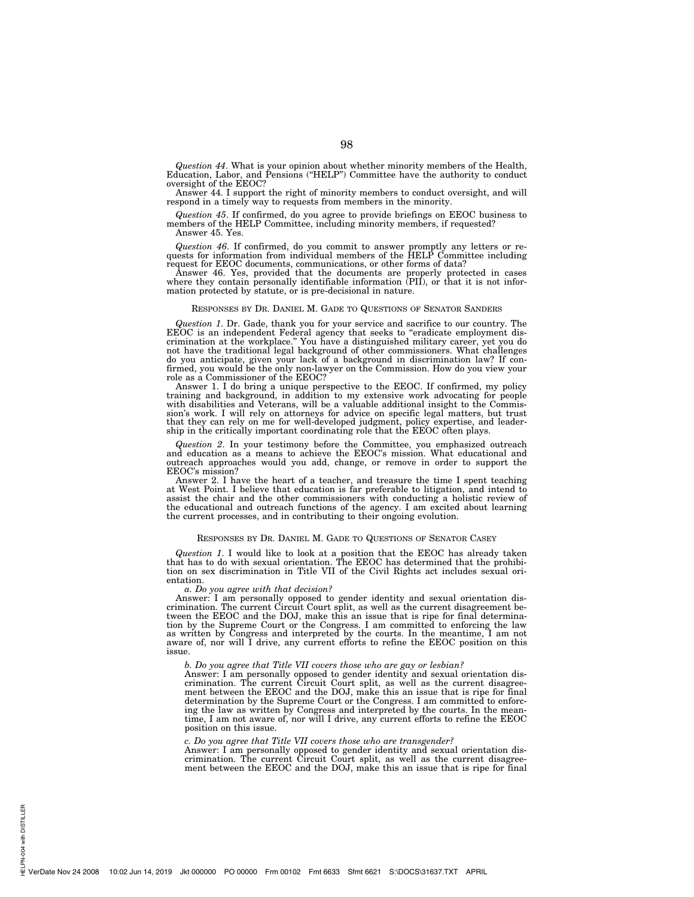*Question 44*. What is your opinion about whether minority members of the Health, Education, Labor, and Pensions (''HELP'') Committee have the authority to conduct oversight of the EEOC?

Answer 44. I support the right of minority members to conduct oversight, and will respond in a timely way to requests from members in the minority.

*Question 45*. If confirmed, do you agree to provide briefings on EEOC business to members of the HELP Committee, including minority members, if requested?

Answer 45. Yes.

*Question 46*. If confirmed, do you commit to answer promptly any letters or re-quests for information from individual members of the HELP Committee including

request for EEOC documents, communications, or other forms of data? Answer 46. Yes, provided that the documents are properly protected in cases where they contain personally identifiable information (PII), or that it is not information protected by statute, or is pre-decisional in nature.

#### RESPONSES BY DR. DANIEL M. GADE TO QUESTIONS OF SENATOR SANDERS

*Question 1*. Dr. Gade, thank you for your service and sacrifice to our country. The EEOC is an independent Federal agency that seeks to "eradicate employment discrimination at the workplace.'' You have a distinguished military career, yet you do not have the traditional legal background of other commissioners. What challenges do you anticipate, given your lack of a background in discrimination law? If con-firmed, you would be the only non-lawyer on the Commission. How do you view your role as a Commissioner of the EEOC?

Answer 1. I do bring a unique perspective to the EEOC. If confirmed, my policy training and background, in addition to my extensive work advocating for people with disabilities and Veterans, will be a valuable additional i sion's work. I will rely on attorneys for advice on specific legal matters, but trust that they can rely on me for well-developed judgment, policy expertise, and leader-ship in the critically important coordinating role that the EEOC often plays.

*Question 2*. In your testimony before the Committee, you emphasized outreach and education as a means to achieve the EEOC's mission. What educational and outreach approaches would you add, change, or remove in order to support the EEOC's mission?

Answer 2. I have the heart of a teacher, and treasure the time I spent teaching at West Point. I believe that education is far preferable to litigation, and intend to assist the chair and the other commissioners with conducting a holistic review of the educational and outreach functions of the agency. I am excited about learning the current processes, and in contributing to their ongoing evolution.

#### RESPONSES BY DR. DANIEL M. GADE TO QUESTIONS OF SENATOR CASEY

Question 1. I would like to look at a position that the EEOC has already taken that has to do with sexual orientation. The EEOC has determined that the prohibition on sex discrimination in Title VII of the Civil Rights act entation.

#### *a. Do you agree with that decision?*

Answer: I am personally opposed to gender identity and sexual orientation dis-crimination. The current Circuit Court split, as well as the current disagreement between the EEOC and the DOJ, make this an issue that is ripe for final determina-tion by the Supreme Court or the Congress. I am committed to enforcing the law as written by Congress and interpreted by the courts. In the meantime, I am not aware of, nor will I drive, any current efforts to refine the EEOC position on this issue.

# *b. Do you agree that Title VII covers those who are gay or lesbian?*

Answer: I am personally opposed to gender identity and sexual orientation discrimination. The current Circuit Court split, as well as the current disagree-ment between the EEOC and the DOJ, make this an issue that is ripe for final determination by the Supreme Court or the Congress. I am committed to enforc-ing the law as written by Congress and interpreted by the courts. In the meantime, I am not aware of, nor will I drive, any current efforts to refine the EEOC position on this issue.

# *c. Do you agree that Title VII covers those who are transgender?*

Answer: I am personally opposed to gender identity and sexual orientation dis-crimination. The current Circuit Court split, as well as the current disagreement between the EEOC and the DOJ, make this an issue that is ripe for final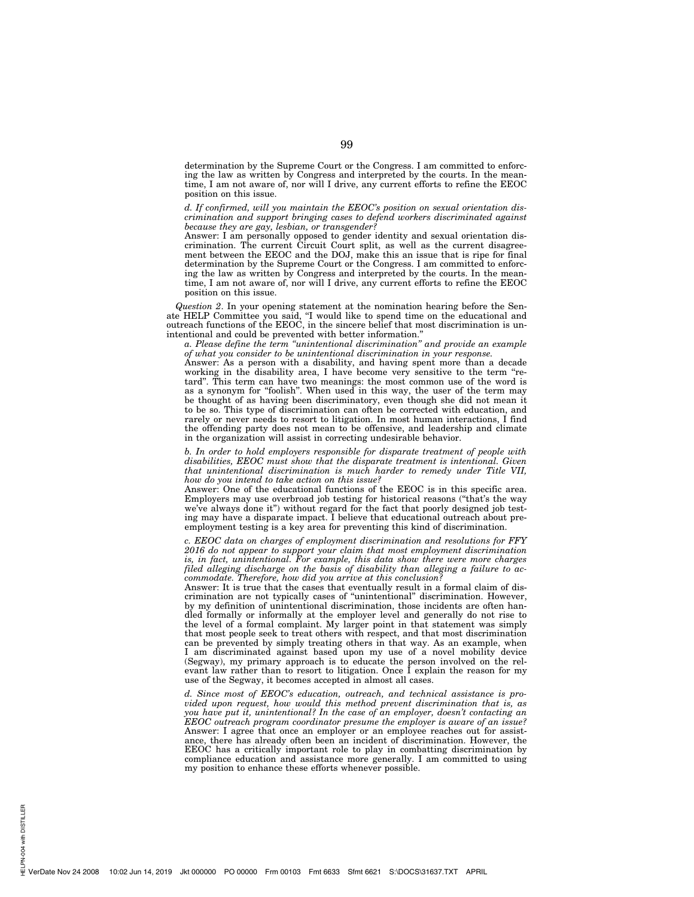determination by the Supreme Court or the Congress. I am committed to enforcing the law as written by Congress and interpreted by the courts. In the meantime, I am not aware of, nor will I drive, any current efforts to refine the EEOC position on this issue.

*d. If confirmed, will you maintain the EEOC's position on sexual orientation discrimination and support bringing cases to defend workers discriminated against because they are gay, lesbian, or transgender?* 

Answer: I am personally opposed to gender identity and sexual orientation discrimination. The current Circuit Court split, as well as the current disagreement between the EEOC and the DOJ, make this an issue that is ripe for final determination by the Supreme Court or the Congress. I am committed to enforcing the law as written by Congress and interpreted by the courts. In the meantime, I am not aware of, nor will I drive, any current efforts to refine the EEOC position on this issue.

*Question 2*. In your opening statement at the nomination hearing before the Senate HELP Committee you said, ''I would like to spend time on the educational and outreach functions of the EEOC, in the sincere belief that most discrimination is unintentional and could be prevented with better information.''

*a. Please define the term ''unintentional discrimination'' and provide an example of what you consider to be unintentional discrimination in your response.* 

Answer: As a person with a disability, and having spent more than a decade working in the disability area, I have become very sensitive to the term "retard''. This term can have two meanings: the most common use of the word is as a synonym for "foolish". When used in this way, the user of the term may be thought of as having been discriminatory, even though she did not mean it to be so. This type of discrimination can often be corrected with education, and rarely or never needs to resort to litigation. In most human interactions, I find the offending party does not mean to be offensive, and leadership and climate in the organization will assist in correcting undesirable behavior.

*b. In order to hold employers responsible for disparate treatment of people with disabilities, EEOC must show that the disparate treatment is intentional. Given that unintentional discrimination is much harder to remedy under Title VII, how do you intend to take action on this issue?* 

Answer: One of the educational functions of the EEOC is in this specific area. Employers may use overbroad job testing for historical reasons (''that's the way we've always done it'') without regard for the fact that poorly designed job testing may have a disparate impact. I believe that educational outreach about preemployment testing is a key area for preventing this kind of discrimination.

*c. EEOC data on charges of employment discrimination and resolutions for FFY 2016 do not appear to support your claim that most employment discrimination is, in fact, unintentional. For example, this data show there were more charges filed alleging discharge on the basis of disability than alleging a failure to accommodate. Therefore, how did you arrive at this conclusion?* 

Answer: It is true that the cases that eventually result in a formal claim of discrimination are not typically cases of ''unintentional'' discrimination. However, by my definition of unintentional discrimination, those incidents are often handled formally or informally at the employer level and generally do not rise to the level of a formal complaint. My larger point in that statement was simply that most people seek to treat others with respect, and that most discrimination can be prevented by simply treating others in that way. As an example, when I am discriminated against based upon my use of a novel mobility device (Segway), my primary approach is to educate the person involved on the relevant law rather than to resort to litigation. Once  $\dot{I}$  explain the reason for my use of the Segway, it becomes accepted in almost all cases.

*d. Since most of EEOC's education, outreach, and technical assistance is provided upon request, how would this method prevent discrimination that is, as you have put it, unintentional? In the case of an employer, doesn't contacting an EEOC outreach program coordinator presume the employer is aware of an issue?*  Answer: I agree that once an employer or an employee reaches out for assistance, there has already often been an incident of discrimination. However, the EEOC has a critically important role to play in combatting discrimination by compliance education and assistance more generally. I am committed to using my position to enhance these efforts whenever possible.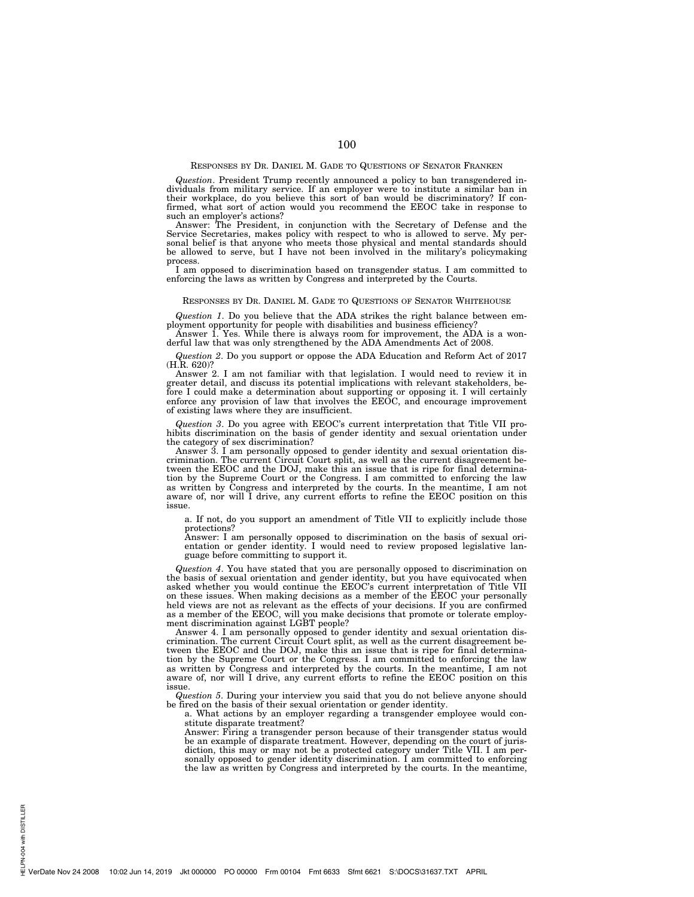# RESPONSES BY DR. DANIEL M. GADE TO QUESTIONS OF SENATOR FRANKEN

*Question*. President Trump recently announced a policy to ban transgendered in-dividuals from military service. If an employer were to institute a similar ban in their workplace, do you believe this sort of ban would be discriminatory? If con-firmed, what sort of action would you recommend the EEOC take in response to

such an employer's actions? Answer: The President, in conjunction with the Secretary of Defense and the Service Secretaries, makes policy with respect to who is allowed to serve. My personal belief is that anyone who meets those physical and mental standards should be allowed to serve, but I have not been involved in the military's policymaking process.

I am opposed to discrimination based on transgender status. I am committed to enforcing the laws as written by Congress and interpreted by the Courts.

#### RESPONSES BY DR. DANIEL M. GADE TO QUESTIONS OF SENATOR WHITEHOUSE

*Question 1*. Do you believe that the ADA strikes the right balance between employment opportunity for people with disabilities and business efficiency?

Answer 1. Yes. While there is always room for improvement, the ADA is a wonderful law that was only strengthened by the ADA Amendments Act of 2008.

*Question 2*. Do you support or oppose the ADA Education and Reform Act of 2017 (H.R. 620)?

Answer 2. I am not familiar with that legislation. I would need to review it in greater detail, and discuss its potential implications with relevant stakeholders, before I could make a determination about supporting or opposing it. I will certainly enforce any provision of law that involves the EEOC, and encourage improvement of existing laws where they are insufficient.

*Question 3*. Do you agree with EEOC's current interpretation that Title VII prohibits discrimination on the basis of gender identity and sexual orientation under the category of sex discrimination?

Answer 3. I am personally opposed to gender identity and sexual orientation discrimination. The current Circuit Court split, as well as the current disagreement between the EEOC and the DOJ, make this an issue that is ripe for final determination by the Supreme Court or the Congress. I am committed to enforcing the law as written by Congress and interpreted by the courts. In the meantime, I am not aware of, nor will I drive, any current efforts to refine the EEOC position on this issue.

a. If not, do you support an amendment of Title VII to explicitly include those protections?

Answer: I am personally opposed to discrimination on the basis of sexual orientation or gender identity. I would need to review proposed legislative language before committing to support it.

*Question 4*. You have stated that you are personally opposed to discrimination on the basis of sexual orientation and gender identity, but you have equivocated when asked whether you would continue the EEOC's current interpretation of Title VII on these issues. When making decisions as a member of the EEOC your personally held views are not as relevant as the effects of your decisions. If you are confirmed as a member of the EEOC, will you make decisions that promote or tolerate employment discrimination against LGBT people?

Answer 4. I am personally opposed to gender identity and sexual orientation discrimination. The current Circuit Court split, as well as the current disagreement between the EEOC and the DOJ, make this an issue that is ripe for final determination by the Supreme Court or the Congress. I am committed to enforcing the law as written by Congress and interpreted by the courts. In the meantime, I am not aware of, nor will I drive, any current efforts to refine the EEOC position on this issue.

*Question 5*. During your interview you said that you do not believe anyone should be fired on the basis of their sexual orientation or gender identity.

a. What actions by an employer regarding a transgender employee would constitute disparate treatment?

Answer: Firing a transgender person because of their transgender status would be an example of disparate treatment. However, depending on the court of jurisdiction, this may or may not be a protected category under Title VII. I am per-sonally opposed to gender identity discrimination. I am committed to enforcing the law as written by Congress and interpreted by the courts. In the meantime,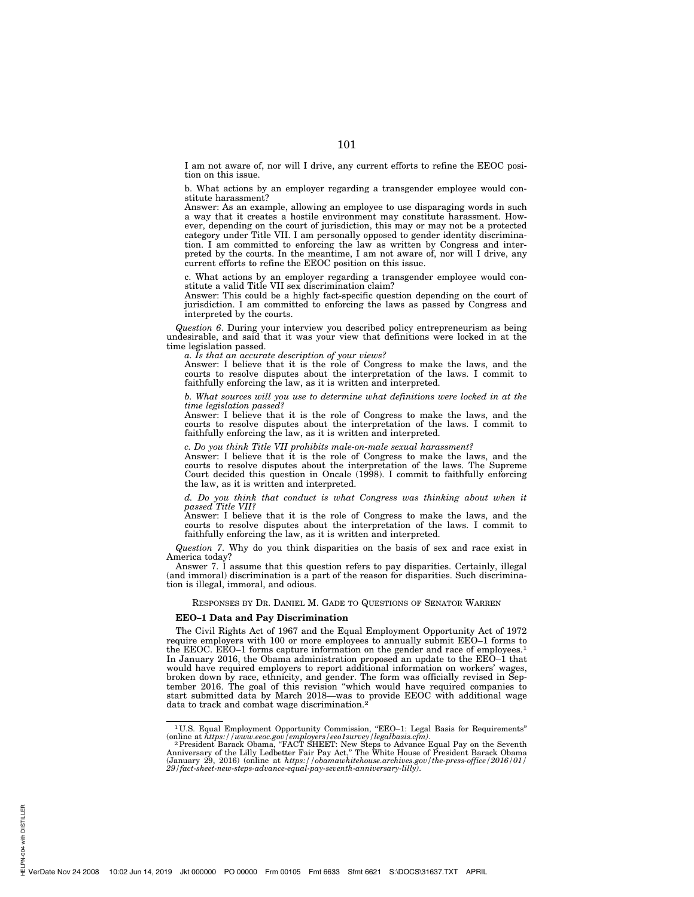I am not aware of, nor will I drive, any current efforts to refine the EEOC position on this issue.

b. What actions by an employer regarding a transgender employee would constitute harassment?

Answer: As an example, allowing an employee to use disparaging words in such a way that it creates a hostile environment may constitute harassment. However, depending on the court of jurisdiction, this may or may not be a protected category under Title VII. I am personally opposed to gender identity discrimination. I am committed to enforcing the law as written by Congress and interpreted by the courts. In the meantime, I am not aware of, nor will I drive, any current efforts to refine the EEOC position on this issue.

c. What actions by an employer regarding a transgender employee would constitute a valid Title VII sex discrimination claim?

Answer: This could be a highly fact-specific question depending on the court of jurisdiction. I am committed to enforcing the laws as passed by Congress and interpreted by the courts.

*Question 6*. During your interview you described policy entrepreneurism as being undesirable, and said that it was your view that definitions were locked in at the time legislation passed.

*a. Is that an accurate description of your views?* 

Answer: I believe that it is the role of Congress to make the laws, and the courts to resolve disputes about the interpretation of the laws. I commit to faithfully enforcing the law, as it is written and interpreted.

*b. What sources will you use to determine what definitions were locked in at the time legislation passed?* 

Answer: I believe that it is the role of Congress to make the laws, and the courts to resolve disputes about the interpretation of the laws. I commit to faithfully enforcing the law, as it is written and interpreted.

*c. Do you think Title VII prohibits male-on-male sexual harassment?* 

Answer: I believe that it is the role of Congress to make the laws, and the courts to resolve disputes about the interpretation of the laws. The Supreme Court decided this question in Oncale (1998). I commit to faithfully enforcing the law, as it is written and interpreted.

*d. Do you think that conduct is what Congress was thinking about when it passed Title VII?* 

Answer: I believe that it is the role of Congress to make the laws, and the courts to resolve disputes about the interpretation of the laws. I commit to faithfully enforcing the law, as it is written and interpreted.

*Question 7*. Why do you think disparities on the basis of sex and race exist in America today?

Answer 7. I assume that this question refers to pay disparities. Certainly, illegal (and immoral) discrimination is a part of the reason for disparities. Such discrimination is illegal, immoral, and odious.

RESPONSES BY DR. DANIEL M. GADE TO QUESTIONS OF SENATOR WARREN

## **EEO–1 Data and Pay Discrimination**

The Civil Rights Act of 1967 and the Equal Employment Opportunity Act of 1972 require employers with 100 or more employees to annually submit EEO–1 forms to the EEOC. EEO–1 forms capture information on the gender and race of employees.<sup>1</sup> In January 2016, the Obama administration proposed an update to the EEO–1 that would have required employers to report additional information on workers' wages, broken down by race, ethnicity, and gender. The form was officially revised in September 2016. The goal of this revision ''which would have required companies to start submitted data by March 2018—was to provide EEOC with additional wage data to track and combat wage discrimination.2

<sup>&</sup>lt;sup>1</sup>U.S. Equal Employment Opportunity Commission, "EEO-1: Legal Basis for Requirements"

<sup>(</sup>online at *https://www.eeoc.gov/employers/eeo1survey/legalbasis.cfm)*.<br>
<sup>2</sup> President Barack Obama, "FACT SHEET: New Steps to Advance Equal Pay on the Seventh<br>
Anniversary of the Lilly Ledbetter Fair Pay Act," The White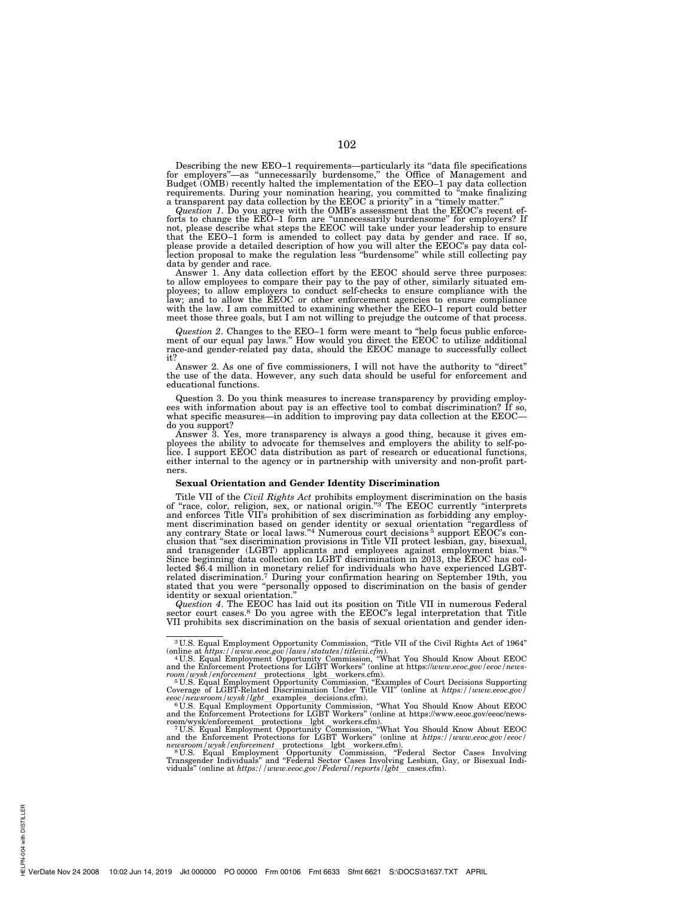Describing the new EEO-1 requirements—particularly its "data file specifications for employers"—as "unnecessarily burdensome," the Office of Management and Budget (OMB) recently halted the implementation of the EEO-1 pay d requirements. During your nomination hearing, you committed to ''make finalizing

a transparent pay data collection by the EEOC a priority" in a "timely matter."<br>Question 1. Do you agree with the OMB's assessment that the EEOC's recent ef-<br>forts to change the EEO-1 form are "unnecessarily burdensome" fo that the EEO–1 form is amended to collect pay data by gender and race. If so,<br>please provide a detailed description of how you will alter the EEOC's pay data col-<br>lection proposal to make the regulation less "burdensome" w data by gender and race.

Answer 1. Any data collection effort by the EEOC should serve three purposes: to allow employees to compare their pay to the pay of other, similarly situated em-ployees; to allow employers to conduct self-checks to ensure compliance with the law; and to allow the EEOC or other enforcement agencies to ensure compliance with the law. I am committed to examining whether the EEO–1 report could better meet those three goals, but I am not willing to prejudge the outcome of that process.

*Question 2*. Changes to the EEO–1 form were meant to "help focus public enforce-<br>ment of our equal pay laws." How would you direct the EEOC to utilize additional race-and gender-related pay data, should the EEOC manage to successfully collect it?

Answer 2. As one of five commissioners, I will not have the authority to "direct" the use of the data. However, any such data should be useful for enforcement and educational functions.

Question 3. Do you think measures to increase transparency by providing employees with information about pay is an effective tool to combat discrimination? If so, what specific measures—in addition to improving pay data collection at the EEOC do you support?

Answer 3. Yes, more transparency is always a good thing, because it gives employees the ability to advocate for themselves and employers the ability to self-po-<br>lice. I support EEOC data distribution as part of research or either internal to the agency or in partnership with university and non-profit partners.

# **Sexual Orientation and Gender Identity Discrimination**

Title VII of the *Civil Rights Act* prohibits employment discrimination on the basis<br>of "race, color, religion, sex, or national origin."<sup>3</sup> The EEOC currently "interprets<br>and enforces Title VII's prohibition of sex discr and transgender (LGBT) applicants and employees against employment bias."<sup>6</sup><br>Since beginning data collection on LGBT discrimination in 2013, the EEOC has collected \$6.4 million in monetary relief for individuals who have experienced LGBTrelated discrimination.7 During your confirmation hearing on September 19th, you stated that you were ''personally opposed to discrimination on the basis of gender identity or sexual orientation.''

*Question 4*. The EEOC has laid out its position on Title VII in numerous Federal sector court cases.<sup>8</sup> Do you agree with the EEOC's legal interpretation that Title VII prohibits sex discrimination on the basis of sexual orientation and gender iden-

<sup>3</sup> U.S. Equal Employment Opportunity Commission, ''Title VII of the Civil Rights Act of 1964''

<sup>(</sup>online at *https://www.eeoc.gov/laws/statutes/titlevii.cfm*).<br>
"U.S. Equal Employment Opportunity Commission, "What You Should Know About EEOC<br>
"U.S. Equal Employment Opportunity Commission, "Examples of Curies"<br>  $\frac{5}{1$ 

room/wysk/enforcement\_protections\_lgbt\_workers.cfm).<br>
<sup>7</sup>U.S. Equal Employment Opportunity Commission, "What You Should Know About EEOC and the Enforcement Protections for LGBT Workers" (online at *https://www.eeoc.gov/ee*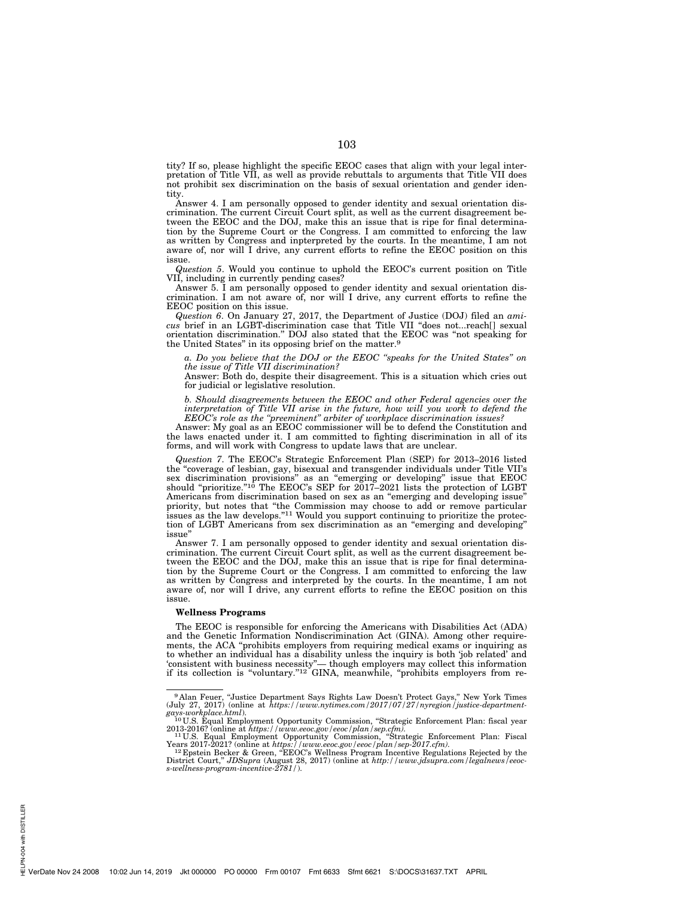tity? If so, please highlight the specific EEOC cases that align with your legal interpretation of Title VII, as well as provide rebuttals to arguments that Title VII does not prohibit sex discrimination on the basis of sexual orientation and gender identity.

Answer 4. I am personally opposed to gender identity and sexual orientation discrimination. The current Circuit Court split, as well as the current disagreement between the EEOC and the DOJ, make this an issue that is ripe for final determination by the Supreme Court or the Congress. I am committed to enforcing the law as written by Congress and inpterpreted by the courts. In the meantime, I am not aware of, nor will I drive, any current efforts to refine the EEOC position on this issue.

*Question 5*. Would you continue to uphold the EEOC's current position on Title VII, including in currently pending cases?

Answer 5. I am personally opposed to gender identity and sexual orientation discrimination. I am not aware of, nor will I drive, any current efforts to refine the EEOC position on this issue.

*Question 6*. On January 27, 2017, the Department of Justice (DOJ) filed an *amicus* brief in an LGBT-discrimination case that Title VII ''does not...reach[] sexual orientation discrimination.'' DOJ also stated that the EEOC was ''not speaking for the United States'' in its opposing brief on the matter.9

*a. Do you believe that the DOJ or the EEOC ''speaks for the United States'' on the issue of Title VII discrimination?* 

Answer: Both do, despite their disagreement. This is a situation which cries out for judicial or legislative resolution.

*b. Should disagreements between the EEOC and other Federal agencies over the*  interpretation of Title VII arise in the future, how will you work to defend the *EEOC's role as the ''preeminent'' arbiter of workplace discrimination issues?* 

Answer: My goal as an EEOC commissioner will be to defend the Constitution and the laws enacted under it. I am committed to fighting discrimination in all of its forms, and will work with Congress to update laws that are unclear.

*Question 7*. The EEOC's Strategic Enforcement Plan (SEP) for 2013–2016 listed the ''coverage of lesbian, gay, bisexual and transgender individuals under Title VII's sex discrimination provisions" as an "emerging or developing" issue that EEOC should "prioritize."<sup>10</sup> The EEOC's SEP for 2017–2021 lists the protection of LGBT Americans from discrimination based on sex as an ''emerging and developing issue'' priority, but notes that ''the Commission may choose to add or remove particular issues as the law develops."<sup>11</sup> Would you support continuing to prioritize the protection of LGBT Americans from sex discrimination as an ''emerging and developing'' issue''

Answer 7. I am personally opposed to gender identity and sexual orientation discrimination. The current Circuit Court split, as well as the current disagreement between the EEOC and the DOJ, make this an issue that is ripe for final determination by the Supreme Court or the Congress. I am committed to enforcing the law as written by Congress and interpreted by the courts. In the meantime, I am not aware of, nor will I drive, any current efforts to refine the EEOC position on this issue.

#### **Wellness Programs**

The EEOC is responsible for enforcing the Americans with Disabilities Act (ADA) and the Genetic Information Nondiscrimination Act (GINA). Among other requirements, the ACA "prohibits employers from requiring medical exams or inquiring as to whether an individual has a disability unless the inquiry is both 'job related' and 'consistent with business necessity"— though employers may collect this information if its collection is "voluntary."<sup>12</sup> GINA, meanwhile, "prohibits employers from re-

<sup>&</sup>lt;sup>9</sup> Alan Feuer, "Justice Department Says Rights Law Doesn't Protect Gays," New York Times (July 27, 2017) (online at *https://www.nytimes.com/2017/07/27/nyregion/justice-department-*

*gays-workplace.html*). 10 U.S. Equal Employment Opportunity Commission, ''Strategic Enforcement Plan: fiscal year 2013-2016? (online at *https://www.eeoc.gov/eeoc/plan/sep.cfm).* <sup>11</sup> U.S. Equal Employment Opportunity Commission, ''Strategic Enforcement Plan: Fiscal

Years 2017-2021? (online at *https://www.eeoc.gov/eeoc/plan/sep-2017.cfm).* <sup>12</sup> Epstein Becker & Green, ''EEOC's Wellness Program Incentive Regulations Rejected by the

District Court,'' *JDSupra* (August 28, 2017) (online at *http://www.jdsupra.com/legalnews/eeoc-s-wellness-program-incentive-2781/*).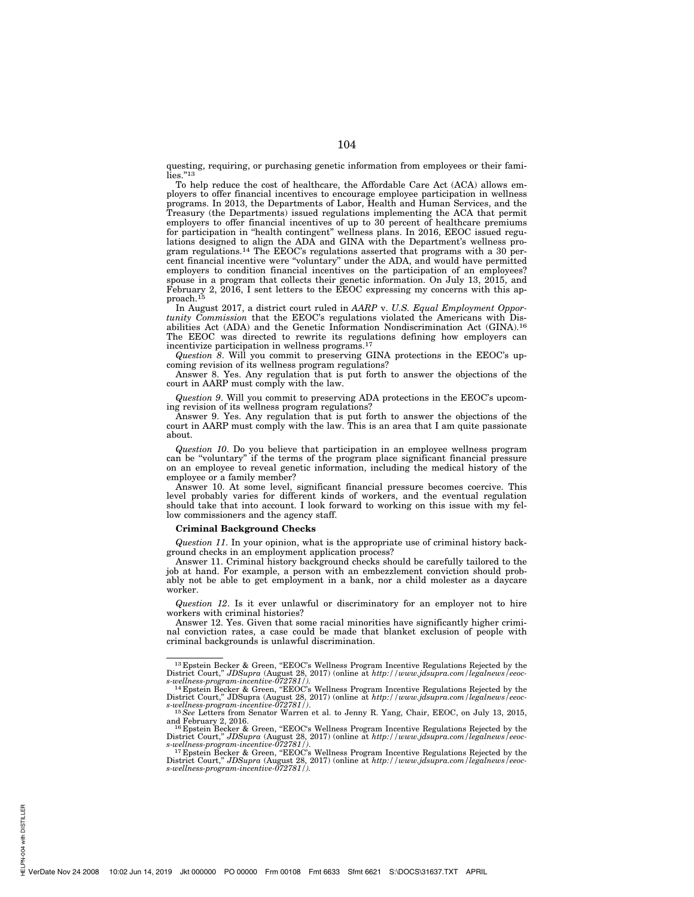questing, requiring, or purchasing genetic information from employees or their families."<sup>13</sup>

To help reduce the cost of healthcare, the Affordable Care Act (ACA) allows employers to offer financial incentives to encourage employee participation in wellness programs. In 2013, the Departments of Labor, Health and Human Services, and the Treasury (the Departments) issued regulations implementing the ACA that permit employers to offer financial incentives of up to 30 percent of healthcare premiums for participation in ''health contingent'' wellness plans. In 2016, EEOC issued regulations designed to align the ADA and GINA with the Department's wellness program regulations.14 The EEOC's regulations asserted that programs with a 30 percent financial incentive were ''voluntary'' under the ADA, and would have permitted employers to condition financial incentives on the participation of an employees? spouse in a program that collects their genetic information. On July 13, 2015, and February 2, 2016, I sent letters to the EEOC expressing my concerns with this approach.<sup>15</sup>

In August 2017, a district court ruled in *AARP* v. *U.S. Equal Employment Opportunity Commission* that the EEOC's regulations violated the Americans with Disabilities Act (ADA) and the Genetic Information Nondiscrimination Act (GINA).16 The EEOC was directed to rewrite its regulations defining how employers can incentivize participation in wellness programs.17

*Question 8*. Will you commit to preserving GINA protections in the EEOC's upcoming revision of its wellness program regulations?

Answer 8. Yes. Any regulation that is put forth to answer the objections of the court in AARP must comply with the law.

*Question 9*. Will you commit to preserving ADA protections in the EEOC's upcoming revision of its wellness program regulations?

Answer 9. Yes. Any regulation that is put forth to answer the objections of the court in AARP must comply with the law. This is an area that I am quite passionate about.

*Question 10*. Do you believe that participation in an employee wellness program can be ''voluntary'' if the terms of the program place significant financial pressure on an employee to reveal genetic information, including the medical history of the employee or a family member?

Answer 10. At some level, significant financial pressure becomes coercive. This level probably varies for different kinds of workers, and the eventual regulation should take that into account. I look forward to working on this issue with my fellow commissioners and the agency staff.

# **Criminal Background Checks**

*Question 11*. In your opinion, what is the appropriate use of criminal history background checks in an employment application process?

Answer 11. Criminal history background checks should be carefully tailored to the job at hand. For example, a person with an embezzlement conviction should probably not be able to get employment in a bank, nor a child molester as a daycare worker.

*Question 12*. Is it ever unlawful or discriminatory for an employer not to hire workers with criminal histories?

Answer 12. Yes. Given that some racial minorities have significantly higher criminal conviction rates, a case could be made that blanket exclusion of people with criminal backgrounds is unlawful discrimination.

<sup>&</sup>lt;sup>13</sup> Epstein Becker & Green, "EEOC's Wellness Program Incentive Regulations Rejected by the District Court," *JDSupra* (August 28, 2017) (online at *http://www.jdsupra.com/legalnews/eeoc-*

s-wellness-program-incentive-072781/).<br>
<sup>14</sup> Epstein Becker & Green, "EEOC's Wellness Program Incentive Regulations Rejected by the District Court," JDSupra (August 28, 2017) (online at *http://www.jdsupra.com/legalnews/e* 

and February 2, 2016.<br><sup>16</sup> Epstein Becker & Green, "EEOC's Wellness Program Incentive Regulations Rejected by the

It Bestein Becker & Green, "EEOC's Wellness Program Incentive Regulations Rejected by the District Court," *JDSupra* (August 28, 2017) (online at *http://www.jdsupra.com/legalnews/eeoc-*<br>s-wellness-program-incentive-072781

<sup>&</sup>lt;sup>17</sup> Epstein Becker & Green, "EEOC's Wellness Program Incentive Regulations Rejected by the District Court,'' *JDSupra* (August 28, 2017) (online at *http://www.jdsupra.com/legalnews/eeoc-s-wellness-program-incentive-072781/).*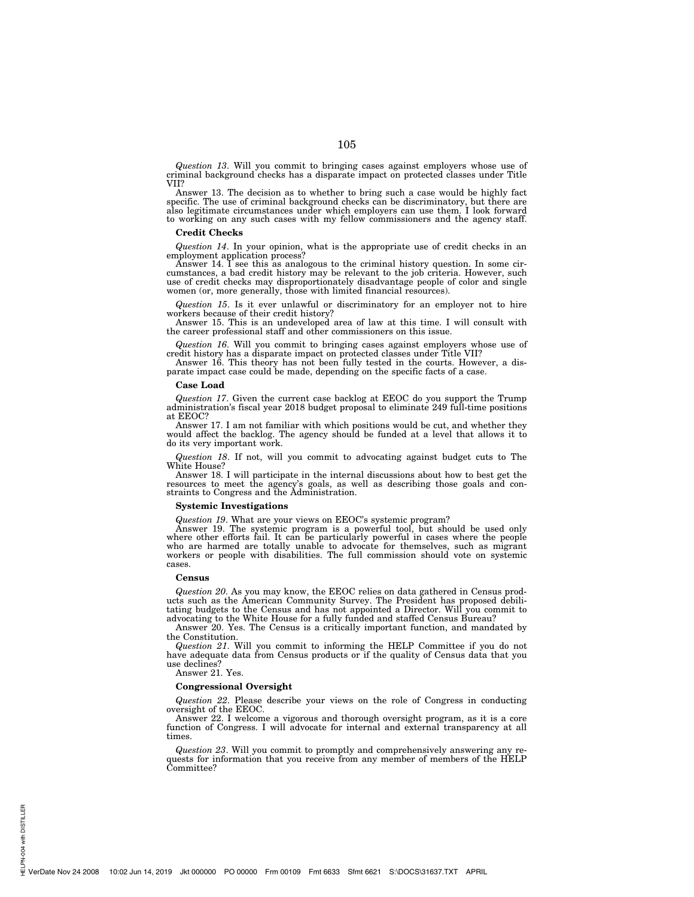*Question 13*. Will you commit to bringing cases against employers whose use of criminal background checks has a disparate impact on protected classes under Title VII?

Answer 13. The decision as to whether to bring such a case would be highly fact specific. The use of criminal background checks can be discriminatory, but there are also legitimate circumstances under which employers can use them. I look forward to working on any such cases with my fellow commissioners and the agency staff.

#### **Credit Checks**

*Question 14*. In your opinion, what is the appropriate use of credit checks in an employment application process?

Answer 14. I see this as analogous to the criminal history question. In some cir-cumstances, a bad credit history may be relevant to the job criteria. However, such use of credit checks may disproportionately disadvantage people of color and single women (or, more generally, those with limited financial resources).

*Question 15*. Is it ever unlawful or discriminatory for an employer not to hire workers because of their credit history?

Answer 15. This is an undeveloped area of law at this time. I will consult with the career professional staff and other commissioners on this issue.

*Question 16*. Will you commit to bringing cases against employers whose use of credit history has a disparate impact on protected classes under Title VII? Answer 16. This theory has not been fully tested in the courts. However, a dis-

parate impact case could be made, depending on the specific facts of a case.

#### **Case Load**

*Question 17*. Given the current case backlog at EEOC do you support the Trump administration's fiscal year 2018 budget proposal to eliminate 249 full-time positions at EEOC?

Answer 17. I am not familiar with which positions would be cut, and whether they would affect the backlog. The agency should be funded at a level that allows it to do its very important work.

*Question 18*. If not, will you commit to advocating against budget cuts to The White House?

Answer 18. I will participate in the internal discussions about how to best get the resources to meet the agency's goals, as well as describing those goals and constraints to Congress and the Administration.

# **Systemic Investigations**

*Question 19*. What are your views on EEOC's systemic program?

Answer 19. The systemic program is a powerful tool, but should be used only where other efforts fail. It can be particularly powerful in cases where the people who are harmed are totally unable to advocate for themselves, such as migrant workers or people with disabilities. The full commission should vote on systemic cases.

### **Census**

*Question 20*. As you may know, the EEOC relies on data gathered in Census products such as the American Community Survey. The President has proposed debilitating budgets to the Census and has not appointed a Director. Will you commit to advocating to the White House for a fully funded and staffed Census Bureau?

Answer 20. Yes. The Census is a critically important function, and mandated by the Constitution.

*Question 21*. Will you commit to informing the HELP Committee if you do not have adequate data from Census products or if the quality of Census data that you use declines?

Answer 21. Yes.

# **Congressional Oversight**

*Question 22*. Please describe your views on the role of Congress in conducting oversight of the EEOC.

Answer 22. I welcome a vigorous and thorough oversight program, as it is a core function of Congress. I will advocate for internal and external transparency at all times.

*Question 23*. Will you commit to promptly and comprehensively answering any requests for information that you receive from any member of members of the HELP Committee?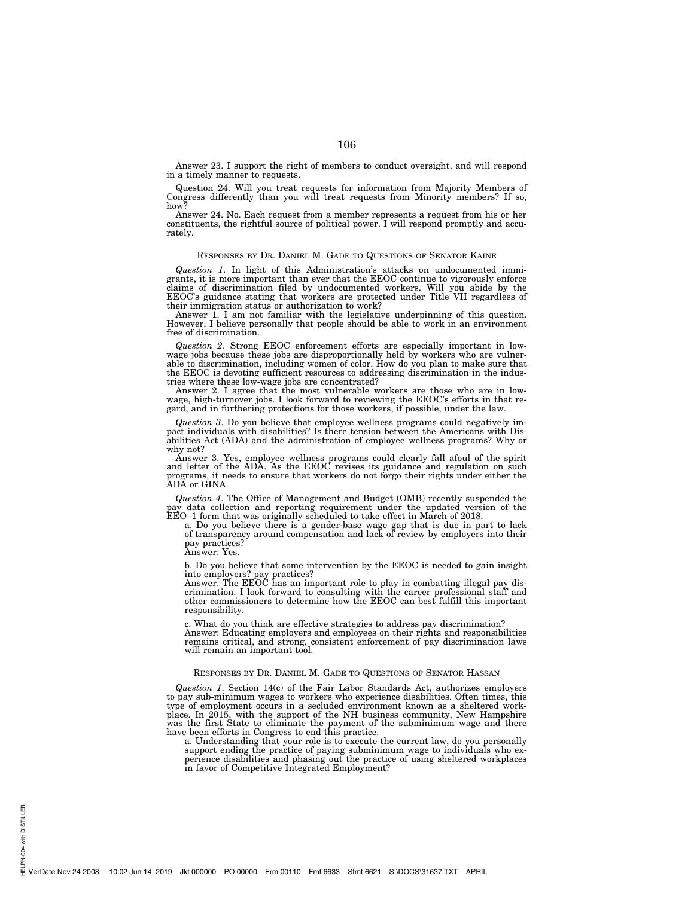Answer 23. I support the right of members to conduct oversight, and will respond in a timely manner to requests.

Question 24. Will you treat requests for information from Majority Members of Congress differently than you will treat requests from Minority members? If so, how?

Answer 24. No. Each request from a member represents a request from his or her constituents, the rightful source of political power. I will respond promptly and accurately.

# RESPONSES BY DR. DANIEL M. GADE TO QUESTIONS OF SENATOR KAINE

*Question 1*. In light of this Administration's attacks on undocumented immigrants, it is more important than ever that the EEOC continue to vigorously enforce claims of discrimination filed by undocumented workers. Will you abide by the EEOC's guidance stating that workers are protected under Title VII regardless of

their immigration status or authorization to work? Answer 1. I am not familiar with the legislative underpinning of this question. However, I believe personally that people should be able to work in an environment free of discrimination.

*Question 2*. Strong EEOC enforcement efforts are especially important in lowwage jobs because these jobs are disproportionally held by workers who are vulnerable to discrimination, including women of color. How do you plan to make sure that the EEOC is devoting sufficient resources to addressing discrimination in the industries where these low-wage jobs are concentrated?

Answer 2. I agree that the most vulnerable workers are those who are in lowwage, high-turnover jobs. I look forward to reviewing the EEOC's efforts in that regard, and in furthering protections for those workers, if possible, under the law.

*Question 3*. Do you believe that employee wellness programs could negatively im-pact individuals with disabilities? Is there tension between the Americans with Disabilities Act (ADA) and the administration of employee wellness programs? Why or why not?

Answer 3. Yes, employee wellness programs could clearly fall afoul of the spirit and letter of the ADA. As the EEOC revises its guidance and regulation on such programs, it needs to ensure that workers do not forgo their r

*Question 4*. The Office of Management and Budget (OMB) recently suspended the pay data collection and reporting requirement under the updated version of the EEO–1 form that was originally scheduled to take effect in March of 2018.

a. Do you believe there is a gender-base wage gap that is due in part to lack of transparency around compensation and lack of review by employers into their pay practices?

Answer: Yes.

b. Do you believe that some intervention by the EEOC is needed to gain insight into employers? pay practices? Answer: The EEOC has an important role to play in combatting illegal pay dis-

crimination. I look forward to consulting with the career professional staff and other commissioners to determine how the EEOC can best fulfill this important responsibility.

c. What do you think are effective strategies to address pay discrimination? Answer: Educating employers and employees on their rights and responsibilities remains critical, and strong, consistent enforcement of pay discrimination laws will remain an important tool.

# RESPONSES BY DR. DANIEL M. GADE TO QUESTIONS OF SENATOR HASSAN

*Question 1*. Section 14(c) of the Fair Labor Standards Act, authorizes employers to pay sub-minimum wages to workers who experience disabilities. Often times, this type of employment occurs in a secluded environment known as a sheltered workplace. In 2015, with the support of the NH business community, New Hampshire was the first State to eliminate the payment of the subminimum wage and there have been efforts in Congress to end this practice.

a. Understanding that your role is to execute the current law, do you personally support ending the practice of paying subminimum wage to individuals who ex-perience disabilities and phasing out the practice of using sheltered workplaces in favor of Competitive Integrated Employment?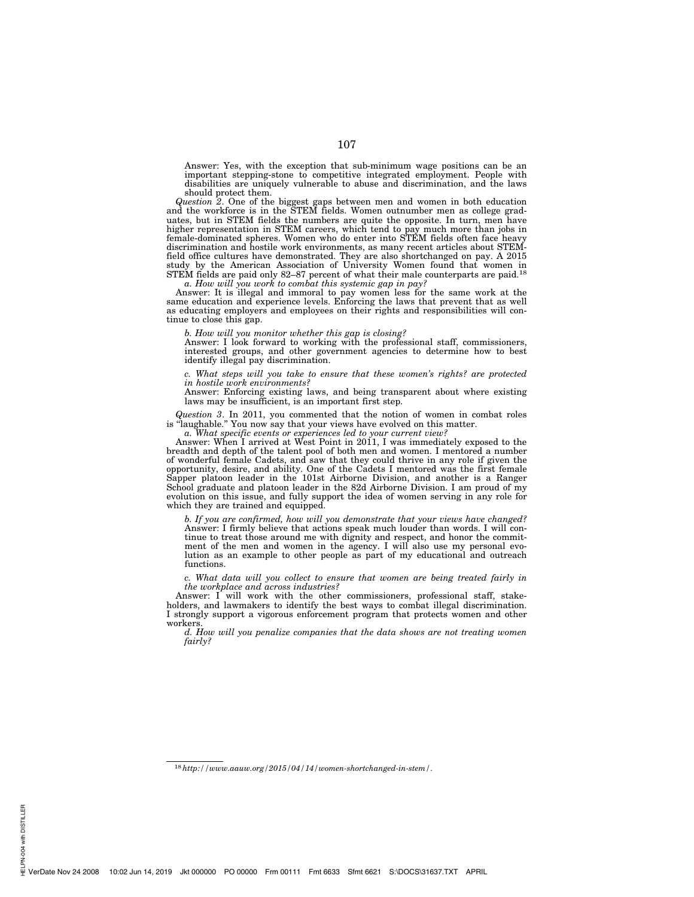Answer: Yes, with the exception that sub-minimum wage positions can be an important stepping-stone to competitive integrated employment. People with disabilities are uniquely vulnerable to abuse and discrimination, and the laws should protect them.

*Question 2*. One of the biggest gaps between men and women in both education and the workforce is in the STEM fields. Women outnumber men as college graduates, but in STEM fields the numbers are quite the opposite. In turn, men have higher representation in STEM careers, which tend to pay much more than jobs in female-dominated spheres. Women who do enter into STEM fields often face heavy discrimination and hostile work environments, as many recent articles about STEMfield office cultures have demonstrated. They are also shortchanged on pay. A 2015 study by the American Association of University Women found that women in STEM fields are paid only 82–87 percent of what their male counterparts are paid.18

*a. How will you work to combat this systemic gap in pay?* 

Answer: It is illegal and immoral to pay women less for the same work at the same education and experience levels. Enforcing the laws that prevent that as well as educating employers and employees on their rights and responsibilities will continue to close this gap.

*b. How will you monitor whether this gap is closing?* 

Answer: I look forward to working with the professional staff, commissioners, interested groups, and other government agencies to determine how to best identify illegal pay discrimination.

*c. What steps will you take to ensure that these women's rights? are protected in hostile work environments?* 

Answer: Enforcing existing laws, and being transparent about where existing laws may be insufficient, is an important first step.

*Question 3*. In 2011, you commented that the notion of women in combat roles is "laughable." You now say that your views have evolved on this matter.

*a. What specific events or experiences led to your current view?* 

Answer: When I arrived at West Point in 2011, I was immediately exposed to the breadth and depth of the talent pool of both men and women. I mentored a number of wonderful female Cadets, and saw that they could thrive in any role if given the opportunity, desire, and ability. One of the Cadets I mentored was the first female Sapper platoon leader in the 101st Airborne Division, and another is a Ranger School graduate and platoon leader in the 82d Airborne Division. I am proud of my evolution on this issue, and fully support the idea of women serving in any role for which they are trained and equipped.

*b. If you are confirmed, how will you demonstrate that your views have changed?*  Answer: I firmly believe that actions speak much louder than words. I will continue to treat those around me with dignity and respect, and honor the commitment of the men and women in the agency. I will also use my personal evolution as an example to other people as part of my educational and outreach functions.

*c. What data will you collect to ensure that women are being treated fairly in the workplace and across industries?* 

Answer: I will work with the other commissioners, professional staff, stakeholders, and lawmakers to identify the best ways to combat illegal discrimination. I strongly support a vigorous enforcement program that protects women and other workers.

*d. How will you penalize companies that the data shows are not treating women fairly?*